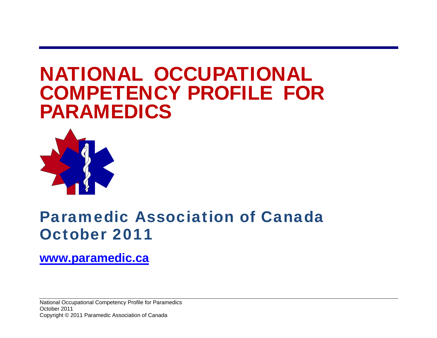# NATIONAL OCCUPATIONAL COMPETENCY PROFILE FOR PARAMEDICS



## Paramedic Association of Canada October 2011

## **www.paramedic.ca**

National Occupational Competency Profile for Paramedics October 2011 Copyright © 2011 Paramedic Association of Canada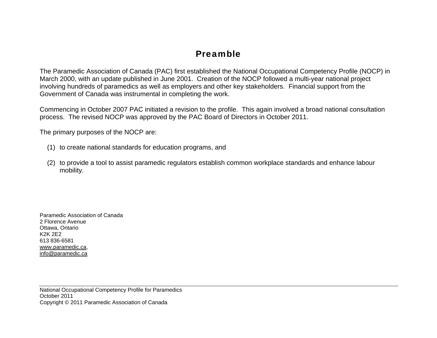## Preamble

The Paramedic Association of Canada (PAC) first established the National Occupational Competency Profile (NOCP) in March 2000, with an update published in June 2001. Creation of the NOCP followed a multi-year national project involving hundreds of paramedics as well as employers and other key stakeholders. Financial support from the Government of Canada was instrumental in completing the work.

Commencing in October 2007 PAC initiated a revision to the profile. This again involved a broad national consultation process. The revised NOCP was approved by the PAC Board of Directors in October 2011.

The primary purposes of the NOCP are:

- (1) to create national standards for education programs, and
- (2) to provide a tool to assist paramedic regulators establish common workplace standards and enhance labour mobility.

Paramedic Association of Canada 2 Florence Avenue Ottawa, Ontario K2K 2E2 613 836-6581 www.paramedic.ca, info@paramedic.ca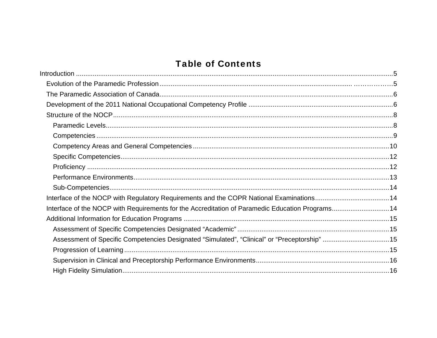## **Table of Contents**

| Interface of the NOCP with Requirements for the Accreditation of Paramedic Education Programs14 |  |
|-------------------------------------------------------------------------------------------------|--|
|                                                                                                 |  |
|                                                                                                 |  |
| Assessment of Specific Competencies Designated "Simulated", "Clinical" or "Preceptorship" 15    |  |
|                                                                                                 |  |
|                                                                                                 |  |
|                                                                                                 |  |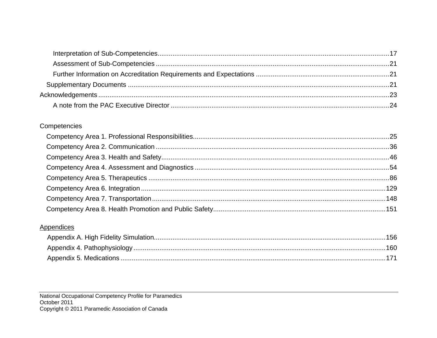#### Competencies

#### **Appendices**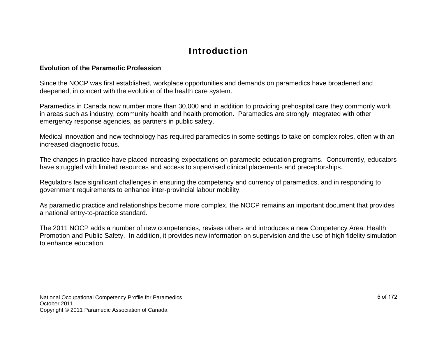## Introduction

#### **Evolution of the Paramedic Profession**

Since the NOCP was first established, workplace opportunities and demands on paramedics have broadened and deepened, in concert with the evolution of the health care system.

Paramedics in Canada now number more than 30,000 and in addition to providing prehospital care they commonly work in areas such as industry, community health and health promotion. Paramedics are strongly integrated with other emergency response agencies, as partners in public safety.

Medical innovation and new technology has required paramedics in some settings to take on complex roles, often with an increased diagnostic focus.

The changes in practice have placed increasing expectations on paramedic education programs. Concurrently, educators have struggled with limited resources and access to supervised clinical placements and preceptorships.

Regulators face significant challenges in ensuring the competency and currency of paramedics, and in responding to government requirements to enhance inter-provincial labour mobility.

As paramedic practice and relationships become more complex, the NOCP remains an important document that provides a national entry-to-practice standard.

The 2011 NOCP adds a number of new competencies, revises others and introduces a new Competency Area: Health Promotion and Public Safety. In addition, it provides new information on supervision and the use of high fidelity simulation to enhance education.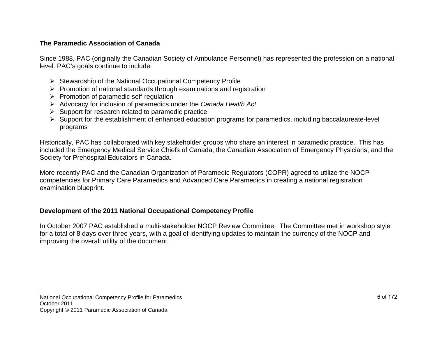#### **The Paramedic Association of Canada**

Since 1988, PAC (originally the Canadian Society of Ambulance Personnel) has represented the profession on a national level. PAC's goals continue to include:

- $\triangleright$  Stewardship of the National Occupational Competency Profile
- $\triangleright$  Promotion of national standards through examinations and registration
- $\triangleright$  Promotion of paramedic self-regulation
- Advocacy for inclusion of paramedics under the *Canada Health Act*
- $\triangleright$  Support for research related to paramedic practice
- $\triangleright$  Support for the establishment of enhanced education programs for paramedics, including baccalaureate-level programs

Historically, PAC has collaborated with key stakeholder groups who share an interest in paramedic practice. This has included the Emergency Medical Service Chiefs of Canada, the Canadian Association of Emergency Physicians, and the Society for Prehospital Educators in Canada.

More recently PAC and the Canadian Organization of Paramedic Regulators (COPR) agreed to utilize the NOCP competencies for Primary Care Paramedics and Advanced Care Paramedics in creating a national registration examination blueprint.

#### **Development of the 2011 National Occupational Competency Profile**

In October 2007 PAC established a multi-stakeholder NOCP Review Committee. The Committee met in workshop style for a total of 8 days over three years, with a goal of identifying updates to maintain the currency of the NOCP and improving the overall utility of the document.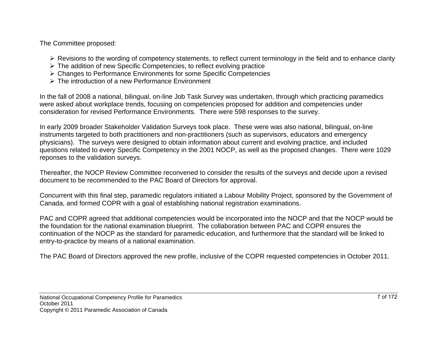The Committee proposed:

- $\triangleright$  Revisions to the wording of competency statements, to reflect current terminology in the field and to enhance clarity
- $\triangleright$  The addition of new Specific Competencies, to reflect evolving practice
- Changes to Performance Environments for some Specific Competencies
- The introduction of a new Performance Environment

In the fall of 2008 a national, bilingual, on-line Job Task Survey was undertaken, through which practicing paramedics were asked about workplace trends, focusing on competencies proposed for addition and competencies under consideration for revised Performance Environments. There were 598 responses to the survey.

In early 2009 broader Stakeholder Validation Surveys took place. These were was also national, bilingual, on-line instruments targeted to both practitioners and non-practitioners (such as supervisors, educators and emergency physicians). The surveys were designed to obtain information about current and evolving practice, and included questions related to every Specific Competency in the 2001 NOCP, as well as the proposed changes. There were 1029 reponses to the validation surveys.

Thereafter, the NOCP Review Committee reconvened to consider the results of the surveys and decide upon a revised document to be recommended to the PAC Board of Directors for approval.

Concurrent with this final step, paramedic regulators initiated a Labour Mobility Project, sponsored by the Government of Canada, and formed COPR with a goal of establishing national registration examinations.

PAC and COPR agreed that additional competencies would be incorporated into the NOCP and that the NOCP would be the foundation for the national examination blueprint. The collaboration between PAC and COPR ensures the continuation of the NOCP as the standard for paramedic education, and furthermore that the standard will be linked to entry-to-practice by means of a national examination.

The PAC Board of Directors approved the new profile, inclusive of the COPR requested competencies in October 2011.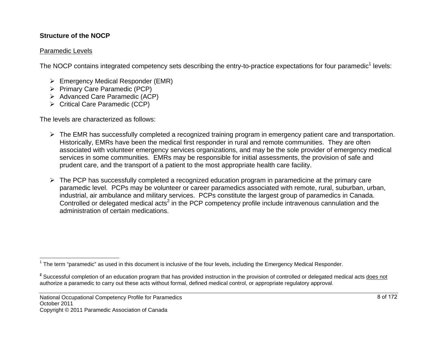#### **Structure of the NOCP**

#### Paramedic Levels

The NOCP contains integrated competency sets describing the entry-to-practice expectations for four paramedic<sup>1</sup> levels:

- $\triangleright$  Emergency Medical Responder (EMR)
- ▶ Primary Care Paramedic (PCP)
- ▶ Advanced Care Paramedic (ACP)
- ▶ Critical Care Paramedic (CCP)

The levels are characterized as follows:

- The EMR has successfully completed a recognized training program in emergency patient care and transportation. Historically, EMRs have been the medical first responder in rural and remote communities. They are often associated with volunteer emergency services organizations, and may be the sole provider of emergency medical services in some communities. EMRs may be responsible for initial assessments, the provision of safe and prudent care, and the transport of a patient to the most appropriate health care facility.
- > The PCP has successfully completed a recognized education program in paramedicine at the primary care paramedic level. PCPs may be volunteer or career paramedics associated with remote, rural, suburban, urban, industrial, air ambulance and military services. PCPs constitute the largest group of paramedics in Canada. Controlled or delegated medical acts<sup>2</sup> in the PCP competency profile include intravenous cannulation and the administration of certain medications.

<sup>&</sup>lt;sup>1</sup> The term "paramedic" as used in this document is inclusive of the four levels, including the Emergency Medical Responder.

<sup>&</sup>lt;sup>2</sup> Successful completion of an education program that has provided instruction in the provision of controlled or delegated medical acts does not authorize a paramedic to carry out these acts without formal, defined medical control, or appropriate regulatory approval.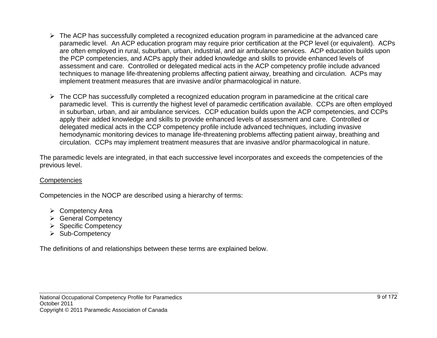- $\triangleright$  The ACP has successfully completed a recognized education program in paramedicine at the advanced care paramedic level. An ACP education program may require prior certification at the PCP level (or equivalent). ACPs are often employed in rural, suburban, urban, industrial, and air ambulance services. ACP education builds upon the PCP competencies, and ACPs apply their added knowledge and skills to provide enhanced levels of assessment and care. Controlled or delegated medical acts in the ACP competency profile include advanced techniques to manage life-threatening problems affecting patient airway, breathing and circulation. ACPs may implement treatment measures that are invasive and/or pharmacological in nature.
- $\triangleright$  The CCP has successfully completed a recognized education program in paramedicine at the critical care paramedic level. This is currently the highest level of paramedic certification available. CCPs are often employed in suburban, urban, and air ambulance services. CCP education builds upon the ACP competencies, and CCPs apply their added knowledge and skills to provide enhanced levels of assessment and care. Controlled or delegated medical acts in the CCP competency profile include advanced techniques, including invasive hemodynamic monitoring devices to manage life-threatening problems affecting patient airway, breathing and circulation. CCPs may implement treatment measures that are invasive and/or pharmacological in nature.

The paramedic levels are integrated, in that each successive level incorporates and exceeds the competencies of the previous level.

#### **Competencies**

Competencies in the NOCP are described using a hierarchy of terms:

- **►** Competency Area
- ▶ General Competency
- $\triangleright$  Specific Competency
- $\triangleright$  Sub-Competency

The definitions of and relationships between these terms are explained below.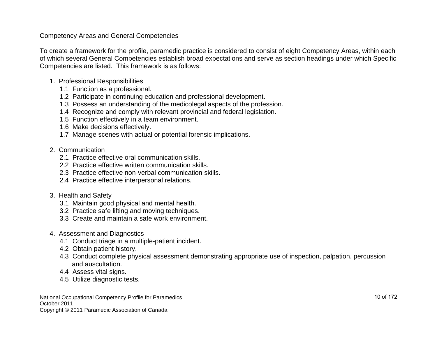#### Competency Areas and General Competencies

To create a framework for the profile, paramedic practice is considered to consist of eight Competency Areas, within each of which several General Competencies establish broad expectations and serve as section headings under which Specific Competencies are listed. This framework is as follows:

- 1. Professional Responsibilities
	- 1.1 Function as a professional.
	- 1.2 Participate in continuing education and professional development.
	- 1.3 Possess an understanding of the medicolegal aspects of the profession.
	- 1.4 Recognize and comply with relevant provincial and federal legislation.
	- 1.5 Function effectively in a team environment.
	- 1.6 Make decisions effectively.
	- 1.7 Manage scenes with actual or potential forensic implications.
- 2. Communication
	- 2.1 Practice effective oral communication skills.
	- 2.2 Practice effective written communication skills.
	- 2.3 Practice effective non-verbal communication skills.
	- 2.4 Practice effective interpersonal relations.
- 3. Health and Safety
	- 3.1 Maintain good physical and mental health.
	- 3.2 Practice safe lifting and moving techniques.
	- 3.3 Create and maintain a safe work environment.
- 4. Assessment and Diagnostics
	- 4.1 Conduct triage in a multiple-patient incident.
	- 4.2 Obtain patient history.
	- 4.3 Conduct complete physical assessment demonstrating appropriate use of inspection, palpation, percussion and auscultation.
	- 4.4 Assess vital signs.
	- 4.5 Utilize diagnostic tests.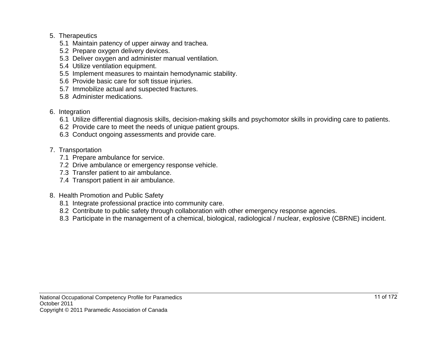#### 5. Therapeutics

- 5.1 Maintain patency of upper airway and trachea.
- 5.2 Prepare oxygen delivery devices.
- 5.3 Deliver oxygen and administer manual ventilation.
- 5.4 Utilize ventilation equipment.
- 5.5 Implement measures to maintain hemodynamic stability.
- 5.6 Provide basic care for soft tissue injuries.
- 5.7 Immobilize actual and suspected fractures.
- 5.8 Administer medications.
- 6. Integration
	- 6.1 Utilize differential diagnosis skills, decision-making skills and psychomotor skills in providing care to patients.
	- 6.2 Provide care to meet the needs of unique patient groups.
	- 6.3 Conduct ongoing assessments and provide care.
- 7. Transportation
	- 7.1 Prepare ambulance for service.
	- 7.2 Drive ambulance or emergency response vehicle.
	- 7.3 Transfer patient to air ambulance.
	- 7.4 Transport patient in air ambulance.
- 8. Health Promotion and Public Safety
	- 8.1 Integrate professional practice into community care.
	- 8.2 Contribute to public safety through collaboration with other emergency response agencies.
	- 8.3 Participate in the management of a chemical, biological, radiological / nuclear, explosive (CBRNE) incident.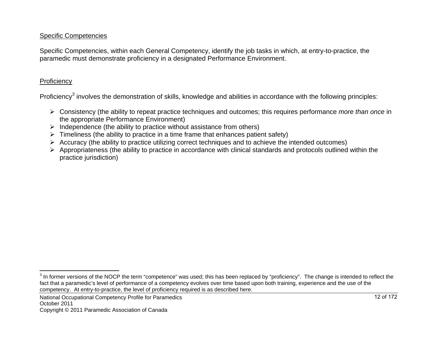#### Specific Competencies

Specific Competencies, within each General Competency, identify the job tasks in which, at entry-to-practice, the paramedic must demonstrate proficiency in a designated Performance Environment.

#### **Proficiency**

Proficiency<sup>3</sup> involves the demonstration of skills, knowledge and abilities in accordance with the following principles:

- Consistency (the ability to repeat practice techniques and outcomes; this requires performance *more than once* in the appropriate Performance Environment)
- $\triangleright$  Independence (the ability to practice without assistance from others)
- $\triangleright$  Timeliness (the ability to practice in a time frame that enhances patient safety)
- $\triangleright$  Accuracy (the ability to practice utilizing correct techniques and to achieve the intended outcomes)
- $\triangleright$  Appropriateness (the ability to practice in accordance with clinical standards and protocols outlined within the practice jurisdiction)

<sup>&</sup>lt;sup>3</sup> In former versions of the NOCP the term "competence" was used; this has been replaced by "proficiency". The change is intended to reflect the fact that a paramedic's level of performance of a competency evolves over time based upon both training, experience and the use of the competency. At entry-to-practice, the level of proficiency required is as described here.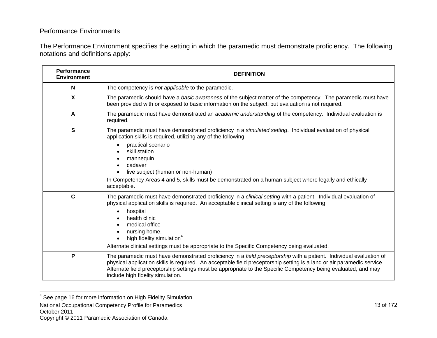#### Performance Environments

The Performance Environment specifies the setting in which the paramedic must demonstrate proficiency. The following notations and definitions apply:

| Performance<br><b>Environment</b> | <b>DEFINITION</b>                                                                                                                                                                                                                                                                                                                                                                                                                  |  |  |
|-----------------------------------|------------------------------------------------------------------------------------------------------------------------------------------------------------------------------------------------------------------------------------------------------------------------------------------------------------------------------------------------------------------------------------------------------------------------------------|--|--|
| N                                 | The competency is not applicable to the paramedic.                                                                                                                                                                                                                                                                                                                                                                                 |  |  |
| $\boldsymbol{\mathsf{X}}$         | The paramedic should have a basic awareness of the subject matter of the competency. The paramedic must have<br>been provided with or exposed to basic information on the subject, but evaluation is not required.                                                                                                                                                                                                                 |  |  |
| $\overline{A}$                    | The paramedic must have demonstrated an <i>academic understanding</i> of the competency. Individual evaluation is<br>required.                                                                                                                                                                                                                                                                                                     |  |  |
| S                                 | The paramedic must have demonstrated proficiency in a simulated setting. Individual evaluation of physical<br>application skills is required, utilizing any of the following:<br>practical scenario<br>skill station<br>mannequin<br>cadaver<br>live subject (human or non-human)<br>In Competency Areas 4 and 5, skills must be demonstrated on a human subject where legally and ethically<br>acceptable.                        |  |  |
| $\mathbf c$                       | The paramedic must have demonstrated proficiency in a <i>clinical setting</i> with a patient. Individual evaluation of<br>physical application skills is required. An acceptable clinical setting is any of the following:<br>hospital<br>health clinic<br>medical office<br>nursing home.<br>high fidelity simulation <sup>4</sup><br>Alternate clinical settings must be appropriate to the Specific Competency being evaluated. |  |  |
| P                                 | The paramedic must have demonstrated proficiency in a <i>field preceptorship</i> with a patient. Individual evaluation of<br>physical application skills is required. An acceptable field preceptorship setting is a land or air paramedic service.<br>Alternate field preceptorship settings must be appropriate to the Specific Competency being evaluated, and may<br>include high fidelity simulation.                         |  |  |

<sup>4</sup> See page 16 for more information on High Fidelity Simulation.

National Occupational Competency Profile for Paramedics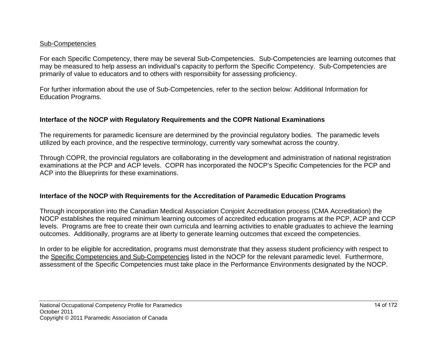#### Sub-Competencies

For each Specific Competency, there may be several Sub-Competencies. Sub-Competencies are learning outcomes that may be measured to help assess an individual's capacity to perform the Specific Competency. Sub-Competencies are primarily of value to educators and to others with responsibiity for assessing proficiency.

For further information about the use of Sub-Competencies, refer to the section below: Additional Information for Education Programs.

#### **Interface of the NOCP with Regulatory Requirements and the COPR National Examinations**

The requirements for paramedic licensure are determined by the provincial regulatory bodies. The paramedic levels utilized by each province, and the respective terminology, currently vary somewhat across the country.

Through COPR, the provincial regulators are collaborating in the development and administration of national registration examinations at the PCP and ACP levels. COPR has incorporated the NOCP's Specific Competencies for the PCP and ACP into the Blueprints for these examinations.

#### **Interface of the NOCP with Requirements for the Accreditation of Paramedic Education Programs**

Through incorporation into the Canadian Medical Association Conjoint Accreditation process (CMA Accreditation) the NOCP establishes the required minimum learning outcomes of accredited education programs at the PCP, ACP and CCP levels. Programs are free to create their own curricula and learning activities to enable graduates to achieve the learning outcomes. Additionally, programs are at liberty to generate learning outcomes that exceed the competencies.

In order to be eligible for accreditation, programs must demonstrate that they assess student proficiency with respect to the Specific Competencies and Sub-Competencies listed in the NOCP for the relevant paramedic level. Furthermore, assessment of the Specific Competencies must take place in the Performance Environments designated by the NOCP.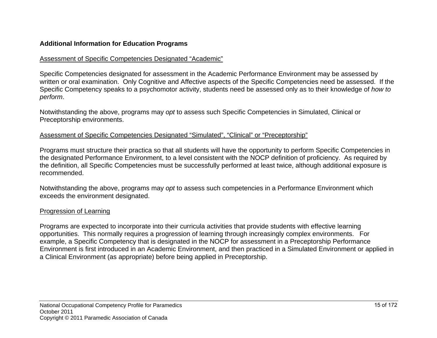#### **Additional Information for Education Programs**

#### Assessment of Specific Competencies Designated "Academic"

Specific Competencies designated for assessment in the Academic Performance Environment may be assessed by written or oral examination. Only Cognitive and Affective aspects of the Specific Competencies need be assessed. If the Specific Competency speaks to a psychomotor activity, students need be assessed only as to their knowledge of *how to perform*.

Notwithstanding the above, programs may *opt* to assess such Specific Competencies in Simulated, Clinical or Preceptorship environments.

#### Assessment of Specific Competencies Designated "Simulated", "Clinical" or "Preceptorship"

Programs must structure their practica so that all students will have the opportunity to perform Specific Competencies in the designated Performance Environment, to a level consistent with the NOCP definition of proficiency. As required by the definition, all Specific Competencies must be successfully performed at least twice, although additional exposure is recommended.

Notwithstanding the above, programs may *opt* to assess such competencies in a Performance Environment which exceeds the environment designated.

#### Progression of Learning

Programs are expected to incorporate into their curricula activities that provide students with effective learning opportunities. This normally requires a progression of learning through increasingly complex environments. For example, a Specific Competency that is designated in the NOCP for assessment in a Preceptorship Performance Environment is first introduced in an Academic Environment, and then practiced in a Simulated Environment or applied in a Clinical Environment (as appropriate) before being applied in Preceptorship.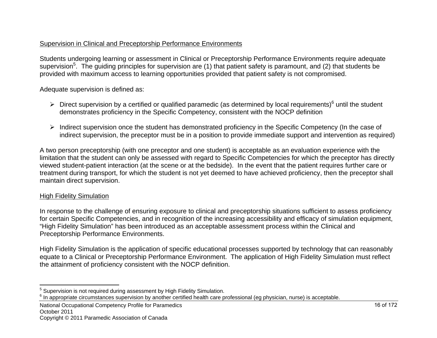#### Supervision in Clinical and Preceptorship Performance Environments

Students undergoing learning or assessment in Clinical or Preceptorship Performance Environments require adequate supervision<sup>5</sup>. The guiding principles for supervision are (1) that patient safety is paramount, and (2) that students be provided with maximum access to learning opportunities provided that patient safety is not compromised.

Adequate supervision is defined as:

- $\triangleright$  Direct supervision by a certified or qualified paramedic (as determined by local requirements)<sup>6</sup> until the student demonstrates proficiency in the Specific Competency, consistent with the NOCP definition
- $\triangleright$  Indirect supervision once the student has demonstrated proficiency in the Specific Competency (In the case of indirect supervision, the preceptor must be in a position to provide immediate support and intervention as required)

A two person preceptorship (with one preceptor and one student) is acceptable as an evaluation experience with the limitation that the student can only be assessed with regard to Specific Competencies for which the preceptor has directly viewed student-patient interaction (at the scene or at the bedside). In the event that the patient requires further care or treatment during transport, for which the student is not yet deemed to have achieved proficiency, then the preceptor shall maintain direct supervision.

#### High Fidelity Simulation

In response to the challenge of ensuring exposure to clinical and preceptorship situations sufficient to assess proficiency for certain Specific Competencies, and in recognition of the increasing accessibility and efficacy of simulation equipment, "High Fidelity Simulation" has been introduced as an acceptable assessment process within the Clinical and Preceptorship Performance Environments.

High Fidelity Simulation is the application of specific educational processes supported by technology that can reasonably equate to a Clinical or Preceptorship Performance Environment. The application of High Fidelity Simulation must reflect the attainment of proficiency consistent with the NOCP definition.

National Occupational Competency Profile for Paramedics

<sup>&</sup>lt;sup>5</sup> Supervision is not required during assessment by High Fidelity Simulation.<br><sup>6</sup> In appropriate circumstances supervision by another certified health care professional (eg physician, nurse) is acceptable.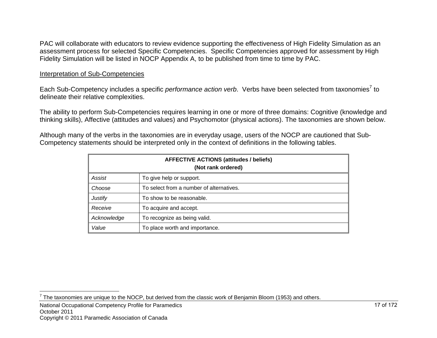PAC will collaborate with educators to review evidence supporting the effectiveness of High Fidelity Simulation as an assessment process for selected Specific Competencies. Specific Competencies approved for assessment by High Fidelity Simulation will be listed in NOCP Appendix A, to be published from time to time by PAC.

#### Interpretation of Sub-Competencies

Each Sub-Competency includes a specific *performance action verb*. Verbs have been selected from taxonomies<sup>7</sup> to delineate their relative complexities.

The ability to perform Sub-Competencies requires learning in one or more of three domains: Cognitive (knowledge and thinking skills), Affective (attitudes and values) and Psychomotor (physical actions). The taxonomies are shown below.

Although many of the verbs in the taxonomies are in everyday usage, users of the NOCP are cautioned that Sub-Competency statements should be interpreted only in the context of definitions in the following tables.

| <b>AFFECTIVE ACTIONS (attitudes / beliefs)</b><br>(Not rank ordered) |                                          |  |  |
|----------------------------------------------------------------------|------------------------------------------|--|--|
| Assist                                                               | To give help or support.                 |  |  |
| Choose                                                               | To select from a number of alternatives. |  |  |
| <b>Justify</b>                                                       | To show to be reasonable.                |  |  |
| Receive                                                              | To acquire and accept.                   |  |  |
| Acknowledge                                                          | To recognize as being valid.             |  |  |
| Value                                                                | To place worth and importance.           |  |  |

National Occupational Competency Profile for Paramedics October 2011 Copyright © 2011 Paramedic Association of Canada

 $7$  The taxonomies are unique to the NOCP, but derived from the classic work of Benjamin Bloom (1953) and others.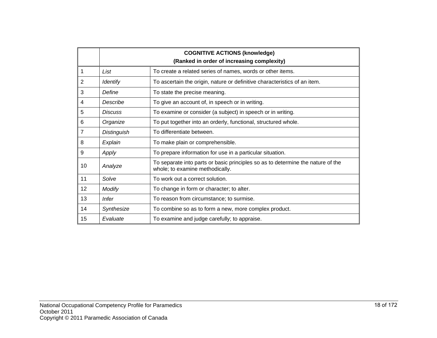|                | <b>COGNITIVE ACTIONS (knowledge)</b><br>(Ranked in order of increasing complexity) |                                                                                                                    |  |  |
|----------------|------------------------------------------------------------------------------------|--------------------------------------------------------------------------------------------------------------------|--|--|
| 1              | List<br>To create a related series of names, words or other items.                 |                                                                                                                    |  |  |
| 2              | <b>Identify</b>                                                                    | To ascertain the origin, nature or definitive characteristics of an item.                                          |  |  |
| 3              | Define                                                                             | To state the precise meaning.                                                                                      |  |  |
| 4              | Describe                                                                           | To give an account of, in speech or in writing.                                                                    |  |  |
| 5              | <b>Discuss</b>                                                                     | To examine or consider (a subject) in speech or in writing.                                                        |  |  |
| 6              | Organize<br>To put together into an orderly, functional, structured whole.         |                                                                                                                    |  |  |
| $\overline{7}$ | <b>Distinguish</b><br>To differentiate between.                                    |                                                                                                                    |  |  |
| 8              | Explain                                                                            | To make plain or comprehensible.                                                                                   |  |  |
| 9              | Apply                                                                              | To prepare information for use in a particular situation.                                                          |  |  |
| 10             | Analyze                                                                            | To separate into parts or basic principles so as to determine the nature of the<br>whole; to examine methodically. |  |  |
| 11             | Solve                                                                              | To work out a correct solution.                                                                                    |  |  |
| 12             | <b>Modify</b>                                                                      | To change in form or character; to alter.                                                                          |  |  |
| 13             | <b>Infer</b>                                                                       | To reason from circumstance; to surmise.                                                                           |  |  |
| 14             | Synthesize                                                                         | To combine so as to form a new, more complex product.                                                              |  |  |
| 15             | Evaluate                                                                           | To examine and judge carefully; to appraise.                                                                       |  |  |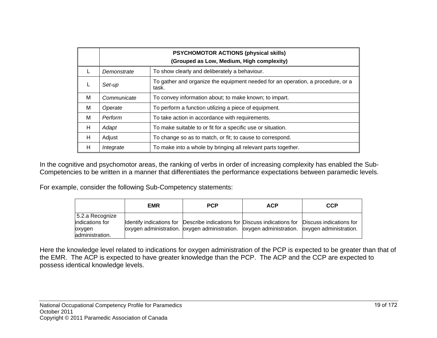|   | <b>PSYCHOMOTOR ACTIONS (physical skills)</b><br>(Grouped as Low, Medium, High complexity) |                                                                                          |  |  |
|---|-------------------------------------------------------------------------------------------|------------------------------------------------------------------------------------------|--|--|
|   | Demonstrate                                                                               | To show clearly and deliberately a behaviour.                                            |  |  |
|   | Set-up                                                                                    | To gather and organize the equipment needed for an operation, a procedure, or a<br>task. |  |  |
| M | Communicate                                                                               | To convey information about; to make known; to impart.                                   |  |  |
| M | Operate                                                                                   | To perform a function utilizing a piece of equipment.                                    |  |  |
| M | Perform                                                                                   | To take action in accordance with requirements.                                          |  |  |
| н | Adapt                                                                                     | To make suitable to or fit for a specific use or situation.                              |  |  |
| н | Adjust                                                                                    | To change so as to match, or fit; to cause to correspond.                                |  |  |
| н | Integrate                                                                                 | To make into a whole by bringing all relevant parts together.                            |  |  |

In the cognitive and psychomotor areas, the ranking of verbs in order of increasing complexity has enabled the Sub-Competencies to be written in a manner that differentiates the performance expectations between paramedic levels.

For example, consider the following Sub-Competency statements:

|                                    | <b>EMR</b> | <b>PCP</b>                                                                                        | <b>ACP</b> | <b>CCP</b> |
|------------------------------------|------------|---------------------------------------------------------------------------------------------------|------------|------------|
| 5.2.a Recognize<br>indications for |            | Identify indications for Describe indications for Discuss indications for Discuss indications for |            |            |
| oxygen<br>administration.          |            | loxygen administration. oxygen administration. loxygen administration. loxygen administration.    |            |            |

Here the knowledge level related to indications for oxygen administration of the PCP is expected to be greater than that of the EMR. The ACP is expected to have greater knowledge than the PCP. The ACP and the CCP are expected to possess identical knowledge levels.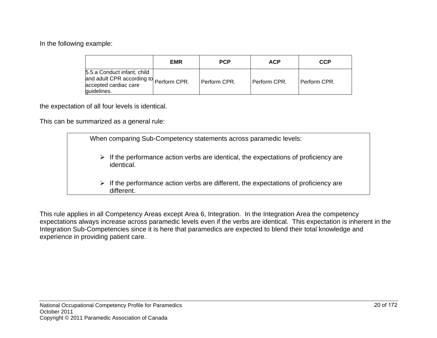In the following example:

|                                                                                                                | <b>EMR</b> | <b>PCP</b>   | <b>ACP</b>   | <b>CCP</b>   |
|----------------------------------------------------------------------------------------------------------------|------------|--------------|--------------|--------------|
| 5.5.a Conduct infant, child<br>and adult CPR according to Perform CPR.<br>accepted cardiac care<br>guidelines. |            | Perform CPR. | Perform CPR. | Perform CPR. |

the expectation of all four levels is identical.

This can be summarized as a general rule:

|  | When comparing Sub-Competency statements across paramedic levels:                                                 |
|--|-------------------------------------------------------------------------------------------------------------------|
|  | $\triangleright$ If the performance action verbs are identical, the expectations of proficiency are<br>identical. |
|  | $\triangleright$ If the performance action verbs are different, the expectations of proficiency are<br>different. |
|  |                                                                                                                   |

This rule applies in all Competency Areas except Area 6, Integration. In the Integration Area the competency expectations always increase across paramedic levels even if the verbs are identical. This expectation is inherent in the Integration Sub-Competencies since it is here that paramedics are expected to blend their total knowledge and experience in providing patient care.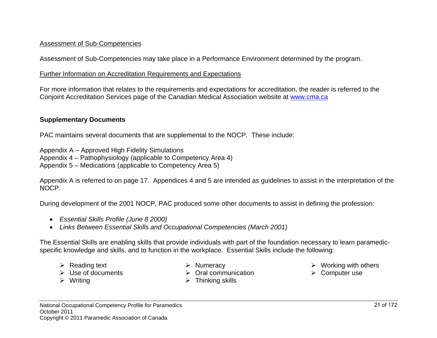#### Assessment of Sub-Competencies

Assessment of Sub-Competencies may take place in a Performance Environment determined by the program.

#### Further Information on Accreditation Requirements and Expectations

For more information that relates to the requirements and expectations for accreditation, the reader is referred to the Conjoint Accreditation Services page of the Canadian Medical Association website at www.cma.ca

#### **Supplementary Documents**

PAC maintains several documents that are supplemental to the NOCP. These include:

Appendix A – Approved High Fidelity Simulations

Appendix 4 – Pathophysiology (applicable to Competency Area 4)

Appendix 5 – Medications (applicable to Competency Area 5)

Appendix A is referred to on page 17. Appendices 4 and 5 are intended as guidelines to assist in the interpretation of the NOCP.

During development of the 2001 NOCP, PAC produced some other documents to assist in defining the profession:

- *Essential Skills Profile (June 8 2000)*
- *Links Between Essential Skills and Occupational Competencies (March 2001)*

The Essential Skills are enabling skills that provide individuals with part of the foundation necessary to learn paramedicspecific knowledge and skills, and to function in the workplace. Essential Skills include the following:

- $\triangleright$  Reading text
- $\triangleright$  Use of documents
- $\triangleright$  Writing
- $\triangleright$  Numeracy
- $\triangleright$  Oral communication
- $\triangleright$  Thinking skills
- $\triangleright$  Working with others
- $\triangleright$  Computer use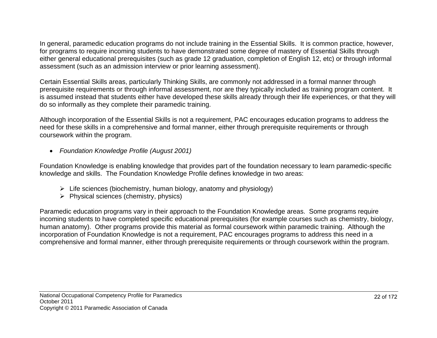In general, paramedic education programs do not include training in the Essential Skills. It is common practice, however, for programs to require incoming students to have demonstrated some degree of mastery of Essential Skills through either general educational prerequisites (such as grade 12 graduation, completion of English 12, etc) or through informal assessment (such as an admission interview or prior learning assessment).

Certain Essential Skills areas, particularly Thinking Skills, are commonly not addressed in a formal manner through prerequisite requirements or through informal assessment, nor are they typically included as training program content. It is assumed instead that students either have developed these skills already through their life experiences, or that they will do so informally as they complete their paramedic training.

Although incorporation of the Essential Skills is not a requirement, PAC encourages education programs to address the need for these skills in a comprehensive and formal manner, either through prerequisite requirements or through coursework within the program.

*Foundation Knowledge Profile (August 2001)* 

Foundation Knowledge is enabling knowledge that provides part of the foundation necessary to learn paramedic-specific knowledge and skills. The Foundation Knowledge Profile defines knowledge in two areas:

- $\triangleright$  Life sciences (biochemistry, human biology, anatomy and physiology)
- $\triangleright$  Physical sciences (chemistry, physics)

Paramedic education programs vary in their approach to the Foundation Knowledge areas. Some programs require incoming students to have completed specific educational prerequisites (for example courses such as chemistry, biology, human anatomy). Other programs provide this material as formal coursework within paramedic training. Although the incorporation of Foundation Knowledge is not a requirement, PAC encourages programs to address this need in a comprehensive and formal manner, either through prerequisite requirements or through coursework within the program.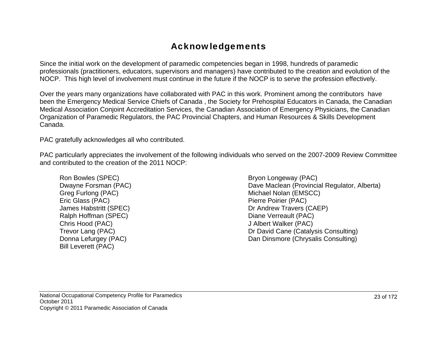## Acknowledgements

Since the initial work on the development of paramedic competencies began in 1998, hundreds of paramedic professionals (practitioners, educators, supervisors and managers) have contributed to the creation and evolution of the NOCP. This high level of involvement must continue in the future if the NOCP is to serve the profession effectively.

Over the years many organizations have collaborated with PAC in this work. Prominent among the contributors have been the Emergency Medical Service Chiefs of Canada , the Society for Prehospital Educators in Canada, the Canadian Medical Association Conjoint Accreditation Services, the Canadian Association of Emergency Physicians, the Canadian Organization of Paramedic Regulators, the PAC Provincial Chapters, and Human Resources & Skills Development Canada.

PAC gratefully acknowledges all who contributed.

PAC particularly appreciates the involvement of the following individuals who served on the 2007-2009 Review Committee and contributed to the creation of the 2011 NOCP:

Ron Bowles (SPEC) Dwayne Forsman (PAC) Greg Furlong (PAC) Eric Glass (PAC) James Habstritt (SPEC) Ralph Hoffman (SPEC) Chris Hood (PAC) Trevor Lang (PAC) Donna Lefurgey (PAC) Bill Leverett (PAC)

Bryon Longeway (PAC) Dave Maclean (Provincial Regulator, Alberta) Michael Nolan (EMSCC) Pierre Poirier (PAC) Dr Andrew Travers (CAEP) Diane Verreault (PAC) J Albert Walker (PAC) Dr David Cane (Catalysis Consulting) Dan Dinsmore (Chrysalis Consulting)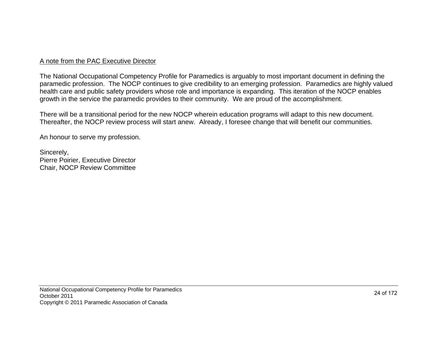#### A note from the PAC Executive Director

The National Occupational Competency Profile for Paramedics is arguably to most important document in defining the paramedic profession. The NOCP continues to give credibility to an emerging profession. Paramedics are highly valued health care and public safety providers whose role and importance is expanding. This iteration of the NOCP enables growth in the service the paramedic provides to their community. We are proud of the accomplishment.

There will be a transitional period for the new NOCP wherein education programs will adapt to this new document. Thereafter, the NOCP review process will start anew. Already, I foresee change that will benefit our communities.

An honour to serve my profession.

Sincerely, Pierre Poirier, Executive Director Chair, NOCP Review Committee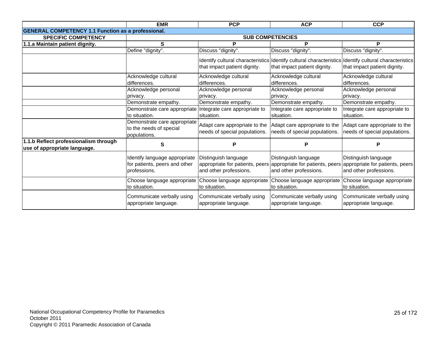|                                                                       | <b>EMR</b>                                                                     | <b>PCP</b>                                                     | <b>ACP</b>                                                     | <b>CCP</b>                                                                                                                                        |  |
|-----------------------------------------------------------------------|--------------------------------------------------------------------------------|----------------------------------------------------------------|----------------------------------------------------------------|---------------------------------------------------------------------------------------------------------------------------------------------------|--|
| <b>GENERAL COMPETENCY 1.1 Function as a professional.</b>             |                                                                                |                                                                |                                                                |                                                                                                                                                   |  |
| <b>SPECIFIC COMPETENCY</b>                                            |                                                                                |                                                                | <b>SUB COMPETENCIES</b>                                        |                                                                                                                                                   |  |
| 1.1.a Maintain patient dignity.                                       | S                                                                              | P                                                              | P                                                              | P                                                                                                                                                 |  |
|                                                                       | Define "dignity".                                                              | Discuss "dignity".                                             | Discuss "dignity".                                             | Discuss "dignity".                                                                                                                                |  |
|                                                                       |                                                                                | that impact patient dignity.                                   | that impact patient dignity.                                   | Identify cultural characteristics Identify cultural characteristics Identify cultural characteristics<br>that impact patient dignity.             |  |
|                                                                       | Acknowledge cultural                                                           | Acknowledge cultural                                           | Acknowledge cultural                                           | Acknowledge cultural                                                                                                                              |  |
|                                                                       | differences.                                                                   | differences.                                                   | differences.                                                   | differences.                                                                                                                                      |  |
|                                                                       | Acknowledge personal                                                           | Acknowledge personal                                           | Acknowledge personal                                           | Acknowledge personal                                                                                                                              |  |
|                                                                       | privacy.                                                                       | privacy.                                                       | privacy.                                                       | privacy.                                                                                                                                          |  |
|                                                                       | Demonstrate empathy.                                                           | Demonstrate empathy.                                           | Demonstrate empathy.                                           | Demonstrate empathy.                                                                                                                              |  |
|                                                                       | Demonstrate care appropriate Integrate care appropriate to                     |                                                                | Integrate care appropriate to                                  | Integrate care appropriate to                                                                                                                     |  |
|                                                                       | to situation.                                                                  | situation.                                                     | situation.                                                     | situation.                                                                                                                                        |  |
|                                                                       | Demonstrate care appropriate<br>to the needs of special<br>populations.        | Adapt care appropriate to the<br>needs of special populations. | Adapt care appropriate to the<br>needs of special populations. | Adapt care appropriate to the<br>needs of special populations.                                                                                    |  |
| 1.1.b Reflect professionalism through<br>use of appropriate language. | S                                                                              | P                                                              | Р                                                              | P                                                                                                                                                 |  |
|                                                                       | Identify language appropriate<br>for patients, peers and other<br>professions. | Distinguish language<br>and other professions.                 | Distinguish language<br>and other professions.                 | Distinguish language<br>appropriate for patients, peers appropriate for patients, peers appropriate for patients, peers<br>and other professions. |  |
|                                                                       | Choose language appropriate<br>to situation.                                   | to situation.                                                  | to situation.                                                  | Choose language appropriate Choose language appropriate Choose language appropriate<br>to situation.                                              |  |
|                                                                       | Communicate verbally using<br>appropriate language.                            | Communicate verbally using<br>appropriate language.            | Communicate verbally using<br>appropriate language.            | Communicate verbally using<br>appropriate language.                                                                                               |  |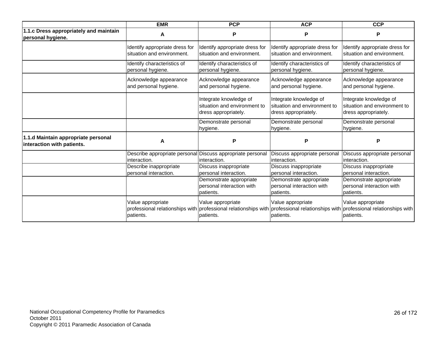|                                                                   | <b>EMR</b>                                                                                        | <b>PCP</b>                                                                     | <b>ACP</b>                                                                     | <b>CCP</b>                                                                                        |
|-------------------------------------------------------------------|---------------------------------------------------------------------------------------------------|--------------------------------------------------------------------------------|--------------------------------------------------------------------------------|---------------------------------------------------------------------------------------------------|
| 1.1.c Dress appropriately and maintain<br>personal hygiene.       | A                                                                                                 | P                                                                              | P                                                                              | P                                                                                                 |
|                                                                   | Identify appropriate dress for<br>situation and environment.                                      | Identify appropriate dress for<br>situation and environment.                   | Identify appropriate dress for<br>situation and environment.                   | Identify appropriate dress for<br>situation and environment.                                      |
|                                                                   | Identify characteristics of<br>personal hygiene.                                                  | Identify characteristics of<br>personal hygiene.                               | Identify characteristics of<br>personal hygiene.                               | Identify characteristics of<br>personal hygiene.                                                  |
|                                                                   | Acknowledge appearance<br>and personal hygiene.                                                   | Acknowledge appearance<br>and personal hygiene.                                | Acknowledge appearance<br>and personal hygiene.                                | Acknowledge appearance<br>and personal hygiene.                                                   |
|                                                                   |                                                                                                   | Integrate knowledge of<br>situation and environment to<br>dress appropriately. | Integrate knowledge of<br>situation and environment to<br>dress appropriately. | Integrate knowledge of<br>situation and environment to<br>dress appropriately.                    |
|                                                                   |                                                                                                   | Demonstrate personal<br>hygiene.                                               | Demonstrate personal<br>hygiene.                                               | Demonstrate personal<br>hygiene.                                                                  |
| 1.1.d Maintain appropriate personal<br>interaction with patients. | A                                                                                                 | P                                                                              | P                                                                              | P                                                                                                 |
|                                                                   | Describe appropriate personal<br>interaction.                                                     | Discuss appropriate personal<br>interaction.                                   | Discuss appropriate personal<br>interaction.                                   | Discuss appropriate personal<br>interaction.                                                      |
|                                                                   | Describe inappropriate<br>personal interaction.                                                   | Discuss inappropriate<br>personal interaction.                                 | Discuss inappropriate<br>personal interaction.                                 | Discuss inappropriate<br>personal interaction.                                                    |
|                                                                   |                                                                                                   | Demonstrate appropriate<br>personal interaction with<br>patients.              | Demonstrate appropriate<br>personal interaction with<br>patients.              | Demonstrate appropriate<br>personal interaction with<br>patients.                                 |
|                                                                   | Value appropriate<br>professional relationships with professional relationships with<br>patients. | Value appropriate<br>patients.                                                 | Value appropriate<br>patients.                                                 | Value appropriate<br>professional relationships with professional relationships with<br>patients. |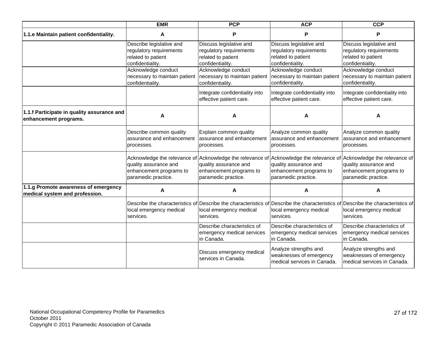|                                                                        | <b>EMR</b>                                                                                                                           | <b>PCP</b>                                                                                              | <b>ACP</b>                                                                                                                           | <b>CCP</b>                                                                                              |
|------------------------------------------------------------------------|--------------------------------------------------------------------------------------------------------------------------------------|---------------------------------------------------------------------------------------------------------|--------------------------------------------------------------------------------------------------------------------------------------|---------------------------------------------------------------------------------------------------------|
| 1.1.e Maintain patient confidentiality.                                | A                                                                                                                                    | P                                                                                                       | P                                                                                                                                    | P                                                                                                       |
|                                                                        | Describe legislative and<br>regulatory requirements<br>related to patient<br>confidentiality.                                        | Discuss legislative and<br>regulatory requirements<br>related to patient<br>confidentiality.            | Discuss legislative and<br>regulatory requirements<br>related to patient<br>confidentiality.                                         | Discuss legislative and<br>regulatory requirements<br>related to patient<br>confidentiality.            |
|                                                                        | Acknowledge conduct<br>necessary to maintain patient<br>confidentiality.                                                             | Acknowledge conduct<br>necessary to maintain patient<br>confidentiality.                                | Acknowledge conduct<br>necessary to maintain patient<br>confidentiality.                                                             | Acknowledge conduct<br>necessary to maintain patient<br>confidentiality.                                |
|                                                                        |                                                                                                                                      | Integrate confidentiality into<br>effective patient care.                                               | Integrate confidentiality into<br>effective patient care.                                                                            | Integrate confidentiality into<br>effective patient care.                                               |
| 1.1.f Participate in quality assurance and<br>enhancement programs.    | A                                                                                                                                    | A                                                                                                       | А                                                                                                                                    | A                                                                                                       |
|                                                                        | Describe common quality<br>assurance and enhancement<br>processes.                                                                   | Explain common quality<br>assurance and enhancement<br>processes.                                       | Analyze common quality<br>assurance and enhancement<br>processes.                                                                    | Analyze common quality<br>assurance and enhancement<br>processes.                                       |
|                                                                        | Acknowledge the relevance of Acknowledge the relevance of<br>quality assurance and<br>enhancement programs to<br>paramedic practice. | quality assurance and<br>enhancement programs to<br>paramedic practice.                                 | Acknowledge the relevance of Acknowledge the relevance of<br>quality assurance and<br>enhancement programs to<br>paramedic practice. | quality assurance and<br>enhancement programs to<br>paramedic practice.                                 |
| 1.1.g Promote awareness of emergency<br>medical system and profession. | A                                                                                                                                    | A                                                                                                       | Α                                                                                                                                    | A                                                                                                       |
|                                                                        | local emergency medical<br>services.                                                                                                 | Describe the characteristics of Describe the characteristics of<br>local emergency medical<br>services. | local emergency medical<br>services.                                                                                                 | Describe the characteristics of Describe the characteristics of<br>local emergency medical<br>services. |
|                                                                        |                                                                                                                                      | Describe characteristics of<br>emergency medical services<br>in Canada.                                 | Describe characteristics of<br>emergency medical services<br>in Canada.                                                              | Describe characteristics of<br>emergency medical services<br>in Canada.                                 |
|                                                                        |                                                                                                                                      | Discuss emergency medical<br>services in Canada.                                                        | Analyze strengths and<br>weaknesses of emergency<br>medical services in Canada.                                                      | Analyze strengths and<br>weaknesses of emergency<br>medical services in Canada.                         |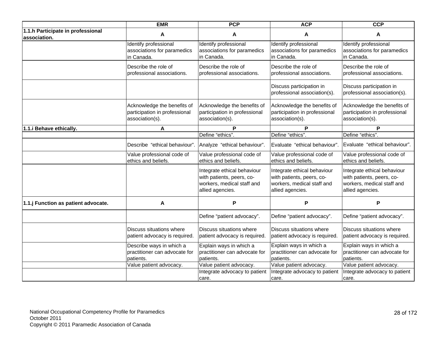|                                                   | <b>EMR</b>                                                                      | <b>PCP</b>                                                                                                 | <b>ACP</b>                                                                                                 | <b>CCP</b>                                                                                                 |
|---------------------------------------------------|---------------------------------------------------------------------------------|------------------------------------------------------------------------------------------------------------|------------------------------------------------------------------------------------------------------------|------------------------------------------------------------------------------------------------------------|
| 1.1.h Participate in professional<br>association. | A                                                                               | A                                                                                                          | A                                                                                                          | A                                                                                                          |
|                                                   | Identify professional<br>associations for paramedics<br>in Canada.              | Identify professional<br>associations for paramedics<br>in Canada.                                         | Identify professional<br>associations for paramedics<br>in Canada.                                         | Identify professional<br>associations for paramedics<br>in Canada.                                         |
|                                                   | Describe the role of<br>professional associations.                              | Describe the role of<br>professional associations.                                                         | Describe the role of<br>professional associations.                                                         | Describe the role of<br>professional associations.                                                         |
|                                                   |                                                                                 |                                                                                                            | Discuss participation in<br>professional association(s).                                                   | Discuss participation in<br>professional association(s).                                                   |
|                                                   | Acknowledge the benefits of<br>participation in professional<br>association(s). | Acknowledge the benefits of<br>participation in professional<br>association(s).                            | Acknowledge the benefits of<br>participation in professional<br>association(s).                            | Acknowledge the benefits of<br>participation in professional<br>association(s).                            |
| 1.1.i Behave ethically.                           | A                                                                               | P                                                                                                          | P                                                                                                          | P                                                                                                          |
|                                                   |                                                                                 | Define "ethics".                                                                                           | Define "ethics".                                                                                           | Define "ethics".                                                                                           |
|                                                   | Describe "ethical behaviour".                                                   | Analyze "ethical behaviour".                                                                               | Evaluate "ethical behaviour".                                                                              | Evaluate "ethical behaviour".                                                                              |
|                                                   | Value professional code of<br>ethics and beliefs.                               | Value professional code of<br>ethics and beliefs.                                                          | Value professional code of<br>ethics and beliefs.                                                          | Value professional code of<br>ethics and beliefs.                                                          |
|                                                   |                                                                                 | Integrate ethical behaviour<br>with patients, peers, co-<br>workers, medical staff and<br>allied agencies. | Integrate ethical behaviour<br>with patients, peers, co-<br>workers, medical staff and<br>allied agencies. | Integrate ethical behaviour<br>with patients, peers, co-<br>workers, medical staff and<br>allied agencies. |
| 1.1.j Function as patient advocate.               | A                                                                               | P                                                                                                          | P                                                                                                          | P                                                                                                          |
|                                                   |                                                                                 | Define "patient advocacy".                                                                                 | Define "patient advocacy".                                                                                 | Define "patient advocacy".                                                                                 |
|                                                   | Discuss situations where<br>patient advocacy is required.                       | Discuss situations where<br>patient advocacy is required.                                                  | Discuss situations where<br>patient advocacy is required.                                                  | Discuss situations where<br>patient advocacy is required.                                                  |
|                                                   | Describe ways in which a<br>practitioner can advocate for<br>patients.          | Explain ways in which a<br>practitioner can advocate for<br>patients.                                      | Explain ways in which a<br>practitioner can advocate for<br>patients.                                      | Explain ways in which a<br>practitioner can advocate for<br>patients.                                      |
|                                                   | Value patient advocacy.                                                         | Value patient advocacy.<br>Integrate advocacy to patient<br>care.                                          | Value patient advocacy.<br>Integrate advocacy to patient<br>care.                                          | Value patient advocacy.<br>Integrate advocacy to patient<br>care.                                          |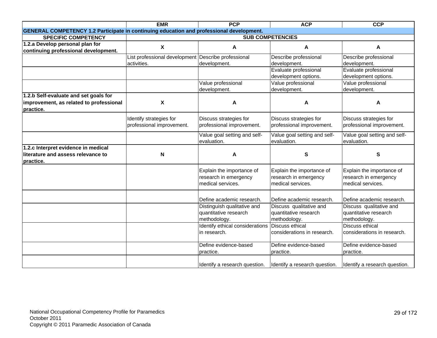|                                                                                                 | <b>EMR</b>                                          | <b>PCP</b>                                      | <b>ACP</b>                    | <b>CCP</b>                    |
|-------------------------------------------------------------------------------------------------|-----------------------------------------------------|-------------------------------------------------|-------------------------------|-------------------------------|
| <b>GENERAL COMPETENCY 1.2 Participate in continuing education and professional development.</b> |                                                     |                                                 |                               |                               |
| <b>SPECIFIC COMPETENCY</b>                                                                      |                                                     |                                                 | <b>SUB COMPETENCIES</b>       |                               |
| 1.2.a Develop personal plan for                                                                 | $\mathbf{x}$                                        | A                                               | A                             | A                             |
| continuing professional development.                                                            |                                                     |                                                 |                               |                               |
|                                                                                                 | List professional development Describe professional |                                                 | Describe professional         | Describe professional         |
|                                                                                                 | activities.                                         | development.                                    | development.                  | development.                  |
|                                                                                                 |                                                     |                                                 | Evaluate professional         | Evaluate professional         |
|                                                                                                 |                                                     |                                                 | development options.          | development options.          |
|                                                                                                 |                                                     | Value professional                              | Value professional            | Value professional            |
|                                                                                                 |                                                     | development.                                    | development.                  | development.                  |
| 1.2.b Self-evaluate and set goals for                                                           |                                                     |                                                 |                               |                               |
| improvement, as related to professional                                                         | $\boldsymbol{\mathsf{X}}$                           | A                                               | A                             | A                             |
| practice.                                                                                       |                                                     |                                                 |                               |                               |
|                                                                                                 | Identify strategies for                             | Discuss strategies for                          | Discuss strategies for        | Discuss strategies for        |
|                                                                                                 | professional improvement.                           | professional improvement.                       | professional improvement.     | professional improvement.     |
|                                                                                                 |                                                     | Value goal setting and self-                    | Value goal setting and self-  | Value goal setting and self-  |
|                                                                                                 |                                                     | evaluation.                                     | evaluation.                   | evaluation.                   |
| 1.2.c Interpret evidence in medical                                                             |                                                     |                                                 |                               |                               |
| literature and assess relevance to                                                              | N                                                   | A                                               | S                             | S                             |
| Ipractice.                                                                                      |                                                     |                                                 |                               |                               |
|                                                                                                 |                                                     | Explain the importance of                       | Explain the importance of     | Explain the importance of     |
|                                                                                                 |                                                     | research in emergency                           | research in emergency         | research in emergency         |
|                                                                                                 |                                                     | medical services.                               | medical services.             | medical services.             |
|                                                                                                 |                                                     |                                                 |                               |                               |
|                                                                                                 |                                                     | Define academic research.                       | Define academic research.     | Define academic research.     |
|                                                                                                 |                                                     | Distinguish qualitative and                     | Discuss qualitative and       | Discuss qualitative and       |
|                                                                                                 |                                                     | quantitative research                           | quantitative research         | quantitative research         |
|                                                                                                 |                                                     | methodology.                                    | methodology.                  | methodology.                  |
|                                                                                                 |                                                     | Identify ethical considerations Discuss ethical |                               | <b>Discuss ethical</b>        |
|                                                                                                 |                                                     | in research.                                    | considerations in research.   | considerations in research.   |
|                                                                                                 |                                                     | Define evidence-based                           | Define evidence-based         | Define evidence-based         |
|                                                                                                 |                                                     | practice.                                       | practice.                     | practice.                     |
|                                                                                                 |                                                     | Identify a research question.                   | Identify a research question. | Identify a research question. |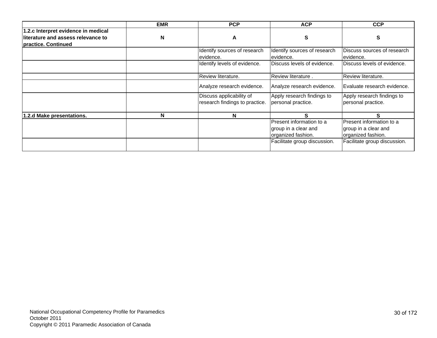|                                     | <b>EMR</b> | <b>PCP</b>                                                 | <b>ACP</b>                                       | <b>CCP</b>                                       |
|-------------------------------------|------------|------------------------------------------------------------|--------------------------------------------------|--------------------------------------------------|
| 1.2.c Interpret evidence in medical |            |                                                            |                                                  |                                                  |
| literature and assess relevance to  | N          | A                                                          | S                                                | S                                                |
| practice. Continued                 |            |                                                            |                                                  |                                                  |
|                                     |            | Identify sources of research                               | Identify sources of research                     | Discuss sources of research                      |
|                                     |            | evidence.                                                  | evidence.                                        | evidence.                                        |
|                                     |            | Identify levels of evidence.                               | Discuss levels of evidence.                      | Discuss levels of evidence.                      |
|                                     |            | Review literature.                                         | Review literature.                               | Review literature.                               |
|                                     |            | Analyze research evidence.                                 | Analyze research evidence.                       | Evaluate research evidence.                      |
|                                     |            | Discuss applicability of<br>research findings to practice. | Apply research findings to<br>personal practice. | Apply research findings to<br>personal practice. |
| 1.2.d Make presentations.           | N          | N                                                          | S                                                | S.                                               |
|                                     |            |                                                            | Present information to a                         | Present information to a                         |
|                                     |            |                                                            | group in a clear and                             | group in a clear and                             |
|                                     |            |                                                            | organized fashion.                               | organized fashion.                               |
|                                     |            |                                                            | Facilitate group discussion.                     | Facilitate group discussion.                     |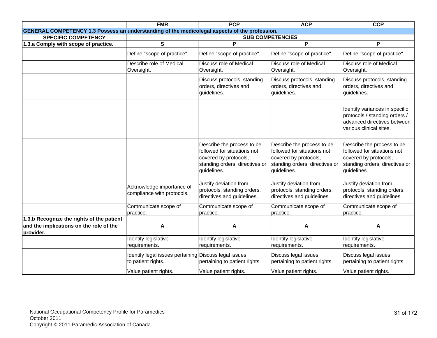|                                                                                                   | <b>EMR</b>                                                                  | <b>PCP</b>                                                                                                                          | <b>ACP</b>                                                                                                                          | <b>CCP</b>                                                                                                                          |
|---------------------------------------------------------------------------------------------------|-----------------------------------------------------------------------------|-------------------------------------------------------------------------------------------------------------------------------------|-------------------------------------------------------------------------------------------------------------------------------------|-------------------------------------------------------------------------------------------------------------------------------------|
| GENERAL COMPETENCY 1.3 Possess an understanding of the medicolegal aspects of the profession.     |                                                                             |                                                                                                                                     |                                                                                                                                     |                                                                                                                                     |
| <b>SPECIFIC COMPETENCY</b>                                                                        |                                                                             |                                                                                                                                     | <b>SUB COMPETENCIES</b>                                                                                                             |                                                                                                                                     |
| 1.3.a Comply with scope of practice.                                                              | $\mathbf{s}$                                                                | P                                                                                                                                   | P                                                                                                                                   | P                                                                                                                                   |
|                                                                                                   | Define "scope of practice".                                                 | Define "scope of practice".                                                                                                         | Define "scope of practice".                                                                                                         | Define "scope of practice".                                                                                                         |
|                                                                                                   | Describe role of Medical<br>Oversight.                                      | <b>Discuss role of Medical</b><br>Oversight.                                                                                        | <b>Discuss role of Medical</b><br>Oversight.                                                                                        | Discuss role of Medical<br>Oversight.                                                                                               |
|                                                                                                   |                                                                             | Discuss protocols, standing<br>orders, directives and<br>guidelines.                                                                | Discuss protocols, standing<br>orders, directives and<br>guidelines.                                                                | Discuss protocols, standing<br>orders, directives and<br>guidelines.                                                                |
|                                                                                                   |                                                                             |                                                                                                                                     |                                                                                                                                     | Identify variances in specific<br>protocols / standing orders /<br>advanced directives between<br>various clinical sites.           |
|                                                                                                   |                                                                             | Describe the process to be<br>followed for situations not<br>covered by protocols,<br>standing orders, directives or<br>guidelines. | Describe the process to be<br>followed for situations not<br>covered by protocols,<br>standing orders, directives or<br>guidelines. | Describe the process to be<br>followed for situations not<br>covered by protocols,<br>standing orders, directives or<br>guidelines. |
|                                                                                                   | Acknowledge importance of<br>compliance with protocols.                     | Justify deviation from<br>protocols, standing orders,<br>directives and guidelines.                                                 | Justify deviation from<br>protocols, standing orders,<br>directives and guidelines.                                                 | Justify deviation from<br>protocols, standing orders,<br>directives and guidelines.                                                 |
|                                                                                                   | Communicate scope of<br>practice.                                           | Communicate scope of<br>practice.                                                                                                   | Communicate scope of<br>practice.                                                                                                   | Communicate scope of<br>practice.                                                                                                   |
| 1.3.b Recognize the rights of the patient<br>and the implications on the role of the<br>provider. | A                                                                           | A                                                                                                                                   | A                                                                                                                                   | A                                                                                                                                   |
|                                                                                                   | Identify legislative<br>requirements.                                       | Identify legislative<br>requirements.                                                                                               | Identify legislative<br>requirements.                                                                                               | Identify legislative<br>requirements.                                                                                               |
|                                                                                                   | Identify legal issues pertaining Discuss legal issues<br>to patient rights. | pertaining to patient rights.                                                                                                       | Discuss legal issues<br>pertaining to patient rights.                                                                               | Discuss legal issues<br>pertaining to patient rights.                                                                               |
|                                                                                                   | Value patient rights.                                                       | Value patient rights.                                                                                                               | Value patient rights.                                                                                                               | Value patient rights.                                                                                                               |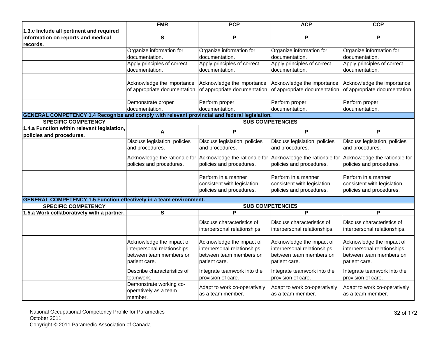|                                                                                                      | <b>EMR</b>                                                                                           | <b>PCP</b>                                                                                           | <b>ACP</b>                                                                                                              | <b>CCP</b>                                                                                           |
|------------------------------------------------------------------------------------------------------|------------------------------------------------------------------------------------------------------|------------------------------------------------------------------------------------------------------|-------------------------------------------------------------------------------------------------------------------------|------------------------------------------------------------------------------------------------------|
| 1.3.c Include all pertinent and required                                                             |                                                                                                      |                                                                                                      |                                                                                                                         |                                                                                                      |
| information on reports and medical                                                                   | $\mathbf{s}$                                                                                         | P                                                                                                    | P                                                                                                                       | P                                                                                                    |
| records.                                                                                             |                                                                                                      |                                                                                                      |                                                                                                                         |                                                                                                      |
|                                                                                                      | Organize information for                                                                             | Organize information for                                                                             | Organize information for                                                                                                | Organize information for                                                                             |
|                                                                                                      | documentation.                                                                                       | documentation.                                                                                       | documentation.                                                                                                          | documentation.                                                                                       |
|                                                                                                      | Apply principles of correct                                                                          | Apply principles of correct                                                                          | Apply principles of correct                                                                                             | Apply principles of correct                                                                          |
|                                                                                                      | documentation.                                                                                       | documentation.                                                                                       | documentation.                                                                                                          | documentation.                                                                                       |
|                                                                                                      |                                                                                                      |                                                                                                      |                                                                                                                         |                                                                                                      |
|                                                                                                      | Acknowledge the importance                                                                           | Acknowledge the importance                                                                           | Acknowledge the importance                                                                                              | Acknowledge the importance                                                                           |
|                                                                                                      |                                                                                                      |                                                                                                      | of appropriate documentation. of appropriate documentation. of appropriate documentation. of appropriate documentation. |                                                                                                      |
|                                                                                                      | Demonstrate proper                                                                                   | Perform proper                                                                                       | Perform proper                                                                                                          | Perform proper                                                                                       |
|                                                                                                      | documentation.                                                                                       | documentation.                                                                                       | documentation.                                                                                                          | documentation.                                                                                       |
| <b>GENERAL COMPETENCY 1.4 Recognize and comply with relevant provincial and federal legislation.</b> |                                                                                                      |                                                                                                      |                                                                                                                         |                                                                                                      |
| <b>SPECIFIC COMPETENCY</b>                                                                           |                                                                                                      |                                                                                                      | <b>SUB COMPETENCIES</b>                                                                                                 |                                                                                                      |
| 1.4.a Function within relevant legislation,<br>policies and procedures.                              | A                                                                                                    | P                                                                                                    | P                                                                                                                       | P                                                                                                    |
|                                                                                                      | Discuss legislation, policies<br>and procedures.                                                     | Discuss legislation, policies<br>and procedures.                                                     | Discuss legislation, policies<br>and procedures.                                                                        | Discuss legislation, policies<br>and procedures.                                                     |
|                                                                                                      | Acknowledge the rationale for<br>policies and procedures.                                            | policies and procedures.                                                                             | Acknowledge the rationale for Acknowledge the rationale for Acknowledge the rationale for<br>policies and procedures.   | policies and procedures.                                                                             |
|                                                                                                      |                                                                                                      | Perform in a manner<br>consistent with legislation,<br>policies and procedures.                      | Perform in a manner<br>consistent with legislation,<br>policies and procedures.                                         | Perform in a manner<br>consistent with legislation,<br>policies and procedures.                      |
| <b>GENERAL COMPETENCY 1.5 Function effectively in a team environment.</b>                            |                                                                                                      |                                                                                                      |                                                                                                                         |                                                                                                      |
| <b>SPECIFIC COMPETENCY</b>                                                                           |                                                                                                      |                                                                                                      | <b>SUB COMPETENCIES</b>                                                                                                 |                                                                                                      |
| 1.5.a Work collaboratively with a partner.                                                           | S                                                                                                    | $\overline{P}$                                                                                       | P                                                                                                                       | P                                                                                                    |
|                                                                                                      |                                                                                                      | Discuss characteristics of<br>interpersonal relationships.                                           | Discuss characteristics of<br>interpersonal relationships.                                                              | Discuss characteristics of<br>interpersonal relationships.                                           |
|                                                                                                      | Acknowledge the impact of<br>interpersonal relationships<br>between team members on<br>patient care. | Acknowledge the impact of<br>interpersonal relationships<br>between team members on<br>patient care. | Acknowledge the impact of<br>interpersonal relationships<br>between team members on<br>patient care.                    | Acknowledge the impact of<br>interpersonal relationships<br>between team members on<br>patient care. |
|                                                                                                      | Describe characteristics of<br>teamwork.                                                             | Integrate teamwork into the<br>provision of care.                                                    | Integrate teamwork into the<br>provision of care.                                                                       | Integrate teamwork into the<br>provision of care.                                                    |
|                                                                                                      | Demonstrate working co-<br>operatively as a team<br>member.                                          | Adapt to work co-operatively<br>as a team member.                                                    | Adapt to work co-operatively<br>as a team member.                                                                       | Adapt to work co-operatively<br>as a team member.                                                    |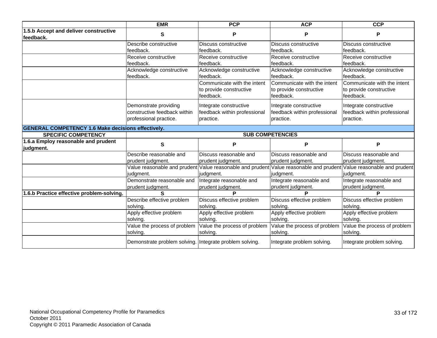|                                                           | <b>EMR</b>                                                                      | <b>PCP</b>                                                          | <b>ACP</b>                                                          | <b>CCP</b>                                                                                                                       |
|-----------------------------------------------------------|---------------------------------------------------------------------------------|---------------------------------------------------------------------|---------------------------------------------------------------------|----------------------------------------------------------------------------------------------------------------------------------|
| 1.5.b Accept and deliver constructive<br>feedback.        | $\mathbf{s}$                                                                    | P                                                                   | P                                                                   | P                                                                                                                                |
|                                                           | Describe constructive<br>feedback.                                              | Discuss constructive<br>feedback.                                   | Discuss constructive<br>feedback.                                   | Discuss constructive<br>feedback.                                                                                                |
|                                                           | Receive constructive<br>feedback.                                               | Receive constructive<br>feedback.                                   | Receive constructive<br>feedback.                                   | Receive constructive<br>feedback.                                                                                                |
|                                                           | Acknowledge constructive<br>feedback.                                           | Acknowledge constructive<br>feedback.                               | Acknowledge constructive<br>feedback.                               | Acknowledge constructive<br>feedback.                                                                                            |
|                                                           |                                                                                 | Communicate with the intent<br>to provide constructive<br>feedback. | Communicate with the intent<br>to provide constructive<br>feedback. | Communicate with the intent<br>to provide constructive<br>feedback.                                                              |
|                                                           | Demonstrate providing<br>constructive feedback within<br>professional practice. | Integrate constructive<br>feedback within professional<br>practice. | Integrate constructive<br>feedback within professional<br>practice. | Integrate constructive<br>feedback within professional<br>practice.                                                              |
| <b>GENERAL COMPETENCY 1.6 Make decisions effectively.</b> |                                                                                 |                                                                     |                                                                     |                                                                                                                                  |
| <b>SPECIFIC COMPETENCY</b>                                |                                                                                 |                                                                     | <b>SUB COMPETENCIES</b>                                             |                                                                                                                                  |
| 1.6.a Employ reasonable and prudent<br>judgment.          | S                                                                               | P                                                                   | P                                                                   | P                                                                                                                                |
|                                                           | Describe reasonable and<br>prudent judgment.                                    | Discuss reasonable and<br>prudent judgment.                         | Discuss reasonable and<br>prudent judgment.                         | Discuss reasonable and<br>prudent judgment.                                                                                      |
|                                                           | judgment.                                                                       | judgment.                                                           | judgment.                                                           | Value reasonable and prudent Value reasonable and prudent Value reasonable and prudent Value reasonable and prudent<br>judgment. |
|                                                           | Demonstrate reasonable and<br>prudent judgment.                                 | Integrate reasonable and<br>prudent judgment.                       | Integrate reasonable and<br>prudent judgment.                       | Integrate reasonable and<br>prudent judgment.                                                                                    |
| 1.6.b Practice effective problem-solving.                 | ς                                                                               | D                                                                   | D                                                                   | D                                                                                                                                |
|                                                           | Describe effective problem                                                      | Discuss effective problem                                           | Discuss effective problem                                           | Discuss effective problem                                                                                                        |
|                                                           | solving.                                                                        | solving.                                                            | solvina.                                                            | solving.                                                                                                                         |
|                                                           | Apply effective problem<br>solving.                                             | Apply effective problem<br>solving.                                 | Apply effective problem<br>solving.                                 | Apply effective problem<br>solving.                                                                                              |
|                                                           | Value the process of problem<br>solving.                                        | Value the process of problem<br>solving.                            | Value the process of problem<br>solving.                            | Value the process of problem<br>solving.                                                                                         |
|                                                           | Demonstrate problem solving. Integrate problem solving.                         |                                                                     | Integrate problem solving.                                          | Integrate problem solving.                                                                                                       |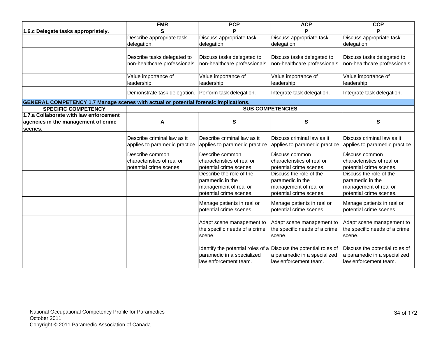|                                                                                             | <b>EMR</b>                                                               | <b>PCP</b>                                                                                                              | <b>ACP</b>                                                                                      | <b>CCP</b>                                                                                      |
|---------------------------------------------------------------------------------------------|--------------------------------------------------------------------------|-------------------------------------------------------------------------------------------------------------------------|-------------------------------------------------------------------------------------------------|-------------------------------------------------------------------------------------------------|
| 1.6.c Delegate tasks appropriately.                                                         | S                                                                        | Þ                                                                                                                       | D                                                                                               | D                                                                                               |
|                                                                                             | Describe appropriate task                                                | Discuss appropriate task                                                                                                | Discuss appropriate task                                                                        | Discuss appropriate task                                                                        |
|                                                                                             | delegation.                                                              | delegation.                                                                                                             | delegation.                                                                                     | delegation.                                                                                     |
|                                                                                             | Describe tasks delegated to<br>non-healthcare professionals.             | Discuss tasks delegated to<br>non-healthcare professionals.                                                             | Discuss tasks delegated to<br>non-healthcare professionals.                                     | Discuss tasks delegated to<br>non-healthcare professionals.                                     |
|                                                                                             | Value importance of<br>leadership.                                       | Value importance of<br>leadership.                                                                                      | Value importance of<br>leadership.                                                              | Value importance of<br>leadership.                                                              |
|                                                                                             | Demonstrate task delegation. Perform task delegation.                    |                                                                                                                         | Integrate task delegation.                                                                      | Integrate task delegation.                                                                      |
| <b>GENERAL COMPETENCY 1.7 Manage scenes with actual or potential forensic implications.</b> |                                                                          |                                                                                                                         |                                                                                                 |                                                                                                 |
| <b>SPECIFIC COMPETENCY</b>                                                                  |                                                                          |                                                                                                                         | <b>SUB COMPETENCIES</b>                                                                         |                                                                                                 |
| 1.7.a Collaborate with law enforcement<br>agencies in the management of crime<br>scenes.    | A                                                                        | S                                                                                                                       | S                                                                                               | S                                                                                               |
|                                                                                             | Describe criminal law as it<br>applies to paramedic practice.            | Describe criminal law as it<br>applies to paramedic practice.                                                           | Discuss criminal law as it<br>applies to paramedic practice. applies to paramedic practice.     | Discuss criminal law as it                                                                      |
|                                                                                             | Describe common<br>characteristics of real or<br>potential crime scenes. | Describe common<br>characteristics of real or<br>potential crime scenes.                                                | Discuss common<br>characteristics of real or<br>potential crime scenes.                         | Discuss common<br>characteristics of real or<br>potential crime scenes.                         |
|                                                                                             |                                                                          | Describe the role of the<br>paramedic in the<br>management of real or<br>potential crime scenes.                        | Discuss the role of the<br>paramedic in the<br>management of real or<br>potential crime scenes. | Discuss the role of the<br>paramedic in the<br>management of real or<br>potential crime scenes. |
|                                                                                             |                                                                          | Manage patients in real or<br>potential crime scenes.                                                                   | Manage patients in real or<br>potential crime scenes.                                           | Manage patients in real or<br>potential crime scenes.                                           |
|                                                                                             |                                                                          | Adapt scene management to<br>the specific needs of a crime<br>scene.                                                    | Adapt scene management to<br>the specific needs of a crime<br>scene.                            | Adapt scene management to<br>the specific needs of a crime<br>scene.                            |
|                                                                                             |                                                                          | Identify the potential roles of a Discuss the potential roles of<br>paramedic in a specialized<br>law enforcement team. | a paramedic in a specialized<br>law enforcement team.                                           | Discuss the potential roles of<br>a paramedic in a specialized<br>law enforcement team.         |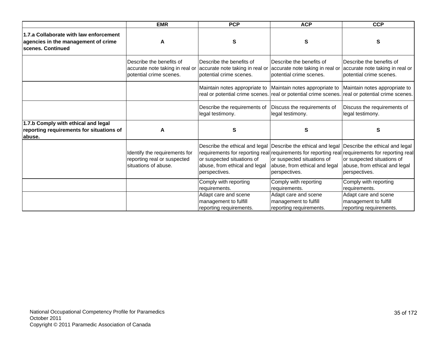|                                                                                                    | <b>EMR</b>                                                                             | <b>PCP</b>                                                                             | <b>ACP</b>                                                                                                             | <b>CCP</b>                                                                                                                                                                                                                                                                      |
|----------------------------------------------------------------------------------------------------|----------------------------------------------------------------------------------------|----------------------------------------------------------------------------------------|------------------------------------------------------------------------------------------------------------------------|---------------------------------------------------------------------------------------------------------------------------------------------------------------------------------------------------------------------------------------------------------------------------------|
| 1.7.a Collaborate with law enforcement<br>agencies in the management of crime<br>scenes. Continued | A                                                                                      | S                                                                                      | S                                                                                                                      | S                                                                                                                                                                                                                                                                               |
|                                                                                                    | Describe the benefits of<br>accurate note taking in real or<br>potential crime scenes. | Describe the benefits of<br>accurate note taking in real or<br>potential crime scenes. | Describe the benefits of<br>accurate note taking in real or accurate note taking in real or<br>potential crime scenes. | Describe the benefits of<br>potential crime scenes.                                                                                                                                                                                                                             |
|                                                                                                    |                                                                                        | Maintain notes appropriate to<br>real or potential crime scenes.                       | Maintain notes appropriate to                                                                                          | Maintain notes appropriate to<br>real or potential crime scenes. real or potential crime scenes.                                                                                                                                                                                |
|                                                                                                    |                                                                                        | Describe the requirements of<br>legal testimony.                                       | Discuss the requirements of<br>legal testimony.                                                                        | Discuss the requirements of<br>legal testimony.                                                                                                                                                                                                                                 |
| 1.7.b Comply with ethical and legal<br>reporting requirements for situations of<br>abuse.          | A                                                                                      | S                                                                                      | s                                                                                                                      | S                                                                                                                                                                                                                                                                               |
|                                                                                                    | Identify the requirements for<br>reporting real or suspected<br>situations of abuse.   | or suspected situations of<br>abuse, from ethical and legal<br>perspectives.           | or suspected situations of<br>abuse, from ethical and legal<br>perspectives.                                           | Describe the ethical and legal Describe the ethical and legal Describe the ethical and legal<br>requirements for reporting real requirements for reporting real requirements for reporting real<br>or suspected situations of<br>abuse, from ethical and legal<br>perspectives. |
|                                                                                                    |                                                                                        | Comply with reporting<br>requirements.                                                 | Comply with reporting<br>requirements.                                                                                 | Comply with reporting<br>requirements.                                                                                                                                                                                                                                          |
|                                                                                                    |                                                                                        | Adapt care and scene<br>management to fulfill<br>reporting requirements.               | Adapt care and scene<br>management to fulfill<br>reporting requirements.                                               | Adapt care and scene<br>management to fulfill<br>reporting requirements.                                                                                                                                                                                                        |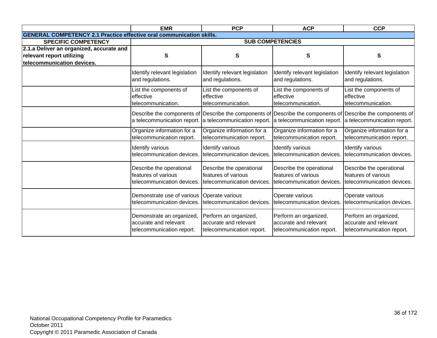|                                                                             | <b>EMR</b>                    | <b>PCP</b>                                                                                                                                 | <b>ACP</b>                    | <b>CCP</b>                    |
|-----------------------------------------------------------------------------|-------------------------------|--------------------------------------------------------------------------------------------------------------------------------------------|-------------------------------|-------------------------------|
| <b>GENERAL COMPETENCY 2.1 Practice effective oral communication skills.</b> |                               |                                                                                                                                            |                               |                               |
| <b>SPECIFIC COMPETENCY</b>                                                  |                               |                                                                                                                                            | <b>SUB COMPETENCIES</b>       |                               |
| 2.1.a Deliver an organized, accurate and                                    |                               |                                                                                                                                            |                               |                               |
| relevant report utilizing                                                   | S                             | S                                                                                                                                          | S                             | S                             |
| telecommunication devices.                                                  |                               |                                                                                                                                            |                               |                               |
|                                                                             | Identify relevant legislation | Identify relevant legislation                                                                                                              | Identify relevant legislation | Identify relevant legislation |
|                                                                             | and regulations.              | and regulations.                                                                                                                           | and regulations.              | and regulations.              |
|                                                                             | List the components of        | List the components of                                                                                                                     | List the components of        | List the components of        |
|                                                                             | effective                     | effective                                                                                                                                  | effective                     | effective                     |
|                                                                             | telecommunication.            | telecommunication.                                                                                                                         | telecommunication.            | telecommunication.            |
|                                                                             | a telecommunication report.   | Describe the components of Describe the components of Describe the components of Describe the components of<br>a telecommunication report. | a telecommunication report.   | a telecommunication report.   |
|                                                                             | Organize information for a    | Organize information for a                                                                                                                 | Organize information for a    | Organize information for a    |
|                                                                             | telecommunication report.     | telecommunication report.                                                                                                                  | telecommunication report.     | telecommunication report.     |
|                                                                             | Identify various              | Identify various                                                                                                                           | Identify various              | Identify various              |
|                                                                             | telecommunication devices.    | telecommunication devices.                                                                                                                 | telecommunication devices.    | telecommunication devices.    |
|                                                                             | Describe the operational      | Describe the operational                                                                                                                   | Describe the operational      | Describe the operational      |
|                                                                             | features of various           | features of various                                                                                                                        | features of various           | features of various           |
|                                                                             | telecommunication devices.    | telecommunication devices.                                                                                                                 | telecommunication devices.    | telecommunication devices.    |
|                                                                             | Demonstrate use of various    | Operate various                                                                                                                            | Operate various               | Operate various               |
|                                                                             | telecommunication devices.    | telecommunication devices.                                                                                                                 | telecommunication devices.    | telecommunication devices.    |
|                                                                             | Demonstrate an organized,     | Perform an organized,                                                                                                                      | Perform an organized,         | Perform an organized,         |
|                                                                             | accurate and relevant         | accurate and relevant                                                                                                                      | accurate and relevant         | accurate and relevant         |
|                                                                             | telecommunication report.     | telecommunication report.                                                                                                                  | telecommunication report.     | telecommunication report.     |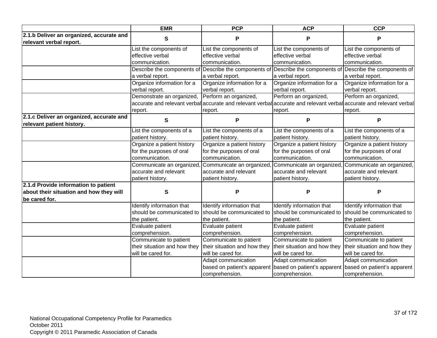|                                                                       | <b>EMR</b>                   | <b>PCP</b>                   | <b>ACP</b>                                              | <b>CCP</b>                                                                                                          |
|-----------------------------------------------------------------------|------------------------------|------------------------------|---------------------------------------------------------|---------------------------------------------------------------------------------------------------------------------|
| 2.1.b Deliver an organized, accurate and<br>relevant verbal report.   | S                            | P                            | P                                                       | Р                                                                                                                   |
|                                                                       | List the components of       | List the components of       | List the components of                                  | List the components of                                                                                              |
|                                                                       | effective verbal             | effective verbal             | effective verbal                                        | effective verbal                                                                                                    |
|                                                                       | communication.               | communication.               | communication.                                          | communication.                                                                                                      |
|                                                                       | Describe the components of   | Describe the components of   |                                                         | Describe the components of Describe the components of                                                               |
|                                                                       | a verbal report.             | a verbal report.             | a verbal report.                                        | a verbal report.                                                                                                    |
|                                                                       | Organize information for a   | Organize information for a   | Organize information for a                              | Organize information for a                                                                                          |
|                                                                       | verbal report.               | verbal report.               | verbal report.                                          | verbal report.                                                                                                      |
|                                                                       | Demonstrate an organized,    | Perform an organized,        | Perform an organized,                                   | Perform an organized,                                                                                               |
|                                                                       |                              |                              |                                                         | accurate and relevant verbal accurate and relevant verbal accurate and relevant verbal accurate and relevant verbal |
|                                                                       | report.                      | report.                      | report.                                                 | report.                                                                                                             |
| 2.1.c Deliver an organized, accurate and<br>relevant patient history. | S                            | P                            | P                                                       | P                                                                                                                   |
|                                                                       | List the components of a     | List the components of a     | List the components of a                                | List the components of a                                                                                            |
|                                                                       | patient history.             | patient history.             | patient history.                                        | patient history.                                                                                                    |
|                                                                       | Organize a patient history   | Organize a patient history   | Organize a patient history                              | Organize a patient history                                                                                          |
|                                                                       | for the purposes of oral     | for the purposes of oral     | for the purposes of oral                                | for the purposes of oral                                                                                            |
|                                                                       | communication.               | communication.               | communication.                                          | communication.                                                                                                      |
|                                                                       | Communicate an organized,    | Communicate an organized     |                                                         | Communicate an organized, Communicate an organized,                                                                 |
|                                                                       | accurate and relevant        | accurate and relevant        | accurate and relevant                                   | accurate and relevant                                                                                               |
|                                                                       | patient history.             | patient history.             | patient history.                                        | patient history.                                                                                                    |
| 2.1.d Provide information to patient                                  |                              |                              |                                                         |                                                                                                                     |
| about their situation and how they will                               | S                            | Ρ                            | P                                                       | P                                                                                                                   |
| be cared for.                                                         |                              |                              |                                                         |                                                                                                                     |
|                                                                       | Identify information that    | Identify information that    | Identify information that                               | Identify information that                                                                                           |
|                                                                       | should be communicated to    | should be communicated to    | should be communicated to                               | should be communicated to                                                                                           |
|                                                                       | the patient.                 | the patient.                 | the patient.                                            | the patient.                                                                                                        |
|                                                                       | Evaluate patient             | Evaluate patient             | Evaluate patient                                        | Evaluate patient                                                                                                    |
|                                                                       | comprehension.               | comprehension.               | comprehension.                                          | comprehension.                                                                                                      |
|                                                                       | Communicate to patient       | Communicate to patient       | Communicate to patient                                  | Communicate to patient                                                                                              |
|                                                                       | their situation and how they | their situation and how they | their situation and how they                            | their situation and how they                                                                                        |
|                                                                       | will be cared for.           | will be cared for.           | will be cared for.                                      | will be cared for.                                                                                                  |
|                                                                       |                              | Adapt communication          | Adapt communication                                     | Adapt communication                                                                                                 |
|                                                                       |                              |                              | based on patient's apparent based on patient's apparent | based on patient's apparent                                                                                         |
|                                                                       |                              | comprehension.               | comprehension.                                          | comprehension.                                                                                                      |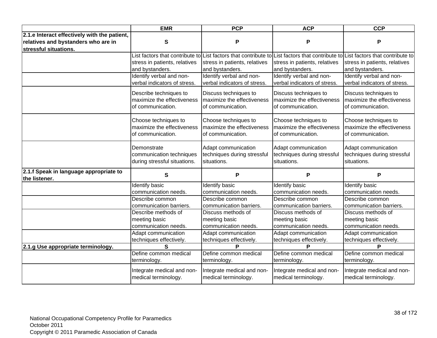|                                              | <b>EMR</b>                    | <b>PCP</b>                    | <b>ACP</b>                    | <b>CCP</b>                                                                                                                      |
|----------------------------------------------|-------------------------------|-------------------------------|-------------------------------|---------------------------------------------------------------------------------------------------------------------------------|
| 2.1.e Interact effectively with the patient, |                               |                               |                               |                                                                                                                                 |
| relatives and bystanders who are in          | ${\bf S}$                     | P                             | P                             | P                                                                                                                               |
| stressful situations.                        |                               |                               |                               |                                                                                                                                 |
|                                              |                               |                               |                               | List factors that contribute to List factors that contribute to List factors that contribute to List factors that contribute to |
|                                              | stress in patients, relatives | stress in patients, relatives | stress in patients, relatives | stress in patients, relatives                                                                                                   |
|                                              | and bystanders.               | and bystanders.               | and bystanders.               | and bystanders.                                                                                                                 |
|                                              | Identify verbal and non-      | Identify verbal and non-      | Identify verbal and non-      | Identify verbal and non-                                                                                                        |
|                                              | verbal indicators of stress.  | verbal indicators of stress.  | verbal indicators of stress.  | verbal indicators of stress.                                                                                                    |
|                                              | Describe techniques to        | Discuss techniques to         | Discuss techniques to         | Discuss techniques to                                                                                                           |
|                                              | maximize the effectiveness    | maximize the effectiveness    | maximize the effectiveness    | maximize the effectiveness                                                                                                      |
|                                              | of communication.             | of communication.             | of communication.             | of communication.                                                                                                               |
|                                              | Choose techniques to          | Choose techniques to          | Choose techniques to          | Choose techniques to                                                                                                            |
|                                              | maximize the effectiveness    | maximize the effectiveness    | maximize the effectiveness    | maximize the effectiveness                                                                                                      |
|                                              | of communication.             | of communication.             | of communication.             | of communication.                                                                                                               |
|                                              | Demonstrate                   | Adapt communication           | Adapt communication           | Adapt communication                                                                                                             |
|                                              | communication techniques      | techniques during stressful   | techniques during stressful   | techniques during stressful                                                                                                     |
|                                              | during stressful situations.  | situations.                   | situations.                   | situations.                                                                                                                     |
| 2.1.f Speak in language appropriate to       | S                             | P                             | P                             | P                                                                                                                               |
| the listener.                                |                               |                               |                               |                                                                                                                                 |
|                                              | <b>Identify basic</b>         | <b>Identify basic</b>         | Identify basic                | <b>Identify basic</b>                                                                                                           |
|                                              | communication needs.          | communication needs.          | communication needs.          | communication needs.                                                                                                            |
|                                              | Describe common               | Describe common               | Describe common               | Describe common                                                                                                                 |
|                                              | communication barriers.       | communication barriers.       | communication barriers.       | communication barriers.                                                                                                         |
|                                              | Describe methods of           | Discuss methods of            | Discuss methods of            | Discuss methods of                                                                                                              |
|                                              | meeting basic                 | meeting basic                 | meeting basic                 | meeting basic                                                                                                                   |
|                                              | communication needs.          | communication needs.          | communication needs.          | communication needs.                                                                                                            |
|                                              | Adapt communication           | Adapt communication           | Adapt communication           | Adapt communication                                                                                                             |
|                                              | techniques effectively.       | techniques effectively.       | techniques effectively.<br>P  | techniques effectively.<br>P                                                                                                    |
| 2.1.g Use appropriate terminology.           | S                             |                               |                               |                                                                                                                                 |
|                                              | Define common medical         | Define common medical         | Define common medical         | Define common medical                                                                                                           |
|                                              | terminology.                  | terminology.                  | terminology.                  | terminology.                                                                                                                    |
|                                              | Integrate medical and non-    | Integrate medical and non-    | Integrate medical and non-    | Integrate medical and non-                                                                                                      |
|                                              | medical terminology.          | medical terminology.          | medical terminology.          | medical terminology.                                                                                                            |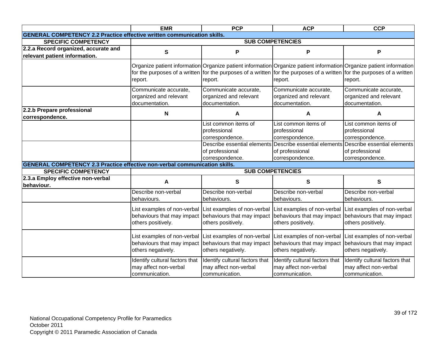|                                                                                   | <b>EMR</b>                     | <b>PCP</b>                     | <b>ACP</b>                                                                                                              | <b>CCP</b>                                                                                                          |
|-----------------------------------------------------------------------------------|--------------------------------|--------------------------------|-------------------------------------------------------------------------------------------------------------------------|---------------------------------------------------------------------------------------------------------------------|
| <b>GENERAL COMPETENCY 2.2 Practice effective written communication skills.</b>    |                                |                                |                                                                                                                         |                                                                                                                     |
| <b>SPECIFIC COMPETENCY</b>                                                        |                                |                                | <b>SUB COMPETENCIES</b>                                                                                                 |                                                                                                                     |
| 2.2.a Record organized, accurate and                                              | $\mathbf s$                    | P                              | P                                                                                                                       | P                                                                                                                   |
| relevant patient information.                                                     |                                |                                |                                                                                                                         |                                                                                                                     |
|                                                                                   |                                |                                |                                                                                                                         | Organize patient information Organize patient information Organize patient information Organize patient information |
|                                                                                   |                                |                                | for the purposes of a written for the purposes of a written for the purposes of a written for the purposes of a written |                                                                                                                     |
|                                                                                   | report.                        | report.                        | report.                                                                                                                 | report.                                                                                                             |
|                                                                                   |                                |                                |                                                                                                                         |                                                                                                                     |
|                                                                                   | Communicate accurate,          | Communicate accurate,          | Communicate accurate,                                                                                                   | Communicate accurate,                                                                                               |
|                                                                                   | organized and relevant         | organized and relevant         | organized and relevant                                                                                                  | organized and relevant                                                                                              |
|                                                                                   | documentation.                 | documentation.                 | documentation.                                                                                                          | documentation.                                                                                                      |
| 2.2.b Prepare professional                                                        | N                              | A                              | A                                                                                                                       | А                                                                                                                   |
| correspondence.                                                                   |                                |                                |                                                                                                                         |                                                                                                                     |
|                                                                                   |                                | List common items of           | List common items of                                                                                                    | List common items of                                                                                                |
|                                                                                   |                                | professional                   | professional                                                                                                            | professional                                                                                                        |
|                                                                                   |                                | correspondence.                | correspondence.                                                                                                         | correspondence.                                                                                                     |
|                                                                                   |                                |                                | Describe essential elements Describe essential elements Describe essential elements                                     |                                                                                                                     |
|                                                                                   |                                | of professional                | of professional                                                                                                         | of professional                                                                                                     |
|                                                                                   |                                | correspondence.                | correspondence.                                                                                                         | correspondence.                                                                                                     |
| <b>GENERAL COMPETENCY 2.3 Practice effective non-verbal communication skills.</b> |                                |                                |                                                                                                                         |                                                                                                                     |
| <b>SPECIFIC COMPETENCY</b>                                                        |                                |                                | <b>SUB COMPETENCIES</b>                                                                                                 |                                                                                                                     |
| 2.3.a Employ effective non-verbal                                                 | A                              | $\mathbf{s}$                   | S                                                                                                                       | S                                                                                                                   |
| behaviour.                                                                        |                                |                                |                                                                                                                         |                                                                                                                     |
|                                                                                   | Describe non-verbal            | Describe non-verbal            | Describe non-verbal                                                                                                     | Describe non-verbal                                                                                                 |
|                                                                                   | behaviours.                    | behaviours.                    | behaviours.                                                                                                             | behaviours.                                                                                                         |
|                                                                                   | List examples of non-verbal    | List examples of non-verbal    | List examples of non-verbal                                                                                             | List examples of non-verbal                                                                                         |
|                                                                                   | behaviours that may impact     |                                | behaviours that may impact behaviours that may impact                                                                   | behaviours that may impact                                                                                          |
|                                                                                   | others positively.             | others positively.             | others positively.                                                                                                      | others positively.                                                                                                  |
|                                                                                   |                                |                                |                                                                                                                         |                                                                                                                     |
|                                                                                   | List examples of non-verbal    | List examples of non-verbal    | List examples of non-verbal                                                                                             | List examples of non-verbal                                                                                         |
|                                                                                   | behaviours that may impact     | behaviours that may impact     | behaviours that may impact                                                                                              | behaviours that may impact                                                                                          |
|                                                                                   | others negatively.             | others negatively.             | others negatively.                                                                                                      | others negatively.                                                                                                  |
|                                                                                   |                                |                                |                                                                                                                         |                                                                                                                     |
|                                                                                   | Identify cultural factors that | Identify cultural factors that | Identify cultural factors that                                                                                          | Identify cultural factors that                                                                                      |
|                                                                                   | may affect non-verbal          | may affect non-verbal          | may affect non-verbal                                                                                                   | may affect non-verbal                                                                                               |
|                                                                                   | communication.                 | communication.                 | communication.                                                                                                          | communication.                                                                                                      |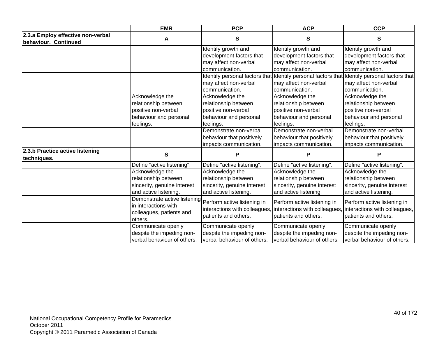|                                                           | <b>EMR</b>                                                                                      | <b>PCP</b>                                                                                      | <b>ACP</b>                                                                                      | <b>CCP</b>                                                                                      |
|-----------------------------------------------------------|-------------------------------------------------------------------------------------------------|-------------------------------------------------------------------------------------------------|-------------------------------------------------------------------------------------------------|-------------------------------------------------------------------------------------------------|
| 2.3.a Employ effective non-verbal<br>behaviour. Continued | A                                                                                               | S                                                                                               | S                                                                                               | S                                                                                               |
|                                                           |                                                                                                 | Identify growth and                                                                             | Identify growth and                                                                             | Identify growth and                                                                             |
|                                                           |                                                                                                 | development factors that                                                                        | development factors that                                                                        | development factors that                                                                        |
|                                                           |                                                                                                 | may affect non-verbal                                                                           | may affect non-verbal                                                                           | may affect non-verbal                                                                           |
|                                                           |                                                                                                 | communication.                                                                                  | communication.                                                                                  | communication.                                                                                  |
|                                                           |                                                                                                 |                                                                                                 |                                                                                                 | Identify personal factors that Identify personal factors that Identify personal factors that    |
|                                                           |                                                                                                 | may affect non-verbal                                                                           | may affect non-verbal                                                                           | may affect non-verbal                                                                           |
|                                                           |                                                                                                 | communication.                                                                                  | communication.                                                                                  | communication.                                                                                  |
|                                                           | Acknowledge the                                                                                 | Acknowledge the                                                                                 | Acknowledge the                                                                                 | Acknowledge the                                                                                 |
|                                                           | relationship between                                                                            | relationship between                                                                            | relationship between                                                                            | relationship between                                                                            |
|                                                           | positive non-verbal                                                                             | positive non-verbal                                                                             | positive non-verbal                                                                             | positive non-verbal                                                                             |
|                                                           | behaviour and personal                                                                          | behaviour and personal                                                                          | behaviour and personal                                                                          | behaviour and personal                                                                          |
|                                                           | feelings.                                                                                       | feelings.                                                                                       | feelings.                                                                                       | feelings.                                                                                       |
|                                                           |                                                                                                 | Demonstrate non-verbal                                                                          | Demonstrate non-verbal                                                                          | Demonstrate non-verbal                                                                          |
|                                                           |                                                                                                 | behaviour that positively                                                                       | behaviour that positively                                                                       | behaviour that positively                                                                       |
|                                                           |                                                                                                 | impacts communication.                                                                          | impacts communication.                                                                          | impacts communication.                                                                          |
| 2.3.b Practice active listening<br>techniques.            | S                                                                                               | Р                                                                                               | Р                                                                                               | P                                                                                               |
|                                                           | Define "active listening".                                                                      | Define "active listening".                                                                      | Define "active listening".                                                                      | Define "active listening".                                                                      |
|                                                           | Acknowledge the<br>relationship between<br>sincerity, genuine interest<br>and active listening. | Acknowledge the<br>relationship between<br>sincerity, genuine interest<br>and active listening. | Acknowledge the<br>relationship between<br>sincerity, genuine interest<br>and active listening. | Acknowledge the<br>relationship between<br>sincerity, genuine interest<br>and active listening. |
|                                                           | Demonstrate active listening<br>in interactions with<br>colleagues, patients and<br>others.     | Perform active listening in<br>interactions with colleagues,<br>patients and others.            | Perform active listening in<br>interactions with colleagues,<br>patients and others.            | Perform active listening in<br>interactions with colleagues,<br>patients and others.            |
|                                                           | Communicate openly<br>despite the impeding non-<br>verbal behaviour of others.                  | Communicate openly<br>despite the impeding non-<br>verbal behaviour of others.                  | Communicate openly<br>despite the impeding non-<br>verbal behaviour of others.                  | Communicate openly<br>despite the impeding non-<br>verbal behaviour of others.                  |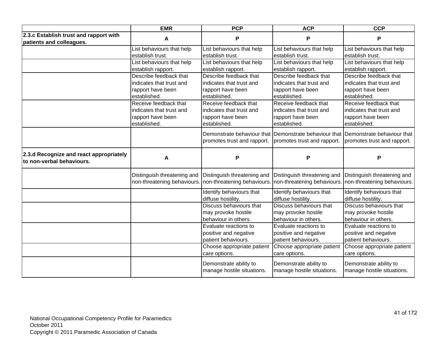|                                                                      | <b>EMR</b>                                                                             | <b>PCP</b>                                                                             | <b>ACP</b>                                                                             | <b>CCP</b>                                                                             |
|----------------------------------------------------------------------|----------------------------------------------------------------------------------------|----------------------------------------------------------------------------------------|----------------------------------------------------------------------------------------|----------------------------------------------------------------------------------------|
| 2.3.c Establish trust and rapport with<br>patients and colleagues.   | A                                                                                      | P                                                                                      | P                                                                                      | Р                                                                                      |
|                                                                      | List behaviours that help<br>establish trust.<br>List behaviours that help             | List behaviours that help<br>establish trust.<br>List behaviours that help             | List behaviours that help<br>establish trust.<br>List behaviours that help             | List behaviours that help<br>establish trust.<br>List behaviours that help             |
|                                                                      | establish rapport.<br>Describe feedback that                                           | establish rapport.<br>Describe feedback that                                           | establish rapport.<br>Describe feedback that                                           | establish rapport.<br>Describe feedback that                                           |
|                                                                      | indicates that trust and<br>rapport have been<br>established.                          | indicates that trust and<br>rapport have been<br>established.                          | indicates that trust and<br>rapport have been<br>established.                          | indicates that trust and<br>rapport have been<br>established.                          |
|                                                                      | Receive feedback that<br>indicates that trust and<br>rapport have been<br>established. | Receive feedback that<br>indicates that trust and<br>rapport have been<br>established. | Receive feedback that<br>indicates that trust and<br>rapport have been<br>established. | Receive feedback that<br>indicates that trust and<br>rapport have been<br>established. |
|                                                                      |                                                                                        | Demonstrate behaviour that<br>promotes trust and rapport.                              | Demonstrate behaviour that Demonstrate behaviour that<br>promotes trust and rapport.   | promotes trust and rapport.                                                            |
| 2.3.d Recognize and react appropriately<br>to non-verbal behaviours. | A                                                                                      | P                                                                                      | P                                                                                      | Ρ                                                                                      |
|                                                                      | Distinguish threatening and<br>non-threatening behaviours.                             | Distinguish threatening and<br>non-threatening behaviours.                             | Distinguish threatening and<br>non-threatening behaviours. non-threatening behaviours. | Distinguish threatening and                                                            |
|                                                                      |                                                                                        | Identify behaviours that<br>diffuse hostility.                                         | Identify behaviours that<br>diffuse hostility.                                         | Identify behaviours that<br>diffuse hostility.                                         |
|                                                                      |                                                                                        | Discuss behaviours that<br>may provoke hostile<br>behaviour in others.                 | Discuss behaviours that<br>may provoke hostile<br>behaviour in others.                 | Discuss behaviours that<br>may provoke hostile<br>behaviour in others.                 |
|                                                                      |                                                                                        | Evaluate reactions to<br>positive and negative<br>patient behaviours.                  | Evaluate reactions to<br>positive and negative<br>patient behaviours.                  | Evaluate reactions to<br>positive and negative<br>patient behaviours.                  |
|                                                                      |                                                                                        | Choose appropriate patient<br>care options.                                            | Choose appropriate patient<br>care options.                                            | Choose appropriate patient<br>care options.                                            |
|                                                                      |                                                                                        | Demonstrate ability to<br>manage hostile situations.                                   | Demonstrate ability to<br>manage hostile situations.                                   | Demonstrate ability to<br>manage hostile situations.                                   |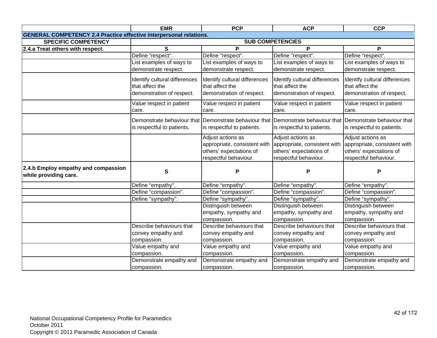|                                                                           | <b>EMR</b>                    | <b>PCP</b>                    | <b>ACP</b>                                            | <b>CCP</b>                    |
|---------------------------------------------------------------------------|-------------------------------|-------------------------------|-------------------------------------------------------|-------------------------------|
| <b>GENERAL COMPETENCY 2.4 Practice effective interpersonal relations.</b> |                               |                               |                                                       |                               |
| <b>SPECIFIC COMPETENCY</b>                                                |                               |                               | <b>SUB COMPETENCIES</b>                               |                               |
| 2.4.a Treat others with respect.                                          | S                             | P                             | P                                                     | P                             |
|                                                                           | Define "respect".             | Define "respect".             | Define "respect".                                     | Define "respect".             |
|                                                                           | List examples of ways to      | List examples of ways to      | List examples of ways to                              | List examples of ways to      |
|                                                                           | demonstrate respect.          | demonstrate respect.          | demonstrate respect.                                  | demonstrate respect.          |
|                                                                           | Identify cultural differences | Identify cultural differences | Identify cultural differences                         | Identify cultural differences |
|                                                                           | that affect the               | that affect the               | that affect the                                       | that affect the               |
|                                                                           | demonstration of respect.     | demonstration of respect.     | demonstration of respect.                             | demonstration of respect.     |
|                                                                           |                               |                               |                                                       |                               |
|                                                                           | Value respect in patient      | Value respect in patient      | Value respect in patient                              | Value respect in patient      |
|                                                                           | care.                         | care.                         | care.                                                 | care.                         |
|                                                                           | Demonstrate behaviour that    | Demonstrate behaviour that    | Demonstrate behaviour that Demonstrate behaviour that |                               |
|                                                                           | is respectful to patients.    | is respectful to patients.    | is respectful to patients.                            | is respectful to patients.    |
|                                                                           |                               | Adjust actions as             | Adjust actions as                                     | Adjust actions as             |
|                                                                           |                               | appropriate, consistent with  | appropriate, consistent with                          | appropriate, consistent with  |
|                                                                           |                               | others' expectations of       | others' expectations of                               | others' expectations of       |
|                                                                           |                               | respectful behaviour.         | respectful behaviour.                                 | respectful behaviour.         |
| 2.4.b Employ empathy and compassion                                       | $\mathbf{s}$                  | P                             | P                                                     | P                             |
| while providing care.                                                     |                               |                               |                                                       |                               |
|                                                                           | Define "empathy".             | Define "empathy".             | Define "empathy".                                     | Define "empathy".             |
|                                                                           | Define "compassion".          | Define "compassion".          | Define "compassion".                                  | Define "compassion".          |
|                                                                           | Define "sympathy".            | Define "sympathy".            | Define "sympathy".                                    | Define "sympathy".            |
|                                                                           |                               | Distinguish between           | Distinguish between                                   | Distinguish between           |
|                                                                           |                               | empathy, sympathy and         | empathy, sympathy and                                 | empathy, sympathy and         |
|                                                                           |                               | compassion.                   | compassion.                                           | compassion.                   |
|                                                                           | Describe behaviours that      | Describe behaviours that      | Describe behaviours that                              | Describe behaviours that      |
|                                                                           | convey empathy and            | convey empathy and            | convey empathy and                                    | convey empathy and            |
|                                                                           | compassion.                   | compassion.                   | compassion.                                           | compassion.                   |
|                                                                           | Value empathy and             | Value empathy and             | Value empathy and                                     | Value empathy and             |
|                                                                           | compassion.                   | compassion.                   | compassion.                                           | compassion.                   |
|                                                                           | Demonstrate empathy and       | Demonstrate empathy and       | Demonstrate empathy and                               | Demonstrate empathy and       |
|                                                                           | compassion.                   | compassion.                   | compassion.                                           | compassion.                   |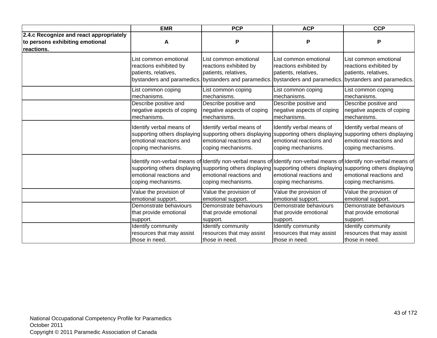|                                                                                          | <b>EMR</b>                                                              | <b>PCP</b>                                                                                                                                                  | <b>ACP</b>                                                              | <b>CCP</b>                                                                                                                                                                                                                                                                                  |
|------------------------------------------------------------------------------------------|-------------------------------------------------------------------------|-------------------------------------------------------------------------------------------------------------------------------------------------------------|-------------------------------------------------------------------------|---------------------------------------------------------------------------------------------------------------------------------------------------------------------------------------------------------------------------------------------------------------------------------------------|
| 2.4.c Recognize and react appropriately<br>to persons exhibiting emotional<br>reactions. | A                                                                       | P                                                                                                                                                           | P                                                                       | Ρ                                                                                                                                                                                                                                                                                           |
|                                                                                          | List common emotional<br>reactions exhibited by<br>patients, relatives, | List common emotional<br>reactions exhibited by<br>patients, relatives,<br>bystanders and paramedics. bystanders and paramedics. bystanders and paramedics. | List common emotional<br>reactions exhibited by<br>patients, relatives, | List common emotional<br>reactions exhibited by<br>patients, relatives,<br>bystanders and paramedics.                                                                                                                                                                                       |
|                                                                                          | List common coping                                                      | List common coping                                                                                                                                          | List common coping                                                      | List common coping                                                                                                                                                                                                                                                                          |
|                                                                                          | mechanisms.                                                             | mechanisms.                                                                                                                                                 | mechanisms.                                                             | mechanisms.                                                                                                                                                                                                                                                                                 |
|                                                                                          | Describe positive and                                                   | Describe positive and                                                                                                                                       | Describe positive and                                                   | Describe positive and                                                                                                                                                                                                                                                                       |
|                                                                                          | negative aspects of coping                                              | negative aspects of coping                                                                                                                                  | negative aspects of coping                                              | negative aspects of coping                                                                                                                                                                                                                                                                  |
|                                                                                          | mechanisms.                                                             | mechanisms.                                                                                                                                                 | mechanisms.                                                             | mechanisms.                                                                                                                                                                                                                                                                                 |
|                                                                                          | Identify verbal means of                                                | Identify verbal means of                                                                                                                                    | Identify verbal means of                                                | Identify verbal means of                                                                                                                                                                                                                                                                    |
|                                                                                          | supporting others displaying                                            | supporting others displaying                                                                                                                                | supporting others displaying                                            | supporting others displaying                                                                                                                                                                                                                                                                |
|                                                                                          | emotional reactions and                                                 | emotional reactions and                                                                                                                                     | emotional reactions and                                                 | emotional reactions and                                                                                                                                                                                                                                                                     |
|                                                                                          | coping mechanisms.                                                      | coping mechanisms.                                                                                                                                          | coping mechanisms.                                                      | coping mechanisms.                                                                                                                                                                                                                                                                          |
|                                                                                          | emotional reactions and<br>coping mechanisms.                           | emotional reactions and<br>coping mechanisms.                                                                                                               | emotional reactions and<br>coping mechanisms.                           | Identify non-verbal means of Identify non-verbal means of Identify non-verbal means of Identify non-verbal means of<br>supporting others displaying supporting others displaying supporting others displaying supporting others displaying<br>emotional reactions and<br>coping mechanisms. |
|                                                                                          | Value the provision of                                                  | Value the provision of                                                                                                                                      | Value the provision of                                                  | Value the provision of                                                                                                                                                                                                                                                                      |
|                                                                                          | emotional support.                                                      | emotional support.                                                                                                                                          | emotional support.                                                      | emotional support.                                                                                                                                                                                                                                                                          |
|                                                                                          | Demonstrate behaviours                                                  | Demonstrate behaviours                                                                                                                                      | Demonstrate behaviours                                                  | Demonstrate behaviours                                                                                                                                                                                                                                                                      |
|                                                                                          | that provide emotional                                                  | that provide emotional                                                                                                                                      | that provide emotional                                                  | that provide emotional                                                                                                                                                                                                                                                                      |
|                                                                                          | support.                                                                | support.                                                                                                                                                    | support.                                                                | support.                                                                                                                                                                                                                                                                                    |
|                                                                                          | Identify community                                                      | Identify community                                                                                                                                          | Identify community                                                      | Identify community                                                                                                                                                                                                                                                                          |
|                                                                                          | resources that may assist                                               | resources that may assist                                                                                                                                   | resources that may assist                                               | resources that may assist                                                                                                                                                                                                                                                                   |
|                                                                                          | those in need.                                                          | those in need.                                                                                                                                              | those in need.                                                          | those in need.                                                                                                                                                                                                                                                                              |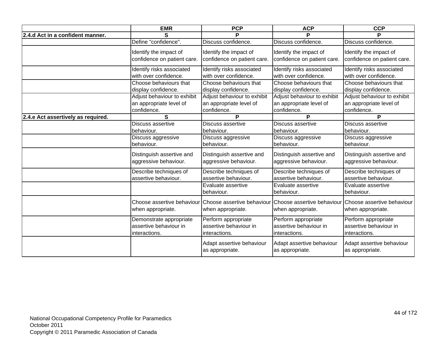|                                    | <b>EMR</b>                  | <b>PCP</b>                  | <b>ACP</b>                  | <b>CCP</b>                  |
|------------------------------------|-----------------------------|-----------------------------|-----------------------------|-----------------------------|
| 2.4.d Act in a confident manner.   | S                           | P                           | D                           | D                           |
|                                    | Define "confidence".        | Discuss confidence.         | Discuss confidence.         | Discuss confidence.         |
|                                    | Identify the impact of      | Identify the impact of      | Identify the impact of      | Identify the impact of      |
|                                    | confidence on patient care. | confidence on patient care. | confidence on patient care. | confidence on patient care. |
|                                    |                             |                             |                             |                             |
|                                    | Identify risks associated   | Identify risks associated   | Identify risks associated   | Identify risks associated   |
|                                    | with over confidence.       | with over confidence.       | with over confidence.       | with over confidence.       |
|                                    | Choose behaviours that      | Choose behaviours that      | Choose behaviours that      | Choose behaviours that      |
|                                    | display confidence.         | display confidence.         | display confidence.         | display confidence.         |
|                                    | Adjust behaviour to exhibit | Adjust behaviour to exhibit | Adjust behaviour to exhibit | Adjust behaviour to exhibit |
|                                    | an appropriate level of     | an appropriate level of     | an appropriate level of     | an appropriate level of     |
|                                    | confidence.                 | confidence.                 | confidence.                 | confidence.                 |
| 2.4.e Act assertively as required. | S                           | P                           | $\overline{\mathsf{P}}$     | P                           |
|                                    | Discuss assertive           | Discuss assertive           | Discuss assertive           | Discuss assertive           |
|                                    | behaviour.                  | behaviour.                  | behaviour.                  | behaviour.                  |
|                                    | Discuss aggressive          | Discuss aggressive          | Discuss aggressive          | Discuss aggressive          |
|                                    | behaviour.                  | behaviour.                  | behaviour.                  | behaviour.                  |
|                                    | Distinguish assertive and   | Distinguish assertive and   | Distinguish assertive and   | Distinguish assertive and   |
|                                    | aggressive behaviour.       | aggressive behaviour.       | aggressive behaviour.       | aggressive behaviour.       |
|                                    |                             |                             |                             |                             |
|                                    | Describe techniques of      | Describe techniques of      | Describe techniques of      | Describe techniques of      |
|                                    | assertive behaviour.        | assertive behaviour.        | assertive behaviour.        | assertive behaviour.        |
|                                    |                             | Evaluate assertive          | Evaluate assertive          | Evaluate assertive          |
|                                    |                             | behaviour.                  | behaviour.                  | behaviour.                  |
|                                    | Choose assertive behaviour  | Choose assertive behaviour  | Choose assertive behaviour  | Choose assertive behaviour  |
|                                    | when appropriate.           | when appropriate.           | when appropriate.           | when appropriate.           |
|                                    |                             |                             |                             |                             |
|                                    | Demonstrate appropriate     | Perform appropriate         | Perform appropriate         | Perform appropriate         |
|                                    | assertive behaviour in      | assertive behaviour in      | assertive behaviour in      | assertive behaviour in      |
|                                    | interactions.               | interactions.               | interactions.               | interactions.               |
|                                    |                             | Adapt assertive behaviour   | Adapt assertive behaviour   | Adapt assertive behaviour   |
|                                    |                             | as appropriate.             | as appropriate.             | as appropriate.             |
|                                    |                             |                             |                             |                             |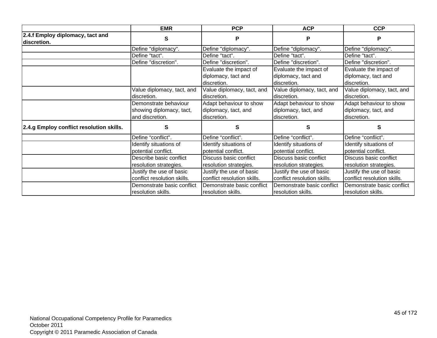|                                                 | <b>EMR</b>                  | <b>PCP</b>                  | <b>ACP</b>                  | <b>CCP</b>                  |
|-------------------------------------------------|-----------------------------|-----------------------------|-----------------------------|-----------------------------|
| 2.4.f Employ diplomacy, tact and<br>discretion. | S                           | P                           | Р                           | P                           |
|                                                 | Define "diplomacy".         | Define "diplomacy".         | Define "diplomacy".         | Define "diplomacy".         |
|                                                 | Define "tact".              | Define "tact".              | Define "tact".              | Define "tact".              |
|                                                 | Define "discretion".        | Define "discretion".        | Define "discretion".        | Define "discretion".        |
|                                                 |                             | Evaluate the impact of      | Evaluate the impact of      | Evaluate the impact of      |
|                                                 |                             | diplomacy, tact and         | diplomacy, tact and         | diplomacy, tact and         |
|                                                 |                             | discretion.                 | discretion.                 | discretion.                 |
|                                                 | Value diplomacy, tact, and  | Value diplomacy, tact, and  | Value diplomacy, tact, and  | Value diplomacy, tact, and  |
|                                                 | discretion.                 | discretion.                 | discretion.                 | discretion.                 |
|                                                 | Demonstrate behaviour       | Adapt behaviour to show     | Adapt behaviour to show     | Adapt behaviour to show     |
|                                                 | showing diplomacy, tact,    | diplomacy, tact, and        | diplomacy, tact, and        | diplomacy, tact, and        |
|                                                 | and discretion.             | discretion.                 | discretion.                 | discretion.                 |
| 2.4.g Employ conflict resolution skills.        | S                           | S                           | S                           | S                           |
|                                                 | Define "conflict".          | Define "conflict".          | Define "conflict".          | Define "conflict".          |
|                                                 | Identify situations of      | Identify situations of      | Identify situations of      | Identify situations of      |
|                                                 | potential conflict.         | potential conflict.         | potential conflict.         | potential conflict.         |
|                                                 | Describe basic conflict     | Discuss basic conflict      | Discuss basic conflict      | Discuss basic conflict      |
|                                                 | resolution strategies.      | resolution strategies.      | resolution strategies.      | resolution strategies.      |
|                                                 | Justify the use of basic    | Justify the use of basic    | Justify the use of basic    | Justify the use of basic    |
|                                                 | conflict resolution skills. | conflict resolution skills. | conflict resolution skills. | conflict resolution skills. |
|                                                 | Demonstrate basic conflict  | Demonstrate basic conflict  | Demonstrate basic conflict  | Demonstrate basic conflict  |
|                                                 | resolution skills.          | resolution skills.          | resolution skills.          | resolution skills.          |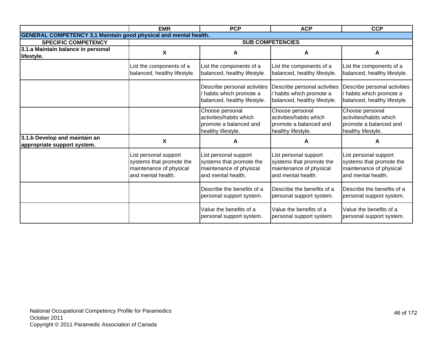|                                                                         | <b>EMR</b>                                                                                         | <b>PCP</b>                                                                                         | <b>ACP</b>                                                                                         | <b>CCP</b>                                                                                         |
|-------------------------------------------------------------------------|----------------------------------------------------------------------------------------------------|----------------------------------------------------------------------------------------------------|----------------------------------------------------------------------------------------------------|----------------------------------------------------------------------------------------------------|
| <b>GENERAL COMPETENCY 3.1 Maintain good physical and mental health.</b> |                                                                                                    |                                                                                                    |                                                                                                    |                                                                                                    |
| <b>SPECIFIC COMPETENCY</b>                                              |                                                                                                    |                                                                                                    | <b>SUB COMPETENCIES</b>                                                                            |                                                                                                    |
| 3.1.a Maintain balance in personal                                      | X                                                                                                  | A                                                                                                  | A                                                                                                  | A                                                                                                  |
| lifestyle.                                                              |                                                                                                    |                                                                                                    |                                                                                                    |                                                                                                    |
|                                                                         | List the components of a<br>balanced, healthy lifestyle.                                           | List the components of a<br>balanced, healthy lifestyle.                                           | List the components of a<br>balanced, healthy lifestyle.                                           | List the components of a<br>balanced, healthy lifestyle.                                           |
|                                                                         |                                                                                                    | Describe personal activities<br>habits which promote a<br>balanced, healthy lifestyle.             | Describe personal activities<br>habits which promote a<br>balanced, healthy lifestyle.             | Describe personal activities<br>habits which promote a<br>balanced, healthy lifestyle.             |
|                                                                         |                                                                                                    | Choose personal<br>activities/habits which<br>promote a balanced and<br>healthy lifestyle.         | Choose personal<br>activities/habits which<br>promote a balanced and<br>healthy lifestyle.         | Choose personal<br>activities/habits which<br>promote a balanced and<br>healthy lifestyle.         |
| 3.1.b Develop and maintain an<br>appropriate support system.            | X                                                                                                  | A                                                                                                  | A                                                                                                  | A                                                                                                  |
|                                                                         | List personal support<br>systems that promote the<br>maintenance of physical<br>and mental health. | List personal support<br>systems that promote the<br>maintenance of physical<br>and mental health. | List personal support<br>systems that promote the<br>maintenance of physical<br>and mental health. | List personal support<br>systems that promote the<br>maintenance of physical<br>and mental health. |
|                                                                         |                                                                                                    | Describe the benefits of a<br>personal support system.                                             | Describe the benefits of a<br>personal support system.                                             | Describe the benefits of a<br>personal support system.                                             |
|                                                                         |                                                                                                    | Value the benefits of a<br>personal support system.                                                | Value the benefits of a<br>personal support system.                                                | Value the benefits of a<br>personal support system.                                                |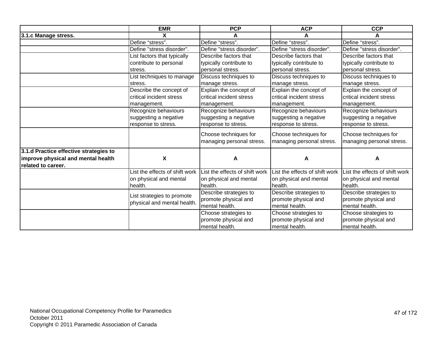|                                        | <b>EMR</b>                                                | <b>PCP</b>                        | <b>ACP</b>                        | <b>CCP</b>                        |
|----------------------------------------|-----------------------------------------------------------|-----------------------------------|-----------------------------------|-----------------------------------|
| 3.1.c Manage stress.                   | X                                                         |                                   |                                   |                                   |
|                                        | Define "stress".                                          | Define "stress".                  | Define "stress".                  | Define "stress".                  |
|                                        | Define "stress disorder".                                 | Define "stress disorder".         | Define "stress disorder".         | Define "stress disorder".         |
|                                        | List factors that typically                               | Describe factors that             | Describe factors that             | Describe factors that             |
|                                        | contribute to personal                                    | typically contribute to           | typically contribute to           | typically contribute to           |
|                                        | stress.                                                   | personal stress.                  | personal stress.                  | personal stress.                  |
|                                        | List techniques to manage                                 | Discuss techniques to             | Discuss techniques to             | Discuss techniques to             |
|                                        | stress.                                                   | manage stress.                    | manage stress.                    | manage stress.                    |
|                                        | Describe the concept of                                   | Explain the concept of            | Explain the concept of            | Explain the concept of            |
|                                        | critical incident stress                                  | critical incident stress          | critical incident stress          | critical incident stress          |
|                                        | management.                                               | management.                       | management.                       | management.                       |
|                                        | Recognize behaviours                                      | Recognize behaviours              | Recognize behaviours              | Recognize behaviours              |
|                                        | suggesting a negative                                     | suggesting a negative             | suggesting a negative             | suggesting a negative             |
|                                        | response to stress.                                       | response to stress.               | response to stress.               | response to stress.               |
|                                        |                                                           | Choose techniques for             | Choose techniques for             | Choose techniques for             |
|                                        |                                                           | managing personal stress.         | managing personal stress.         | managing personal stress.         |
|                                        |                                                           |                                   |                                   |                                   |
| 3.1.d Practice effective strategies to |                                                           |                                   |                                   |                                   |
| improve physical and mental health     | X                                                         | A                                 | A                                 | A                                 |
| related to career.                     | List the effects of shift work                            | List the effects of shift work    | List the effects of shift work    | List the effects of shift work    |
|                                        |                                                           |                                   |                                   |                                   |
|                                        | on physical and mental<br>health.                         | on physical and mental<br>health. | on physical and mental<br>health. | on physical and mental<br>health. |
|                                        |                                                           | Describe strategies to            | Describe strategies to            | Describe strategies to            |
|                                        | List strategies to promote<br>physical and mental health. | promote physical and              | promote physical and              | promote physical and              |
|                                        |                                                           | mental health.                    | mental health.                    | mental health.                    |
|                                        |                                                           | Choose strategies to              | Choose strategies to              | Choose strategies to              |
|                                        |                                                           | promote physical and              | promote physical and              | promote physical and              |
|                                        |                                                           | mental health.                    | mental health.                    | mental health.                    |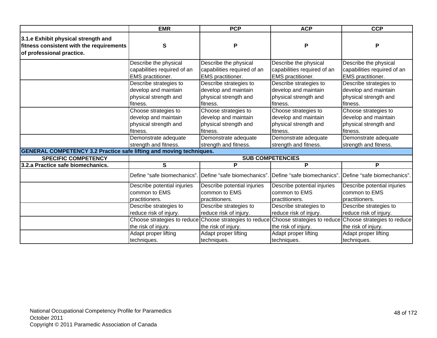|                                                                                                              | <b>EMR</b>                                         | <b>PCP</b>                  | <b>ACP</b>                  | <b>CCP</b>                                                                                                 |
|--------------------------------------------------------------------------------------------------------------|----------------------------------------------------|-----------------------------|-----------------------------|------------------------------------------------------------------------------------------------------------|
| 3.1.e Exhibit physical strength and<br>fitness consistent with the requirements<br>of professional practice. | S                                                  | P                           | P                           | Ρ                                                                                                          |
|                                                                                                              | Describe the physical                              | Describe the physical       | Describe the physical       | Describe the physical                                                                                      |
|                                                                                                              | capabilities required of an                        | capabilities required of an | capabilities required of an | capabilities required of an                                                                                |
|                                                                                                              | EMS practitioner.                                  | <b>EMS</b> practitioner.    | EMS practitioner.           | EMS practitioner.                                                                                          |
|                                                                                                              | Describe strategies to                             | Describe strategies to      | Describe strategies to      | Describe strategies to                                                                                     |
|                                                                                                              | develop and maintain                               | develop and maintain        | develop and maintain        | develop and maintain                                                                                       |
|                                                                                                              | physical strength and                              | physical strength and       | physical strength and       | physical strength and                                                                                      |
|                                                                                                              | fitness.                                           | fitness.                    | fitness.                    | fitness.                                                                                                   |
|                                                                                                              | Choose strategies to                               | Choose strategies to        | Choose strategies to        | Choose strategies to                                                                                       |
|                                                                                                              | develop and maintain                               | develop and maintain        | develop and maintain        | develop and maintain                                                                                       |
|                                                                                                              | physical strength and                              | physical strength and       | physical strength and       | physical strength and                                                                                      |
|                                                                                                              | fitness.                                           | fitness.                    | fitness.                    | fitness.                                                                                                   |
|                                                                                                              | Demonstrate adequate                               | Demonstrate adequate        | Demonstrate adequate        | Demonstrate adequate                                                                                       |
|                                                                                                              | strength and fitness.                              | strength and fitness.       | strength and fitness.       | strength and fitness.                                                                                      |
| <b>GENERAL COMPETENCY 3.2 Practice safe lifting and moving techniques.</b>                                   |                                                    |                             |                             |                                                                                                            |
| <b>SPECIFIC COMPETENCY</b>                                                                                   |                                                    |                             | <b>SUB COMPETENCIES</b>     |                                                                                                            |
| 3.2.a Practice safe biomechanics.                                                                            | S                                                  | P                           | P                           | P                                                                                                          |
|                                                                                                              | Define "safe biomechanics".                        | Define "safe biomechanics". | Define "safe biomechanics"  | Define "safe biomechanics"                                                                                 |
|                                                                                                              | Describe potential injuries                        | Describe potential injuries | Describe potential injuries | Describe potential injuries                                                                                |
|                                                                                                              | common to EMS                                      | common to EMS               | common to EMS               | common to EMS                                                                                              |
|                                                                                                              | practitioners.                                     | practitioners.              | practitioners.              | practitioners.                                                                                             |
|                                                                                                              | Describe strategies to                             | Describe strategies to      | Describe strategies to      | Describe strategies to                                                                                     |
|                                                                                                              | reduce risk of injury.                             | reduce risk of injury.      | reduce risk of injury.      | reduce risk of injury.                                                                                     |
|                                                                                                              | Choose strategies to reduce<br>the risk of injury. | the risk of injury.         | the risk of injury.         | Choose strategies to reduce Choose strategies to reduce Choose strategies to reduce<br>the risk of injury. |
|                                                                                                              | Adapt proper lifting                               | Adapt proper lifting        | Adapt proper lifting        | Adapt proper lifting                                                                                       |
|                                                                                                              | techniques.                                        | techniques.                 | techniques.                 | techniques.                                                                                                |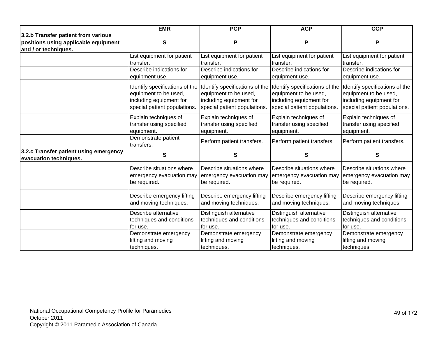|                                                                  | <b>EMR</b>                                                            | <b>PCP</b>                                                            | <b>ACP</b>                                                            | <b>CCP</b>                                                            |
|------------------------------------------------------------------|-----------------------------------------------------------------------|-----------------------------------------------------------------------|-----------------------------------------------------------------------|-----------------------------------------------------------------------|
| 3.2.b Transfer patient from various                              |                                                                       |                                                                       |                                                                       |                                                                       |
| positions using applicable equipment                             | S                                                                     | P                                                                     | P                                                                     | P                                                                     |
| and / or techniques.                                             |                                                                       |                                                                       |                                                                       |                                                                       |
|                                                                  | List equipment for patient                                            | List equipment for patient                                            | List equipment for patient                                            | List equipment for patient                                            |
|                                                                  | transfer.                                                             | transfer.                                                             | transfer.                                                             | transfer.                                                             |
|                                                                  | Describe indications for                                              | Describe indications for                                              | Describe indications for                                              | Describe indications for                                              |
|                                                                  | equipment use.                                                        | equipment use.                                                        | equipment use.                                                        | equipment use.                                                        |
|                                                                  | Identify specifications of the                                        | Identify specifications of the                                        | Identify specifications of the                                        | Identify specifications of the                                        |
|                                                                  | equipment to be used,                                                 | equipment to be used,                                                 | equipment to be used,                                                 | equipment to be used,                                                 |
|                                                                  | including equipment for<br>special patient populations.               | including equipment for<br>special patient populations.               | including equipment for<br>special patient populations.               | including equipment for<br>special patient populations.               |
|                                                                  | Explain techniques of<br>transfer using specified<br>equipment.       | Explain techniques of<br>transfer using specified<br>equipment.       | Explain techniques of<br>transfer using specified<br>equipment.       | Explain techniques of<br>transfer using specified<br>equipment.       |
|                                                                  | Demonstrate patient<br>transfers.                                     | Perform patient transfers.                                            | Perform patient transfers.                                            | Perform patient transfers.                                            |
| 3.2.c Transfer patient using emergency<br>evacuation techniques. | S                                                                     | S                                                                     | S                                                                     | S                                                                     |
|                                                                  | Describe situations where<br>emergency evacuation may<br>be required. | Describe situations where<br>emergency evacuation may<br>be required. | Describe situations where<br>emergency evacuation may<br>be required. | Describe situations where<br>emergency evacuation may<br>be required. |
|                                                                  | Describe emergency lifting<br>and moving techniques.                  | Describe emergency lifting<br>and moving techniques.                  | Describe emergency lifting<br>and moving techniques.                  | Describe emergency lifting<br>and moving techniques.                  |
|                                                                  | Describe alternative<br>techniques and conditions                     | Distinguish alternative<br>techniques and conditions                  | Distinguish alternative<br>techniques and conditions                  | Distinguish alternative<br>techniques and conditions                  |
|                                                                  | for use.                                                              | for use.                                                              | for use.                                                              | for use.                                                              |
|                                                                  | Demonstrate emergency                                                 | Demonstrate emergency                                                 | Demonstrate emergency                                                 | Demonstrate emergency                                                 |
|                                                                  | lifting and moving                                                    | lifting and moving                                                    | lifting and moving                                                    | lifting and moving                                                    |
|                                                                  | techniques.                                                           | techniques.                                                           | techniques.                                                           | techniques.                                                           |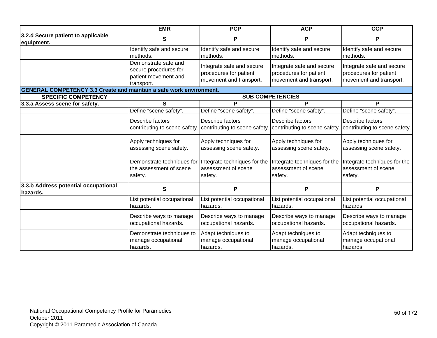|                                                                            | <b>EMR</b>                                                                          | <b>PCP</b>                                                                     | <b>ACP</b>                                                                     | <b>CCP</b>                                                                     |
|----------------------------------------------------------------------------|-------------------------------------------------------------------------------------|--------------------------------------------------------------------------------|--------------------------------------------------------------------------------|--------------------------------------------------------------------------------|
| 3.2.d Secure patient to applicable<br>equipment.                           | S                                                                                   | P                                                                              | P                                                                              | P                                                                              |
|                                                                            | Identify safe and secure<br>methods.                                                | Identify safe and secure<br>methods.                                           | Identify safe and secure<br>methods.                                           | Identify safe and secure<br>methods.                                           |
|                                                                            | Demonstrate safe and<br>secure procedures for<br>patient movement and<br>transport. | Integrate safe and secure<br>procedures for patient<br>movement and transport. | Integrate safe and secure<br>procedures for patient<br>movement and transport. | Integrate safe and secure<br>procedures for patient<br>movement and transport. |
| <b>GENERAL COMPETENCY 3.3 Create and maintain a safe work environment.</b> |                                                                                     |                                                                                |                                                                                |                                                                                |
| <b>SPECIFIC COMPETENCY</b>                                                 |                                                                                     |                                                                                | <b>SUB COMPETENCIES</b>                                                        |                                                                                |
| 3.3.a Assess scene for safety.                                             | S                                                                                   | P                                                                              | P                                                                              | Р                                                                              |
|                                                                            | Define "scene safety".                                                              | Define "scene safety".                                                         | Define "scene safety".                                                         | Define "scene safety".                                                         |
|                                                                            | Describe factors<br>contributing to scene safety.                                   | Describe factors<br>contributing to scene safety.                              | Describe factors<br>contributing to scene safety.                              | Describe factors<br>contributing to scene safety.                              |
|                                                                            | Apply techniques for<br>assessing scene safety.                                     | Apply techniques for<br>assessing scene safety.                                | Apply techniques for<br>assessing scene safety.                                | Apply techniques for<br>assessing scene safety.                                |
|                                                                            | Demonstrate techniques for<br>the assessment of scene<br>safety.                    | Integrate techniques for the<br>assessment of scene<br>safety.                 | Integrate techniques for the<br>assessment of scene<br>safety.                 | Integrate techniques for the<br>assessment of scene<br>safety.                 |
| 3.3.b Address potential occupational<br>hazards.                           | S                                                                                   | P                                                                              | P                                                                              | P                                                                              |
|                                                                            | List potential occupational<br>hazards.                                             | List potential occupational<br>hazards.                                        | List potential occupational<br>hazards.                                        | List potential occupational<br>hazards.                                        |
|                                                                            | Describe ways to manage<br>occupational hazards.                                    | Describe ways to manage<br>occupational hazards.                               | Describe ways to manage<br>occupational hazards.                               | Describe ways to manage<br>occupational hazards.                               |
|                                                                            | Demonstrate techniques to<br>manage occupational<br>hazards.                        | Adapt techniques to<br>manage occupational<br>hazards.                         | Adapt techniques to<br>manage occupational<br>hazards.                         | Adapt techniques to<br>manage occupational<br>hazards.                         |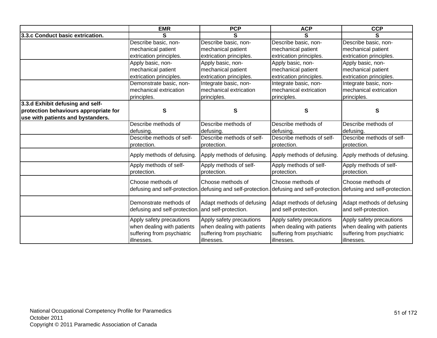|                                       | <b>EMR</b>                                                                                         | <b>PCP</b>                                                                                         | <b>ACP</b>                                                                                         | <b>CCP</b>                                                                                         |
|---------------------------------------|----------------------------------------------------------------------------------------------------|----------------------------------------------------------------------------------------------------|----------------------------------------------------------------------------------------------------|----------------------------------------------------------------------------------------------------|
| 3.3.c Conduct basic extrication.      | S                                                                                                  | S                                                                                                  | S                                                                                                  | S                                                                                                  |
|                                       | Describe basic, non-                                                                               | Describe basic, non-                                                                               | Describe basic, non-                                                                               | Describe basic, non-                                                                               |
|                                       | mechanical patient                                                                                 | mechanical patient                                                                                 | mechanical patient                                                                                 | mechanical patient                                                                                 |
|                                       | extrication principles.                                                                            | extrication principles.                                                                            | extrication principles.                                                                            | extrication principles.                                                                            |
|                                       | Apply basic, non-                                                                                  | Apply basic, non-                                                                                  | Apply basic, non-                                                                                  | Apply basic, non-                                                                                  |
|                                       | mechanical patient                                                                                 | mechanical patient                                                                                 | mechanical patient                                                                                 | mechanical patient                                                                                 |
|                                       | extrication principles.                                                                            | extrication principles.                                                                            | extrication principles.                                                                            | extrication principles.                                                                            |
|                                       | Demonstrate basic, non-                                                                            | Integrate basic, non-                                                                              | Integrate basic, non-                                                                              | Integrate basic, non-                                                                              |
|                                       | mechanical extrication                                                                             | mechanical extrication                                                                             | mechanical extrication                                                                             | mechanical extrication                                                                             |
|                                       | principles.                                                                                        | principles.                                                                                        | principles.                                                                                        | principles.                                                                                        |
| 3.3.d Exhibit defusing and self-      |                                                                                                    |                                                                                                    |                                                                                                    |                                                                                                    |
| protection behaviours appropriate for | S                                                                                                  | S                                                                                                  | S                                                                                                  | S                                                                                                  |
| use with patients and bystanders.     |                                                                                                    |                                                                                                    |                                                                                                    |                                                                                                    |
|                                       | Describe methods of                                                                                | Describe methods of                                                                                | Describe methods of                                                                                | Describe methods of                                                                                |
|                                       | defusing.                                                                                          | defusing.                                                                                          | defusing.                                                                                          | defusing.                                                                                          |
|                                       | Describe methods of self-                                                                          | Describe methods of self-                                                                          | Describe methods of self-                                                                          | Describe methods of self-                                                                          |
|                                       | protection.                                                                                        | protection.                                                                                        | protection.                                                                                        | protection.                                                                                        |
|                                       | Apply methods of defusing.                                                                         | Apply methods of defusing.                                                                         | Apply methods of defusing.                                                                         | Apply methods of defusing.                                                                         |
|                                       | Apply methods of self-                                                                             | Apply methods of self-                                                                             | Apply methods of self-                                                                             | Apply methods of self-                                                                             |
|                                       | protection.                                                                                        | protection.                                                                                        | protection.                                                                                        | protection.                                                                                        |
|                                       | Choose methods of<br>defusing and self-protection. defusing and self-protection                    | Choose methods of                                                                                  | Choose methods of                                                                                  | Choose methods of<br>defusing and self-protection. defusing and self-protection.                   |
|                                       | Demonstrate methods of<br>defusing and self-protection.                                            | Adapt methods of defusing<br>and self-protection.                                                  | Adapt methods of defusing<br>and self-protection.                                                  | Adapt methods of defusing<br>and self-protection.                                                  |
|                                       | Apply safety precautions<br>when dealing with patients<br>suffering from psychiatric<br>illnesses. | Apply safety precautions<br>when dealing with patients<br>suffering from psychiatric<br>illnesses. | Apply safety precautions<br>when dealing with patients<br>suffering from psychiatric<br>illnesses. | Apply safety precautions<br>when dealing with patients<br>suffering from psychiatric<br>illnesses. |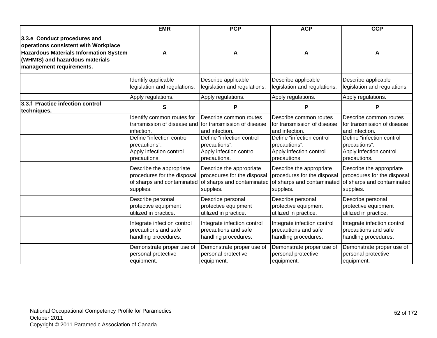|                                                                                                                                                                                      | <b>EMR</b>                                                                                          | <b>PCP</b>                               | <b>ACP</b>                                                              | <b>CCP</b>                                                              |
|--------------------------------------------------------------------------------------------------------------------------------------------------------------------------------------|-----------------------------------------------------------------------------------------------------|------------------------------------------|-------------------------------------------------------------------------|-------------------------------------------------------------------------|
| 3.3.e Conduct procedures and<br>operations consistent with Workplace<br><b>Hazardous Materials Information System</b><br>(WHMIS) and hazardous materials<br>management requirements. | A                                                                                                   | A                                        | A                                                                       | A                                                                       |
|                                                                                                                                                                                      | Identify applicable                                                                                 | Describe applicable                      | Describe applicable                                                     | Describe applicable                                                     |
|                                                                                                                                                                                      | legislation and regulations.                                                                        | legislation and regulations.             | legislation and regulations.                                            | legislation and regulations.                                            |
|                                                                                                                                                                                      | Apply regulations.                                                                                  | Apply regulations.                       | Apply regulations.                                                      | Apply regulations.                                                      |
| 3.3.f Practice infection control<br>techniques.                                                                                                                                      | S                                                                                                   | P                                        | P                                                                       | P                                                                       |
|                                                                                                                                                                                      | Identify common routes for<br>transmission of disease and for transmission of disease<br>infection. | Describe common routes<br>and infection. | Describe common routes<br>for transmission of disease<br>and infection. | Describe common routes<br>for transmission of disease<br>and infection. |
|                                                                                                                                                                                      | Define "infection control                                                                           | Define "infection control                | Define "infection control                                               | Define "infection control                                               |
|                                                                                                                                                                                      | precautions".                                                                                       | precautions".                            | precautions".                                                           | precautions".                                                           |
|                                                                                                                                                                                      | Apply infection control                                                                             | Apply infection control                  | Apply infection control                                                 | Apply infection control                                                 |
|                                                                                                                                                                                      | precautions.                                                                                        | precautions.                             | precautions.                                                            | precautions.                                                            |
|                                                                                                                                                                                      | Describe the appropriate                                                                            | Describe the appropriate                 | Describe the appropriate                                                | Describe the appropriate                                                |
|                                                                                                                                                                                      | procedures for the disposal                                                                         | procedures for the disposal              | procedures for the disposal                                             | procedures for the disposal                                             |
|                                                                                                                                                                                      | of sharps and contaminated                                                                          | of sharps and contaminated               | of sharps and contaminated                                              | of sharps and contaminated                                              |
|                                                                                                                                                                                      | supplies.                                                                                           | supplies.                                | supplies.                                                               | supplies.                                                               |
|                                                                                                                                                                                      | Describe personal                                                                                   | Describe personal                        | Describe personal                                                       | Describe personal                                                       |
|                                                                                                                                                                                      | protective equipment                                                                                | protective equipment                     | protective equipment                                                    | protective equipment                                                    |
|                                                                                                                                                                                      | utilized in practice.                                                                               | utilized in practice.                    | utilized in practice.                                                   | utilized in practice.                                                   |
|                                                                                                                                                                                      | Integrate infection control                                                                         | Integrate infection control              | Integrate infection control                                             | Integrate infection control                                             |
|                                                                                                                                                                                      | precautions and safe                                                                                | precautions and safe                     | precautions and safe                                                    | precautions and safe                                                    |
|                                                                                                                                                                                      | handling procedures.                                                                                | handling procedures.                     | handling procedures.                                                    | handling procedures.                                                    |
|                                                                                                                                                                                      | Demonstrate proper use of                                                                           | Demonstrate proper use of                | Demonstrate proper use of                                               | Demonstrate proper use of                                               |
|                                                                                                                                                                                      | personal protective                                                                                 | personal protective                      | personal protective                                                     | personal protective                                                     |
|                                                                                                                                                                                      | equipment.                                                                                          | equipment.                               | equipment.                                                              | equipment.                                                              |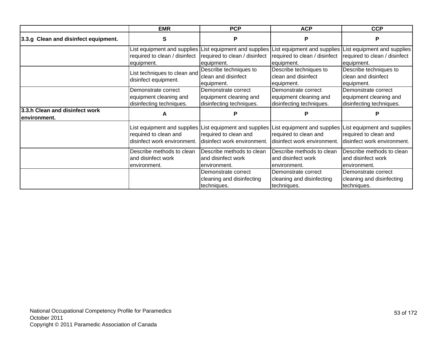|                                                | <b>EMR</b>                                                                          | <b>PCP</b>                                                                                                                         | <b>ACP</b>                                                                | <b>CCP</b>                                                                                                      |
|------------------------------------------------|-------------------------------------------------------------------------------------|------------------------------------------------------------------------------------------------------------------------------------|---------------------------------------------------------------------------|-----------------------------------------------------------------------------------------------------------------|
| 3.3.g Clean and disinfect equipment.           | S                                                                                   | P                                                                                                                                  | P                                                                         | P                                                                                                               |
|                                                | required to clean / disinfect<br>equipment.                                         | List equipment and supplies List equipment and supplies List equipment and supplies<br>required to clean / disinfect<br>equipment. | required to clean / disinfect<br>equipment.                               | List equipment and supplies<br>required to clean / disinfect<br>equipment.                                      |
|                                                | List techniques to clean and<br>disinfect equipment.                                | Describe techniques to<br>clean and disinfect<br>equipment.                                                                        | Describe techniques to<br>clean and disinfect<br>equipment.               | Describe techniques to<br>clean and disinfect<br>equipment.                                                     |
|                                                | Demonstrate correct<br>equipment cleaning and<br>disinfecting techniques.           | Demonstrate correct<br>equipment cleaning and<br>disinfecting techniques.                                                          | Demonstrate correct<br>equipment cleaning and<br>disinfecting techniques. | Demonstrate correct<br>equipment cleaning and<br>disinfecting techniques.                                       |
| 3.3.h Clean and disinfect work<br>environment. | A                                                                                   |                                                                                                                                    |                                                                           |                                                                                                                 |
|                                                | List equipment and supplies<br>required to clean and<br>disinfect work environment. | List equipment and supplies   <br>required to clean and<br>disinfect work environment.                                             | required to clean and<br>disinfect work environment.                      | List equipment and supplies List equipment and supplies<br>required to clean and<br>disinfect work environment. |
|                                                | Describe methods to clean<br>and disinfect work<br>environment.                     | Describe methods to clean<br>and disinfect work<br>environment.                                                                    | Describe methods to clean<br>and disinfect work<br>environment.           | Describe methods to clean<br>and disinfect work<br>lenvironment.                                                |
|                                                |                                                                                     | Demonstrate correct<br>cleaning and disinfecting<br>techniques.                                                                    | Demonstrate correct<br>cleaning and disinfecting<br>techniques.           | Demonstrate correct<br>cleaning and disinfecting<br>techniques.                                                 |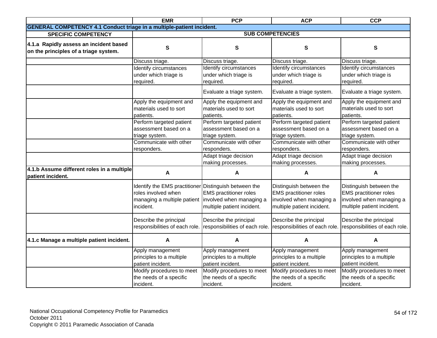|                                                                                 | <b>EMR</b>                                                                                                                                        | <b>PCP</b>                                                          | <b>ACP</b>                                                                                                         | <b>CCP</b>                                                                                                         |
|---------------------------------------------------------------------------------|---------------------------------------------------------------------------------------------------------------------------------------------------|---------------------------------------------------------------------|--------------------------------------------------------------------------------------------------------------------|--------------------------------------------------------------------------------------------------------------------|
| <b>GENERAL COMPETENCY 4.1 Conduct triage in a multiple-patient incident.</b>    |                                                                                                                                                   |                                                                     |                                                                                                                    |                                                                                                                    |
| <b>SPECIFIC COMPETENCY</b>                                                      |                                                                                                                                                   |                                                                     | <b>SUB COMPETENCIES</b>                                                                                            |                                                                                                                    |
| 4.1.a Rapidly assess an incident based<br>on the principles of a triage system. | S                                                                                                                                                 | S                                                                   | S                                                                                                                  | S                                                                                                                  |
|                                                                                 | Discuss triage.                                                                                                                                   | Discuss triage.                                                     | Discuss triage.                                                                                                    | Discuss triage.                                                                                                    |
|                                                                                 | Identify circumstances<br>under which triage is<br>required.                                                                                      | Identify circumstances<br>under which triage is<br>required.        | Identify circumstances<br>under which triage is<br>required.                                                       | Identify circumstances<br>under which triage is<br>required.                                                       |
|                                                                                 |                                                                                                                                                   | Evaluate a triage system.                                           | Evaluate a triage system.                                                                                          | Evaluate a triage system.                                                                                          |
|                                                                                 | Apply the equipment and<br>materials used to sort<br>patients.                                                                                    | Apply the equipment and<br>materials used to sort<br>patients.      | Apply the equipment and<br>materials used to sort<br>patients.                                                     | Apply the equipment and<br>materials used to sort<br>patients.                                                     |
|                                                                                 | Perform targeted patient<br>assessment based on a<br>triage system.                                                                               | Perform targeted patient<br>assessment based on a<br>triage system. | Perform targeted patient<br>assessment based on a<br>triage system.                                                | Perform targeted patient<br>assessment based on a<br>triage system.                                                |
|                                                                                 | Communicate with other<br>responders.                                                                                                             | Communicate with other<br>responders.                               | Communicate with other<br>responders.                                                                              | Communicate with other<br>responders.                                                                              |
|                                                                                 |                                                                                                                                                   | Adapt triage decision<br>making processes.                          | Adapt triage decision<br>making processes.                                                                         | Adapt triage decision<br>making processes.                                                                         |
| 4.1.b Assume different roles in a multiple<br>patient incident.                 | A                                                                                                                                                 | A                                                                   | A                                                                                                                  | A                                                                                                                  |
|                                                                                 | Identify the EMS practitioner Distinguish between the<br>roles involved when<br>managing a multiple patient involved when managing a<br>incident. | <b>EMS</b> practitioner roles<br>multiple patient incident.         | Distinguish between the<br><b>EMS</b> practitioner roles<br>involved when managing a<br>multiple patient incident. | Distinguish between the<br><b>EMS</b> practitioner roles<br>involved when managing a<br>multiple patient incident. |
|                                                                                 | Describe the principal<br>responsibilities of each role.                                                                                          | Describe the principal<br>responsibilities of each role.            | Describe the principal<br>responsibilities of each role.                                                           | Describe the principal<br>responsibilities of each role.                                                           |
| 4.1.c Manage a multiple patient incident.                                       | A                                                                                                                                                 | А                                                                   | A                                                                                                                  | A                                                                                                                  |
|                                                                                 | Apply management<br>principles to a multiple<br>patient incident.                                                                                 | Apply management<br>principles to a multiple<br>patient incident.   | Apply management<br>principles to a multiple<br>patient incident.                                                  | Apply management<br>principles to a multiple<br>patient incident.                                                  |
|                                                                                 | Modify procedures to meet<br>the needs of a specific<br>incident.                                                                                 | Modify procedures to meet<br>the needs of a specific<br>incident.   | Modify procedures to meet<br>the needs of a specific<br>incident.                                                  | Modify procedures to meet<br>the needs of a specific<br>incident.                                                  |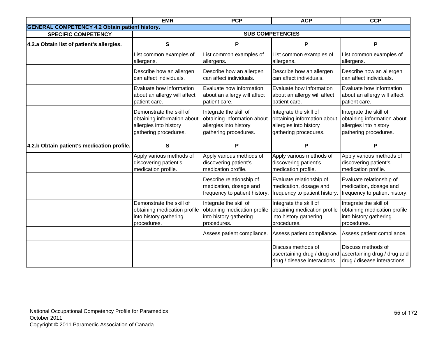|                                                       | <b>EMR</b>                                                                                                 | <b>PCP</b>                                                                                               | <b>ACP</b>                                                                                               | <b>CCP</b>                                                                                                      |
|-------------------------------------------------------|------------------------------------------------------------------------------------------------------------|----------------------------------------------------------------------------------------------------------|----------------------------------------------------------------------------------------------------------|-----------------------------------------------------------------------------------------------------------------|
| <b>GENERAL COMPETENCY 4.2 Obtain patient history.</b> |                                                                                                            |                                                                                                          |                                                                                                          |                                                                                                                 |
| <b>SPECIFIC COMPETENCY</b>                            |                                                                                                            |                                                                                                          | <b>SUB COMPETENCIES</b>                                                                                  |                                                                                                                 |
| 4.2.a Obtain list of patient's allergies.             | $\mathbf s$                                                                                                | P                                                                                                        | P                                                                                                        | P                                                                                                               |
|                                                       | List common examples of<br>allergens.                                                                      | List common examples of<br>allergens.                                                                    | List common examples of<br>allergens.                                                                    | List common examples of<br>allergens.                                                                           |
|                                                       | Describe how an allergen<br>can affect individuals.                                                        | Describe how an allergen<br>can affect individuals.                                                      | Describe how an allergen<br>can affect individuals.                                                      | Describe how an allergen<br>can affect individuals.                                                             |
|                                                       | Evaluate how information<br>about an allergy will affect<br>patient care.                                  | Evaluate how information<br>about an allergy will affect<br>patient care.                                | Evaluate how information<br>about an allergy will affect<br>patient care.                                | Evaluate how information<br>about an allergy will affect<br>patient care.                                       |
|                                                       | Demonstrate the skill of<br>obtaining information about<br>allergies into history<br>gathering procedures. | Integrate the skill of<br>obtaining information about<br>allergies into history<br>gathering procedures. | Integrate the skill of<br>obtaining information about<br>allergies into history<br>gathering procedures. | Integrate the skill of<br>obtaining information about<br>allergies into history<br>gathering procedures.        |
| 4.2.b Obtain patient's medication profile.            | S                                                                                                          | Р                                                                                                        | P                                                                                                        | P                                                                                                               |
|                                                       | Apply various methods of<br>discovering patient's<br>medication profile.                                   | Apply various methods of<br>discovering patient's<br>medication profile.                                 | Apply various methods of<br>discovering patient's<br>medication profile.                                 | Apply various methods of<br>discovering patient's<br>medication profile.                                        |
|                                                       |                                                                                                            | Describe relationship of<br>medication, dosage and<br>frequency to patient history.                      | Evaluate relationship of<br>medication, dosage and<br>frequency to patient history.                      | Evaluate relationship of<br>medication, dosage and<br>frequency to patient history.                             |
|                                                       | Demonstrate the skill of<br>obtaining medication profile<br>into history gathering<br>procedures.          | Integrate the skill of<br>obtaining medication profile<br>into history gathering<br>procedures.          | Integrate the skill of<br>obtaining medication profile<br>into history gathering<br>procedures.          | Integrate the skill of<br>obtaining medication profile<br>into history gathering<br>procedures.                 |
|                                                       |                                                                                                            | Assess patient compliance.                                                                               | Assess patient compliance.                                                                               | Assess patient compliance.                                                                                      |
|                                                       |                                                                                                            |                                                                                                          | Discuss methods of<br>drug / disease interactions.                                                       | Discuss methods of<br>ascertaining drug / drug and ascertaining drug / drug and<br>drug / disease interactions. |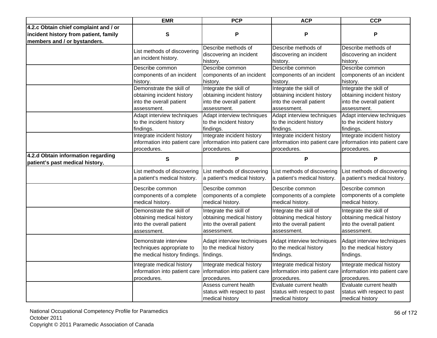|                                                                       | <b>EMR</b>                                                                                        | <b>PCP</b>                                                                                      | <b>ACP</b>                                                                                                                             | <b>CCP</b>                                                                                      |
|-----------------------------------------------------------------------|---------------------------------------------------------------------------------------------------|-------------------------------------------------------------------------------------------------|----------------------------------------------------------------------------------------------------------------------------------------|-------------------------------------------------------------------------------------------------|
| 4.2.c Obtain chief complaint and / or                                 |                                                                                                   |                                                                                                 |                                                                                                                                        |                                                                                                 |
| incident history from patient, family<br>members and / or bystanders. | $\mathbf{s}$                                                                                      | P                                                                                               | P                                                                                                                                      | $\mathsf{P}$                                                                                    |
|                                                                       | List methods of discovering<br>an incident history.                                               | Describe methods of<br>discovering an incident<br>history.                                      | Describe methods of<br>discovering an incident<br>history.                                                                             | Describe methods of<br>discovering an incident<br>history.                                      |
|                                                                       | Describe common<br>components of an incident<br>history.                                          | Describe common<br>components of an incident<br>history.                                        | Describe common<br>components of an incident<br>history.                                                                               | Describe common<br>components of an incident<br>history.                                        |
|                                                                       | Demonstrate the skill of<br>obtaining incident history<br>into the overall patient<br>assessment. | Integrate the skill of<br>obtaining incident history<br>into the overall patient<br>assessment. | Integrate the skill of<br>obtaining incident history<br>into the overall patient<br>assessment.                                        | Integrate the skill of<br>obtaining incident history<br>into the overall patient<br>assessment. |
|                                                                       | Adapt interview techniques<br>to the incident history<br>findings.                                | Adapt interview techniques<br>to the incident history<br>findings.                              | Adapt interview techniques<br>to the incident history<br>findings.                                                                     | Adapt interview techniques<br>to the incident history<br>findings.                              |
|                                                                       | Integrate incident history<br>information into patient care<br>procedures.                        | Integrate incident history<br>procedures.                                                       | Integrate incident history<br>information into patient care information into patient care information into patient care<br>procedures. | Integrate incident history<br>procedures.                                                       |
| 4.2.d Obtain information regarding<br>patient's past medical history. | $\mathbf{s}$                                                                                      | P                                                                                               | P                                                                                                                                      | P                                                                                               |
|                                                                       | List methods of discovering<br>a patient's medical history.                                       | List methods of discovering<br>a patient's medical history.                                     | ist methods of discovering<br>a patient's medical history.                                                                             | List methods of discovering<br>a patient's medical history.                                     |
|                                                                       | Describe common<br>components of a complete<br>medical history.                                   | Describe common<br>components of a complete<br>medical history.                                 | Describe common<br>components of a complete<br>medical history.                                                                        | Describe common<br>components of a complete<br>medical history.                                 |
|                                                                       | Demonstrate the skill of<br>obtaining medical history<br>into the overall patient<br>assessment.  | Integrate the skill of<br>obtaining medical history<br>into the overall patient<br>assessment.  | Integrate the skill of<br>obtaining medical history<br>into the overall patient<br>assessment.                                         | Integrate the skill of<br>obtaining medical history<br>into the overall patient<br>assessment.  |
|                                                                       | Demonstrate interview<br>techniques appropriate to<br>the medical history findings.               | Adapt interview techniques<br>to the medical history<br>findings.                               | Adapt interview techniques<br>to the medical history<br>findings.                                                                      | Adapt interview techniques<br>to the medical history<br>findings.                               |
|                                                                       | Integrate medical history<br>information into patient care<br>procedures.                         | Integrate medical history<br>procedures.                                                        | Integrate medical history<br>information into patient care information into patient care information into patient care<br>procedures.  | Integrate medical history<br>procedures.                                                        |
|                                                                       |                                                                                                   | Assess current health<br>status with respect to past<br>medical history                         | Evaluate current health<br>status with respect to past<br>medical history                                                              | Evaluate current health<br>status with respect to past<br>medical history                       |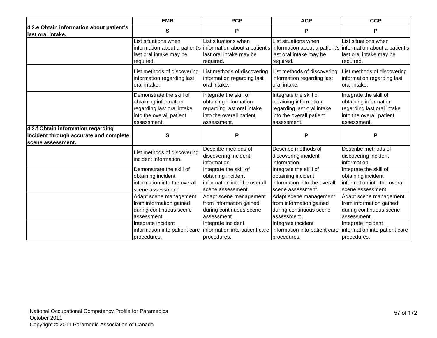|                                                                                                   | <b>EMR</b>                                                   | <b>PCP</b>                                                   | <b>ACP</b>                                                                                                                                                                              | <b>CCP</b>                                                   |
|---------------------------------------------------------------------------------------------------|--------------------------------------------------------------|--------------------------------------------------------------|-----------------------------------------------------------------------------------------------------------------------------------------------------------------------------------------|--------------------------------------------------------------|
| 4.2.e Obtain information about patient's<br>last oral intake.                                     | S                                                            | P                                                            | P                                                                                                                                                                                       | P                                                            |
|                                                                                                   | List situations when<br>last oral intake may be<br>required. | List situations when<br>last oral intake may be<br>required. | List situations when<br>information about a patient's information about a patient's information about a patient's information about a patient's<br>last oral intake may be<br>required. | List situations when<br>last oral intake may be<br>required. |
|                                                                                                   | List methods of discovering                                  | List methods of discovering                                  | List methods of discovering                                                                                                                                                             | List methods of discovering                                  |
|                                                                                                   | information regarding last                                   | information regarding last                                   | information regarding last                                                                                                                                                              | information regarding last                                   |
|                                                                                                   | oral intake.                                                 | oral intake.                                                 | oral intake.                                                                                                                                                                            | oral intake.                                                 |
|                                                                                                   | Demonstrate the skill of                                     | Integrate the skill of                                       | Integrate the skill of                                                                                                                                                                  | Integrate the skill of                                       |
|                                                                                                   | obtaining information                                        | obtaining information                                        | obtaining information                                                                                                                                                                   | obtaining information                                        |
|                                                                                                   | regarding last oral intake                                   | regarding last oral intake                                   | regarding last oral intake                                                                                                                                                              | regarding last oral intake                                   |
|                                                                                                   | into the overall patient                                     | into the overall patient                                     | into the overall patient                                                                                                                                                                | into the overall patient                                     |
|                                                                                                   | assessment.                                                  | assessment.                                                  | assessment.                                                                                                                                                                             | assessment.                                                  |
| 4.2.f Obtain information regarding<br>incident through accurate and complete<br>scene assessment. | S                                                            | P                                                            | P                                                                                                                                                                                       | P                                                            |
|                                                                                                   | List methods of discovering<br>incident information.         | Describe methods of<br>discovering incident<br>information.  | Describe methods of<br>discovering incident<br>information.                                                                                                                             | Describe methods of<br>discovering incident<br>information.  |
|                                                                                                   | Demonstrate the skill of                                     | Integrate the skill of                                       | Integrate the skill of                                                                                                                                                                  | Integrate the skill of                                       |
|                                                                                                   | obtaining incident                                           | obtaining incident                                           | obtaining incident                                                                                                                                                                      | obtaining incident                                           |
|                                                                                                   | information into the overall                                 | information into the overall                                 | information into the overall                                                                                                                                                            | information into the overall                                 |
|                                                                                                   | scene assessment.                                            | scene assessment.                                            | scene assessment.                                                                                                                                                                       | scene assessment.                                            |
|                                                                                                   | Adapt scene management                                       | Adapt scene management                                       | Adapt scene management                                                                                                                                                                  | Adapt scene management                                       |
|                                                                                                   | from information gained                                      | from information gained                                      | from information gained                                                                                                                                                                 | from information gained                                      |
|                                                                                                   | during continuous scene                                      | during continuous scene                                      | during continuous scene                                                                                                                                                                 | during continuous scene                                      |
|                                                                                                   | assessment.                                                  | assessment.                                                  | assessment.                                                                                                                                                                             | assessment.                                                  |
|                                                                                                   | Integrate incident                                           | Integrate incident                                           | Integrate incident                                                                                                                                                                      | Integrate incident                                           |
|                                                                                                   | information into patient care                                | information into patient care                                | information into patient care                                                                                                                                                           | information into patient care                                |
|                                                                                                   | procedures.                                                  | procedures.                                                  | procedures.                                                                                                                                                                             | procedures.                                                  |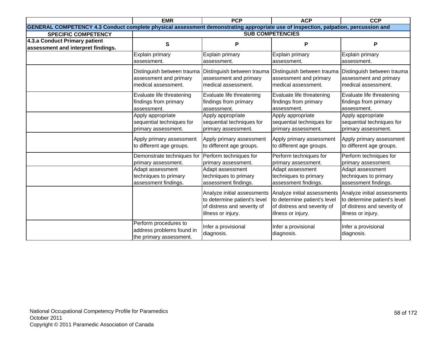|                                                                                                                                    | <b>EMR</b>                                                                    | <b>PCP</b>                                                                                                       | <b>ACP</b>                                                                                                       | <b>CCP</b>                                                                                                       |
|------------------------------------------------------------------------------------------------------------------------------------|-------------------------------------------------------------------------------|------------------------------------------------------------------------------------------------------------------|------------------------------------------------------------------------------------------------------------------|------------------------------------------------------------------------------------------------------------------|
| GENERAL COMPETENCY 4.3 Conduct complete physical assessment demonstrating appropriate use of inspection, palpation, percussion and |                                                                               |                                                                                                                  |                                                                                                                  |                                                                                                                  |
| <b>SPECIFIC COMPETENCY</b>                                                                                                         |                                                                               |                                                                                                                  | <b>SUB COMPETENCIES</b>                                                                                          |                                                                                                                  |
| 4.3.a Conduct Primary patient                                                                                                      | S                                                                             | P                                                                                                                | P                                                                                                                | ${\sf P}$                                                                                                        |
| assessment and interpret findings.                                                                                                 |                                                                               |                                                                                                                  |                                                                                                                  |                                                                                                                  |
|                                                                                                                                    | Explain primary                                                               | Explain primary                                                                                                  | Explain primary                                                                                                  | Explain primary                                                                                                  |
|                                                                                                                                    | assessment.                                                                   | assessment.                                                                                                      | assessment.                                                                                                      | assessment.                                                                                                      |
|                                                                                                                                    | Distinguish between trauma                                                    | Distinguish between trauma                                                                                       | Distinguish between trauma                                                                                       | Distinguish between trauma                                                                                       |
|                                                                                                                                    | assessment and primary                                                        | assessment and primary                                                                                           | assessment and primary                                                                                           | assessment and primary                                                                                           |
|                                                                                                                                    | medical assessment.                                                           | medical assessment.                                                                                              | medical assessment.                                                                                              | medical assessment.                                                                                              |
|                                                                                                                                    | Evaluate life threatening                                                     | Evaluate life threatening                                                                                        | Evaluate life threatening                                                                                        | Evaluate life threatening                                                                                        |
|                                                                                                                                    | findings from primary                                                         | findings from primary                                                                                            | findings from primary                                                                                            | findings from primary                                                                                            |
|                                                                                                                                    | assessment.                                                                   | assessment.                                                                                                      | assessment.                                                                                                      | assessment.                                                                                                      |
|                                                                                                                                    | Apply appropriate                                                             | Apply appropriate                                                                                                | Apply appropriate                                                                                                | Apply appropriate                                                                                                |
|                                                                                                                                    | sequential techniques for                                                     | sequential techniques for                                                                                        | sequential techniques for                                                                                        | sequential techniques for                                                                                        |
|                                                                                                                                    | primary assessment.                                                           | primary assessment.                                                                                              | primary assessment.                                                                                              | primary assessment.                                                                                              |
|                                                                                                                                    | Apply primary assessment                                                      | Apply primary assessment                                                                                         | Apply primary assessment                                                                                         | Apply primary assessment                                                                                         |
|                                                                                                                                    | to different age groups.                                                      | to different age groups.                                                                                         | to different age groups.                                                                                         | to different age groups.                                                                                         |
|                                                                                                                                    | Demonstrate techniques for                                                    | Perform techniques for                                                                                           | Perform techniques for                                                                                           | Perform techniques for                                                                                           |
|                                                                                                                                    | primary assessment.                                                           | primary assessment.                                                                                              | primary assessment.                                                                                              | primary assessment.                                                                                              |
|                                                                                                                                    | Adapt assessment                                                              | Adapt assessment                                                                                                 | Adapt assessment                                                                                                 | Adapt assessment                                                                                                 |
|                                                                                                                                    | techniques to primary                                                         | techniques to primary                                                                                            | techniques to primary                                                                                            | techniques to primary                                                                                            |
|                                                                                                                                    | assessment findings.                                                          | assessment findings.                                                                                             | assessment findings.                                                                                             | assessment findings.                                                                                             |
|                                                                                                                                    |                                                                               | Analyze initial assessments<br>to determine patient's level<br>of distress and severity of<br>illness or injury. | Analyze initial assessments<br>to determine patient's level<br>of distress and severity of<br>illness or injury. | Analyze initial assessments<br>to determine patient's level<br>of distress and severity of<br>illness or injury. |
|                                                                                                                                    | Perform procedures to<br>address problems found in<br>the primary assessment. | Infer a provisional<br>diagnosis.                                                                                | Infer a provisional<br>diagnosis.                                                                                | Infer a provisional<br>diagnosis.                                                                                |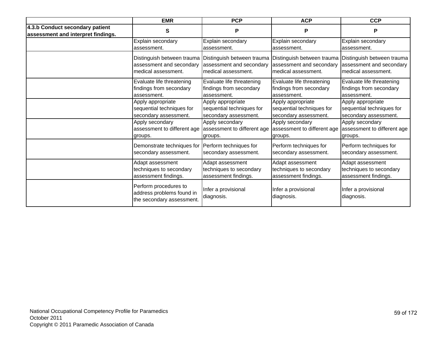|                                                                       | <b>EMR</b>                                                                      | <b>PCP</b>                        | <b>ACP</b>                        | <b>CCP</b>                        |
|-----------------------------------------------------------------------|---------------------------------------------------------------------------------|-----------------------------------|-----------------------------------|-----------------------------------|
| 4.3.b Conduct secondary patient<br>assessment and interpret findings. | S                                                                               | P                                 | P                                 | P                                 |
|                                                                       | Explain secondary                                                               | Explain secondary                 | Explain secondary                 | Explain secondary                 |
|                                                                       | assessment.                                                                     | assessment.                       | assessment.                       | assessment.                       |
|                                                                       | Distinguish between trauma                                                      | Distinguish between trauma        | Distinguish between trauma        | Distinguish between trauma        |
|                                                                       | assessment and secondary                                                        | assessment and secondary          | assessment and secondary          | assessment and secondary          |
|                                                                       | medical assessment.                                                             | medical assessment.               | medical assessment.               | medical assessment.               |
|                                                                       | Evaluate life threatening                                                       | Evaluate life threatening         | Evaluate life threatening         | Evaluate life threatening         |
|                                                                       | findings from secondary                                                         | findings from secondary           | findings from secondary           | findings from secondary           |
|                                                                       | assessment.                                                                     | assessment.                       | assessment.                       | assessment.                       |
|                                                                       | Apply appropriate                                                               | Apply appropriate                 | Apply appropriate                 | Apply appropriate                 |
|                                                                       | sequential techniques for                                                       | sequential techniques for         | sequential techniques for         | sequential techniques for         |
|                                                                       | secondary assessment.                                                           | secondary assessment.             | secondary assessment.             | secondary assessment.             |
|                                                                       | Apply secondary                                                                 | Apply secondary                   | Apply secondary                   | Apply secondary                   |
|                                                                       | assessment to different age                                                     | assessment to different age       | assessment to different age       | assessment to different age       |
|                                                                       | groups.                                                                         | groups.                           | groups.                           | groups.                           |
|                                                                       | Demonstrate techniques for                                                      | Perform techniques for            | Perform techniques for            | Perform techniques for            |
|                                                                       | secondary assessment.                                                           | secondary assessment.             | secondary assessment.             | secondary assessment.             |
|                                                                       | Adapt assessment                                                                | Adapt assessment                  | Adapt assessment                  | Adapt assessment                  |
|                                                                       | techniques to secondary                                                         | techniques to secondary           | techniques to secondary           | techniques to secondary           |
|                                                                       | assessment findings.                                                            | assessment findings.              | assessment findings.              | assessment findings.              |
|                                                                       | Perform procedures to<br>address problems found in<br>the secondary assessment. | Infer a provisional<br>diagnosis. | Infer a provisional<br>diagnosis. | Infer a provisional<br>diagnosis. |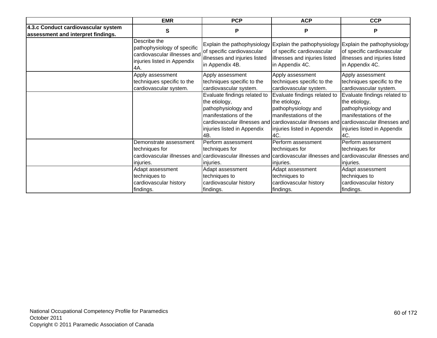|                                                                           | <b>EMR</b>                                                                                                        | <b>PCP</b>                                                                                                                                                               | <b>ACP</b>                                                                                                                                                            | <b>CCP</b>                                                                                                                                                                                                                    |
|---------------------------------------------------------------------------|-------------------------------------------------------------------------------------------------------------------|--------------------------------------------------------------------------------------------------------------------------------------------------------------------------|-----------------------------------------------------------------------------------------------------------------------------------------------------------------------|-------------------------------------------------------------------------------------------------------------------------------------------------------------------------------------------------------------------------------|
| 4.3.c Conduct cardiovascular system<br>assessment and interpret findings. | S                                                                                                                 | P                                                                                                                                                                        | P                                                                                                                                                                     | P                                                                                                                                                                                                                             |
|                                                                           | Describe the<br>pathophysiology of specific<br>cardiovascular illnesses and<br>injuries listed in Appendix<br>4A. | of specific cardiovascular<br>illnesses and injuries listed<br>in Appendix 4B.                                                                                           | Explain the pathophysiology Explain the pathophysiology Explain the pathophysiology<br>of specific cardiovascular<br>illnesses and injuries listed<br>in Appendix 4C. | of specific cardiovascular<br>illnesses and injuries listed<br>in Appendix 4C.                                                                                                                                                |
|                                                                           | Apply assessment<br>techniques specific to the<br>cardiovascular system.                                          | Apply assessment<br>techniques specific to the<br>cardiovascular system.                                                                                                 | Apply assessment<br>techniques specific to the<br>cardiovascular system.                                                                                              | Apply assessment<br>techniques specific to the<br>cardiovascular system.                                                                                                                                                      |
|                                                                           |                                                                                                                   | Evaluate findings related to<br>the etiology,<br>pathophysiology and<br>manifestations of the<br>injuries listed in Appendix<br>4B.                                      | Evaluate findings related to<br>the etiology,<br>pathophysiology and<br>manifestations of the<br>injuries listed in Appendix<br>4C.                                   | Evaluate findings related to<br>the etiology,<br>pathophysiology and<br>manifestations of the<br>cardiovascular illnesses and cardiovascular illnesses and cardiovascular illnesses and<br>injuries listed in Appendix<br>4C. |
|                                                                           | Demonstrate assessment<br>techniques for<br>injuries.                                                             | Perform assessment<br>techniques for<br>cardiovascular illnesses and cardiovascular illnesses and cardiovascular illnesses and cardiovascular illnesses and<br>Injuries. | Perform assessment<br>techniques for<br>injuries.                                                                                                                     | Perform assessment<br>techniques for<br>injuries.                                                                                                                                                                             |
|                                                                           | Adapt assessment<br>techniques to<br>cardiovascular history<br>findings.                                          | Adapt assessment<br>techniques to<br>cardiovascular history<br>findings.                                                                                                 | Adapt assessment<br>techniques to<br>cardiovascular history<br>findings.                                                                                              | Adapt assessment<br>techniques to<br>cardiovascular history<br>findings.                                                                                                                                                      |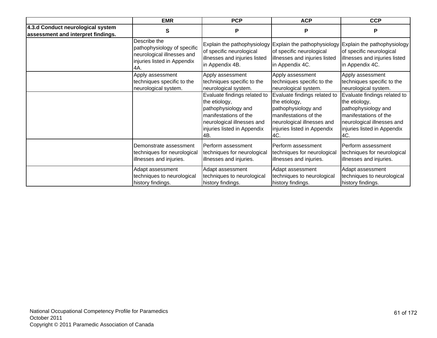|                                                                         | <b>EMR</b>                                                                                                      | <b>PCP</b>                                                                                                                                                        | <b>ACP</b>                                                                                                                                                        | <b>CCP</b>                                                                                                                                                        |
|-------------------------------------------------------------------------|-----------------------------------------------------------------------------------------------------------------|-------------------------------------------------------------------------------------------------------------------------------------------------------------------|-------------------------------------------------------------------------------------------------------------------------------------------------------------------|-------------------------------------------------------------------------------------------------------------------------------------------------------------------|
| 4.3.d Conduct neurological system<br>assessment and interpret findings. | S                                                                                                               | P                                                                                                                                                                 | P                                                                                                                                                                 | P                                                                                                                                                                 |
|                                                                         | Describe the<br>pathophysiology of specific<br>neurological illnesses and<br>injuries listed in Appendix<br>4A. | Explain the pathophysiology<br>of specific neurological<br>illnesses and injuries listed<br>in Appendix 4B.                                                       | Explain the pathophysiology<br>of specific neurological<br>illnesses and injuries listed<br>in Appendix 4C.                                                       | Explain the pathophysiology<br>of specific neurological<br>illnesses and injuries listed<br>in Appendix 4C.                                                       |
|                                                                         | Apply assessment<br>techniques specific to the<br>neurological system.                                          | Apply assessment<br>techniques specific to the<br>neurological system.                                                                                            | Apply assessment<br>techniques specific to the<br>neurological system.                                                                                            | Apply assessment<br>techniques specific to the<br>neurological system.                                                                                            |
|                                                                         |                                                                                                                 | Evaluate findings related to<br>the etiology,<br>pathophysiology and<br>manifestations of the<br>neurological illnesses and<br>injuries listed in Appendix<br>4B. | Evaluate findings related to<br>the etiology,<br>pathophysiology and<br>manifestations of the<br>neurological illnesses and<br>injuries listed in Appendix<br>4C. | Evaluate findings related to<br>the etiology,<br>pathophysiology and<br>manifestations of the<br>neurological illnesses and<br>injuries listed in Appendix<br>4C. |
|                                                                         | Demonstrate assessment<br>techniques for neurological<br>illnesses and injuries.                                | Perform assessment<br>techniques for neurological<br>illnesses and injuries.                                                                                      | Perform assessment<br>techniques for neurological<br>illnesses and injuries.                                                                                      | Perform assessment<br>techniques for neurological<br>illnesses and injuries.                                                                                      |
|                                                                         | Adapt assessment<br>techniques to neurological<br>history findings.                                             | Adapt assessment<br>techniques to neurological<br>history findings.                                                                                               | Adapt assessment<br>techniques to neurological<br>history findings.                                                                                               | Adapt assessment<br>techniques to neurological<br>history findings.                                                                                               |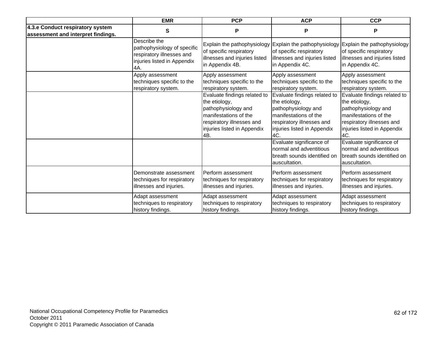|                                                                        | <b>EMR</b>                                                                                                     | <b>PCP</b>                                                                                                                                                       | <b>ACP</b>                                                                                                                                                      | <b>CCP</b>                                                                                                                                                       |
|------------------------------------------------------------------------|----------------------------------------------------------------------------------------------------------------|------------------------------------------------------------------------------------------------------------------------------------------------------------------|-----------------------------------------------------------------------------------------------------------------------------------------------------------------|------------------------------------------------------------------------------------------------------------------------------------------------------------------|
| 4.3.e Conduct respiratory system<br>assessment and interpret findings. | S                                                                                                              | P                                                                                                                                                                | P                                                                                                                                                               | P                                                                                                                                                                |
|                                                                        | Describe the<br>pathophysiology of specific<br>respiratory illnesses and<br>injuries listed in Appendix<br>4A. | Explain the pathophysiology<br>of specific respiratory<br>illnesses and injuries listed<br>in Appendix 4B.                                                       | Explain the pathophysiology Explain the pathophysiology<br>of specific respiratory<br>illnesses and injuries listed<br>in Appendix 4C.                          | of specific respiratory<br>illnesses and injuries listed<br>in Appendix 4C.                                                                                      |
|                                                                        | Apply assessment<br>techniques specific to the<br>respiratory system.                                          | Apply assessment<br>techniques specific to the<br>respiratory system.                                                                                            | Apply assessment<br>techniques specific to the<br>respiratory system.                                                                                           | Apply assessment<br>techniques specific to the<br>respiratory system.                                                                                            |
|                                                                        |                                                                                                                | Evaluate findings related to<br>the etiology,<br>pathophysiology and<br>manifestations of the<br>respiratory illnesses and<br>injuries listed in Appendix<br>4B. | Evaluate findings related to<br>the etiology,<br>pathophysiology and<br>manifestations of the<br>respiratory illnesses and<br>injuries listed in Appendix<br>AC | Evaluate findings related to<br>the etiology,<br>pathophysiology and<br>manifestations of the<br>respiratory illnesses and<br>injuries listed in Appendix<br>4C. |
|                                                                        |                                                                                                                |                                                                                                                                                                  | Evaluate significance of<br>normal and adventitious<br>breath sounds identified on<br>auscultation.                                                             | Evaluate significance of<br>normal and adventitious<br>breath sounds identified on<br>auscultation.                                                              |
|                                                                        | Demonstrate assessment<br>techniques for respiratory<br>illnesses and injuries.                                | Perform assessment<br>techniques for respiratory<br>illnesses and injuries.                                                                                      | Perform assessment<br>techniques for respiratory<br>illnesses and injuries.                                                                                     | Perform assessment<br>techniques for respiratory<br>illnesses and injuries.                                                                                      |
|                                                                        | Adapt assessment<br>techniques to respiratory<br>history findings.                                             | Adapt assessment<br>techniques to respiratory<br>history findings.                                                                                               | Adapt assessment<br>techniques to respiratory<br>history findings.                                                                                              | Adapt assessment<br>techniques to respiratory<br>history findings.                                                                                               |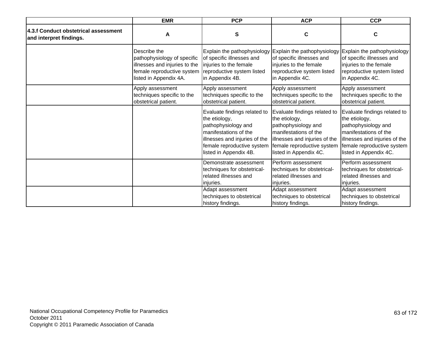|                                                                 | <b>EMR</b>                                                                                                                           | <b>PCP</b>                                                                                                                                                                             | <b>ACP</b>                                                                                                                                                                             | <b>CCP</b>                                                                                                                                                                             |
|-----------------------------------------------------------------|--------------------------------------------------------------------------------------------------------------------------------------|----------------------------------------------------------------------------------------------------------------------------------------------------------------------------------------|----------------------------------------------------------------------------------------------------------------------------------------------------------------------------------------|----------------------------------------------------------------------------------------------------------------------------------------------------------------------------------------|
| 4.3.f Conduct obstetrical assessment<br>and interpret findings. | A                                                                                                                                    | S                                                                                                                                                                                      | $\mathbf c$                                                                                                                                                                            | C                                                                                                                                                                                      |
|                                                                 | Describe the<br>pathophysiology of specific<br>illnesses and injuries to the<br>female reproductive system<br>listed in Appendix 4A. | Explain the pathophysiology<br>of specific illnesses and<br>injuries to the female<br>reproductive system listed<br>in Appendix 4B.                                                    | Explain the pathophysiology Explain the pathophysiology<br>of specific illnesses and<br>injuries to the female<br>reproductive system listed<br>in Appendix 4C.                        | of specific illnesses and<br>injuries to the female<br>reproductive system listed<br>in Appendix 4C.                                                                                   |
|                                                                 | Apply assessment<br>techniques specific to the<br>obstetrical patient.                                                               | Apply assessment<br>techniques specific to the<br>obstetrical patient.                                                                                                                 | Apply assessment<br>techniques specific to the<br>obstetrical patient.                                                                                                                 | Apply assessment<br>techniques specific to the<br>obstetrical patient.                                                                                                                 |
|                                                                 |                                                                                                                                      | Evaluate findings related to<br>the etiology,<br>pathophysiology and<br>manifestations of the<br>illnesses and injuries of the<br>female reproductive system<br>listed in Appendix 4B. | Evaluate findings related to<br>the etiology,<br>pathophysiology and<br>manifestations of the<br>illnesses and injuries of the<br>female reproductive system<br>listed in Appendix 4C. | Evaluate findings related to<br>the etiology,<br>pathophysiology and<br>manifestations of the<br>illnesses and injuries of the<br>female reproductive system<br>listed in Appendix 4C. |
|                                                                 |                                                                                                                                      | Demonstrate assessment<br>techniques for obstetrical-<br>related illnesses and<br>injuries.                                                                                            | Perform assessment<br>techniques for obstetrical-<br>related illnesses and<br>injuries.                                                                                                | Perform assessment<br>techniques for obstetrical-<br>related illnesses and<br>injuries.                                                                                                |
|                                                                 |                                                                                                                                      | Adapt assessment<br>techniques to obstetrical<br>history findings.                                                                                                                     | Adapt assessment<br>techniques to obstetrical<br>history findings.                                                                                                                     | Adapt assessment<br>techniques to obstetrical<br>history findings.                                                                                                                     |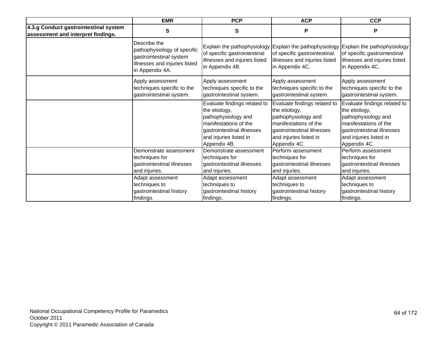|                                                                             | <b>EMR</b>                                                                                                                 | <b>PCP</b>                                                                                                                                                            | <b>ACP</b>                                                                                                                                                            | <b>CCP</b>                                                                                                                                                            |
|-----------------------------------------------------------------------------|----------------------------------------------------------------------------------------------------------------------------|-----------------------------------------------------------------------------------------------------------------------------------------------------------------------|-----------------------------------------------------------------------------------------------------------------------------------------------------------------------|-----------------------------------------------------------------------------------------------------------------------------------------------------------------------|
| 4.3.g Conduct gastrointestinal system<br>assessment and interpret findings. | S                                                                                                                          | S                                                                                                                                                                     | P                                                                                                                                                                     | P                                                                                                                                                                     |
|                                                                             | Describe the<br>pathophysiology of specific<br>gastrointestinal system<br>illnesses and injuries listed<br>in Appendix 4A. | Explain the pathophysiology<br>of specific gastrointestinal<br>illnesses and injuries listed<br>in Appendix 4B.                                                       | of specific gastrointestinal<br>illnesses and injuries listed<br>in Appendix 4C.                                                                                      | Explain the pathophysiology Explain the pathophysiology<br>of specific gastrointestinal<br>illnesses and injuries listed<br>in Appendix 4C.                           |
|                                                                             | Apply assessment<br>techniques specific to the<br>gastrointestinal system.                                                 | Apply assessment<br>techniques specific to the<br>gastrointestinal system.                                                                                            | Apply assessment<br>techniques specific to the<br>gastrointestinal system.                                                                                            | Apply assessment<br>techniques specific to the<br>gastrointestinal system.                                                                                            |
|                                                                             |                                                                                                                            | Evaluate findings related to<br>the etiology,<br>pathophysiology and<br>manifestations of the<br>gastrointestinal illnesses<br>and injuries listed in<br>Appendix 4B. | Evaluate findings related to<br>the etiology,<br>pathophysiology and<br>manifestations of the<br>gastrointestinal illnesses<br>and injuries listed in<br>Appendix 4C. | Evaluate findings related to<br>the etiology,<br>pathophysiology and<br>manifestations of the<br>gastrointestinal illnesses<br>and injuries listed in<br>Appendix 4C. |
|                                                                             | Demonstrate assessment<br>techniques for<br>gastrointestinal illnesses<br>and injuries.                                    | Demonstrate assessment<br>techniques for<br>gastrointestinal illnesses<br>and injuries.                                                                               | Perform assessment<br>techniques for<br>gastrointestinal illnesses<br>and injuries.                                                                                   | Perform assessment<br>techniques for<br>gastrointestinal illnesses<br>and injuries.                                                                                   |
|                                                                             | Adapt assessment<br>techniques to<br>gastrointestinal history<br>findings.                                                 | Adapt assessment<br>techniques to<br>gastrointestinal history<br>findings.                                                                                            | Adapt assessment<br>techniques to<br>gastrointestinal history<br>findings.                                                                                            | Adapt assessment<br>techniques to<br>gastrointestinal history<br>findings.                                                                                            |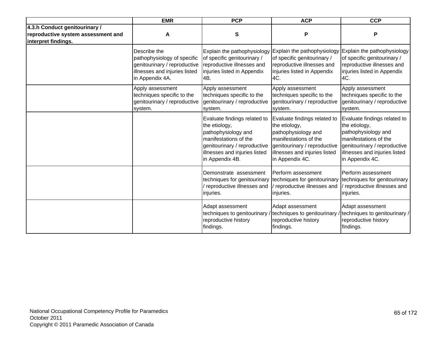|                                                                                            | <b>EMR</b>                                                                                                                      | <b>PCP</b>                                                                                                                                                                        | <b>ACP</b>                                                                                                                                                                        | <b>CCP</b>                                                                                                                                                                        |
|--------------------------------------------------------------------------------------------|---------------------------------------------------------------------------------------------------------------------------------|-----------------------------------------------------------------------------------------------------------------------------------------------------------------------------------|-----------------------------------------------------------------------------------------------------------------------------------------------------------------------------------|-----------------------------------------------------------------------------------------------------------------------------------------------------------------------------------|
| 4.3.h Conduct genitourinary /<br>reproductive system assessment and<br>interpret findings. | A                                                                                                                               | S                                                                                                                                                                                 | P                                                                                                                                                                                 | P                                                                                                                                                                                 |
|                                                                                            | Describe the<br>pathophysiology of specific<br>genitourinary / reproductive<br>illnesses and injuries listed<br>in Appendix 4A. | Explain the pathophysiology<br>of specific genitourinary /<br>reproductive illnesses and<br>injuries listed in Appendix<br>4B.                                                    | Explain the pathophysiology<br>of specific genitourinary /<br>reproductive illnesses and<br>injuries listed in Appendix<br>4C.                                                    | Explain the pathophysiology<br>of specific genitourinary /<br>reproductive illnesses and<br>injuries listed in Appendix<br>4C.                                                    |
|                                                                                            | Apply assessment<br>techniques specific to the<br>genitourinary / reproductive<br>system.                                       | Apply assessment<br>techniques specific to the<br>genitourinary / reproductive<br>system.                                                                                         | Apply assessment<br>techniques specific to the<br>genitourinary / reproductive<br>system.                                                                                         | Apply assessment<br>techniques specific to the<br>genitourinary / reproductive<br>system.                                                                                         |
|                                                                                            |                                                                                                                                 | Evaluate findings related to<br>the etiology,<br>pathophysiology and<br>manifestations of the<br>genitourinary / reproductive<br>illnesses and injuries listed<br>in Appendix 4B. | Evaluate findings related to<br>the etiology,<br>pathophysiology and<br>manifestations of the<br>genitourinary / reproductive<br>illnesses and injuries listed<br>in Appendix 4C. | Evaluate findings related to<br>the etiology,<br>pathophysiology and<br>manifestations of the<br>genitourinary / reproductive<br>illnesses and injuries listed<br>in Appendix 4C. |
|                                                                                            |                                                                                                                                 | Demonstrate assessment<br>techniques for genitourinary<br>reproductive illnesses and<br>injuries.                                                                                 | Perform assessment<br>techniques for genitourinary<br>reproductive illnesses and<br>injuries.                                                                                     | Perform assessment<br>techniques for genitourinary<br>reproductive illnesses and<br>injuries.                                                                                     |
|                                                                                            |                                                                                                                                 | Adapt assessment<br>techniques to genitourinary<br>reproductive history<br>findings.                                                                                              | Adapt assessment<br>techniques to genitourinary /<br>reproductive history<br>findings.                                                                                            | Adapt assessment<br>techniques to genitourinary /<br>reproductive history<br>findings.                                                                                            |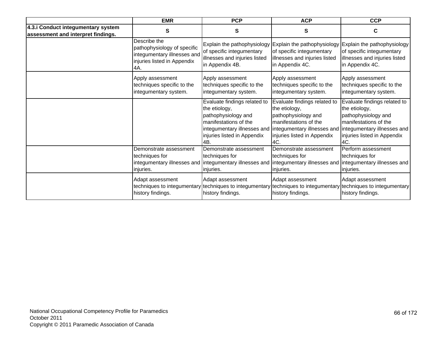|                                                                          | <b>EMR</b>                                                                                                       | <b>PCP</b>                                                                                                                          | <b>ACP</b>                                                                                                                                                                                                                 | <b>CCP</b>                                                                                                                          |
|--------------------------------------------------------------------------|------------------------------------------------------------------------------------------------------------------|-------------------------------------------------------------------------------------------------------------------------------------|----------------------------------------------------------------------------------------------------------------------------------------------------------------------------------------------------------------------------|-------------------------------------------------------------------------------------------------------------------------------------|
| 4.3.i Conduct integumentary system<br>assessment and interpret findings. | S                                                                                                                | S                                                                                                                                   | S                                                                                                                                                                                                                          | С                                                                                                                                   |
|                                                                          | Describe the<br>pathophysiology of specific<br>integumentary illnesses and<br>injuries listed in Appendix<br>4A. | of specific integumentary<br>illnesses and injuries listed<br>in Appendix 4B.                                                       | Explain the pathophysiology Explain the pathophysiology Explain the pathophysiology<br>of specific integumentary<br>illnesses and injuries listed<br>in Appendix 4C.                                                       | of specific integumentary<br>illnesses and injuries listed<br>in Appendix 4C.                                                       |
|                                                                          | Apply assessment<br>techniques specific to the<br>integumentary system.                                          | Apply assessment<br>techniques specific to the<br>integumentary system.                                                             | Apply assessment<br>techniques specific to the<br>integumentary system.                                                                                                                                                    | Apply assessment<br>techniques specific to the<br>integumentary system.                                                             |
|                                                                          |                                                                                                                  | Evaluate findings related to<br>the etiology,<br>pathophysiology and<br>manifestations of the<br>injuries listed in Appendix<br>4B. | Evaluate findings related to<br>the etiology,<br>pathophysiology and<br>manifestations of the<br>integumentary illnesses and integumentary illnesses and integumentary illnesses and<br>injuries listed in Appendix<br>4C. | Evaluate findings related to<br>the etiology,<br>pathophysiology and<br>manifestations of the<br>injuries listed in Appendix<br>4C. |
|                                                                          | Demonstrate assessment<br>techniques for<br>injuries.                                                            | Demonstrate assessment<br>techniques for<br>injuries.                                                                               | Demonstrate assessment<br>techniques for<br>integumentary illnesses and lintegumentary illnesses and lintegumentary illnesses and lintegumentary illnesses and<br>injuries.                                                | Perform assessment<br>techniques for<br>injuries.                                                                                   |
|                                                                          | Adapt assessment<br>techniques to integumentary<br>history findings.                                             | Adapt assessment<br>history findings.                                                                                               | Adapt assessment<br>techniques to integumentary techniques to integumentary techniques to integumentary<br>history findings.                                                                                               | Adapt assessment<br>history findings.                                                                                               |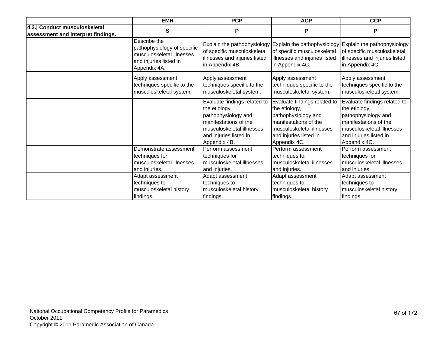|                                                                     | <b>EMR</b>                                                                                                         | <b>PCP</b>                                                                                                                                                           | <b>ACP</b>                                                                                                                                                           | <b>CCP</b>                                                                                                                                                             |
|---------------------------------------------------------------------|--------------------------------------------------------------------------------------------------------------------|----------------------------------------------------------------------------------------------------------------------------------------------------------------------|----------------------------------------------------------------------------------------------------------------------------------------------------------------------|------------------------------------------------------------------------------------------------------------------------------------------------------------------------|
| 4.3.j Conduct musculoskeletal<br>assessment and interpret findings. | $\mathbf s$                                                                                                        | ${\sf P}$                                                                                                                                                            | P                                                                                                                                                                    | P                                                                                                                                                                      |
|                                                                     | Describe the<br>pathophysiology of specific<br>musculoskeletal illnesses<br>and injuries listed in<br>Appendix 4A. | of specific musculoskeletal<br>illnesses and injuries listed<br>in Appendix 4B.                                                                                      | of specific musculoskeletal<br>illnesses and injuries listed<br>in Appendix 4C.                                                                                      | Explain the pathophysiology Explain the pathophysiology Explain the pathophysiology<br>of specific musculoskeletal<br>illnesses and injuries listed<br>in Appendix 4C. |
|                                                                     | Apply assessment<br>techniques specific to the<br>musculoskeletal system.                                          | Apply assessment<br>techniques specific to the<br>musculoskeletal system.                                                                                            | Apply assessment<br>techniques specific to the<br>musculoskeletal system.                                                                                            | Apply assessment<br>techniques specific to the<br>musculoskeletal system.                                                                                              |
|                                                                     |                                                                                                                    | Evaluate findings related to<br>the etiology,<br>pathophysiology and<br>manifestations of the<br>musculoskeletal illnesses<br>and injuries listed in<br>Appendix 4B. | Evaluate findings related to<br>the etiology,<br>pathophysiology and<br>manifestations of the<br>musculoskeletal illnesses<br>and injuries listed in<br>Appendix 4C. | Evaluate findings related to<br>the etiology,<br>pathophysiology and<br>manifestations of the<br>musculoskeletal illnesses<br>and injuries listed in<br>Appendix 4C.   |
|                                                                     | Demonstrate assessment<br>techniques for<br>musculoskeletal illnesses<br>and injuries.                             | Perform assessment<br>techniques for<br>musculoskeletal illnesses<br>and injuries.                                                                                   | Perform assessment<br>techniques for<br>musculoskeletal illnesses<br>and injuries.                                                                                   | Perform assessment<br>techniques for<br>musculoskeletal illnesses<br>and injuries.                                                                                     |
|                                                                     | Adapt assessment<br>techniques to<br>musculoskeletal history<br>findings.                                          | Adapt assessment<br>techniques to<br>musculoskeletal history<br>findings.                                                                                            | Adapt assessment<br>techniques to<br>musculoskeletal history<br>findings.                                                                                            | Adapt assessment<br>techniques to<br>musculoskeletal history<br>findings.                                                                                              |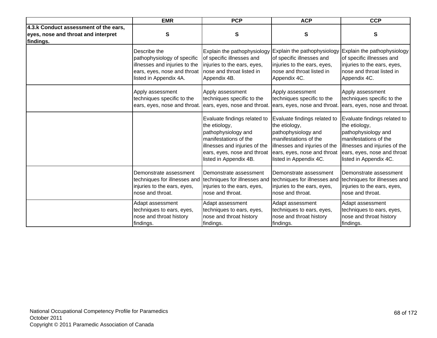|                                                                                           | <b>EMR</b>                    | <b>PCP</b>                                                                                                                                                                              | <b>ACP</b>                                                                                                                                                                              | <b>CCP</b>                                                                                                                                                                              |
|-------------------------------------------------------------------------------------------|-------------------------------|-----------------------------------------------------------------------------------------------------------------------------------------------------------------------------------------|-----------------------------------------------------------------------------------------------------------------------------------------------------------------------------------------|-----------------------------------------------------------------------------------------------------------------------------------------------------------------------------------------|
| 4.3.k Conduct assessment of the ears,<br>eyes, nose and throat and interpret<br>findings. | S                             | S                                                                                                                                                                                       | S                                                                                                                                                                                       | S                                                                                                                                                                                       |
|                                                                                           | Describe the                  | Explain the pathophysiology                                                                                                                                                             | Explain the pathophysiology                                                                                                                                                             | Explain the pathophysiology                                                                                                                                                             |
|                                                                                           | pathophysiology of specific   | of specific illnesses and                                                                                                                                                               | of specific illnesses and                                                                                                                                                               | of specific illnesses and                                                                                                                                                               |
|                                                                                           | illnesses and injuries to the | injuries to the ears, eyes,                                                                                                                                                             | injuries to the ears, eyes,                                                                                                                                                             | injuries to the ears, eyes,                                                                                                                                                             |
|                                                                                           | ears, eyes, nose and throat   | nose and throat listed in                                                                                                                                                               | nose and throat listed in                                                                                                                                                               | nose and throat listed in                                                                                                                                                               |
|                                                                                           | listed in Appendix 4A.        | Appendix 4B.                                                                                                                                                                            | Appendix 4C.                                                                                                                                                                            | Appendix 4C.                                                                                                                                                                            |
|                                                                                           | Apply assessment              | Apply assessment                                                                                                                                                                        | Apply assessment                                                                                                                                                                        | Apply assessment                                                                                                                                                                        |
|                                                                                           | techniques specific to the    | techniques specific to the                                                                                                                                                              | techniques specific to the                                                                                                                                                              | techniques specific to the                                                                                                                                                              |
|                                                                                           | ears, eyes, nose and throat.  | ears, eyes, nose and throat                                                                                                                                                             | ears, eyes, nose and throat.                                                                                                                                                            | ears, eyes, nose and throat.                                                                                                                                                            |
|                                                                                           |                               | Evaluate findings related to<br>the etiology,<br>pathophysiology and<br>manifestations of the<br>illnesses and injuries of the<br>ears, eyes, nose and throat<br>listed in Appendix 4B. | Evaluate findings related to<br>the etiology,<br>pathophysiology and<br>manifestations of the<br>illnesses and injuries of the<br>ears, eyes, nose and throat<br>listed in Appendix 4C. | Evaluate findings related to<br>the etiology,<br>pathophysiology and<br>manifestations of the<br>illnesses and injuries of the<br>ears, eyes, nose and throat<br>listed in Appendix 4C. |
|                                                                                           | Demonstrate assessment        | Demonstrate assessment                                                                                                                                                                  | Demonstrate assessment                                                                                                                                                                  | Demonstrate assessment                                                                                                                                                                  |
|                                                                                           | techniques for illnesses and  | techniques for illnesses and                                                                                                                                                            | techniques for illnesses and                                                                                                                                                            | techniques for illnesses and                                                                                                                                                            |
|                                                                                           | injuries to the ears, eyes,   | injuries to the ears, eyes,                                                                                                                                                             | injuries to the ears, eyes,                                                                                                                                                             | injuries to the ears, eyes,                                                                                                                                                             |
|                                                                                           | nose and throat.              | nose and throat.                                                                                                                                                                        | nose and throat.                                                                                                                                                                        | nose and throat.                                                                                                                                                                        |
|                                                                                           | Adapt assessment              | Adapt assessment                                                                                                                                                                        | Adapt assessment                                                                                                                                                                        | Adapt assessment                                                                                                                                                                        |
|                                                                                           | techniques to ears, eyes,     | techniques to ears, eyes,                                                                                                                                                               | techniques to ears, eyes,                                                                                                                                                               | techniques to ears, eyes,                                                                                                                                                               |
|                                                                                           | nose and throat history       | nose and throat history                                                                                                                                                                 | nose and throat history                                                                                                                                                                 | nose and throat history                                                                                                                                                                 |
|                                                                                           | findings.                     | findings.                                                                                                                                                                               | findings.                                                                                                                                                                               | findings.                                                                                                                                                                               |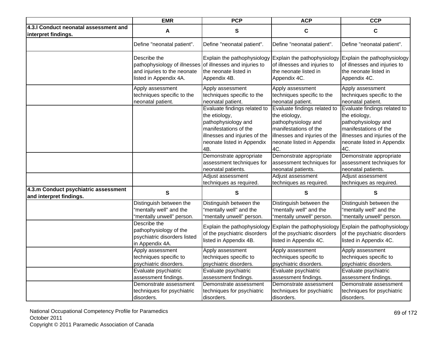|                                                                 | <b>EMR</b>                                                                                                                                                | <b>PCP</b>                                                                                                                                                          | <b>ACP</b>                                                                                                                                                          | <b>CCP</b>                                                                                                                                                          |
|-----------------------------------------------------------------|-----------------------------------------------------------------------------------------------------------------------------------------------------------|---------------------------------------------------------------------------------------------------------------------------------------------------------------------|---------------------------------------------------------------------------------------------------------------------------------------------------------------------|---------------------------------------------------------------------------------------------------------------------------------------------------------------------|
| 4.3.I Conduct neonatal assessment and<br>interpret findings.    | A                                                                                                                                                         | S                                                                                                                                                                   | $\mathbf c$                                                                                                                                                         | $\mathbf c$                                                                                                                                                         |
|                                                                 | Define "neonatal patient".                                                                                                                                | Define "neonatal patient".                                                                                                                                          | Define "neonatal patient".                                                                                                                                          | Define "neonatal patient".                                                                                                                                          |
|                                                                 | Describe the<br>pathophysiology of illnesses of illnesses and injuries to<br>and injuries to the neonate<br>listed in Appendix 4A.                        | Explain the pathophysiology<br>the neonate listed in<br>Appendix 4B.                                                                                                | Explain the pathophysiology<br>of illnesses and injuries to<br>the neonate listed in<br>Appendix 4C.                                                                | Explain the pathophysiology<br>of illnesses and injuries to<br>the neonate listed in<br>Appendix 4C.                                                                |
|                                                                 | Apply assessment<br>techniques specific to the<br>neonatal patient.                                                                                       | Apply assessment<br>techniques specific to the<br>neonatal patient.                                                                                                 | Apply assessment<br>techniques specific to the<br>neonatal patient.                                                                                                 | Apply assessment<br>techniques specific to the<br>neonatal patient.                                                                                                 |
|                                                                 |                                                                                                                                                           | Evaluate findings related to<br>the etiology,<br>pathophysiology and<br>manifestations of the<br>illnesses and injuries of the<br>neonate listed in Appendix<br>4B. | Evaluate findings related to<br>the etiology,<br>pathophysiology and<br>manifestations of the<br>illnesses and injuries of the<br>neonate listed in Appendix<br>4C. | Evaluate findings related to<br>the etiology,<br>pathophysiology and<br>manifestations of the<br>illnesses and injuries of the<br>neonate listed in Appendix<br>4C. |
|                                                                 |                                                                                                                                                           | Demonstrate appropriate<br>assessment techniques for<br>neonatal patients.                                                                                          | Demonstrate appropriate<br>assessment techniques for<br>neonatal patients.                                                                                          | Demonstrate appropriate<br>assessment techniques for<br>neonatal patients.                                                                                          |
|                                                                 |                                                                                                                                                           | Adjust assessment<br>techniques as required.                                                                                                                        | Adjust assessment<br>techniques as required.                                                                                                                        | Adjust assessment<br>techniques as required.                                                                                                                        |
| 4.3.m Conduct psychiatric assessment<br>and interpret findings. | S                                                                                                                                                         | S                                                                                                                                                                   | $\mathbf{s}$                                                                                                                                                        | ${\bf S}$                                                                                                                                                           |
|                                                                 | Distinguish between the<br>"mentally well" and the<br>"mentally unwell" person.<br>Describe the<br>pathophysiology of the<br>psychiatric disorders listed | Distinguish between the<br>"mentally well" and the<br>"mentally unwell" person.<br>Explain the pathophysiology<br>of the psychiatric disorders                      | Distinguish between the<br>'mentally well" and the<br>'mentally unwell" person.<br>Explain the pathophysiology<br>of the psychiatric disorders                      | Distinguish between the<br>"mentally well" and the<br>"mentally unwell" person.<br>Explain the pathophysiology<br>of the psychiatric disorders                      |
|                                                                 | in Appendix 4A.<br>Apply assessment                                                                                                                       | listed in Appendix 4B.<br>Apply assessment                                                                                                                          | listed in Appendix 4C.<br>Apply assessment                                                                                                                          | listed in Appendix 4C.<br>Apply assessment                                                                                                                          |
|                                                                 | techniques specific to<br>psychiatric disorders.                                                                                                          | techniques specific to<br>psychiatric disorders.                                                                                                                    | techniques specific to<br>psychiatric disorders.                                                                                                                    | techniques specific to<br>psychiatric disorders.                                                                                                                    |
|                                                                 | Evaluate psychiatric<br>assessment findings.<br>Demonstrate assessment                                                                                    | Evaluate psychiatric<br>assessment findings.<br>Demonstrate assessment                                                                                              | Evaluate psychiatric<br>assessment findings.<br>Demonstrate assessment                                                                                              | Evaluate psychiatric<br>assessment findings.<br>Demonstrate assessment                                                                                              |
|                                                                 | techniques for psychiatric<br>disorders.                                                                                                                  | techniques for psychiatric<br>disorders.                                                                                                                            | techniques for psychiatric<br>disorders.                                                                                                                            | techniques for psychiatric<br>disorders.                                                                                                                            |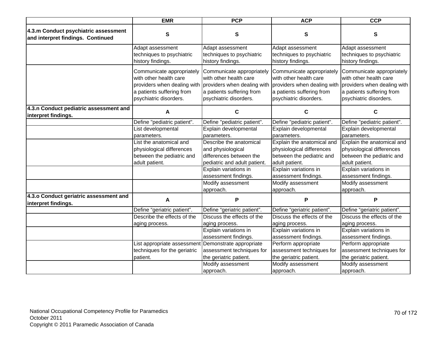|                                                                           | <b>EMR</b>                                                                                                 | <b>PCP</b>                                                                                                                                                            | <b>ACP</b>                                                                                                                                | <b>CCP</b>                                                                                                                                |
|---------------------------------------------------------------------------|------------------------------------------------------------------------------------------------------------|-----------------------------------------------------------------------------------------------------------------------------------------------------------------------|-------------------------------------------------------------------------------------------------------------------------------------------|-------------------------------------------------------------------------------------------------------------------------------------------|
| 4.3.m Conduct psychiatric assessment<br>and interpret findings. Continued | $\mathbf{s}$                                                                                               | ${\bf S}$                                                                                                                                                             | ${\bf S}$                                                                                                                                 | S                                                                                                                                         |
|                                                                           | Adapt assessment<br>techniques to psychiatric<br>history findings.                                         | Adapt assessment<br>techniques to psychiatric<br>history findings.                                                                                                    | Adapt assessment<br>techniques to psychiatric<br>history findings.                                                                        | Adapt assessment<br>techniques to psychiatric<br>history findings.                                                                        |
|                                                                           | Communicate appropriately<br>with other health care<br>a patients suffering from<br>psychiatric disorders. | Communicate appropriately<br>with other health care<br>providers when dealing with providers when dealing with<br>a patients suffering from<br>psychiatric disorders. | Communicate appropriately<br>with other health care<br>providers when dealing with<br>a patients suffering from<br>psychiatric disorders. | Communicate appropriately<br>with other health care<br>providers when dealing with<br>a patients suffering from<br>psychiatric disorders. |
| 4.3.n Conduct pediatric assessment and<br>interpret findings.             | A                                                                                                          | C                                                                                                                                                                     | C                                                                                                                                         | C                                                                                                                                         |
|                                                                           | Define "pediatric patient".                                                                                | Define "pediatric patient".                                                                                                                                           | Define "pediatric patient".                                                                                                               | Define "pediatric patient".                                                                                                               |
|                                                                           | List developmental                                                                                         | Explain developmental                                                                                                                                                 | Explain developmental                                                                                                                     | Explain developmental                                                                                                                     |
|                                                                           | parameters.                                                                                                | parameters.                                                                                                                                                           | parameters.                                                                                                                               | parameters.                                                                                                                               |
|                                                                           | List the anatomical and                                                                                    | Describe the anatomical                                                                                                                                               | Explain the anatomical and                                                                                                                | Explain the anatomical and                                                                                                                |
|                                                                           | physiological differences                                                                                  | and physiological                                                                                                                                                     | physiological differences                                                                                                                 | physiological differences                                                                                                                 |
|                                                                           | between the pediatric and                                                                                  | differences between the                                                                                                                                               | between the pediatric and                                                                                                                 | between the pediatric and                                                                                                                 |
|                                                                           | adult patient.                                                                                             | pediatric and adult patient.                                                                                                                                          | adult patient.                                                                                                                            | adult patient.                                                                                                                            |
|                                                                           |                                                                                                            | Explain variations in                                                                                                                                                 | Explain variations in                                                                                                                     | Explain variations in                                                                                                                     |
|                                                                           |                                                                                                            | assessment findings.                                                                                                                                                  | assessment findings.                                                                                                                      | assessment findings.                                                                                                                      |
|                                                                           |                                                                                                            | Modify assessment                                                                                                                                                     | Modify assessment                                                                                                                         | Modify assessment                                                                                                                         |
|                                                                           |                                                                                                            | approach.                                                                                                                                                             | approach.                                                                                                                                 | approach.                                                                                                                                 |
| 4.3.0 Conduct geriatric assessment and<br>interpret findings.             | A                                                                                                          | P                                                                                                                                                                     | P                                                                                                                                         | P                                                                                                                                         |
|                                                                           | Define "geriatric patient".                                                                                | Define "geriatric patient".                                                                                                                                           | Define "geriatric patient".                                                                                                               | Define "geriatric patient".                                                                                                               |
|                                                                           | Describe the effects of the                                                                                | Discuss the effects of the                                                                                                                                            | Discuss the effects of the                                                                                                                | Discuss the effects of the                                                                                                                |
|                                                                           | aging process.                                                                                             | aging process.                                                                                                                                                        | aging process.                                                                                                                            | aging process.                                                                                                                            |
|                                                                           |                                                                                                            | Explain variations in                                                                                                                                                 | Explain variations in                                                                                                                     | Explain variations in                                                                                                                     |
|                                                                           |                                                                                                            | assessment findings.                                                                                                                                                  | assessment findings.                                                                                                                      | assessment findings.                                                                                                                      |
|                                                                           | List appropriate assessment                                                                                | Demonstrate appropriate                                                                                                                                               | Perform appropriate                                                                                                                       | Perform appropriate                                                                                                                       |
|                                                                           | techniques for the geriatric                                                                               | assessment techniques for                                                                                                                                             | assessment techniques for                                                                                                                 | assessment techniques for                                                                                                                 |
|                                                                           | patient.                                                                                                   | the geriatric patient.                                                                                                                                                | the geriatric patient.                                                                                                                    | the geriatric patient.                                                                                                                    |
|                                                                           |                                                                                                            | Modify assessment                                                                                                                                                     | Modify assessment                                                                                                                         | Modify assessment                                                                                                                         |
|                                                                           |                                                                                                            | approach.                                                                                                                                                             | approach.                                                                                                                                 | approach.                                                                                                                                 |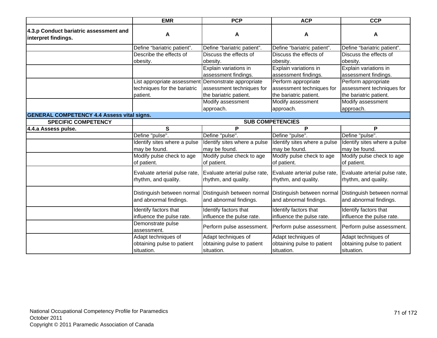|                                                               | <b>EMR</b>                                            | <b>PCP</b>                                            | <b>ACP</b>                                            | <b>CCP</b>                                            |  |  |
|---------------------------------------------------------------|-------------------------------------------------------|-------------------------------------------------------|-------------------------------------------------------|-------------------------------------------------------|--|--|
| 4.3.p Conduct bariatric assessment and<br>interpret findings. | A                                                     | A                                                     | A                                                     | A                                                     |  |  |
|                                                               | Define "bariatric patient".                           | Define "bariatric patient".                           | Define "bariatric patient".                           | Define "bariatric patient".                           |  |  |
|                                                               | Describe the effects of                               | Discuss the effects of                                | Discuss the effects of                                | Discuss the effects of                                |  |  |
|                                                               | obesity.                                              | obesity.                                              | obesity.                                              | obesity.                                              |  |  |
|                                                               |                                                       | Explain variations in                                 | Explain variations in                                 | Explain variations in                                 |  |  |
|                                                               |                                                       | assessment findings.                                  | assessment findings.                                  | assessment findings.                                  |  |  |
|                                                               | List appropriate assessment                           | Demonstrate appropriate                               | Perform appropriate                                   | Perform appropriate                                   |  |  |
|                                                               | techniques for the bariatric                          | assessment techniques for                             | assessment techniques for                             | assessment techniques for                             |  |  |
|                                                               | patient.                                              | the bariatric patient.                                | the bariatric patient.                                | the bariatric patient.                                |  |  |
|                                                               |                                                       | Modify assessment                                     | Modify assessment                                     | Modify assessment                                     |  |  |
|                                                               |                                                       | approach.                                             | approach.                                             | approach.                                             |  |  |
| <b>GENERAL COMPETENCY 4.4 Assess vital signs.</b>             |                                                       |                                                       |                                                       |                                                       |  |  |
| <b>SPECIFIC COMPETENCY</b>                                    |                                                       |                                                       | <b>SUB COMPETENCIES</b>                               |                                                       |  |  |
| 4.4.a Assess pulse.                                           | S                                                     | P                                                     | P                                                     | P                                                     |  |  |
|                                                               | Define "pulse".                                       | Define "pulse".                                       | Define "pulse".                                       | Define "pulse".                                       |  |  |
|                                                               | Identify sites where a pulse                          | Identify sites where a pulse                          | Identify sites where a pulse                          | Identify sites where a pulse                          |  |  |
|                                                               | may be found.                                         | may be found.                                         | may be found.                                         | may be found.                                         |  |  |
|                                                               | Modify pulse check to age<br>of patient.              | Modify pulse check to age<br>of patient.              | Modify pulse check to age<br>of patient.              | Modify pulse check to age<br>of patient.              |  |  |
|                                                               | Evaluate arterial pulse rate,<br>rhythm, and quality. | Evaluate arterial pulse rate,<br>rhythm, and quality. | Evaluate arterial pulse rate,<br>rhythm, and quality. | Evaluate arterial pulse rate,<br>rhythm, and quality. |  |  |
|                                                               | Distinguish between normal<br>and abnormal findings.  | Distinguish between normal<br>and abnormal findings.  | Distinguish between normal<br>and abnormal findings.  | Distinguish between normal<br>and abnormal findings.  |  |  |
|                                                               | Identify factors that                                 | Identify factors that                                 | Identify factors that                                 | Identify factors that                                 |  |  |
|                                                               | influence the pulse rate.                             | influence the pulse rate.                             | influence the pulse rate.                             | influence the pulse rate.                             |  |  |
|                                                               | Demonstrate pulse<br>assessment.                      | Perform pulse assessment.                             | Perform pulse assessment.                             | Perform pulse assessment.                             |  |  |
|                                                               | Adapt techniques of                                   | Adapt techniques of                                   | Adapt techniques of                                   | Adapt techniques of                                   |  |  |
|                                                               | obtaining pulse to patient                            | obtaining pulse to patient                            | obtaining pulse to patient                            | obtaining pulse to patient                            |  |  |
|                                                               | situation.                                            | situation.                                            | situation.                                            | situation.                                            |  |  |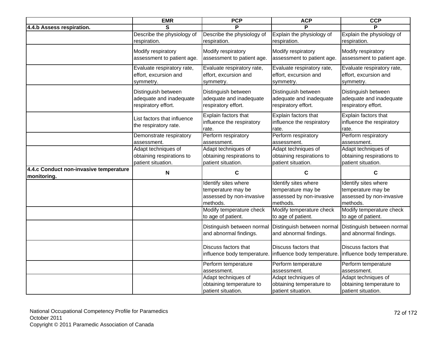|                                                       | <b>EMR</b>                                                             | <b>PCP</b>                                                                         | <b>ACP</b>                                                                         | <b>CCP</b>                                                                         |
|-------------------------------------------------------|------------------------------------------------------------------------|------------------------------------------------------------------------------------|------------------------------------------------------------------------------------|------------------------------------------------------------------------------------|
| 4.4.b Assess respiration.                             | S                                                                      |                                                                                    |                                                                                    |                                                                                    |
|                                                       | Describe the physiology of<br>respiration.                             | Describe the physiology of<br>respiration.                                         | Explain the physiology of<br>respiration.                                          | Explain the physiology of<br>respiration.                                          |
|                                                       | Modify respiratory<br>assessment to patient age.                       | Modify respiratory<br>assessment to patient age.                                   | Modify respiratory<br>assessment to patient age.                                   | Modify respiratory<br>assessment to patient age.                                   |
|                                                       | Evaluate respiratory rate,<br>effort, excursion and<br>symmetry.       | Evaluate respiratory rate,<br>effort, excursion and<br>symmetry.                   | Evaluate respiratory rate,<br>effort, excursion and<br>symmetry.                   | Evaluate respiratory rate,<br>effort, excursion and<br>symmetry.                   |
|                                                       | Distinguish between<br>adequate and inadequate<br>respiratory effort.  | Distinguish between<br>adequate and inadequate<br>respiratory effort.              | Distinguish between<br>adequate and inadequate<br>respiratory effort.              | Distinguish between<br>adequate and inadequate<br>respiratory effort.              |
|                                                       | List factors that influence<br>the respiratory rate.                   | Explain factors that<br>influence the respiratory<br>rate.                         | Explain factors that<br>influence the respiratory<br>rate.                         | Explain factors that<br>influence the respiratory<br>rate.                         |
|                                                       | Demonstrate respiratory<br>assessment.                                 | Perform respiratory<br>assessment.                                                 | Perform respiratory<br>assessment.                                                 | Perform respiratory<br>assessment.                                                 |
|                                                       | Adapt techniques of<br>obtaining respirations to<br>patient situation. | Adapt techniques of<br>obtaining respirations to<br>patient situation.             | Adapt techniques of<br>obtaining respirations to<br>patient situation.             | Adapt techniques of<br>obtaining respirations to<br>patient situation.             |
| 4.4.c Conduct non-invasive temperature<br>monitoring. | $\boldsymbol{\mathsf{N}}$                                              | $\mathbf C$                                                                        | C                                                                                  | C                                                                                  |
|                                                       |                                                                        | Identify sites where<br>temperature may be<br>assessed by non-invasive<br>methods. | Identify sites where<br>temperature may be<br>assessed by non-invasive<br>methods. | Identify sites where<br>temperature may be<br>assessed by non-invasive<br>methods. |
|                                                       |                                                                        | Modify temperature check<br>to age of patient.                                     | Modify temperature check<br>to age of patient.                                     | Modify temperature check<br>to age of patient.                                     |
|                                                       |                                                                        | Distinguish between normal<br>and abnormal findings.                               | Distinguish between normal<br>and abnormal findings.                               | Distinguish between normal<br>and abnormal findings.                               |
|                                                       |                                                                        | Discuss factors that<br>influence body temperature.                                | Discuss factors that<br>influence body temperature. influence body temperature.    | Discuss factors that                                                               |
|                                                       |                                                                        | Perform temperature<br>assessment.                                                 | Perform temperature<br>assessment.                                                 | Perform temperature<br>assessment.                                                 |
|                                                       |                                                                        | Adapt techniques of<br>obtaining temperature to<br>patient situation.              | Adapt techniques of<br>obtaining temperature to<br>patient situation.              | Adapt techniques of<br>obtaining temperature to<br>patient situation.              |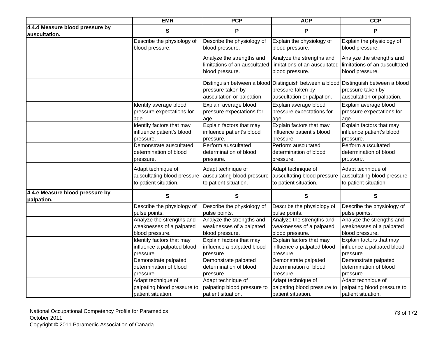|                                                  | <b>EMR</b>                  | <b>PCP</b>                                                                    | <b>ACP</b>                                      | <b>CCP</b>                                                                                                                             |
|--------------------------------------------------|-----------------------------|-------------------------------------------------------------------------------|-------------------------------------------------|----------------------------------------------------------------------------------------------------------------------------------------|
| 4.4.d Measure blood pressure by<br>auscultation. | S                           | P                                                                             | P                                               | P                                                                                                                                      |
|                                                  | Describe the physiology of  | Describe the physiology of                                                    | Explain the physiology of                       | Explain the physiology of                                                                                                              |
|                                                  | blood pressure.             | blood pressure.                                                               | blood pressure.                                 | blood pressure.                                                                                                                        |
|                                                  |                             | Analyze the strengths and<br>limitations of an auscultated<br>blood pressure. | Analyze the strengths and<br>blood pressure.    | Analyze the strengths and<br>limitations of an auscultated limitations of an auscultated<br>blood pressure.                            |
|                                                  |                             | pressure taken by<br>auscultation or palpation.                               | pressure taken by<br>auscultation or palpation. | Distinguish between a blood Distinguish between a blood Distinguish between a blood<br>pressure taken by<br>auscultation or palpation. |
|                                                  | Identify average blood      | Explain average blood                                                         | Explain average blood                           | Explain average blood                                                                                                                  |
|                                                  | pressure expectations for   | pressure expectations for                                                     | pressure expectations for                       | pressure expectations for                                                                                                              |
|                                                  | age.                        | age.                                                                          | age.                                            | age.                                                                                                                                   |
|                                                  | Identify factors that may   | Explain factors that may                                                      | Explain factors that may                        | Explain factors that may                                                                                                               |
|                                                  | influence patient's blood   | influence patient's blood                                                     | influence patient's blood                       | influence patient's blood                                                                                                              |
|                                                  | pressure.                   | pressure.                                                                     | pressure.                                       | pressure.                                                                                                                              |
|                                                  | Demonstrate auscultated     | Perform auscultated                                                           | Perform auscultated                             | Perform auscultated                                                                                                                    |
|                                                  | determination of blood      | determination of blood                                                        | determination of blood                          | determination of blood                                                                                                                 |
|                                                  | pressure.                   | pressure.                                                                     | pressure.                                       | pressure.                                                                                                                              |
|                                                  | Adapt technique of          | Adapt technique of                                                            | Adapt technique of                              | Adapt technique of                                                                                                                     |
|                                                  | auscultating blood pressure | auscultating blood pressure                                                   | auscultating blood pressure                     | auscultating blood pressure                                                                                                            |
|                                                  | to patient situation.       | to patient situation.                                                         | to patient situation.                           | to patient situation.                                                                                                                  |
| 4.4.e Measure blood pressure by<br>palpation.    | S                           | S                                                                             | $\mathbf{s}$                                    | $\mathbf s$                                                                                                                            |
|                                                  | Describe the physiology of  | Describe the physiology of                                                    | Describe the physiology of                      | Describe the physiology of                                                                                                             |
|                                                  | pulse points.               | pulse points.                                                                 | pulse points.                                   | pulse points.                                                                                                                          |
|                                                  | Analyze the strengths and   | Analyze the strengths and                                                     | Analyze the strengths and                       | Analyze the strengths and                                                                                                              |
|                                                  | weaknesses of a palpated    | weaknesses of a palpated                                                      | weaknesses of a palpated                        | weaknesses of a palpated                                                                                                               |
|                                                  | blood pressure.             | blood pressure.                                                               | blood pressure.                                 | blood pressure.                                                                                                                        |
|                                                  | Identify factors that may   | Explain factors that may                                                      | Explain factors that may                        | Explain factors that may                                                                                                               |
|                                                  | influence a palpated blood  | influence a palpated blood                                                    | influence a palpated blood                      | influence a palpated blood                                                                                                             |
|                                                  | pressure.                   | pressure.                                                                     | pressure.                                       | pressure.                                                                                                                              |
|                                                  | Demonstrate palpated        | Demonstrate palpated                                                          | Demonstrate palpated                            | Demonstrate palpated                                                                                                                   |
|                                                  | determination of blood      | determination of blood                                                        | determination of blood                          | determination of blood                                                                                                                 |
|                                                  | pressure.                   | pressure.                                                                     | pressure.                                       | pressure.                                                                                                                              |
|                                                  | Adapt technique of          | Adapt technique of                                                            | Adapt technique of                              | Adapt technique of                                                                                                                     |
|                                                  | palpating blood pressure to | palpating blood pressure to                                                   | palpating blood pressure to                     | palpating blood pressure to                                                                                                            |
|                                                  | patient situation.          | patient situation.                                                            | patient situation.                              | patient situation.                                                                                                                     |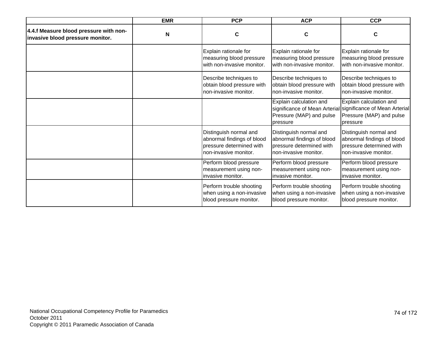|                                                                            | <b>EMR</b> | <b>PCP</b>                                                                                                | <b>ACP</b>                                                                                                | <b>CCP</b>                                                                                                                             |
|----------------------------------------------------------------------------|------------|-----------------------------------------------------------------------------------------------------------|-----------------------------------------------------------------------------------------------------------|----------------------------------------------------------------------------------------------------------------------------------------|
| 4.4.f Measure blood pressure with non-<br>invasive blood pressure monitor. | N          | C                                                                                                         | $\mathbf c$                                                                                               | C                                                                                                                                      |
|                                                                            |            | Explain rationale for<br>measuring blood pressure<br>with non-invasive monitor.                           | Explain rationale for<br>measuring blood pressure<br>with non-invasive monitor.                           | Explain rationale for<br>measuring blood pressure<br>with non-invasive monitor.                                                        |
|                                                                            |            | Describe techniques to<br>obtain blood pressure with<br>non-invasive monitor.                             | Describe techniques to<br>obtain blood pressure with<br>non-invasive monitor.                             | Describe techniques to<br>obtain blood pressure with<br>non-invasive monitor.                                                          |
|                                                                            |            |                                                                                                           | Explain calculation and<br>Pressure (MAP) and pulse<br>pressure                                           | Explain calculation and<br>significance of Mean Arterial significance of Mean Arterial<br>Pressure (MAP) and pulse<br><b>Ipressure</b> |
|                                                                            |            | Distinguish normal and<br>abnormal findings of blood<br>pressure determined with<br>non-invasive monitor. | Distinguish normal and<br>abnormal findings of blood<br>pressure determined with<br>non-invasive monitor. | Distinguish normal and<br>abnormal findings of blood<br>pressure determined with<br>non-invasive monitor.                              |
|                                                                            |            | Perform blood pressure<br>measurement using non-<br>invasive monitor.                                     | Perform blood pressure<br>measurement using non-<br>invasive monitor.                                     | Perform blood pressure<br>measurement using non-<br>invasive monitor.                                                                  |
|                                                                            |            | Perform trouble shooting<br>when using a non-invasive<br>blood pressure monitor.                          | Perform trouble shooting<br>when using a non-invasive<br>blood pressure monitor.                          | Perform trouble shooting<br>when using a non-invasive<br>blood pressure monitor.                                                       |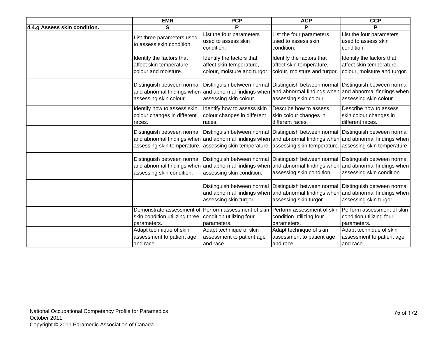|                              | <b>EMR</b>                                                                         | <b>PCP</b>                                                                                                                                                               | <b>ACP</b>                                                                                                       | <b>CCP</b>                                                                            |
|------------------------------|------------------------------------------------------------------------------------|--------------------------------------------------------------------------------------------------------------------------------------------------------------------------|------------------------------------------------------------------------------------------------------------------|---------------------------------------------------------------------------------------|
| 4.4.g Assess skin condition. | S                                                                                  | P                                                                                                                                                                        | P                                                                                                                | P                                                                                     |
|                              | List three parameters used<br>to assess skin condition.                            | List the four parameters<br>used to assess skin<br>condition.                                                                                                            | List the four parameters<br>used to assess skin<br>condition.                                                    | List the four parameters<br>used to assess skin<br>condition.                         |
|                              | Identify the factors that<br>affect skin temperature,<br>colour and moisture.      | Identify the factors that<br>affect skin temperature,<br>colour, moisture and turgor.                                                                                    | Identify the factors that<br>affect skin temperature,<br>colour, moisture and turgor.                            | Identify the factors that<br>affect skin temperature,<br>colour, moisture and turgor. |
|                              | Distinguish between normal<br>and abnormal findings when<br>assessing skin colour. | Distinguish between normal<br>and abnormal findings when<br>assessing skin colour.                                                                                       | Distinguish between normal<br>and abnormal findings when and abnormal findings when<br>assessing skin colour.    | Distinguish between normal<br>assessing skin colour.                                  |
|                              | Identify how to assess skin<br>colour changes in different<br>races.               | Identify how to assess skin<br>colour changes in different<br>races.                                                                                                     | Describe how to assess<br>skin colour changes in<br>different races.                                             | Describe how to assess<br>skin colour changes in<br>different races.                  |
|                              | Distinguish between normal<br>assessing skin temperature.                          | Distinguish between normal<br>and abnormal findings when and abnormal findings when and abnormal findings when and abnormal findings when<br>assessing skin temperature. | Distinguish between normal Distinguish between normal<br>assessing skin temperature. assessing skin temperature. |                                                                                       |
|                              | Distinguish between normal<br>assessing skin condition.                            | Distinguish between normal<br>and abnormal findings when and abnormal findings when and abnormal findings when and abnormal findings when<br>assessing skin condition.   | Distinguish between normal<br>assessing skin condition.                                                          | Distinguish between normal<br>assessing skin condition.                               |
|                              |                                                                                    | Distinguish between normal<br>and abnormal findings when<br>assessing skin turgor.                                                                                       | Distinguish between normal<br>and abnormal findings when and abnormal findings when<br>assessing skin turgor.    | Distinguish between normal<br>assessing skin turgor.                                  |
|                              | skin condition utilizing three<br>parameters.                                      | Demonstrate assessment of Perform assessment of skin<br>condition utilizing four<br>parameters.                                                                          | Perform assessment of skin Perform assessment of skin<br>condition utilizing four<br>parameters.                 | condition utilizing four<br>parameters.                                               |
|                              | Adapt technique of skin<br>assessment to patient age<br>and race.                  | Adapt technique of skin<br>assessment to patient age<br>and race.                                                                                                        | Adapt technique of skin<br>assessment to patient age<br>and race.                                                | Adapt technique of skin<br>assessment to patient age<br>and race.                     |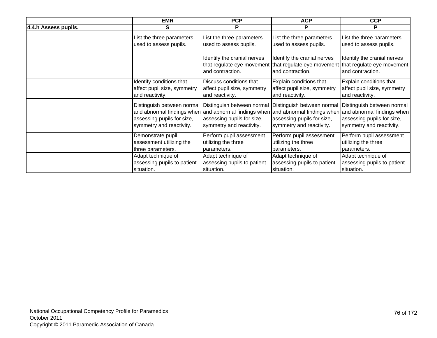|                      | <b>EMR</b>                                                                                                                                    | <b>PCP</b>                                             | <b>ACP</b>                                                                           | <b>CCP</b>                                                                                                                                                               |
|----------------------|-----------------------------------------------------------------------------------------------------------------------------------------------|--------------------------------------------------------|--------------------------------------------------------------------------------------|--------------------------------------------------------------------------------------------------------------------------------------------------------------------------|
| 4.4.h Assess pupils. | S                                                                                                                                             | P                                                      | P                                                                                    | P                                                                                                                                                                        |
|                      | List the three parameters                                                                                                                     | List the three parameters                              | List the three parameters                                                            | List the three parameters                                                                                                                                                |
|                      | used to assess pupils.                                                                                                                        | used to assess pupils.                                 | used to assess pupils.                                                               | used to assess pupils.                                                                                                                                                   |
|                      |                                                                                                                                               | Identify the cranial nerves<br>and contraction.        | Identify the cranial nerves<br>and contraction.                                      | Identify the cranial nerves<br>that regulate eye movement that regulate eye movement that regulate eye movement<br>and contraction.                                      |
|                      | Identify conditions that                                                                                                                      | Discuss conditions that                                | Explain conditions that                                                              | Explain conditions that                                                                                                                                                  |
|                      | affect pupil size, symmetry                                                                                                                   | affect pupil size, symmetry                            | affect pupil size, symmetry                                                          | affect pupil size, symmetry                                                                                                                                              |
|                      | and reactivity.                                                                                                                               | and reactivity.                                        | and reactivity.                                                                      | and reactivity.                                                                                                                                                          |
|                      | Distinguish between normal Distinguish between normal<br>and abnormal findings when<br>assessing pupils for size,<br>symmetry and reactivity. | assessing pupils for size,<br>symmetry and reactivity. | Distinguish between normal<br>assessing pupils for size,<br>symmetry and reactivity. | Distinguish between normal<br>and abnormal findings when and abnormal findings when and abnormal findings when<br>assessing pupils for size,<br>symmetry and reactivity. |
|                      | Demonstrate pupil                                                                                                                             | Perform pupil assessment                               | Perform pupil assessment                                                             | Perform pupil assessment                                                                                                                                                 |
|                      | assessment utilizing the                                                                                                                      | utilizing the three                                    | utilizing the three                                                                  | utilizing the three                                                                                                                                                      |
|                      | three parameters.                                                                                                                             | parameters.                                            | parameters.                                                                          | parameters.                                                                                                                                                              |
|                      | Adapt technique of                                                                                                                            | Adapt technique of                                     | Adapt technique of                                                                   | Adapt technique of                                                                                                                                                       |
|                      | assessing pupils to patient                                                                                                                   | assessing pupils to patient                            | assessing pupils to patient                                                          | assessing pupils to patient                                                                                                                                              |
|                      | situation.                                                                                                                                    | situation.                                             | situation.                                                                           | situation.                                                                                                                                                               |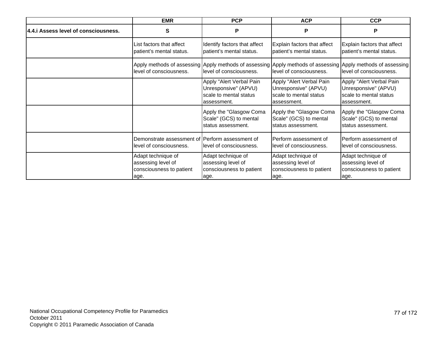|                                     | <b>EMR</b>                                                                   | <b>PCP</b>                                                                                | <b>ACP</b>                                                                                | <b>CCP</b>                                                                                                                             |
|-------------------------------------|------------------------------------------------------------------------------|-------------------------------------------------------------------------------------------|-------------------------------------------------------------------------------------------|----------------------------------------------------------------------------------------------------------------------------------------|
| 4.4. Assess level of consciousness. | S                                                                            | P                                                                                         | P                                                                                         | P                                                                                                                                      |
|                                     | List factors that affect<br>patient's mental status.                         | Identify factors that affect<br>patient's mental status.                                  | Explain factors that affect<br>patient's mental status.                                   | Explain factors that affect<br>patient's mental status.                                                                                |
|                                     | level of consciousness.                                                      | level of consciousness.                                                                   | level of consciousness.                                                                   | Apply methods of assessing Apply methods of assessing Apply methods of assessing Apply methods of assessing<br>level of consciousness. |
|                                     |                                                                              | Apply "Alert Verbal Pain<br>Unresponsive" (APVU)<br>scale to mental status<br>assessment. | Apply "Alert Verbal Pain<br>Unresponsive" (APVU)<br>scale to mental status<br>assessment. | Apply "Alert Verbal Pain<br>Unresponsive" (APVU)<br>scale to mental status<br>assessment.                                              |
|                                     |                                                                              | Apply the "Glasgow Coma<br>Scale" (GCS) to mental<br>status assessment.                   | Apply the "Glasgow Coma<br>Scale" (GCS) to mental<br>status assessment.                   | Apply the "Glasgow Coma<br>Scale" (GCS) to mental<br>status assessment.                                                                |
|                                     | Demonstrate assessment of Perform assessment of<br>level of consciousness.   | level of consciousness.                                                                   | Perform assessment of<br>level of consciousness.                                          | Perform assessment of<br>llevel of consciousness.                                                                                      |
|                                     | Adapt technique of<br>assessing level of<br>consciousness to patient<br>age. | Adapt technique of<br>assessing level of<br>consciousness to patient<br>age.              | Adapt technique of<br>assessing level of<br>consciousness to patient<br>age.              | Adapt technique of<br>assessing level of<br>consciousness to patient<br>age.                                                           |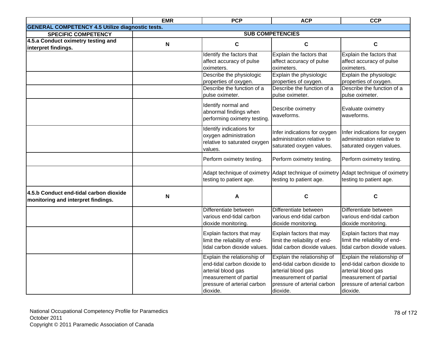|                                                                              | <b>EMR</b>                | <b>PCP</b>                                                                                                                                            | <b>ACP</b>                                                                                                                                            | <b>CCP</b>                                                                                                                                            |
|------------------------------------------------------------------------------|---------------------------|-------------------------------------------------------------------------------------------------------------------------------------------------------|-------------------------------------------------------------------------------------------------------------------------------------------------------|-------------------------------------------------------------------------------------------------------------------------------------------------------|
| <b>GENERAL COMPETENCY 4.5 Utilize diagnostic tests.</b>                      |                           |                                                                                                                                                       |                                                                                                                                                       |                                                                                                                                                       |
| <b>SPECIFIC COMPETENCY</b>                                                   |                           |                                                                                                                                                       | <b>SUB COMPETENCIES</b>                                                                                                                               |                                                                                                                                                       |
| 4.5.a Conduct oximetry testing and<br>interpret findings.                    | $\boldsymbol{\mathsf{N}}$ | $\mathbf c$                                                                                                                                           | $\mathbf C$                                                                                                                                           | $\mathbf c$                                                                                                                                           |
|                                                                              |                           | Identify the factors that<br>affect accuracy of pulse<br>oximeters.                                                                                   | Explain the factors that<br>affect accuracy of pulse<br>oximeters.                                                                                    | Explain the factors that<br>affect accuracy of pulse<br>oximeters.                                                                                    |
|                                                                              |                           | Describe the physiologic<br>properties of oxygen.                                                                                                     | Explain the physiologic<br>properties of oxygen.                                                                                                      | Explain the physiologic<br>properties of oxygen.                                                                                                      |
|                                                                              |                           | Describe the function of a<br>pulse oximeter.                                                                                                         | Describe the function of a<br>pulse oximeter.                                                                                                         | Describe the function of a<br>pulse oximeter.                                                                                                         |
|                                                                              |                           | Identify normal and<br>abnormal findings when<br>performing oximetry testing                                                                          | Describe oximetry<br>waveforms.                                                                                                                       | Evaluate oximetry<br>waveforms.                                                                                                                       |
|                                                                              |                           | Identify indications for<br>oxygen administration<br>relative to saturated oxyger<br>values.                                                          | Infer indications for oxygen<br>administration relative to<br>saturated oxygen values.                                                                | Infer indications for oxygen<br>administration relative to<br>saturated oxygen values.                                                                |
|                                                                              |                           | Perform oximetry testing.                                                                                                                             | Perform oximetry testing.                                                                                                                             | Perform oximetry testing.                                                                                                                             |
|                                                                              |                           | testing to patient age.                                                                                                                               | Adapt technique of oximetry Adapt technique of oximetry<br>testing to patient age.                                                                    | Adapt technique of oximetry<br>testing to patient age.                                                                                                |
| 4.5.b Conduct end-tidal carbon dioxide<br>monitoring and interpret findings. | N                         | А                                                                                                                                                     | C                                                                                                                                                     | C                                                                                                                                                     |
|                                                                              |                           | Differentiate between<br>various end-tidal carbon<br>dioxide monitoring.                                                                              | Differentiate between<br>various end-tidal carbon<br>dioxide monitoring.                                                                              | Differentiate between<br>various end-tidal carbon<br>dioxide monitoring.                                                                              |
|                                                                              |                           | Explain factors that may<br>limit the reliability of end-<br>tidal carbon dioxide values.                                                             | Explain factors that may<br>limit the reliability of end-<br>tidal carbon dioxide values.                                                             | Explain factors that may<br>limit the reliability of end-<br>tidal carbon dioxide values.                                                             |
|                                                                              |                           | Explain the relationship of<br>end-tidal carbon dioxide to<br>arterial blood gas<br>measurement of partial<br>pressure of arterial carbon<br>dioxide. | Explain the relationship of<br>end-tidal carbon dioxide to<br>arterial blood gas<br>measurement of partial<br>pressure of arterial carbon<br>dioxide. | Explain the relationship of<br>end-tidal carbon dioxide to<br>arterial blood gas<br>measurement of partial<br>pressure of arterial carbon<br>dioxide. |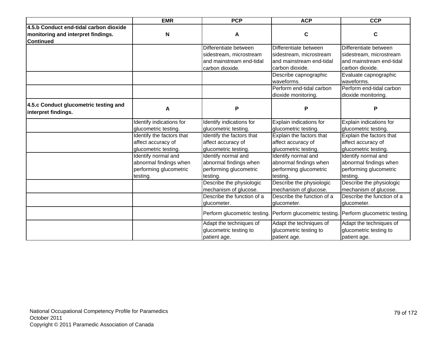|                                                              | <b>EMR</b>                | <b>PCP</b>                   | <b>ACP</b>                   | <b>CCP</b>                   |
|--------------------------------------------------------------|---------------------------|------------------------------|------------------------------|------------------------------|
| 4.5.b Conduct end-tidal carbon dioxide                       |                           |                              |                              |                              |
| monitoring and interpret findings.                           | N                         | A                            | $\mathbf c$                  | C                            |
| <b>Continued</b>                                             |                           |                              |                              |                              |
|                                                              |                           | Differentiate between        | Differentiate between        | Differentiate between        |
|                                                              |                           | sidestream, microstream      | sidestream, microstream      | sidestream, microstream      |
|                                                              |                           | and mainstream end-tidal     | and mainstream end-tidal     | and mainstream end-tidal     |
|                                                              |                           | carbon dioxide.              | carbon dioxide.              | carbon dioxide.              |
|                                                              |                           |                              | Describe capnographic        | Evaluate capnographic        |
|                                                              |                           |                              | waveforms.                   | waveforms.                   |
|                                                              |                           |                              | Perform end-tidal carbon     | Perform end-tidal carbon     |
|                                                              |                           |                              | dioxide monitoring.          | dioxide monitoring.          |
| 4.5.c Conduct glucometric testing and<br>interpret findings. | A                         | P                            | P                            | P                            |
|                                                              | Identify indications for  | Identify indications for     | Explain indications for      | Explain indications for      |
|                                                              | glucometric testing.      | glucometric testing.         | glucometric testing.         | glucometric testing.         |
|                                                              | Identify the factors that | Identify the factors that    | Explain the factors that     | Explain the factors that     |
|                                                              | affect accuracy of        | affect accuracy of           | affect accuracy of           | affect accuracy of           |
|                                                              | glucometric testing.      | glucometric testing.         | glucometric testing.         | glucometric testing.         |
|                                                              | Identify normal and       | Identify normal and          | Identify normal and          | Identify normal and          |
|                                                              | abnormal findings when    | abnormal findings when       | abnormal findings when       | abnormal findings when       |
|                                                              | performing glucometric    | performing glucometric       | performing glucometric       | performing glucometric       |
|                                                              | testing.                  | testing.                     | testing.                     | testing.                     |
|                                                              |                           | Describe the physiologic     | Describe the physiologic     | Describe the physiologic     |
|                                                              |                           | mechanism of glucose.        | mechanism of glucose.        | mechanism of glucose.        |
|                                                              |                           | Describe the function of a   | Describe the function of a   | Describe the function of a   |
|                                                              |                           | glucometer.                  | glucometer.                  | glucometer.                  |
|                                                              |                           | Perform glucometric testing. | Perform glucometric testing. | Perform glucometric testing. |
|                                                              |                           | Adapt the techniques of      | Adapt the techniques of      | Adapt the techniques of      |
|                                                              |                           | glucometric testing to       | glucometric testing to       | glucometric testing to       |
|                                                              |                           | patient age.                 | patient age.                 | patient age.                 |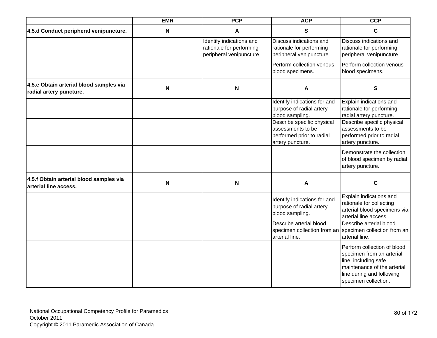|                                                                    | <b>EMR</b>  | <b>PCP</b>                                                                       | <b>ACP</b>                                                                                       | <b>CCP</b>                                                                                                                                                           |
|--------------------------------------------------------------------|-------------|----------------------------------------------------------------------------------|--------------------------------------------------------------------------------------------------|----------------------------------------------------------------------------------------------------------------------------------------------------------------------|
| 4.5.d Conduct peripheral venipuncture.                             | N           | A                                                                                | $\mathbf{s}$                                                                                     | $\mathbf C$                                                                                                                                                          |
|                                                                    |             | Identify indications and<br>rationale for performing<br>peripheral venipuncture. | Discuss indications and<br>rationale for performing<br>peripheral venipuncture.                  | Discuss indications and<br>rationale for performing<br>peripheral venipuncture.                                                                                      |
|                                                                    |             |                                                                                  | Perform collection venous<br>blood specimens.                                                    | Perform collection venous<br>blood specimens.                                                                                                                        |
| 4.5.e Obtain arterial blood samples via<br>radial artery puncture. | $\mathbf N$ | N                                                                                | A                                                                                                | ${\bf S}$                                                                                                                                                            |
|                                                                    |             |                                                                                  | Identify indications for and<br>purpose of radial artery<br>blood sampling.                      | Explain indications and<br>rationale for performing<br>radial artery puncture.                                                                                       |
|                                                                    |             |                                                                                  | Describe specific physical<br>assessments to be<br>performed prior to radial<br>artery puncture. | Describe specific physical<br>assessments to be<br>performed prior to radial<br>artery puncture.                                                                     |
|                                                                    |             |                                                                                  |                                                                                                  | Demonstrate the collection<br>of blood specimen by radial<br>artery puncture.                                                                                        |
| 4.5.f Obtain arterial blood samples via<br>arterial line access.   | N           | N                                                                                | A                                                                                                | C                                                                                                                                                                    |
|                                                                    |             |                                                                                  | Identify indications for and<br>purpose of radial artery<br>blood sampling.                      | Explain indications and<br>rationale for collecting<br>arterial blood specimens via<br>arterial line access.                                                         |
|                                                                    |             |                                                                                  | Describe arterial blood<br>specimen collection from an<br>arterial line.                         | Describe arterial blood<br>specimen collection from an<br>arterial line.                                                                                             |
|                                                                    |             |                                                                                  |                                                                                                  | Perform collection of blood<br>specimen from an arterial<br>line, including safe<br>maintenance of the arterial<br>line during and following<br>specimen collection. |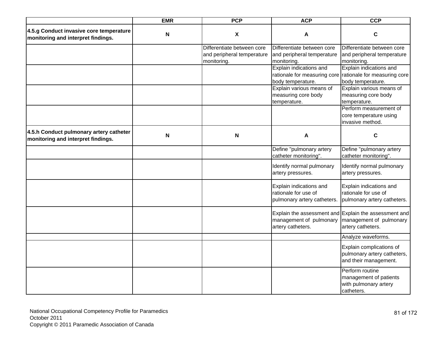|                                                                               | <b>EMR</b>                | <b>PCP</b>                                                              | <b>ACP</b>                                                                     | <b>CCP</b>                                                                                                |
|-------------------------------------------------------------------------------|---------------------------|-------------------------------------------------------------------------|--------------------------------------------------------------------------------|-----------------------------------------------------------------------------------------------------------|
| 4.5.g Conduct invasive core temperature<br>monitoring and interpret findings. | $\mathbf N$               | $\pmb{\mathsf{X}}$                                                      | A                                                                              | $\mathbf c$                                                                                               |
|                                                                               |                           | Differentiate between core<br>and peripheral temperature<br>monitoring. | Differentiate between core<br>and peripheral temperature<br>monitoring.        | Differentiate between core<br>and peripheral temperature<br>monitoring.                                   |
|                                                                               |                           |                                                                         | Explain indications and<br>body temperature.                                   | Explain indications and<br>rationale for measuring core rationale for measuring core<br>body temperature. |
|                                                                               |                           |                                                                         | Explain various means of<br>measuring core body<br>temperature.                | Explain various means of<br>measuring core body<br>temperature.                                           |
|                                                                               |                           |                                                                         |                                                                                | Perform measurement of<br>core temperature using<br>invasive method.                                      |
| 4.5.h Conduct pulmonary artery catheter<br>monitoring and interpret findings. | $\boldsymbol{\mathsf{N}}$ | $\boldsymbol{\mathsf{N}}$                                               | A                                                                              | C                                                                                                         |
|                                                                               |                           |                                                                         | Define "pulmonary artery<br>catheter monitoring".                              | Define "pulmonary artery<br>catheter monitoring".                                                         |
|                                                                               |                           |                                                                         | Identify normal pulmonary<br>artery pressures.                                 | Identify normal pulmonary<br>artery pressures.                                                            |
|                                                                               |                           |                                                                         | Explain indications and<br>rationale for use of<br>pulmonary artery catheters. | Explain indications and<br>rationale for use of<br>pulmonary artery catheters.                            |
|                                                                               |                           |                                                                         | management of pulmonary<br>artery catheters.                                   | Explain the assessment and Explain the assessment and<br>management of pulmonary<br>artery catheters.     |
|                                                                               |                           |                                                                         |                                                                                | Analyze waveforms.                                                                                        |
|                                                                               |                           |                                                                         |                                                                                | Explain complications of<br>pulmonary artery catheters,<br>and their management.                          |
|                                                                               |                           |                                                                         |                                                                                | Perform routine<br>management of patients<br>with pulmonary artery<br>catheters.                          |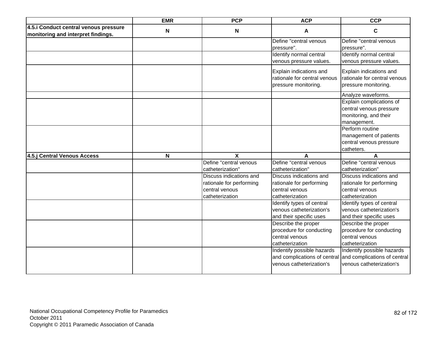|                                                                             | <b>EMR</b>  | <b>PCP</b>                                 | <b>ACP</b>                                                                       | <b>CCP</b>                                                                                  |
|-----------------------------------------------------------------------------|-------------|--------------------------------------------|----------------------------------------------------------------------------------|---------------------------------------------------------------------------------------------|
| 4.5.i Conduct central venous pressure<br>monitoring and interpret findings. | $\mathbf N$ | $\mathsf{N}$                               | A                                                                                | $\mathbf c$                                                                                 |
|                                                                             |             |                                            | Define "central venous<br>pressure".                                             | Define "central venous<br>pressure".                                                        |
|                                                                             |             |                                            | Identify normal central<br>venous pressure values.                               | Identify normal central<br>venous pressure values.                                          |
|                                                                             |             |                                            | Explain indications and<br>rationale for central venous<br>pressure monitoring.  | Explain indications and<br>rationale for central venous<br>pressure monitoring.             |
|                                                                             |             |                                            |                                                                                  | Analyze waveforms.                                                                          |
|                                                                             |             |                                            |                                                                                  | Explain complications of<br>central venous pressure<br>monitoring, and their<br>management. |
|                                                                             |             |                                            |                                                                                  | Perform routine<br>management of patients<br>central venous pressure<br>catheters.          |
| 4.5.j Central Venous Access                                                 | N           | X                                          | A                                                                                |                                                                                             |
|                                                                             |             | Define "central venous<br>catheterization" | Define "central venous<br>catheterization"                                       | Define "central venous<br>catheterization"                                                  |
|                                                                             |             | Discuss indications and                    | Discuss indications and                                                          | Discuss indications and                                                                     |
|                                                                             |             | rationale for performing                   | rationale for performing                                                         | rationale for performing                                                                    |
|                                                                             |             | central venous<br>catheterization          | central venous<br>catheterization                                                | central venous<br>catheterization                                                           |
|                                                                             |             |                                            | Identify types of central<br>venous catheterization's<br>and their specific uses | Identify types of central<br>venous catheterization's<br>and their specific uses            |
|                                                                             |             |                                            | Describe the proper                                                              | Describe the proper                                                                         |
|                                                                             |             |                                            | procedure for conducting                                                         | procedure for conducting                                                                    |
|                                                                             |             |                                            | central venous                                                                   | central venous                                                                              |
|                                                                             |             |                                            | catheterization                                                                  | catheterization                                                                             |
|                                                                             |             |                                            | Indentify possible hazards                                                       | Indentify possible hazards                                                                  |
|                                                                             |             |                                            |                                                                                  | and complications of central and complications of central                                   |
|                                                                             |             |                                            | venous catheterization's                                                         | venous catheterization's                                                                    |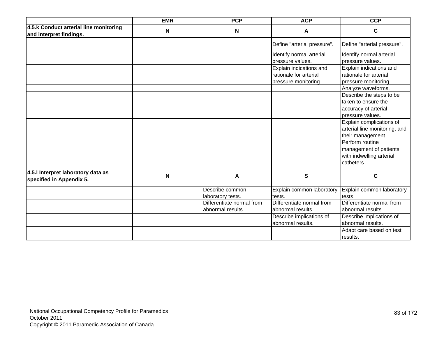|                                                                   | <b>EMR</b>  | <b>PCP</b>                                     | <b>ACP</b>                                                                | <b>CCP</b>                                                                                  |
|-------------------------------------------------------------------|-------------|------------------------------------------------|---------------------------------------------------------------------------|---------------------------------------------------------------------------------------------|
| 4.5.k Conduct arterial line monitoring<br>and interpret findings. | $\mathbf N$ | $\mathbf N$                                    | A                                                                         | $\mathbf c$                                                                                 |
|                                                                   |             |                                                | Define "arterial pressure".                                               | Define "arterial pressure".                                                                 |
|                                                                   |             |                                                | Identify normal arterial<br>pressure values.                              | Identify normal arterial<br>pressure values.                                                |
|                                                                   |             |                                                | Explain indications and<br>rationale for arterial<br>pressure monitoring. | Explain indications and<br>rationale for arterial<br>pressure monitoring.                   |
|                                                                   |             |                                                |                                                                           | Analyze waveforms.                                                                          |
|                                                                   |             |                                                |                                                                           | Describe the steps to be<br>taken to ensure the<br>accuracy of arterial<br>pressure values. |
|                                                                   |             |                                                |                                                                           | Explain complications of<br>arterial line monitoring, and<br>their management.              |
|                                                                   |             |                                                |                                                                           | Perform routine<br>management of patients<br>with indwelling arterial<br>catheters.         |
| 4.5.I Interpret laboratory data as<br>specified in Appendix 5.    | N           | A                                              | S                                                                         | C                                                                                           |
|                                                                   |             | Describe common<br>laboratory tests.           | Explain common laboratory<br>tests.                                       | Explain common laboratory<br>tests.                                                         |
|                                                                   |             | Differentiate normal from<br>abnormal results. | Differentiate normal from<br>abnormal results.                            | Differentiate normal from<br>abnormal results.                                              |
|                                                                   |             |                                                | Describe implications of<br>abnormal results.                             | Describe implications of<br>abnormal results.                                               |
|                                                                   |             |                                                |                                                                           | Adapt care based on test<br>results.                                                        |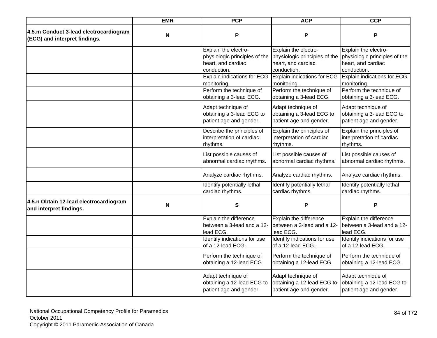|                                                                         | <b>EMR</b> | <b>PCP</b>                                                                                 | <b>ACP</b>                                                                                 | <b>CCP</b>                                                                                 |
|-------------------------------------------------------------------------|------------|--------------------------------------------------------------------------------------------|--------------------------------------------------------------------------------------------|--------------------------------------------------------------------------------------------|
| 4.5.m Conduct 3-lead electrocardiogram<br>(ECG) and interpret findings. | N          | P                                                                                          | P                                                                                          | P                                                                                          |
|                                                                         |            | Explain the electro-<br>physiologic principles of the<br>heart, and cardiac<br>conduction. | Explain the electro-<br>physiologic principles of the<br>heart, and cardiac<br>conduction. | Explain the electro-<br>physiologic principles of the<br>heart, and cardiac<br>conduction. |
|                                                                         |            | <b>Explain indications for ECG</b><br>monitoring.                                          | Explain indications for ECG<br>monitoring.                                                 | Explain indications for ECG<br>monitoring.                                                 |
|                                                                         |            | Perform the technique of<br>obtaining a 3-lead ECG.                                        | Perform the technique of<br>obtaining a 3-lead ECG.                                        | Perform the technique of<br>obtaining a 3-lead ECG.                                        |
|                                                                         |            | Adapt technique of<br>obtaining a 3-lead ECG to<br>patient age and gender.                 | Adapt technique of<br>obtaining a 3-lead ECG to<br>patient age and gender.                 | Adapt technique of<br>obtaining a 3-lead ECG to<br>patient age and gender.                 |
|                                                                         |            | Describe the principles of<br>interpretation of cardiac<br>rhythms.                        | Explain the principles of<br>interpretation of cardiac<br>rhythms.                         | Explain the principles of<br>interpretation of cardiac<br>rhythms.                         |
|                                                                         |            | List possible causes of<br>abnormal cardiac rhythms.                                       | List possible causes of<br>abnormal cardiac rhythms.                                       | List possible causes of<br>abnormal cardiac rhythms.                                       |
|                                                                         |            | Analyze cardiac rhythms.                                                                   | Analyze cardiac rhythms.                                                                   | Analyze cardiac rhythms.                                                                   |
|                                                                         |            | Identify potentially lethal<br>cardiac rhythms.                                            | Identify potentially lethal<br>cardiac rhythms.                                            | Identify potentially lethal<br>cardiac rhythms.                                            |
| 4.5.n Obtain 12-lead electrocardiogram<br>and interpret findings.       | N          | S                                                                                          | P                                                                                          | P                                                                                          |
|                                                                         |            | Explain the difference<br>between a 3-lead and a 12-<br>lead ECG.                          | Explain the difference<br>between a 3-lead and a 12-<br>lead ECG.                          | Explain the difference<br>between a 3-lead and a 12-<br>lead ECG.                          |
|                                                                         |            | Identify indications for use<br>of a 12-lead ECG.                                          | Identify indications for use<br>of a 12-lead ECG.                                          | Identify indications for use<br>of a 12-lead ECG.                                          |
|                                                                         |            | Perform the technique of<br>obtaining a 12-lead ECG.                                       | Perform the technique of<br>obtaining a 12-lead ECG.                                       | Perform the technique of<br>obtaining a 12-lead ECG.                                       |
|                                                                         |            | Adapt technique of<br>obtaining a 12-lead ECG to<br>patient age and gender.                | Adapt technique of<br>obtaining a 12-lead ECG to<br>patient age and gender.                | Adapt technique of<br>obtaining a 12-lead ECG to<br>patient age and gender.                |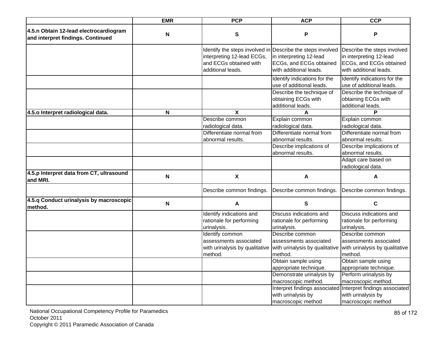|                                                                             | <b>EMR</b>                | <b>PCP</b>                                                                             | <b>ACP</b>                                                                                                                                 | <b>CCP</b>                                                                                                  |
|-----------------------------------------------------------------------------|---------------------------|----------------------------------------------------------------------------------------|--------------------------------------------------------------------------------------------------------------------------------------------|-------------------------------------------------------------------------------------------------------------|
| 4.5.n Obtain 12-lead electrocardiogram<br>and interpret findings. Continued | N                         | ${\bf S}$                                                                              | P                                                                                                                                          | P                                                                                                           |
|                                                                             |                           | interpreting 12-lead ECGs,<br>and ECGs obtained with<br>additional leads.              | Identify the steps involved in Describe the steps involved<br>in interpreting 12-lead<br>ECGs, and ECGs obtained<br>with additional leads. | Describe the steps involved<br>in interpreting 12-lead<br>ECGs, and ECGs obtained<br>with additional leads. |
|                                                                             |                           |                                                                                        | Identify indications for the<br>use of additional leads.                                                                                   | Identify indications for the<br>use of additional leads.                                                    |
|                                                                             |                           |                                                                                        | Describe the technique of<br>obtaining ECGs with<br>additional leads.                                                                      | Describe the technique of<br>obtaining ECGs with<br>additional leads.                                       |
| 4.5.0 Interpret radiological data.                                          | N                         | X                                                                                      |                                                                                                                                            |                                                                                                             |
|                                                                             |                           | Describe common<br>radiological data.<br>Differentiate normal from                     | Explain common<br>radiological data.<br>Differentiate normal from                                                                          | Explain common<br>radiological data.<br>Differentiate normal from                                           |
|                                                                             |                           | abnormal results.                                                                      | abnormal results.                                                                                                                          | abnormal results.                                                                                           |
|                                                                             |                           |                                                                                        | Describe implications of<br>abnormal results.                                                                                              | Describe implications of<br>abnormal results.                                                               |
|                                                                             |                           |                                                                                        |                                                                                                                                            | Adapt care based on<br>radiological data.                                                                   |
| 4.5.p Interpret data from CT, ultrasound<br>and MRI.                        | $\mathbf N$               | $\pmb{\chi}$                                                                           | A                                                                                                                                          | A                                                                                                           |
|                                                                             |                           | Describe common findings.                                                              | Describe common findings.                                                                                                                  | Describe common findings.                                                                                   |
| 4.5.q Conduct urinalysis by macroscopic<br>method.                          | $\boldsymbol{\mathsf{N}}$ | A                                                                                      | $\mathbf s$                                                                                                                                | C                                                                                                           |
|                                                                             |                           | Identify indications and<br>rationale for performing<br>urinalysis.                    | Discuss indications and<br>rationale for performing<br>urinalysis.                                                                         | Discuss indications and<br>rationale for performing<br>urinalysis.                                          |
|                                                                             |                           | Identify common<br>assessments associated<br>with urinalysis by qualitative<br>method. | Describe common<br>assessments associated<br>with urinalysis by qualitative<br>method.                                                     | Describe common<br>assessments associated<br>with urinalysis by qualitative<br>method.                      |
|                                                                             |                           |                                                                                        | Obtain sample using<br>appropriate technique.                                                                                              | Obtain sample using<br>appropriate technique.                                                               |
|                                                                             |                           |                                                                                        | Demonstrate urinalysis by<br>macroscopic method.                                                                                           | Perform urinalysis by<br>macroscopic method.<br>Interpret findings associated Interpret findings associated |
|                                                                             |                           |                                                                                        | with urinalysis by<br>macroscopic method                                                                                                   | with urinalysis by<br>macroscopic method                                                                    |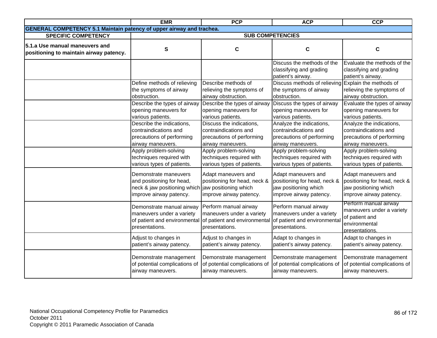|                                                                             | <b>EMR</b>                                                                                                                          | <b>PCP</b>                                                                                             | <b>ACP</b>                                                                                              | <b>CCP</b>                                                                                              |
|-----------------------------------------------------------------------------|-------------------------------------------------------------------------------------------------------------------------------------|--------------------------------------------------------------------------------------------------------|---------------------------------------------------------------------------------------------------------|---------------------------------------------------------------------------------------------------------|
| <b>GENERAL COMPETENCY 5.1 Maintain patency of upper airway and trachea.</b> |                                                                                                                                     |                                                                                                        |                                                                                                         |                                                                                                         |
| <b>SPECIFIC COMPETENCY</b>                                                  |                                                                                                                                     |                                                                                                        | <b>SUB COMPETENCIES</b>                                                                                 |                                                                                                         |
| 5.1.a Use manual maneuvers and<br>positioning to maintain airway patency.   | ${\bf S}$                                                                                                                           | $\mathbf c$                                                                                            | $\mathbf C$                                                                                             | C                                                                                                       |
|                                                                             |                                                                                                                                     |                                                                                                        | Discuss the methods of the<br>classifying and grading<br>patient's airway.                              | Evaluate the methods of the<br>classifying and grading<br>patient's airway.                             |
|                                                                             | Define methods of relieving<br>the symptoms of airway<br>obstruction.                                                               | Describe methods of<br>relieving the symptoms of<br>airway obstruction.                                | Discuss methods of relieving Explain the methods of<br>the symptoms of airway<br>obstruction.           | relieving the symptoms of<br>airway obstruction.                                                        |
|                                                                             | Describe the types of airway<br>opening maneuvers for<br>various patients.<br>Describe the indications,                             | Describe the types of airway<br>opening maneuvers for<br>various patients.<br>Discuss the indications. | Discuss the types of airway<br>opening maneuvers for<br>various patients.<br>Analyze the indications,   | Evaluate the types of airway<br>opening maneuvers for<br>various patients.<br>Analyze the indications,  |
|                                                                             | contraindications and<br>precautions of performing<br>airway maneuvers.                                                             | contraindications and<br>precautions of performing<br>airway maneuvers.                                | contraindications and<br>precautions of performing<br>airway maneuvers.                                 | contraindications and<br>precautions of performing<br>airway maneuvers.                                 |
|                                                                             | Apply problem-solving<br>techniques required with<br>various types of patients.                                                     | Apply problem-solving<br>techniques required with<br>various types of patients.                        | Apply problem-solving<br>techniques required with<br>various types of patients.                         | Apply problem-solving<br>techniques required with<br>various types of patients.                         |
|                                                                             | Demonstrate maneuvers<br>and positioning for head,<br>neck & jaw positioning which jaw positioning which<br>improve airway patency. | Adapt maneuvers and<br>positioning for head, neck &<br>improve airway patency.                         | Adapt maneuvers and<br>positioning for head, neck &<br>jaw positioning which<br>improve airway patency. | Adapt maneuvers and<br>positioning for head, neck &<br>jaw positioning which<br>improve airway patency. |
|                                                                             | Demonstrate manual airway<br>maneuvers under a variety<br>of patient and environmental<br>presentations.                            | Perform manual airway<br>maneuvers under a variety<br>of patient and environmental<br>presentations.   | Perform manual airway<br>maneuvers under a variety<br>of patient and environmental<br>presentations.    | Perform manual airway<br>maneuvers under a variety<br>of patient and<br>environmental<br>presentations. |
|                                                                             | Adjust to changes in<br>patient's airway patency.                                                                                   | Adjust to changes in<br>patient's airway patency.                                                      | Adapt to changes in<br>patient's airway patency.                                                        | Adapt to changes in<br>patient's airway patency.                                                        |
|                                                                             | Demonstrate management<br>of potential complications of<br>airway maneuvers.                                                        | Demonstrate management<br>of potential complications of<br>airway maneuvers.                           | Demonstrate management<br>of potential complications of<br>airway maneuvers.                            | Demonstrate management<br>of potential complications of<br>airway maneuvers.                            |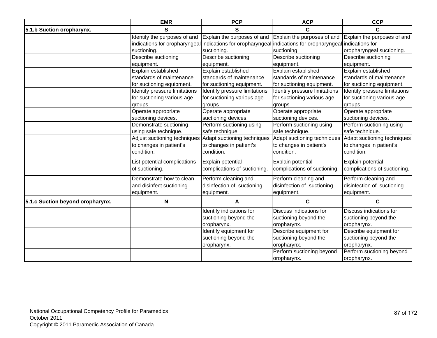|                                  | <b>EMR</b>                    | <b>PCP</b>                                                                                                | <b>ACP</b>                    | <b>CCP</b>                           |
|----------------------------------|-------------------------------|-----------------------------------------------------------------------------------------------------------|-------------------------------|--------------------------------------|
| 5.1.b Suction oropharynx.        | S                             | S                                                                                                         | C                             | C                                    |
|                                  | Identify the purposes of and  | Explain the purposes of and                                                                               | Explain the purposes of and   | Explain the purposes of and          |
|                                  |                               | indications for oropharyngeal indications for oropharyngeal indications for oropharyngeal indications for |                               |                                      |
|                                  | suctioning.                   | suctioning.                                                                                               | suctioning.                   | oropharyngeal suctioning.            |
|                                  | Describe suctioning           | Describe suctioning                                                                                       | Describe suctioning           | Describe suctioning                  |
|                                  | equipment.                    | equipment.                                                                                                | equipment.                    | equipment.                           |
|                                  | Explain established           | Explain established                                                                                       | Explain established           | Explain established                  |
|                                  | standards of maintenance      | standards of maintenance                                                                                  | standards of maintenance      | standards of maintenance             |
|                                  | for suctioning equipment.     | for suctioning equipment.                                                                                 | for suctioning equipment.     | for suctioning equipment.            |
|                                  | Identify pressure limitations | Identify pressure limitations                                                                             | Identify pressure limitations | <b>Identify pressure limitations</b> |
|                                  | for suctioning various age    | for suctioning various age                                                                                | for suctioning various age    | for suctioning various age           |
|                                  | groups.                       | groups.                                                                                                   | groups.                       | groups.                              |
|                                  | Operate appropriate           | Operate appropriate                                                                                       | Operate appropriate           | Operate appropriate                  |
|                                  | suctioning devices.           | suctioning devices.                                                                                       | suctioning devices.           | suctioning devices.                  |
|                                  | Demonstrate suctioning        | Perform suctioning using                                                                                  | Perform suctioning using      | Perform suctioning using             |
|                                  | using safe technique.         | safe technique.                                                                                           | safe technique.               | safe technique.                      |
|                                  | Adjust suctioning techniques  | Adapt suctioning techniques                                                                               | Adapt suctioning techniques   | Adapt suctioning techniques          |
|                                  | to changes in patient's       | to changes in patient's                                                                                   | to changes in patient's       | to changes in patient's              |
|                                  | condition.                    | condition.                                                                                                | condition.                    | condition.                           |
|                                  | List potential complications  | Explain potential                                                                                         | Explain potential             | Explain potential                    |
|                                  | of suctioning.                | complications of suctioning.                                                                              | complications of suctioning.  | complications of suctioning.         |
|                                  |                               |                                                                                                           |                               |                                      |
|                                  | Demonstrate how to clean      | Perform cleaning and                                                                                      | Perform cleaning and          | Perform cleaning and                 |
|                                  | and disinfect suctioning      | disinfection of suctioning                                                                                | disinfection of suctioning    | disinfection of suctioning           |
|                                  | equipment.                    | equipment.                                                                                                | equipment.                    | equipment.                           |
| 5.1.c Suction beyond oropharynx. | N                             | A                                                                                                         | C                             | C                                    |
|                                  |                               | Identify indications for                                                                                  | Discuss indications for       | Discuss indications for              |
|                                  |                               | suctioning beyond the                                                                                     | suctioning beyond the         | suctioning beyond the                |
|                                  |                               | oropharynx.                                                                                               | oropharynx.                   | oropharynx.                          |
|                                  |                               | Identify equipment for                                                                                    | Describe equipment for        | Describe equipment for               |
|                                  |                               | suctioning beyond the                                                                                     | suctioning beyond the         | suctioning beyond the                |
|                                  |                               | oropharynx.                                                                                               | oropharynx.                   | oropharynx.                          |
|                                  |                               |                                                                                                           | Perform suctioning beyond     | Perform suctioning beyond            |
|                                  |                               |                                                                                                           | oropharynx.                   | oropharynx.                          |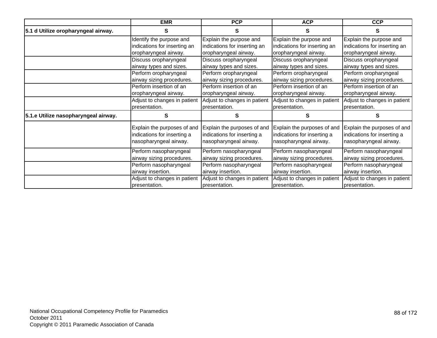|                                      | <b>EMR</b>                   | <b>PCP</b>                   | <b>ACP</b>                   | <b>CCP</b>                   |
|--------------------------------------|------------------------------|------------------------------|------------------------------|------------------------------|
| 5.1 d Utilize oropharyngeal airway.  | S                            | S                            | S                            | S                            |
|                                      | Identify the purpose and     | Explain the purpose and      | Explain the purpose and      | Explain the purpose and      |
|                                      | indications for inserting an | indications for inserting an | indications for inserting an | indications for inserting an |
|                                      | oropharyngeal airway.        | oropharyngeal airway.        | oropharyngeal airway.        | oropharyngeal airway.        |
|                                      | Discuss oropharyngeal        | Discuss oropharyngeal        | Discuss oropharyngeal        | Discuss oropharyngeal        |
|                                      | airway types and sizes.      | airway types and sizes.      | airway types and sizes.      | airway types and sizes.      |
|                                      | Perform oropharyngeal        | Perform oropharyngeal        | Perform oropharyngeal        | Perform oropharyngeal        |
|                                      | airway sizing procedures.    | airway sizing procedures.    | airway sizing procedures.    | airway sizing procedures.    |
|                                      | Perform insertion of an      | Perform insertion of an      | Perform insertion of an      | Perform insertion of an      |
|                                      | oropharyngeal airway.        | oropharyngeal airway.        | oropharyngeal airway.        | oropharyngeal airway.        |
|                                      | Adjust to changes in patient | Adjust to changes in patient | Adjust to changes in patient | Adjust to changes in patient |
|                                      | presentation.                | presentation.                | presentation.                | presentation.                |
| 5.1.e Utilize nasopharyngeal airway. | S                            | S                            | S                            | S                            |
|                                      | Explain the purposes of and  | Explain the purposes of and  | Explain the purposes of and  | Explain the purposes of and  |
|                                      | indications for inserting a  | indications for inserting a  | indications for inserting a  | indications for inserting a  |
|                                      | nasopharyngeal airway.       | nasopharyngeal airway.       | nasopharyngeal airway.       | nasopharyngeal airway.       |
|                                      | Perform nasopharyngeal       | Perform nasopharyngeal       | Perform nasopharyngeal       | Perform nasopharyngeal       |
|                                      | airway sizing procedures.    | airway sizing procedures.    | airway sizing procedures.    | airway sizing procedures.    |
|                                      | Perform nasopharyngeal       | Perform nasopharyngeal       | Perform nasopharyngeal       | Perform nasopharyngeal       |
|                                      | airway insertion.            | airway insertion.            | airway insertion.            | airway insertion.            |
|                                      | Adjust to changes in patient | Adjust to changes in patient | Adjust to changes in patient | Adjust to changes in patient |
|                                      | presentation.                | presentation.                | presentation.                | presentation.                |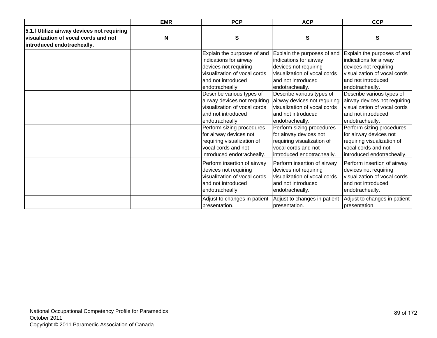|                                                                                                                  | <b>EMR</b> | <b>PCP</b>                                                                                                                                                                                | <b>ACP</b>                                                                                                                                                                                | <b>CCP</b>                                                                                                                                                                                |
|------------------------------------------------------------------------------------------------------------------|------------|-------------------------------------------------------------------------------------------------------------------------------------------------------------------------------------------|-------------------------------------------------------------------------------------------------------------------------------------------------------------------------------------------|-------------------------------------------------------------------------------------------------------------------------------------------------------------------------------------------|
| 5.1.f Utilize airway devices not requiring<br>visualization of vocal cords and not<br>introduced endotracheally. | N          | S                                                                                                                                                                                         | S                                                                                                                                                                                         | S                                                                                                                                                                                         |
|                                                                                                                  |            | Explain the purposes of and<br>indications for airway<br>devices not requiring<br>visualization of vocal cords<br>and not introduced<br>endotracheally.                                   | Explain the purposes of and<br>indications for airway<br>devices not requiring<br>visualization of vocal cords<br>and not introduced<br>endotracheally.                                   | Explain the purposes of and<br>indications for airway<br>devices not requiring<br>visualization of vocal cords<br>and not introduced<br>endotracheally.                                   |
|                                                                                                                  |            | Describe various types of<br>airway devices not requiring<br>visualization of vocal cords<br>and not introduced<br>endotracheally.<br>Perform sizing procedures<br>for airway devices not | Describe various types of<br>airway devices not requiring<br>visualization of vocal cords<br>and not introduced<br>endotracheally.<br>Perform sizing procedures<br>for airway devices not | Describe various types of<br>airway devices not requiring<br>visualization of vocal cords<br>and not introduced<br>endotracheally.<br>Perform sizing procedures<br>for airway devices not |
|                                                                                                                  |            | requiring visualization of<br>vocal cords and not<br>introduced endotracheally.                                                                                                           | requiring visualization of<br>vocal cords and not<br>introduced endotracheally.                                                                                                           | requiring visualization of<br>vocal cords and not<br>introduced endotracheally.                                                                                                           |
|                                                                                                                  |            | Perform insertion of airway<br>devices not requiring<br>visualization of vocal cords<br>and not introduced<br>endotracheally.                                                             | Perform insertion of airway<br>devices not requiring<br>visualization of vocal cords<br>and not introduced<br>endotracheally.                                                             | Perform insertion of airway<br>devices not requiring<br>visualization of vocal cords<br>and not introduced<br>endotracheally.                                                             |
|                                                                                                                  |            | Adjust to changes in patient<br>presentation.                                                                                                                                             | Adjust to changes in patient<br>presentation.                                                                                                                                             | Adjust to changes in patient<br>presentation.                                                                                                                                             |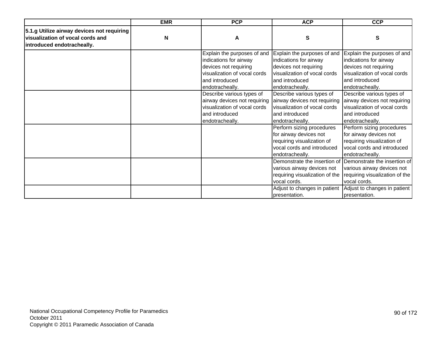|                                            | <b>EMR</b>  | <b>PCP</b>                                                                                                                     | <b>ACP</b>                                                                                                                         | <b>CCP</b>                                                                                                                         |
|--------------------------------------------|-------------|--------------------------------------------------------------------------------------------------------------------------------|------------------------------------------------------------------------------------------------------------------------------------|------------------------------------------------------------------------------------------------------------------------------------|
| 5.1.g Utilize airway devices not requiring |             |                                                                                                                                |                                                                                                                                    |                                                                                                                                    |
| visualization of vocal cords and           | $\mathbf N$ | A                                                                                                                              | S                                                                                                                                  | S                                                                                                                                  |
| introduced endotracheally.                 |             |                                                                                                                                |                                                                                                                                    |                                                                                                                                    |
|                                            |             | Explain the purposes of and<br>indications for airway<br>devices not requiring                                                 | Explain the purposes of and<br>indications for airway<br>devices not requiring                                                     | Explain the purposes of and<br>indications for airway<br>devices not requiring                                                     |
|                                            |             | visualization of vocal cords<br>and introduced                                                                                 | visualization of vocal cords<br>and introduced                                                                                     | visualization of vocal cords<br>and introduced                                                                                     |
|                                            |             | endotracheally.                                                                                                                | endotracheally.                                                                                                                    | endotracheally.                                                                                                                    |
|                                            |             | Describe various types of<br>airway devices not requiring<br>visualization of vocal cords<br>and introduced<br>endotracheally. | Describe various types of<br>airway devices not requiring<br>visualization of vocal cords<br>and introduced<br>endotracheally.     | Describe various types of<br>airway devices not requiring<br>visualization of vocal cords<br>and introduced<br>endotracheally.     |
|                                            |             |                                                                                                                                | Perform sizing procedures<br>for airway devices not<br>requiring visualization of<br>vocal cords and introduced<br>endotracheally. | Perform sizing procedures<br>for airway devices not<br>requiring visualization of<br>vocal cords and introduced<br>endotracheally. |
|                                            |             |                                                                                                                                | Demonstrate the insertion of<br>various airway devices not<br>requiring visualization of the<br>vocal cords.                       | Demonstrate the insertion of<br>various airway devices not<br>requiring visualization of the<br>vocal cords.                       |
|                                            |             |                                                                                                                                | Adjust to changes in patient<br>presentation.                                                                                      | Adjust to changes in patient<br>presentation.                                                                                      |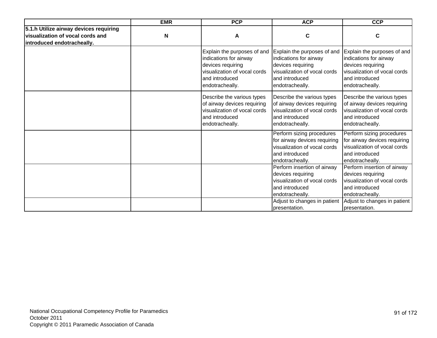|                                                                                                          | <b>EMR</b> | <b>PCP</b>                                                                                                                                      | <b>ACP</b>                                                                                                                                                             | <b>CCP</b>                                                                                                                                                             |
|----------------------------------------------------------------------------------------------------------|------------|-------------------------------------------------------------------------------------------------------------------------------------------------|------------------------------------------------------------------------------------------------------------------------------------------------------------------------|------------------------------------------------------------------------------------------------------------------------------------------------------------------------|
| 5.1.h Utilize airway devices requiring<br>visualization of vocal cords and<br>introduced endotracheally. | N          | A                                                                                                                                               | $\mathbf c$                                                                                                                                                            | C                                                                                                                                                                      |
|                                                                                                          |            | Explain the purposes of and<br>indications for airway<br>devices requiring<br>visualization of vocal cords<br>and introduced<br>endotracheally. | Explain the purposes of and<br>indications for airway<br>devices requiring<br>visualization of vocal cords<br>and introduced<br>endotracheally.                        | Explain the purposes of and<br>indications for airway<br>devices requiring<br>visualization of vocal cords<br>and introduced<br>endotracheally.                        |
|                                                                                                          |            | Describe the various types<br>of airway devices requiring<br>visualization of vocal cords<br>and introduced<br>endotracheally.                  | Describe the various types<br>of airway devices requiring<br>visualization of vocal cords<br>and introduced<br>endotracheally.                                         | Describe the various types<br>of airway devices requiring<br>visualization of vocal cords<br>and introduced<br>endotracheally.                                         |
|                                                                                                          |            |                                                                                                                                                 | Perform sizing procedures<br>for airway devices requiring<br>visualization of vocal cords<br>and introduced<br>endotracheally.                                         | Perform sizing procedures<br>for airway devices requiring<br>visualization of vocal cords<br>and introduced<br>endotracheally.                                         |
|                                                                                                          |            |                                                                                                                                                 | Perform insertion of airway<br>devices requiring<br>visualization of vocal cords<br>and introduced<br>endotracheally.<br>Adjust to changes in patient<br>presentation. | Perform insertion of airway<br>devices requiring<br>visualization of vocal cords<br>and introduced<br>endotracheally.<br>Adjust to changes in patient<br>bresentation. |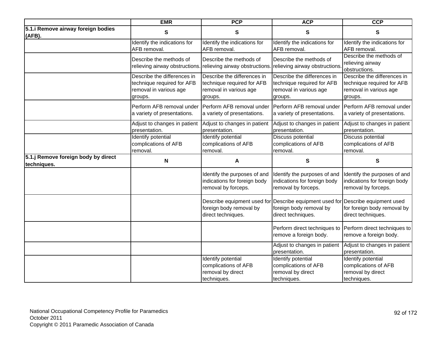|                                                    | <b>EMR</b>                                                                                     | <b>PCP</b>                                                                                     | <b>ACP</b>                                                                                                                       | <b>CCP</b>                                                                                     |
|----------------------------------------------------|------------------------------------------------------------------------------------------------|------------------------------------------------------------------------------------------------|----------------------------------------------------------------------------------------------------------------------------------|------------------------------------------------------------------------------------------------|
| 5.1. iRemove airway foreign bodies<br>(AFB).       | ${\bf S}$                                                                                      | ${\bf S}$                                                                                      | ${\bf S}$                                                                                                                        | S                                                                                              |
|                                                    | Identify the indications for<br>AFB removal.                                                   | Identify the indications for<br>AFB removal.                                                   | Identify the indications for<br>AFB removal.                                                                                     | Identify the indications for<br>AFB removal.                                                   |
|                                                    | Describe the methods of<br>relieving airway obstructions.                                      | Describe the methods of<br>relieving airway obstructions                                       | Describe the methods of<br>relieving airway obstructions                                                                         | Describe the methods of<br>relieving airway<br>obstructions.                                   |
|                                                    | Describe the differences in<br>technique required for AFB<br>removal in various age<br>groups. | Describe the differences in<br>technique required for AFB<br>removal in various age<br>groups. | Describe the differences in<br>technique required for AFB<br>removal in various age<br>groups.                                   | Describe the differences in<br>technique required for AFB<br>removal in various age<br>groups. |
|                                                    | Perform AFB removal under<br>a variety of presentations.                                       | Perform AFB removal under<br>a variety of presentations.                                       | Perform AFB removal under<br>a variety of presentations.                                                                         | Perform AFB removal under<br>a variety of presentations.                                       |
|                                                    | Adjust to changes in patient<br>presentation.                                                  | Adjust to changes in patient<br>presentation.                                                  | Adjust to changes in patient<br>presentation.                                                                                    | Adjust to changes in patient<br>presentation.                                                  |
|                                                    | <b>Identify potential</b><br>complications of AFB<br>removal.                                  | <b>Identify potential</b><br>complications of AFB<br>removal.                                  | Discuss potential<br>complications of AFB<br>removal.                                                                            | Discuss potential<br>complications of AFB<br>removal.                                          |
| 5.1.j Remove foreign body by direct<br>techniques. | N                                                                                              | A                                                                                              | $\mathbf{s}$                                                                                                                     | S                                                                                              |
|                                                    |                                                                                                | Identify the purposes of and<br>indications for foreign body<br>removal by forceps.            | Identify the purposes of and<br>indications for foreign body<br>removal by forceps.                                              | Identify the purposes of and<br>indications for foreign body<br>removal by forceps.            |
|                                                    |                                                                                                | foreign body removal by<br>direct techniques.                                                  | Describe equipment used for Describe equipment used for Describe equipment used<br>foreign body removal by<br>direct techniques. | for foreign body removal by<br>direct techniques.                                              |
|                                                    |                                                                                                |                                                                                                | Perform direct techniques to<br>remove a foreign body.                                                                           | Perform direct techniques to<br>remove a foreign body.                                         |
|                                                    |                                                                                                |                                                                                                | Adjust to changes in patient<br>presentation.                                                                                    | Adjust to changes in patient<br>presentation.                                                  |
|                                                    |                                                                                                | Identify potential<br>complications of AFB<br>removal by direct<br>techniques.                 | Identify potential<br>complications of AFB<br>removal by direct<br>techniques.                                                   | Identify potential<br>complications of AFB<br>removal by direct<br>techniques.                 |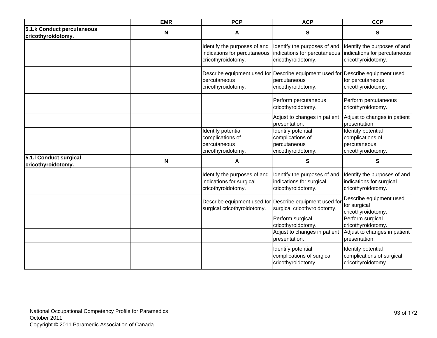|                                                  | <b>EMR</b> | <b>PCP</b>                                                                         | <b>ACP</b>                                                                                                            | <b>CCP</b>                                                                         |
|--------------------------------------------------|------------|------------------------------------------------------------------------------------|-----------------------------------------------------------------------------------------------------------------------|------------------------------------------------------------------------------------|
| 5.1.k Conduct percutaneous<br>cricothyroidotomy. | N          | Α                                                                                  | ${\bf S}$                                                                                                             | S                                                                                  |
|                                                  |            | Identify the purposes of and<br>indications for percutaneous<br>cricothyroidotomy. | Identify the purposes of and<br>indications for percutaneous<br>cricothyroidotomy.                                    | Identify the purposes of and<br>indications for percutaneous<br>cricothyroidotomy. |
|                                                  |            | percutaneous<br>cricothyroidotomy.                                                 | Describe equipment used for Describe equipment used for Describe equipment used<br>percutaneous<br>cricothyroidotomy. | for percutaneous<br>cricothyroidotomy.                                             |
|                                                  |            |                                                                                    | Perform percutaneous<br>cricothyroidotomy.                                                                            | Perform percutaneous<br>cricothyroidotomy.                                         |
|                                                  |            |                                                                                    | Adjust to changes in patient<br>presentation.                                                                         | Adjust to changes in patient<br>presentation.                                      |
|                                                  |            | Identify potential<br>complications of<br>percutaneous<br>cricothyroidotomy.       | Identify potential<br>complications of<br>percutaneous<br>cricothyroidotomy.                                          | Identify potential<br>complications of<br>percutaneous<br>cricothyroidotomy.       |
| 5.1.I Conduct surgical<br>cricothyroidotomy.     | N          | А                                                                                  | $\mathbf{s}$                                                                                                          | S                                                                                  |
|                                                  |            | Identify the purposes of and<br>indications for surgical<br>cricothyroidotomy.     | Identify the purposes of and<br>indications for surgical<br>cricothyroidotomy.                                        | Identify the purposes of and<br>indications for surgical<br>cricothyroidotomy.     |
|                                                  |            | surgical cricothyroidotomy.                                                        | Describe equipment used for Describe equipment used for<br>surgical cricothyroidotomy.                                | Describe equipment used<br>for surgical<br>cricothyroidotomy.                      |
|                                                  |            |                                                                                    | Perform surgical<br>cricothyroidotomy.                                                                                | Perform surgical<br>cricothyroidotomy.                                             |
|                                                  |            |                                                                                    | Adjust to changes in patient<br>presentation.                                                                         | Adjust to changes in patient<br>presentation.                                      |
|                                                  |            |                                                                                    | Identify potential<br>complications of surgical<br>cricothyroidotomy.                                                 | Identify potential<br>complications of surgical<br>cricothyroidotomy.              |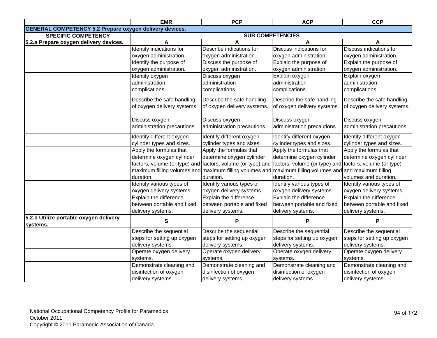|                                                                | <b>EMR</b>                                    | <b>PCP</b>                                                                                                          | <b>ACP</b>                                                                  | <b>CCP</b>                  |
|----------------------------------------------------------------|-----------------------------------------------|---------------------------------------------------------------------------------------------------------------------|-----------------------------------------------------------------------------|-----------------------------|
| <b>GENERAL COMPETENCY 5.2 Prepare oxygen delivery devices.</b> |                                               |                                                                                                                     |                                                                             |                             |
| <b>SPECIFIC COMPETENCY</b>                                     |                                               | <b>SUB COMPETENCIES</b>                                                                                             |                                                                             |                             |
| 5.2.a Prepare oxygen delivery devices.                         | A                                             |                                                                                                                     |                                                                             |                             |
|                                                                | Identify indications for                      | Describe indications for                                                                                            | Discuss indications for                                                     | Discuss indications for     |
|                                                                | oxygen administration.                        | oxygen administration.                                                                                              | oxygen administration.                                                      | oxygen administration.      |
|                                                                | Identify the purpose of                       | Discuss the purpose of                                                                                              | Explain the purpose of                                                      | Explain the purpose of      |
|                                                                | oxygen administration.                        | oxygen administration.                                                                                              | oxygen administration.                                                      | oxygen administration.      |
|                                                                | Identify oxygen                               | Discuss oxygen                                                                                                      | Explain oxygen                                                              | Explain oxygen              |
|                                                                | administration                                | administration                                                                                                      | administration                                                              | administration              |
|                                                                | complications.                                | complications.                                                                                                      | complications.                                                              | complications.              |
|                                                                | Describe the safe handling                    | Describe the safe handling                                                                                          | Describe the safe handling                                                  | Describe the safe handling  |
|                                                                | of oxygen delivery systems.                   | of oxygen delivery systems.                                                                                         | of oxygen delivery systems.                                                 | of oxygen delivery systems. |
|                                                                |                                               |                                                                                                                     |                                                                             |                             |
|                                                                |                                               | Discuss oxygen                                                                                                      | Discuss oxygen                                                              | Discuss oxygen              |
|                                                                | Discuss oxygen<br>administration precautions. |                                                                                                                     | administration precautions.                                                 | administration precautions. |
|                                                                |                                               | administration precautions.                                                                                         |                                                                             |                             |
|                                                                | Identify different oxygen                     | Identify different oxygen                                                                                           | Identify different oxygen                                                   | Identify different oxygen   |
|                                                                | cylinder types and sizes.                     | cylinder types and sizes.                                                                                           | cylinder types and sizes.                                                   | cylinder types and sizes.   |
|                                                                | Apply the formulas that                       | Apply the formulas that                                                                                             | Apply the formulas that                                                     | Apply the formulas that     |
|                                                                | determine oxygen cylinder                     | determine oxygen cylinder                                                                                           | determine oxygen cylinder                                                   | determine oxygen cylinder   |
|                                                                |                                               | factors, volume (or type) and factors, volume (or type) and factors, volume (or type) and factors, volume (or type) |                                                                             |                             |
|                                                                | maximum filling volumes and                   |                                                                                                                     | maximum filling volumes and maximum filling volumes and and maximum filling |                             |
|                                                                | duration.                                     | duration.                                                                                                           | duration.                                                                   | volumes and duration.       |
|                                                                | Identify various types of                     | Identify various types of                                                                                           | Identify various types of                                                   | Identify various types of   |
|                                                                | oxygen delivery systems.                      | oxygen delivery systems.                                                                                            | oxygen delivery systems.                                                    | oxygen delivery systems.    |
|                                                                | Explain the difference                        | Explain the difference                                                                                              | <b>Explain the difference</b>                                               | Explain the difference      |
|                                                                | between portable and fixed                    | between portable and fixed                                                                                          | between portable and fixed                                                  | between portable and fixed  |
|                                                                | delivery systems.                             | delivery systems.                                                                                                   | delivery systems.                                                           | delivery systems.           |
| 5.2.b Utilize portable oxygen delivery                         | S                                             | P                                                                                                                   | P                                                                           |                             |
| systems.                                                       |                                               |                                                                                                                     |                                                                             | P                           |
|                                                                | Describe the sequential                       | Describe the sequential                                                                                             | Describe the sequential                                                     | Describe the sequential     |
|                                                                | steps for setting up oxygen                   | steps for setting up oxygen                                                                                         | steps for setting up oxygen                                                 | steps for setting up oxygen |
|                                                                | delivery systems.                             | delivery systems.                                                                                                   | delivery systems.                                                           | delivery systems.           |
|                                                                | Operate oxygen delivery                       | Operate oxygen delivery                                                                                             | Operate oxygen delivery                                                     | Operate oxygen delivery     |
|                                                                | systems.                                      | systems.                                                                                                            | systems.                                                                    | systems.                    |
|                                                                | Demonstrate cleaning and                      | Demonstrate cleaning and                                                                                            | Demonstrate cleaning and                                                    | Demonstrate cleaning and    |
|                                                                | disinfection of oxygen                        | disinfection of oxygen                                                                                              | disinfection of oxygen                                                      | disinfection of oxygen      |
|                                                                | delivery systems.                             | delivery systems.                                                                                                   | delivery systems.                                                           | delivery systems.           |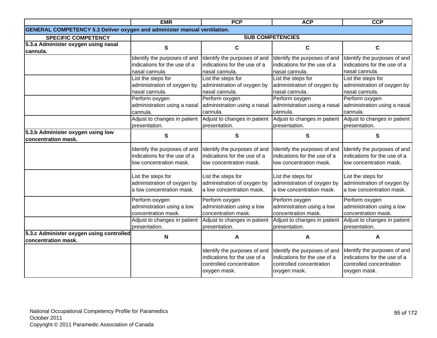|                                                                                 | <b>EMR</b>                   | <b>PCP</b>                   | <b>ACP</b>                   | <b>CCP</b>                   |
|---------------------------------------------------------------------------------|------------------------------|------------------------------|------------------------------|------------------------------|
| <b>GENERAL COMPETENCY 5.3 Deliver oxygen and administer manual ventilation.</b> |                              |                              |                              |                              |
| <b>SPECIFIC COMPETENCY</b>                                                      |                              |                              | <b>SUB COMPETENCIES</b>      |                              |
| 5.3.a Administer oxygen using nasal                                             | $\mathbf s$                  | $\mathbf c$                  | $\mathbf c$                  | $\mathbf c$                  |
| cannula.                                                                        |                              |                              |                              |                              |
|                                                                                 | Identify the purposes of and | Identify the purposes of and | Identify the purposes of and | Identify the purposes of and |
|                                                                                 | indications for the use of a | indications for the use of a | indications for the use of a | indications for the use of a |
|                                                                                 | nasal cannula.               | nasal cannula.               | nasal cannula.               | nasal cannula.               |
|                                                                                 | List the steps for           | List the steps for           | List the steps for           | List the steps for           |
|                                                                                 | administration of oxygen by  | administration of oxygen by  | administration of oxygen by  | administration of oxygen by  |
|                                                                                 | nasal cannula.               | nasal cannula.               | nasal cannula.               | nasal cannula.               |
|                                                                                 | Perform oxygen               | Perform oxygen               | Perform oxygen               | Perform oxygen               |
|                                                                                 | administration using a nasal | administration using a nasal | administration using a nasal | administration using a nasal |
|                                                                                 | cannula.                     | cannula.                     | cannula.                     | cannula.                     |
|                                                                                 | Adjust to changes in patient | Adjust to changes in patient | Adjust to changes in patient | Adjust to changes in patient |
|                                                                                 | presentation.                | presentation.                | presentation.                | presentation.                |
| 5.3.b Administer oxygen using low                                               | ${\bf S}$                    | ${\bf S}$                    | ${\bf S}$                    | ${\bf S}$                    |
| concentration mask.                                                             |                              |                              |                              |                              |
|                                                                                 | Identify the purposes of and | Identify the purposes of and | Identify the purposes of and | Identify the purposes of and |
|                                                                                 | indications for the use of a | indications for the use of a | indications for the use of a | indications for the use of a |
|                                                                                 | low concentration mask.      | low concentration mask.      | low concentration mask.      | low concentration mask.      |
|                                                                                 |                              |                              |                              |                              |
|                                                                                 | List the steps for           | List the steps for           | List the steps for           | List the steps for           |
|                                                                                 | administration of oxygen by  | administration of oxygen by  | administration of oxygen by  | administration of oxygen by  |
|                                                                                 | a low concentration mask.    | a low concentration mask.    | a low concentration mask.    | a low concentration mask.    |
|                                                                                 |                              |                              |                              |                              |
|                                                                                 | Perform oxygen               | Perform oxygen               | Perform oxygen               | Perform oxygen               |
|                                                                                 | administration using a low   | administration using a low   | administration using a low   | administration using a low   |
|                                                                                 | concentration mask.          | concentration mask.          | concentration mask.          | concentration mask.          |
|                                                                                 | Adjust to changes in patient | Adjust to changes in patient | Adjust to changes in patient | Adjust to changes in patient |
|                                                                                 | presentation.                | presentation.                | presentation.                | presentation.                |
| 5.3.c Administer oxygen using controlled                                        | ${\sf N}$                    | A                            | A                            | A                            |
| concentration mask.                                                             |                              |                              |                              |                              |
|                                                                                 |                              | Identify the purposes of and | Identify the purposes of and | Identify the purposes of and |
|                                                                                 |                              | indications for the use of a | indications for the use of a | indications for the use of a |
|                                                                                 |                              | controlled concentration     | controlled concentration     | controlled concentration     |
|                                                                                 |                              | oxygen mask.                 | oxygen mask.                 | oxygen mask.                 |
|                                                                                 |                              |                              |                              |                              |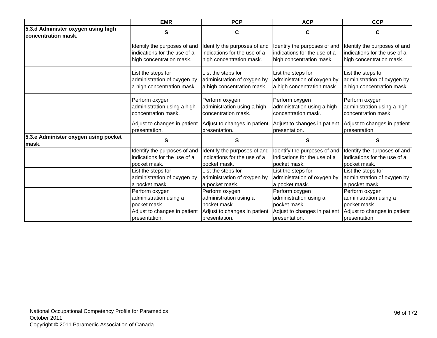|                                                           | <b>EMR</b>                   | <b>PCP</b>                   | <b>ACP</b>                   | <b>CCP</b>                   |
|-----------------------------------------------------------|------------------------------|------------------------------|------------------------------|------------------------------|
| 5.3.d Administer oxygen using high<br>concentration mask. | s                            | C                            | C                            | С                            |
|                                                           | Identify the purposes of and | Identify the purposes of and | Identify the purposes of and | Identify the purposes of and |
|                                                           | indications for the use of a | indications for the use of a | indications for the use of a | indications for the use of a |
|                                                           | high concentration mask.     | high concentration mask.     | high concentration mask.     | high concentration mask.     |
|                                                           | List the steps for           | List the steps for           | List the steps for           | List the steps for           |
|                                                           | administration of oxygen by  | administration of oxygen by  | administration of oxygen by  | administration of oxygen by  |
|                                                           | a high concentration mask.   | a high concentration mask.   | a high concentration mask.   | a high concentration mask.   |
|                                                           | Perform oxygen               | Perform oxygen               | Perform oxygen               | Perform oxygen               |
|                                                           | administration using a high  | administration using a high  | administration using a high  | administration using a high  |
|                                                           | concentration mask.          | concentration mask.          | concentration mask.          | concentration mask.          |
|                                                           | Adjust to changes in patient | Adjust to changes in patient | Adjust to changes in patient | Adjust to changes in patient |
|                                                           | presentation.                | presentation.                | presentation.                | presentation.                |
| 5.3.e Administer oxygen using pocket<br>lmask.            | $\mathbf{s}$                 | S                            | $\mathbf{s}$                 | S                            |
|                                                           | Identify the purposes of and | Identify the purposes of and | Identify the purposes of and | Identify the purposes of and |
|                                                           | indications for the use of a | indications for the use of a | indications for the use of a | indications for the use of a |
|                                                           | pocket mask.                 | pocket mask.                 | pocket mask.                 | pocket mask.                 |
|                                                           | List the steps for           | List the steps for           | List the steps for           | List the steps for           |
|                                                           | administration of oxygen by  | administration of oxygen by  | administration of oxygen by  | administration of oxygen by  |
|                                                           | a pocket mask.               | a pocket mask.               | a pocket mask.               | a pocket mask.               |
|                                                           | Perform oxygen               | Perform oxygen               | Perform oxygen               | Perform oxygen               |
|                                                           | administration using a       | administration using a       | administration using a       | administration using a       |
|                                                           | pocket mask.                 | pocket mask.                 | pocket mask.                 | pocket mask.                 |
|                                                           | Adjust to changes in patient | Adjust to changes in patient | Adjust to changes in patient | Adjust to changes in patient |
|                                                           | presentation.                | presentation.                | presentation.                | presentation.                |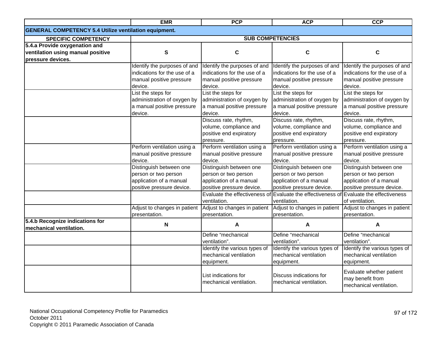|                                                              | <b>EMR</b>                   | <b>PCP</b>                                      | <b>ACP</b>                                                | <b>CCP</b>                                                              |
|--------------------------------------------------------------|------------------------------|-------------------------------------------------|-----------------------------------------------------------|-------------------------------------------------------------------------|
| <b>GENERAL COMPETENCY 5.4 Utilize ventilation equipment.</b> |                              |                                                 |                                                           |                                                                         |
| <b>SPECIFIC COMPETENCY</b>                                   |                              |                                                 | <b>SUB COMPETENCIES</b>                                   |                                                                         |
| 5.4.a Provide oxygenation and                                |                              |                                                 |                                                           |                                                                         |
| ventilation using manual positive                            | S                            | C                                               | C                                                         | C                                                                       |
| pressure devices.                                            |                              |                                                 |                                                           |                                                                         |
|                                                              | Identify the purposes of and | Identify the purposes of and                    | Identify the purposes of and                              | Identify the purposes of and                                            |
|                                                              | indications for the use of a | indications for the use of a                    | indications for the use of a                              | indications for the use of a                                            |
|                                                              | manual positive pressure     | manual positive pressure                        | manual positive pressure                                  | manual positive pressure                                                |
|                                                              | device.                      | device.                                         | device.                                                   | device.                                                                 |
|                                                              | List the steps for           | List the steps for                              | List the steps for                                        | List the steps for                                                      |
|                                                              | administration of oxygen by  | administration of oxygen by                     | administration of oxygen by                               | administration of oxygen by                                             |
|                                                              | a manual positive pressure   | a manual positive pressure                      | a manual positive pressure                                | a manual positive pressure                                              |
|                                                              | device.                      | device.                                         | device.                                                   | device.                                                                 |
|                                                              |                              | Discuss rate, rhythm,                           | Discuss rate, rhythm,                                     | Discuss rate, rhythm,                                                   |
|                                                              |                              | volume, compliance and                          | volume, compliance and                                    | volume, compliance and                                                  |
|                                                              |                              | positive end expiratory                         | positive end expiratory                                   | positive end expiratory                                                 |
|                                                              |                              | pressure.                                       | pressure.                                                 | pressure.                                                               |
|                                                              | Perform ventilation using a  | Perform ventilation using a                     | Perform ventilation using a                               | Perform ventilation using a                                             |
|                                                              | manual positive pressure     | manual positive pressure                        | manual positive pressure                                  | manual positive pressure                                                |
|                                                              | device.                      | device.                                         | device.                                                   | device.                                                                 |
|                                                              | Distinguish between one      | Distinguish between one                         | Distinguish between one                                   | Distinguish between one                                                 |
|                                                              | person or two person         | person or two person                            | person or two person                                      | person or two person                                                    |
|                                                              | application of a manual      | application of a manual                         | application of a manual                                   | application of a manual                                                 |
|                                                              | positive pressure device.    | positive pressure device.                       | positive pressure device.                                 | positive pressure device.                                               |
|                                                              |                              | Evaluate the effectiveness of                   | Evaluate the effectiveness of Evaluate the effectiveness  |                                                                         |
|                                                              |                              | ventilation.                                    | ventilation.                                              | of ventilation.                                                         |
|                                                              | Adjust to changes in patient | Adjust to changes in patient                    | Adjust to changes in patient Adjust to changes in patient |                                                                         |
|                                                              | presentation.                | presentation.                                   | presentation.                                             | presentation.                                                           |
| 5.4.b Recognize indications for<br>mechanical ventilation.   | N                            | A                                               | A                                                         | A                                                                       |
|                                                              |                              | Define "mechanical                              | Define "mechanical                                        | Define "mechanical                                                      |
|                                                              |                              | ventilation".                                   | ventilation".                                             | ventilation".                                                           |
|                                                              |                              | Identify the various types of                   | Identify the various types of                             | Identify the various types of                                           |
|                                                              |                              | mechanical ventilation                          | mechanical ventilation                                    | mechanical ventilation                                                  |
|                                                              |                              | equipment.                                      | equipment.                                                | equipment.                                                              |
|                                                              |                              | List indications for<br>mechanical ventilation. | Discuss indications for<br>mechanical ventilation.        | Evaluate whether patient<br>may benefit from<br>mechanical ventilation. |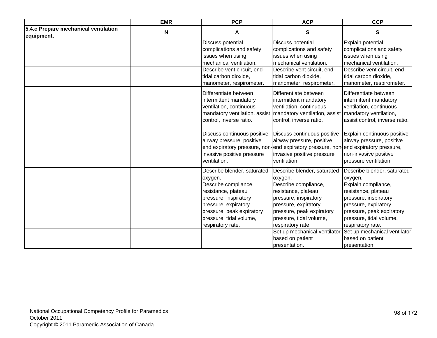|                                                    | <b>EMR</b> | <b>PCP</b>                                                                                                                                                                        | <b>ACP</b>                                                                                                                                                                                                                                     | <b>CCP</b>                                                                                                                                                                                                                                    |
|----------------------------------------------------|------------|-----------------------------------------------------------------------------------------------------------------------------------------------------------------------------------|------------------------------------------------------------------------------------------------------------------------------------------------------------------------------------------------------------------------------------------------|-----------------------------------------------------------------------------------------------------------------------------------------------------------------------------------------------------------------------------------------------|
| 5.4.c Prepare mechanical ventilation<br>equipment. | N          | Α                                                                                                                                                                                 | $\mathbf{s}$                                                                                                                                                                                                                                   | S                                                                                                                                                                                                                                             |
|                                                    |            | Discuss potential<br>complications and safety<br>issues when using<br>mechanical ventilation.<br>Describe vent circuit, end-<br>tidal carbon dioxide,<br>manometer, respirometer. | Discuss potential<br>complications and safety<br>issues when using<br>mechanical ventilation.<br>Describe vent circuit, end-<br>tidal carbon dioxide,<br>manometer, respirometer.                                                              | Explain potential<br>complications and safety<br>issues when using<br>mechanical ventilation.<br>Describe vent circuit, end-<br>tidal carbon dioxide,<br>manometer, respirometer.                                                             |
|                                                    |            | Differentiate between<br>intermittent mandatory<br>ventilation, continuous<br>control, inverse ratio.                                                                             | Differentiate between<br>intermittent mandatory<br>ventilation, continuous<br>mandatory ventilation, assist   mandatory ventilation, assist<br>control, inverse ratio.                                                                         | Differentiate between<br>intermittent mandatory<br>ventilation, continuous<br>mandatory ventilation,<br>assist control, inverse ratio.                                                                                                        |
|                                                    |            | Discuss continuous positive<br>airway pressure, positive<br>invasive positive pressure<br>ventilation.                                                                            | Discuss continuous positive<br>airway pressure, positive<br>end expiratory pressure, non-end expiratory pressure, non-end expiratory pressure,<br>invasive positive pressure<br>ventilation.                                                   | Explain continuous positive<br>airway pressure, positive<br>non-invasive positive<br>pressure ventilation.                                                                                                                                    |
|                                                    |            | Describe blender, saturated<br>oxygen.                                                                                                                                            | Describe blender, saturated<br>oxygen.                                                                                                                                                                                                         | Describe blender, saturated<br>oxygen.                                                                                                                                                                                                        |
|                                                    |            | Describe compliance,<br>resistance, plateau<br>pressure, inspiratory<br>pressure, expiratory<br>pressure, peak expiratory<br>pressure, tidal volume,<br>respiratory rate.         | Describe compliance,<br>resistance, plateau<br>pressure, inspiratory<br>pressure, expiratory<br>pressure, peak expiratory<br>pressure, tidal volume,<br>respiratory rate.<br>Set up mechanical ventilator<br>based on patient<br>presentation. | Explain compliance,<br>resistance, plateau<br>pressure, inspiratory<br>pressure, expiratory<br>pressure, peak expiratory<br>pressure, tidal volume,<br>respiratory rate.<br>Set up mechanical ventilator<br>based on patient<br>presentation. |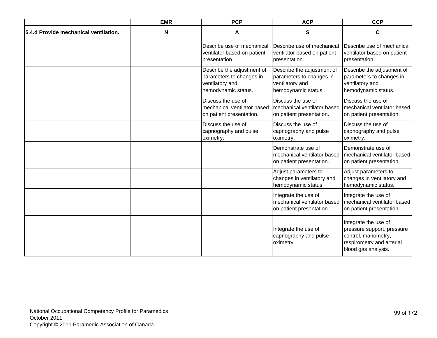|                                       | <b>EMR</b> | <b>PCP</b>                                                                                       | <b>ACP</b>                                                                                       | <b>CCP</b>                                                                                                                    |
|---------------------------------------|------------|--------------------------------------------------------------------------------------------------|--------------------------------------------------------------------------------------------------|-------------------------------------------------------------------------------------------------------------------------------|
| 5.4.d Provide mechanical ventilation. | Ν          | A                                                                                                | $\mathbf{s}$                                                                                     | C                                                                                                                             |
|                                       |            | Describe use of mechanical<br>ventilator based on patient<br>presentation.                       | Describe use of mechanical<br>ventilator based on patient<br>presentation.                       | Describe use of mechanical<br>ventilator based on patient<br>presentation.                                                    |
|                                       |            | Describe the adjustment of<br>parameters to changes in<br>ventilatory and<br>hemodynamic status. | Describe the adjustment of<br>parameters to changes in<br>ventilatory and<br>hemodynamic status. | Describe the adjustment of<br>parameters to changes in<br>ventilatory and<br>hemodynamic status.                              |
|                                       |            | Discuss the use of<br>mechanical ventilator based<br>on patient presentation.                    | Discuss the use of<br>mechanical ventilator based<br>on patient presentation.                    | Discuss the use of<br>mechanical ventilator based<br>on patient presentation.                                                 |
|                                       |            | Discuss the use of<br>capnography and pulse<br>oximetry.                                         | Discuss the use of<br>capnography and pulse<br>oximetry.                                         | Discuss the use of<br>capnography and pulse<br>oximetry.                                                                      |
|                                       |            |                                                                                                  | Demonstrate use of<br>mechanical ventilator based<br>on patient presentation.                    | Demonstrate use of<br>mechanical ventilator based<br>on patient presentation.                                                 |
|                                       |            |                                                                                                  | Adjust parameters to<br>changes in ventilatory and<br>hemodynamic status.                        | Adjust parameters to<br>changes in ventilatory and<br>hemodynamic status.                                                     |
|                                       |            |                                                                                                  | Integrate the use of<br>mechanical ventilator based<br>on patient presentation.                  | Integrate the use of<br>mechanical ventilator based<br>on patient presentation.                                               |
|                                       |            |                                                                                                  | Integrate the use of<br>capnography and pulse<br>oximetry.                                       | Integrate the use of<br>pressure support, pressure<br>control, manometry,<br>respirometry and arterial<br>blood gas analysis. |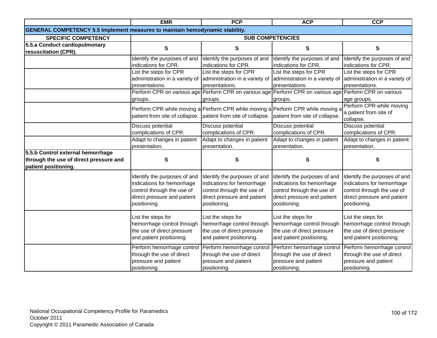|                                                                                                     | <b>EMR</b>                                                                                                                              | <b>PCP</b>                                                                                                                              | <b>ACP</b>                                                                                                                              | <b>CCP</b>                                                                                                                              |
|-----------------------------------------------------------------------------------------------------|-----------------------------------------------------------------------------------------------------------------------------------------|-----------------------------------------------------------------------------------------------------------------------------------------|-----------------------------------------------------------------------------------------------------------------------------------------|-----------------------------------------------------------------------------------------------------------------------------------------|
| <b>GENERAL COMPETENCY 5.5 Implement measures to maintain hemodynamic stability.</b>                 |                                                                                                                                         |                                                                                                                                         |                                                                                                                                         |                                                                                                                                         |
| <b>SPECIFIC COMPETENCY</b>                                                                          |                                                                                                                                         |                                                                                                                                         | <b>SUB COMPETENCIES</b>                                                                                                                 |                                                                                                                                         |
| 5.5.a Conduct cardiopulmonary<br>resuscitation (CPR).                                               | S                                                                                                                                       | S                                                                                                                                       | S                                                                                                                                       | S                                                                                                                                       |
|                                                                                                     | Identify the purposes of and<br>indications for CPR.                                                                                    | Identify the purposes of and<br>indications for CPR.                                                                                    | Identify the purposes of and<br>indications for CPR.                                                                                    | Identify the purposes of and<br>indications for CPR.                                                                                    |
|                                                                                                     | List the steps for CPR<br>administration in a variety of<br>presentations.                                                              | List the steps for CPR<br>administration in a variety of<br>presentations.                                                              | List the steps for CPR<br>administration in a variety of<br>presentations.                                                              | List the steps for CPR<br>administration in a variety of<br>presentations.                                                              |
|                                                                                                     | groups.                                                                                                                                 | groups.                                                                                                                                 | Perform CPR on various age Perform CPR on various age Perform CPR on various age Perform CPR on various<br>groups.                      | age groups.                                                                                                                             |
|                                                                                                     | patient from site of collapse. patient from site of collapse.                                                                           | Perform CPR while moving a Perform CPR while moving a Perform CPR while moving a                                                        | patient from site of collapse.                                                                                                          | Perform CPR while moving<br>a patient from site of<br>collapse.                                                                         |
|                                                                                                     | Discuss potential<br>complications of CPR.                                                                                              | Discuss potential<br>complications of CPR.                                                                                              | Discuss potential<br>complications of CPR.                                                                                              | <b>Discuss potential</b><br>complications of CPR.                                                                                       |
|                                                                                                     | Adapt to changes in patient<br>presentation.                                                                                            | Adapt to changes in patient<br>presentation.                                                                                            | Adapt to changes in patient<br>presentation.                                                                                            | Adapt to changes in patient<br>presentation.                                                                                            |
| 5.5.b Control external hemorrhage<br>through the use of direct pressure and<br>patient positioning. | S                                                                                                                                       | S                                                                                                                                       | S                                                                                                                                       | S                                                                                                                                       |
|                                                                                                     | Identify the purposes of and<br>indications for hemorrhage<br>control through the use of<br>direct pressure and patient<br>positioning. | Identify the purposes of and<br>indications for hemorrhage<br>control through the use of<br>direct pressure and patient<br>positioning. | Identify the purposes of and<br>indications for hemorrhage<br>control through the use of<br>direct pressure and patient<br>positioning. | Identify the purposes of and<br>indications for hemorrhage<br>control through the use of<br>direct pressure and patient<br>positioning. |
|                                                                                                     | List the steps for<br>hemorrhage control through<br>the use of direct pressure<br>and patient positioning.                              | List the steps for<br>hemorrhage control through<br>the use of direct pressure<br>and patient positioning.                              | List the steps for<br>hemorrhage control through<br>the use of direct pressure<br>and patient positioning.                              | List the steps for<br>hemorrhage control through<br>the use of direct pressure<br>and patient positioning.                              |
|                                                                                                     | Perform hemorrhage control Perform hemorrhage control<br>through the use of direct<br>pressure and patient<br>positioning.              | through the use of direct<br>pressure and patient<br>positioning.                                                                       | Perform hemorrhage control<br>through the use of direct<br>pressure and patient<br>positioning.                                         | Perform hemorrhage control<br>through the use of direct<br>pressure and patient<br>positioning.                                         |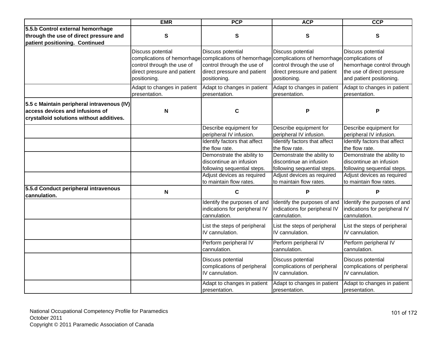|                                                                                                                           | <b>EMR</b>                                                                                     | <b>PCP</b>                                                                                                                                                                                             | <b>ACP</b>                                                                                                                                    | <b>CCP</b>                                                                                                                                    |
|---------------------------------------------------------------------------------------------------------------------------|------------------------------------------------------------------------------------------------|--------------------------------------------------------------------------------------------------------------------------------------------------------------------------------------------------------|-----------------------------------------------------------------------------------------------------------------------------------------------|-----------------------------------------------------------------------------------------------------------------------------------------------|
| 5.5.b Control external hemorrhage<br>through the use of direct pressure and<br>patient positioning. Continued             | S                                                                                              | ${\bf S}$                                                                                                                                                                                              | ${\sf S}$                                                                                                                                     | S                                                                                                                                             |
|                                                                                                                           | Discuss potential<br>control through the use of<br>direct pressure and patient<br>positioning. | Discuss potential<br>complications of hemorrhage complications of hemorrhage complications of hemorrhage complications of<br>control through the use of<br>direct pressure and patient<br>positioning. | Discuss potential<br>control through the use of<br>direct pressure and patient<br>positioning.                                                | Discuss potential<br>hemorrhage control through<br>the use of direct pressure<br>and patient positioning.                                     |
|                                                                                                                           | Adapt to changes in patient<br>presentation.                                                   | Adapt to changes in patient<br>presentation.                                                                                                                                                           | Adapt to changes in patient<br>presentation.                                                                                                  | Adapt to changes in patient<br>presentation.                                                                                                  |
| 5.5 c Maintain peripheral intravenous (IV)<br>access devices and infusions of<br>crystalloid solutions without additives. | N                                                                                              | $\mathbf c$                                                                                                                                                                                            | P                                                                                                                                             | P                                                                                                                                             |
|                                                                                                                           |                                                                                                | Describe equipment for<br>peripheral IV infusion.                                                                                                                                                      | Describe equipment for<br>peripheral IV infusion.                                                                                             | Describe equipment for<br>peripheral IV infusion.                                                                                             |
|                                                                                                                           |                                                                                                | Identify factors that affect<br>the flow rate.                                                                                                                                                         | Identify factors that affect<br>the flow rate.                                                                                                | Identify factors that affect<br>the flow rate.                                                                                                |
|                                                                                                                           |                                                                                                | Demonstrate the ability to<br>discontinue an infusion<br>following sequential steps.<br>Adjust devices as required<br>to maintain flow rates.                                                          | Demonstrate the ability to<br>discontinue an infusion<br>following sequential steps.<br>Adjust devices as required<br>to maintain flow rates. | Demonstrate the ability to<br>discontinue an infusion<br>following sequential steps.<br>Adjust devices as required<br>to maintain flow rates. |
| 5.5.d Conduct peripheral intravenous<br>cannulation.                                                                      | N                                                                                              | C                                                                                                                                                                                                      | P                                                                                                                                             | P                                                                                                                                             |
|                                                                                                                           |                                                                                                | Identify the purposes of and<br>indications for peripheral IV<br>cannulation.                                                                                                                          | Identify the purposes of and<br>indications for peripheral IV<br>cannulation.                                                                 | dentify the purposes of and<br>indications for peripheral IV<br>cannulation.                                                                  |
|                                                                                                                           |                                                                                                | List the steps of peripheral<br>IV cannulation.                                                                                                                                                        | List the steps of peripheral<br>IV cannulation.                                                                                               | List the steps of peripheral<br>IV cannulation.                                                                                               |
|                                                                                                                           |                                                                                                | Perform peripheral IV<br>cannulation.                                                                                                                                                                  | Perform peripheral IV<br>cannulation.                                                                                                         | Perform peripheral IV<br>cannulation.                                                                                                         |
|                                                                                                                           |                                                                                                | Discuss potential<br>complications of peripheral<br>IV cannulation.                                                                                                                                    | Discuss potential<br>complications of peripheral<br>IV cannulation.                                                                           | Discuss potential<br>complications of peripheral<br>IV cannulation.                                                                           |
|                                                                                                                           |                                                                                                | Adapt to changes in patient<br>presentation.                                                                                                                                                           | Adapt to changes in patient<br>presentation.                                                                                                  | Adapt to changes in patient<br>presentation.                                                                                                  |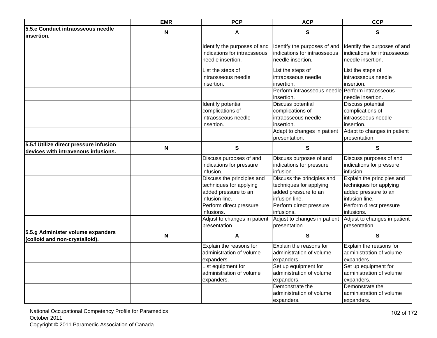|                                                                     | <b>EMR</b> | <b>PCP</b>                                                   | <b>ACP</b>                                                   | <b>CCP</b>                                                   |
|---------------------------------------------------------------------|------------|--------------------------------------------------------------|--------------------------------------------------------------|--------------------------------------------------------------|
| 5.5.e Conduct intraosseous needle                                   | N          | A                                                            | $\mathbf{s}$                                                 | S                                                            |
| insertion.                                                          |            |                                                              |                                                              |                                                              |
|                                                                     |            | Identify the purposes of and<br>indications for intraosseous | Identify the purposes of and<br>indications for intraosseous | Identify the purposes of and<br>indications for intraosseous |
|                                                                     |            | needle insertion.                                            | needle insertion.                                            | needle insertion.                                            |
|                                                                     |            |                                                              |                                                              |                                                              |
|                                                                     |            | List the steps of                                            | List the steps of                                            | List the steps of                                            |
|                                                                     |            | intraosseous needle                                          | intraosseous needle                                          | intraosseous needle                                          |
|                                                                     |            | insertion.                                                   | insertion.                                                   | insertion.                                                   |
|                                                                     |            |                                                              | Perform intraosseous needle                                  | Perform intraosseous                                         |
|                                                                     |            |                                                              | insertion.                                                   | needle insertion.                                            |
|                                                                     |            | Identify potential                                           | <b>Discuss potential</b>                                     | Discuss potential                                            |
|                                                                     |            | complications of                                             | complications of                                             | complications of                                             |
|                                                                     |            | intraosseous needle                                          | intraosseous needle                                          | intraosseous needle                                          |
|                                                                     |            | insertion.                                                   | insertion.                                                   | insertion.                                                   |
|                                                                     |            |                                                              | Adapt to changes in patient                                  | Adapt to changes in patient                                  |
|                                                                     |            |                                                              | presentation.                                                | presentation.                                                |
| 5.5.f Utilize direct pressure infusion                              | N          | ${\bf S}$                                                    | $\mathbf{s}$                                                 | $\mathbf{s}$                                                 |
| devices with intravenous infusions.                                 |            |                                                              |                                                              |                                                              |
|                                                                     |            | Discuss purposes of and                                      | Discuss purposes of and                                      | Discuss purposes of and                                      |
|                                                                     |            | indications for pressure                                     | indications for pressure                                     | indications for pressure                                     |
|                                                                     |            | infusion.                                                    | infusion.                                                    | infusion.                                                    |
|                                                                     |            | Discuss the principles and                                   | Discuss the principles and                                   | Explain the principles and                                   |
|                                                                     |            | techniques for applying                                      | techniques for applying                                      | techniques for applying                                      |
|                                                                     |            | added pressure to an                                         | added pressure to an                                         | added pressure to an                                         |
|                                                                     |            | infusion line.                                               | infusion line.                                               | infusion line.                                               |
|                                                                     |            | Perform direct pressure                                      | Perform direct pressure                                      | Perform direct pressure                                      |
|                                                                     |            | infusions.                                                   | infusions.                                                   | infusions.                                                   |
|                                                                     |            | Adjust to changes in patient                                 | Adjust to changes in patient Adjust to changes in patient    |                                                              |
|                                                                     |            | presentation.                                                | presentation.                                                | presentation.                                                |
| 5.5.g Administer volume expanders<br>(colloid and non-crystalloid). | N          | A                                                            | $\mathbf{s}$                                                 | $\mathbf{s}$                                                 |
|                                                                     |            | Explain the reasons for                                      | Explain the reasons for                                      | Explain the reasons for                                      |
|                                                                     |            | administration of volume                                     | administration of volume                                     | administration of volume                                     |
|                                                                     |            | expanders.                                                   | expanders.                                                   | expanders.                                                   |
|                                                                     |            | List equipment for                                           | Set up equipment for                                         | Set up equipment for                                         |
|                                                                     |            | administration of volume                                     | administration of volume                                     | administration of volume                                     |
|                                                                     |            | expanders.                                                   | expanders.                                                   | expanders.                                                   |
|                                                                     |            |                                                              | Demonstrate the                                              | Demonstrate the                                              |
|                                                                     |            |                                                              | administration of volume                                     | administration of volume                                     |
|                                                                     |            |                                                              | expanders.                                                   | expanders.                                                   |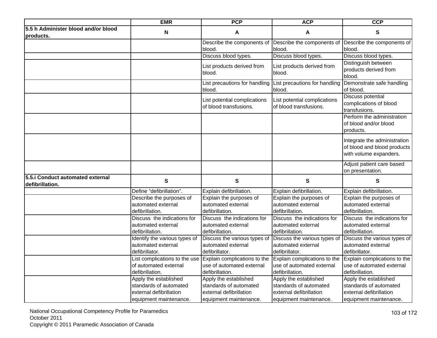|                                                     | <b>EMR</b>                                                            | <b>PCP</b>                                                           | <b>ACP</b>                                                                                        | <b>CCP</b>                                                                            |
|-----------------------------------------------------|-----------------------------------------------------------------------|----------------------------------------------------------------------|---------------------------------------------------------------------------------------------------|---------------------------------------------------------------------------------------|
| 5.5 h Administer blood and/or blood<br>products.    | N                                                                     | A                                                                    | A                                                                                                 | S                                                                                     |
|                                                     |                                                                       | Describe the components of<br>blood.                                 | Describe the components of<br>blood.                                                              | Describe the components of<br>blood.                                                  |
|                                                     |                                                                       | Discuss blood types.                                                 | Discuss blood types.                                                                              | Discuss blood types.                                                                  |
|                                                     |                                                                       | List products derived from<br>blood.                                 | List products derived from<br>blood.                                                              | Distinguish between<br>products derived from<br>blood.                                |
|                                                     |                                                                       | List precautions for handling<br>blood.                              | List precautions for handling<br>blood.                                                           | Demonstrate safe handling<br>of blood.                                                |
|                                                     |                                                                       | List potential complications<br>of blood transfusions.               | List potential complications<br>of blood transfusions.                                            | <b>Discuss potential</b><br>complications of blood<br>transfusions.                   |
|                                                     |                                                                       |                                                                      |                                                                                                   | Perform the administration<br>of blood and/or blood<br>products.                      |
|                                                     |                                                                       |                                                                      |                                                                                                   | Integrate the administration<br>of blood and blood products<br>with volume expanders. |
|                                                     |                                                                       |                                                                      |                                                                                                   | Adjust patient care based<br>on presentation.                                         |
| 5.5.i Conduct automated external<br>defibrillation. | ${\bf S}$                                                             | ${\bf S}$                                                            | ${\bf S}$                                                                                         | S                                                                                     |
|                                                     | Define "defibrillation".                                              | Explain defibrillation.                                              | Explain defibrillation.                                                                           | Explain defibrillation.                                                               |
|                                                     | Describe the purposes of                                              | Explain the purposes of                                              | Explain the purposes of                                                                           | Explain the purposes of                                                               |
|                                                     | automated external                                                    | automated external                                                   | automated external                                                                                | automated external                                                                    |
|                                                     | defibrillation.                                                       | defibrillation.                                                      | defibrillation.                                                                                   | defibrillation.                                                                       |
|                                                     | Discuss the indications for                                           | Discuss the indications for                                          | Discuss the indications for                                                                       | Discuss the indications for                                                           |
|                                                     | automated external                                                    | automated external                                                   | automated external                                                                                | automated external                                                                    |
|                                                     | defibrillation.                                                       | defibrillation.                                                      | defibrillation.                                                                                   | defibrillation.                                                                       |
|                                                     | Identify the various types of<br>automated external<br>defibrillator. | Discuss the various types of<br>automated external<br>defibrillator. | Discuss the various types of Discuss the various types of<br>automated external<br>defibrillator. | automated external<br>defibrillator.                                                  |
|                                                     | List complications to the use                                         | Explain complications to the                                         | Explain complications to the                                                                      | Explain complications to the                                                          |
|                                                     | of automated external                                                 | use of automated external                                            | use of automated external                                                                         | use of automated external                                                             |
|                                                     | defibrillation.                                                       | defibrillation.                                                      | defibrillation.                                                                                   | defibrillation.                                                                       |
|                                                     | Apply the established                                                 | Apply the established                                                | Apply the established                                                                             | Apply the established                                                                 |
|                                                     | standards of automated                                                | standards of automated                                               | standards of automated                                                                            | standards of automated                                                                |
|                                                     | external defibrillation                                               | external defibrillation                                              | external defibrillation                                                                           | external defibrillation                                                               |
|                                                     | equipment maintenance.                                                | equipment maintenance.                                               | equipment maintenance.                                                                            | equipment maintenance.                                                                |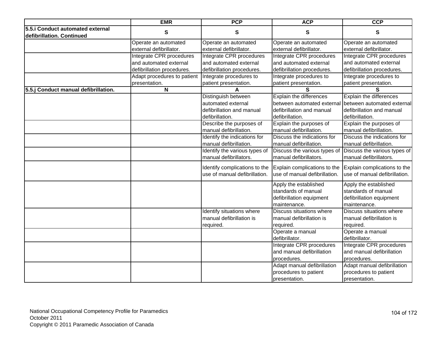|                                                               | <b>EMR</b>                                                                       | <b>PCP</b>                                                                                | <b>ACP</b>                                                                                            | <b>CCP</b>                                                                                            |
|---------------------------------------------------------------|----------------------------------------------------------------------------------|-------------------------------------------------------------------------------------------|-------------------------------------------------------------------------------------------------------|-------------------------------------------------------------------------------------------------------|
| 5.5.i Conduct automated external<br>defibrillation. Continued | S                                                                                | S                                                                                         | S                                                                                                     | S                                                                                                     |
|                                                               | Operate an automated<br>external defibrillator.                                  | Operate an automated<br>external defibrillator.                                           | Operate an automated<br>external defibrillator.                                                       | Operate an automated<br>external defibrillator.                                                       |
|                                                               | Integrate CPR procedures<br>and automated external<br>defibrillation procedures. | Integrate CPR procedures<br>and automated external<br>defibrillation procedures.          | Integrate CPR procedures<br>and automated external<br>defibrillation procedures.                      | Integrate CPR procedures<br>and automated external<br>defibrillation procedures.                      |
|                                                               | Adapt procedures to patient<br>presentation.                                     | Integrate procedures to<br>patient presentation.                                          | Integrate procedures to<br>patient presentation.                                                      | Integrate procedures to<br>patient presentation.                                                      |
| 5.5.j Conduct manual defibrillation.                          | N                                                                                |                                                                                           | S                                                                                                     | S                                                                                                     |
|                                                               |                                                                                  | Distinguish between<br>automated external<br>defibrillation and manual<br>defibrillation. | Explain the differences<br>between automated external<br>defibrillation and manual<br>defibrillation. | Explain the differences<br>between automated external<br>defibrillation and manual<br>defibrillation. |
|                                                               |                                                                                  | Describe the purposes of<br>manual defibrillation.                                        | Explain the purposes of<br>manual defibrillation.                                                     | Explain the purposes of<br>manual defibrillation.                                                     |
|                                                               |                                                                                  | Identify the indications for<br>manual defibrillation.                                    | Discuss the indications for<br>manual defibrillation.                                                 | Discuss the indications for<br>manual defibrillation.                                                 |
|                                                               |                                                                                  | Identify the various types of<br>manual defibrillators.                                   | Discuss the various types of<br>manual defibrillators.                                                | Discuss the various types of<br>manual defibrillators.                                                |
|                                                               |                                                                                  | Identify complications to the<br>use of manual defibrillation.                            | Explain complications to the<br>use of manual defibrillation.                                         | Explain complications to the<br>use of manual defibrillation.                                         |
|                                                               |                                                                                  |                                                                                           | Apply the established<br>standards of manual<br>defibrillation equipment<br>maintenance.              | Apply the established<br>standards of manual<br>defibrillation equipment<br>maintenance.              |
|                                                               |                                                                                  | Identify situations where<br>manual defibrillation is<br>required.                        | Discuss situations where<br>manual defibrillation is<br>required.                                     | Discuss situations where<br>manual defibrillation is<br>required.                                     |
|                                                               |                                                                                  |                                                                                           | Operate a manual<br>defibrillator.                                                                    | Operate a manual<br>defibrillator.                                                                    |
|                                                               |                                                                                  |                                                                                           | Integrate CPR procedures<br>and manual defibrillation<br>procedures.                                  | Integrate CPR procedures<br>and manual defibrillation<br>procedures.                                  |
|                                                               |                                                                                  |                                                                                           | Adapt manual defibrillation<br>procedures to patient<br>presentation.                                 | Adapt manual defibrillation<br>procedures to patient<br>presentation.                                 |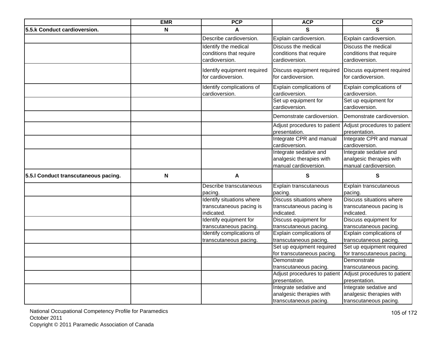|                                      | <b>EMR</b> | <b>PCP</b>                                        | <b>ACP</b>                                                                  | <b>CCP</b>                                                                  |
|--------------------------------------|------------|---------------------------------------------------|-----------------------------------------------------------------------------|-----------------------------------------------------------------------------|
| 5.5.k Conduct cardioversion.         | N          |                                                   | S                                                                           | S                                                                           |
|                                      |            | Describe cardioversion.                           | Explain cardioversion.                                                      | Explain cardioversion.                                                      |
|                                      |            | Identify the medical<br>conditions that require   | Discuss the medical<br>conditions that require                              | Discuss the medical<br>conditions that require                              |
|                                      |            | cardioversion.                                    | cardioversion.                                                              | cardioversion.                                                              |
|                                      |            | Identify equipment required<br>for cardioversion. | Discuss equipment required<br>for cardioversion.                            | Discuss equipment required<br>for cardioversion.                            |
|                                      |            |                                                   |                                                                             |                                                                             |
|                                      |            | Identify complications of<br>cardioversion.       | Explain complications of<br>cardioversion.                                  | Explain complications of<br>cardioversion.                                  |
|                                      |            |                                                   | Set up equipment for<br>cardioversion.                                      | Set up equipment for<br>cardioversion.                                      |
|                                      |            |                                                   | Demonstrate cardioversion.                                                  | Demonstrate cardioversion.                                                  |
|                                      |            |                                                   | Adjust procedures to patient<br>presentation.                               | Adjust procedures to patient<br>presentation.                               |
|                                      |            |                                                   | Integrate CPR and manual<br>cardioversion.                                  | Integrate CPR and manual<br>cardioversion.                                  |
|                                      |            |                                                   | Integrate sedative and<br>analgesic therapies with<br>manual cardioversion. | Integrate sedative and<br>analgesic therapies with<br>manual cardioversion. |
| 5.5.1 Conduct transcutaneous pacing. | N          | Α                                                 | S                                                                           | S                                                                           |
|                                      |            | Describe transcutaneous<br>pacing.                | Explain transcutaneous<br>pacing.                                           | Explain transcutaneous<br>pacing.                                           |
|                                      |            | Identify situations where                         | <b>Discuss situations where</b>                                             | Discuss situations where                                                    |
|                                      |            | transcutaneous pacing is                          | transcutaneous pacing is                                                    | transcutaneous pacing is                                                    |
|                                      |            | indicated.                                        | indicated.                                                                  | indicated.                                                                  |
|                                      |            | Identify equipment for                            | Discuss equipment for                                                       | Discuss equipment for                                                       |
|                                      |            | transcutaneous pacing.                            | transcutaneous pacing.                                                      | transcutaneous pacing.                                                      |
|                                      |            | Identify complications of                         | Explain complications of                                                    | Explain complications of                                                    |
|                                      |            | transcutaneous pacing.                            | transcutaneous pacing.<br>Set up equipment required                         | transcutaneous pacing.<br>Set up equipment required                         |
|                                      |            |                                                   | for transcutaneous pacing.                                                  | for transcutaneous pacing.                                                  |
|                                      |            |                                                   | Demonstrate                                                                 | Demonstrate                                                                 |
|                                      |            |                                                   | transcutaneous pacing.                                                      | transcutaneous pacing.                                                      |
|                                      |            |                                                   |                                                                             | Adjust procedures to patient Adjust procedures to patient                   |
|                                      |            |                                                   | presentation.                                                               | presentation.                                                               |
|                                      |            |                                                   | Integrate sedative and                                                      | Integrate sedative and                                                      |
|                                      |            |                                                   | analgesic therapies with                                                    | analgesic therapies with                                                    |
|                                      |            |                                                   | transcutaneous pacing.                                                      | transcutaneous pacing.                                                      |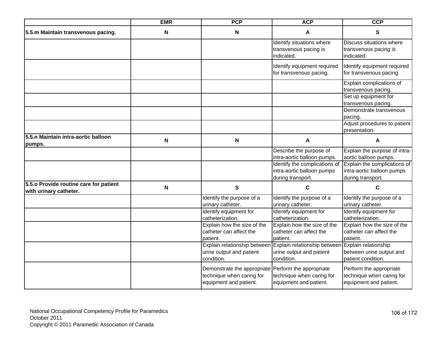|                                        | <b>EMR</b>                | <b>PCP</b>                                          | <b>ACP</b>                                        | <b>CCP</b>                    |
|----------------------------------------|---------------------------|-----------------------------------------------------|---------------------------------------------------|-------------------------------|
| 5.5.m Maintain transvenous pacing.     | N                         | N                                                   | A                                                 | S                             |
|                                        |                           |                                                     | Identify situations where                         | Discuss situations where      |
|                                        |                           |                                                     | transvenous pacing is                             | transvenous pacing is         |
|                                        |                           |                                                     | indicated.                                        | indicated.                    |
|                                        |                           |                                                     | Identify equipment required                       | Identify equipment required   |
|                                        |                           |                                                     | for transvenous pacing.                           | for transvenous pacing.       |
|                                        |                           |                                                     |                                                   | Explain complications of      |
|                                        |                           |                                                     |                                                   | transvenous pacing.           |
|                                        |                           |                                                     |                                                   | Set up equipment for          |
|                                        |                           |                                                     |                                                   | transvenous pacing.           |
|                                        |                           |                                                     |                                                   | Demonstrate transvenous       |
|                                        |                           |                                                     |                                                   | pacing.                       |
|                                        |                           |                                                     |                                                   | Adjust procedures to patient  |
|                                        |                           |                                                     |                                                   | presentation.                 |
| 5.5.n Maintain intra-aortic balloon    | N                         | N                                                   | A                                                 | A                             |
| pumps.                                 |                           |                                                     | Describe the purpose of                           | Explain the purpose of intra- |
|                                        |                           |                                                     | intra-aortic balloon pumps.                       | aortic balloon pumps.         |
|                                        |                           |                                                     | Identify the complications of                     | Explain the complications of  |
|                                        |                           |                                                     | intra-aortic balloon pumps                        | intra-aortic balloon pumps    |
|                                        |                           |                                                     | during transport.                                 | during transport.             |
| 5.5.0 Provide routine care for patient | $\boldsymbol{\mathsf{N}}$ | $\mathbf{s}$                                        | $\mathbf c$                                       | C                             |
| with urinary catheter.                 |                           |                                                     |                                                   |                               |
|                                        |                           | Identify the purpose of a                           | Identify the purpose of a                         | Identify the purpose of a     |
|                                        |                           | urinary catheter.                                   | urinary catheter.                                 | urinary catheter.             |
|                                        |                           | Identify equipment for                              | Identify equipment for                            | Identify equipment for        |
|                                        |                           | catheterization.                                    | catheterization.                                  | catheterization.              |
|                                        |                           | Explain how the size of the                         | Explain how the size of the                       | Explain how the size of the   |
|                                        |                           | catheter can affect the                             | catheter can affect the                           | catheter can affect the       |
|                                        |                           | patient.                                            | patient.                                          | patient.                      |
|                                        |                           | Explain relationship between                        | Explain relationship between Explain relationship |                               |
|                                        |                           | urine output and patient                            | urine output and patient                          | between urine output and      |
|                                        |                           | condition.                                          | condition.                                        | patient condition.            |
|                                        |                           | Demonstrate the appropriate Perform the appropriate |                                                   | Perform the appropriate       |
|                                        |                           | technique when caring for                           | technique when caring for                         | technique when caring for     |
|                                        |                           | equipment and patient.                              | equipment and patient.                            | equipment and patient.        |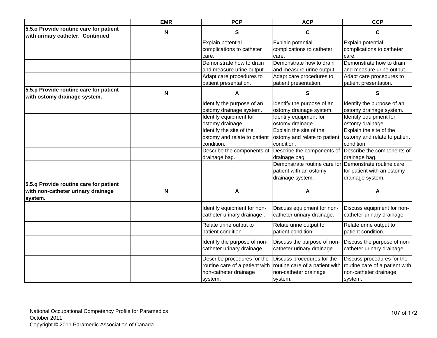|                                                                            | <b>EMR</b> | <b>PCP</b>                                                | <b>ACP</b>                                               | <b>CCP</b>                                               |
|----------------------------------------------------------------------------|------------|-----------------------------------------------------------|----------------------------------------------------------|----------------------------------------------------------|
| 5.5.0 Provide routine care for patient<br>with urinary catheter. Continued | N          | $\mathbf{s}$                                              | $\mathbf c$                                              | C                                                        |
|                                                                            |            | Explain potential                                         | Explain potential                                        | Explain potential                                        |
|                                                                            |            | complications to catheter                                 | complications to catheter                                | complications to catheter                                |
|                                                                            |            | care.                                                     | care.                                                    | care.                                                    |
|                                                                            |            | Demonstrate how to drain                                  | Demonstrate how to drain                                 | Demonstrate how to drain                                 |
|                                                                            |            | and measure urine output.                                 | and measure urine output.                                | and measure urine output.                                |
|                                                                            |            | Adapt care procedures to                                  | Adapt care procedures to                                 | Adapt care procedures to                                 |
|                                                                            |            | patient presentation.                                     | patient presentation.                                    | patient presentation.                                    |
| 5.5.p Provide routine care for patient<br>with ostomy drainage system.     | N          | А                                                         | S                                                        | S                                                        |
|                                                                            |            | Identify the purpose of an                                | Identify the purpose of an                               | Identify the purpose of an                               |
|                                                                            |            | ostomy drainage system.                                   | ostomy drainage system.                                  | ostomy drainage system.                                  |
|                                                                            |            | Identify equipment for<br>ostomy drainage.                | Identify equipment for<br>ostomy drainage.               | Identify equipment for<br>ostomy drainage.               |
|                                                                            |            | Identify the site of the                                  | Explain the site of the                                  | Explain the site of the                                  |
|                                                                            |            | ostomy and relate to patient                              | ostomy and relate to patient                             | ostomy and relate to patient                             |
|                                                                            |            | condition.                                                | condition.                                               | condition.                                               |
|                                                                            |            | Describe the components of                                | Describe the components of                               | Describe the components of                               |
|                                                                            |            | drainage bag.                                             | drainage bag.                                            | drainage bag.                                            |
|                                                                            |            |                                                           | Demonstrate routine care for                             | Demonstrate routine care                                 |
|                                                                            |            |                                                           | patient with an ostomy                                   | for patient with an ostomy                               |
|                                                                            |            |                                                           | drainage system.                                         | drainage system.                                         |
| 5.5.q Provide routine care for patient                                     |            |                                                           |                                                          |                                                          |
| with non-catheter urinary drainage                                         | N          | A                                                         | A                                                        | A                                                        |
| system.                                                                    |            |                                                           |                                                          |                                                          |
|                                                                            |            | Identify equipment for non-<br>catheter urinary drainage. | Discuss equipment for non-<br>catheter urinary drainage. | Discuss equipment for non-<br>catheter urinary drainage. |
|                                                                            |            | Relate urine output to                                    | Relate urine output to                                   | Relate urine output to                                   |
|                                                                            |            | patient condition.                                        | patient condition.                                       | patient condition.                                       |
|                                                                            |            | Identify the purpose of non-                              | Discuss the purpose of non-                              | Discuss the purpose of non-                              |
|                                                                            |            | catheter urinary drainage.                                | catheter urinary drainage.                               | catheter urinary drainage.                               |
|                                                                            |            | Describe procedures for the                               | Discuss procedures for the                               | Discuss procedures for the                               |
|                                                                            |            | routine care of a patient with                            | routine care of a patient with                           | routine care of a patient with                           |
|                                                                            |            | non-catheter drainage                                     | non-catheter drainage                                    | non-catheter drainage                                    |
|                                                                            |            | system.                                                   | system.                                                  | system.                                                  |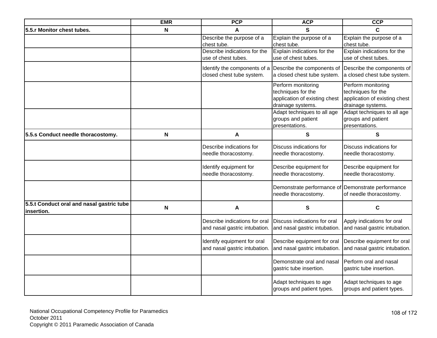| <b>EMR</b> | <b>PCP</b>                   | <b>ACP</b>                                                                                                                                                                                                                                                             | <b>CCP</b>                                                                                                                                                                                                                                                                                                                                                                                                                                                                            |
|------------|------------------------------|------------------------------------------------------------------------------------------------------------------------------------------------------------------------------------------------------------------------------------------------------------------------|---------------------------------------------------------------------------------------------------------------------------------------------------------------------------------------------------------------------------------------------------------------------------------------------------------------------------------------------------------------------------------------------------------------------------------------------------------------------------------------|
| N          | A                            | S                                                                                                                                                                                                                                                                      | C                                                                                                                                                                                                                                                                                                                                                                                                                                                                                     |
|            | Describe the purpose of a    | Explain the purpose of a                                                                                                                                                                                                                                               | Explain the purpose of a                                                                                                                                                                                                                                                                                                                                                                                                                                                              |
|            | chest tube.                  | chest tube.                                                                                                                                                                                                                                                            | chest tube.                                                                                                                                                                                                                                                                                                                                                                                                                                                                           |
|            |                              |                                                                                                                                                                                                                                                                        | Explain indications for the                                                                                                                                                                                                                                                                                                                                                                                                                                                           |
|            |                              |                                                                                                                                                                                                                                                                        | use of chest tubes.                                                                                                                                                                                                                                                                                                                                                                                                                                                                   |
|            | Identify the components of a |                                                                                                                                                                                                                                                                        | Describe the components of                                                                                                                                                                                                                                                                                                                                                                                                                                                            |
|            | closed chest tube system.    | a closed chest tube system.                                                                                                                                                                                                                                            | a closed chest tube system.                                                                                                                                                                                                                                                                                                                                                                                                                                                           |
|            |                              |                                                                                                                                                                                                                                                                        | Perform monitoring                                                                                                                                                                                                                                                                                                                                                                                                                                                                    |
|            |                              | techniques for the                                                                                                                                                                                                                                                     | techniques for the                                                                                                                                                                                                                                                                                                                                                                                                                                                                    |
|            |                              | application of existing chest                                                                                                                                                                                                                                          | application of existing chest                                                                                                                                                                                                                                                                                                                                                                                                                                                         |
|            |                              | drainage systems.                                                                                                                                                                                                                                                      | drainage systems.                                                                                                                                                                                                                                                                                                                                                                                                                                                                     |
|            |                              |                                                                                                                                                                                                                                                                        | Adapt techniques to all age                                                                                                                                                                                                                                                                                                                                                                                                                                                           |
|            |                              |                                                                                                                                                                                                                                                                        | groups and patient                                                                                                                                                                                                                                                                                                                                                                                                                                                                    |
|            |                              |                                                                                                                                                                                                                                                                        | presentations.                                                                                                                                                                                                                                                                                                                                                                                                                                                                        |
| N          | A                            | ${\bf S}$                                                                                                                                                                                                                                                              | S                                                                                                                                                                                                                                                                                                                                                                                                                                                                                     |
|            |                              |                                                                                                                                                                                                                                                                        | Discuss indications for                                                                                                                                                                                                                                                                                                                                                                                                                                                               |
|            |                              |                                                                                                                                                                                                                                                                        | needle thoracostomy.                                                                                                                                                                                                                                                                                                                                                                                                                                                                  |
|            |                              |                                                                                                                                                                                                                                                                        |                                                                                                                                                                                                                                                                                                                                                                                                                                                                                       |
|            | Identify equipment for       | Describe equipment for                                                                                                                                                                                                                                                 | Describe equipment for                                                                                                                                                                                                                                                                                                                                                                                                                                                                |
|            |                              |                                                                                                                                                                                                                                                                        | needle thoracostomy.                                                                                                                                                                                                                                                                                                                                                                                                                                                                  |
|            |                              |                                                                                                                                                                                                                                                                        | Demonstrate performance                                                                                                                                                                                                                                                                                                                                                                                                                                                               |
|            |                              | needle thoracostomy.                                                                                                                                                                                                                                                   | of needle thoracostomy.                                                                                                                                                                                                                                                                                                                                                                                                                                                               |
|            |                              |                                                                                                                                                                                                                                                                        |                                                                                                                                                                                                                                                                                                                                                                                                                                                                                       |
|            |                              |                                                                                                                                                                                                                                                                        | $\mathbf c$                                                                                                                                                                                                                                                                                                                                                                                                                                                                           |
|            |                              |                                                                                                                                                                                                                                                                        | Apply indications for oral                                                                                                                                                                                                                                                                                                                                                                                                                                                            |
|            |                              |                                                                                                                                                                                                                                                                        | and nasal gastric intubation.                                                                                                                                                                                                                                                                                                                                                                                                                                                         |
|            |                              |                                                                                                                                                                                                                                                                        |                                                                                                                                                                                                                                                                                                                                                                                                                                                                                       |
|            |                              |                                                                                                                                                                                                                                                                        | Describe equipment for oral                                                                                                                                                                                                                                                                                                                                                                                                                                                           |
|            |                              |                                                                                                                                                                                                                                                                        | and nasal gastric intubation.                                                                                                                                                                                                                                                                                                                                                                                                                                                         |
|            |                              |                                                                                                                                                                                                                                                                        | Perform oral and nasal                                                                                                                                                                                                                                                                                                                                                                                                                                                                |
|            |                              |                                                                                                                                                                                                                                                                        | gastric tube insertion.                                                                                                                                                                                                                                                                                                                                                                                                                                                               |
|            |                              |                                                                                                                                                                                                                                                                        |                                                                                                                                                                                                                                                                                                                                                                                                                                                                                       |
|            |                              | Adapt techniques to age                                                                                                                                                                                                                                                | Adapt techniques to age                                                                                                                                                                                                                                                                                                                                                                                                                                                               |
|            |                              | groups and patient types.                                                                                                                                                                                                                                              | groups and patient types.                                                                                                                                                                                                                                                                                                                                                                                                                                                             |
|            | N                            | Describe indications for the<br>use of chest tubes.<br>Describe indications for<br>needle thoracostomy.<br>needle thoracostomy.<br>A<br>Describe indications for oral<br>and nasal gastric intubation.<br>Identify equipment for oral<br>and nasal gastric intubation. | Explain indications for the<br>use of chest tubes.<br>Describe the components of<br>Perform monitoring<br>Adapt techniques to all age<br>groups and patient<br>presentations.<br>Discuss indications for<br>needle thoracostomy.<br>needle thoracostomy.<br>Demonstrate performance of<br>S<br>Discuss indications for oral<br>and nasal gastric intubation.<br>Describe equipment for oral<br>and nasal gastric intubation.<br>Demonstrate oral and nasal<br>gastric tube insertion. |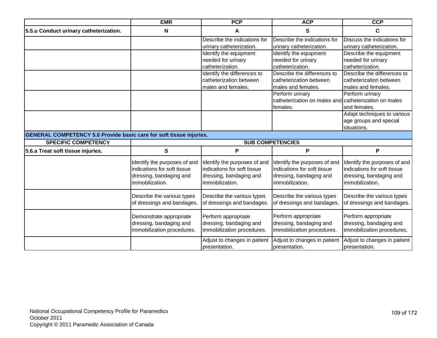|                                                                            | <b>EMR</b>                                                                                                | <b>PCP</b>                                                                                                | <b>ACP</b>                                                                                               | <b>CCP</b>                                                                                                |
|----------------------------------------------------------------------------|-----------------------------------------------------------------------------------------------------------|-----------------------------------------------------------------------------------------------------------|----------------------------------------------------------------------------------------------------------|-----------------------------------------------------------------------------------------------------------|
| 5.5.u Conduct urinary catheterization.                                     | N                                                                                                         | A                                                                                                         | S                                                                                                        | C                                                                                                         |
|                                                                            |                                                                                                           | Describe the indications for                                                                              | Describe the indications for                                                                             | Discuss the indications for                                                                               |
|                                                                            |                                                                                                           | urinary catheterization.                                                                                  | urinary catheterization.                                                                                 | urinary catheterization.                                                                                  |
|                                                                            |                                                                                                           | Identify the equipment                                                                                    | Identify the equipment                                                                                   | Describe the equipment                                                                                    |
|                                                                            |                                                                                                           | needed for urinary                                                                                        | needed for urinary                                                                                       | needed for urinary                                                                                        |
|                                                                            |                                                                                                           | catheterization.                                                                                          | catheterization.                                                                                         | catheterization.                                                                                          |
|                                                                            |                                                                                                           | Identify the differences to                                                                               | Describe the differences to                                                                              | Describe the differences to                                                                               |
|                                                                            |                                                                                                           | catheterization between                                                                                   | catheterization between                                                                                  | catheterization between                                                                                   |
|                                                                            |                                                                                                           | males and females.                                                                                        | males and females.                                                                                       | males and females.                                                                                        |
|                                                                            |                                                                                                           |                                                                                                           | Perform urinary                                                                                          | Perform urinary                                                                                           |
|                                                                            |                                                                                                           |                                                                                                           | catheterization on males and catheterization on males                                                    |                                                                                                           |
|                                                                            |                                                                                                           |                                                                                                           | females.                                                                                                 | and females.                                                                                              |
|                                                                            |                                                                                                           |                                                                                                           |                                                                                                          | Adapt techniques to various                                                                               |
|                                                                            |                                                                                                           |                                                                                                           |                                                                                                          | age groups and special                                                                                    |
|                                                                            |                                                                                                           |                                                                                                           |                                                                                                          | situations.                                                                                               |
| <b>GENERAL COMPETENCY 5.6 Provide basic care for soft tissue injuries.</b> |                                                                                                           |                                                                                                           |                                                                                                          |                                                                                                           |
| <b>SPECIFIC COMPETENCY</b>                                                 |                                                                                                           |                                                                                                           | <b>SUB COMPETENCIES</b>                                                                                  |                                                                                                           |
| 5.6.a Treat soft tissue injuries.                                          | $\mathbf{s}$                                                                                              | P                                                                                                         | P                                                                                                        | P                                                                                                         |
|                                                                            | Identify the purposes of and<br>indications for soft tissue<br>dressing, bandaging and<br>immobilization. | Identify the purposes of and<br>indications for soft tissue<br>dressing, bandaging and<br>immobilization. | dentify the purposes of and<br>indications for soft tissue<br>dressing, bandaging and<br>immobilization. | Identify the purposes of and<br>indications for soft tissue<br>dressing, bandaging and<br>immobilization. |
|                                                                            | Describe the various types<br>of dressings and bandages.                                                  | Describe the various types<br>of dressings and bandages.                                                  | Describe the various types<br>of dressings and bandages.                                                 | Describe the various types<br>of dressings and bandages.                                                  |
|                                                                            | Demonstrate appropriate<br>dressing, bandaging and<br>immobilization procedures.                          | Perform appropriate<br>dressing, bandaging and<br>immobilization procedures.                              | Perform appropriate<br>dressing, bandaging and<br>immobilization procedures.                             | Perform appropriate<br>dressing, bandaging and<br>immobilization procedures.                              |
|                                                                            |                                                                                                           | Adjust to changes in patient<br>presentation.                                                             | Adjust to changes in patient<br>presentation.                                                            | Adjust to changes in patient<br>bresentation.                                                             |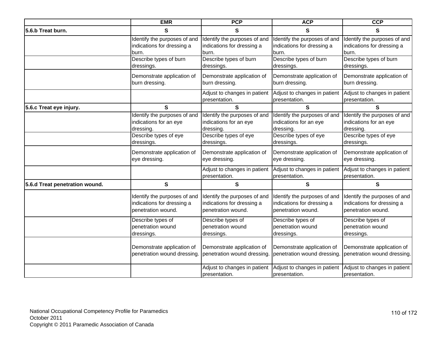|                                | <b>EMR</b>                   | <b>PCP</b>                                    | <b>ACP</b>                                    | <b>CCP</b>                                    |
|--------------------------------|------------------------------|-----------------------------------------------|-----------------------------------------------|-----------------------------------------------|
| 5.6.b Treat burn.              | S                            | S                                             | S                                             | S                                             |
|                                | Identify the purposes of and | Identify the purposes of and                  | Identify the purposes of and                  | Identify the purposes of and                  |
|                                | indications for dressing a   | indications for dressing a                    | indications for dressing a                    | indications for dressing a                    |
|                                | burn.                        | burn.                                         | burn.                                         | burn.                                         |
|                                | Describe types of burn       | Describe types of burn                        | Describe types of burn                        | Describe types of burn                        |
|                                | dressings.                   | dressings.                                    | dressings.                                    | dressings.                                    |
|                                | Demonstrate application of   | Demonstrate application of                    | Demonstrate application of                    | Demonstrate application of                    |
|                                | burn dressing.               | burn dressing.                                | burn dressing.                                | burn dressing.                                |
|                                |                              | Adjust to changes in patient<br>presentation. | Adjust to changes in patient<br>presentation. | Adjust to changes in patient<br>presentation. |
| 5.6.c Treat eye injury.        | S                            | $\mathbf{s}$                                  | S                                             | S                                             |
|                                | Identify the purposes of and | Identify the purposes of and                  | Identify the purposes of and                  | Identify the purposes of and                  |
|                                | indications for an eye       | indications for an eye                        | indications for an eye                        | indications for an eye                        |
|                                | dressing.                    | dressing.                                     | dressing.                                     | dressing.                                     |
|                                | Describe types of eye        | Describe types of eye                         | Describe types of eye                         | Describe types of eye                         |
|                                | dressings.                   | dressings.                                    | dressings.                                    | dressings.                                    |
|                                | Demonstrate application of   | Demonstrate application of                    | Demonstrate application of                    | Demonstrate application of                    |
|                                | eye dressing.                | eye dressing.                                 | eye dressing.                                 | eye dressing.                                 |
|                                |                              | Adjust to changes in patient<br>presentation. | Adjust to changes in patient<br>presentation. | Adjust to changes in patient<br>presentation. |
| 5.6.d Treat penetration wound. | ${\bf S}$                    | $\mathbf{s}$                                  | S                                             | S                                             |
|                                | Identify the purposes of and | Identify the purposes of and                  | Identify the purposes of and                  | Identify the purposes of and                  |
|                                | indications for dressing a   | indications for dressing a                    | indications for dressing a                    | indications for dressing a                    |
|                                | penetration wound.           | penetration wound.                            | penetration wound.                            | penetration wound.                            |
|                                | Describe types of            | Describe types of                             | Describe types of                             | Describe types of                             |
|                                | penetration wound            | penetration wound                             | penetration wound                             | penetration wound                             |
|                                | dressings.                   | dressings.                                    | dressings.                                    | dressings.                                    |
|                                | Demonstrate application of   | Demonstrate application of                    | Demonstrate application of                    | Demonstrate application of                    |
|                                | penetration wound dressing.  | penetration wound dressing.                   | penetration wound dressing.                   | penetration wound dressing.                   |
|                                |                              | Adjust to changes in patient<br>presentation. | Adjust to changes in patient<br>presentation. | Adjust to changes in patient<br>presentation. |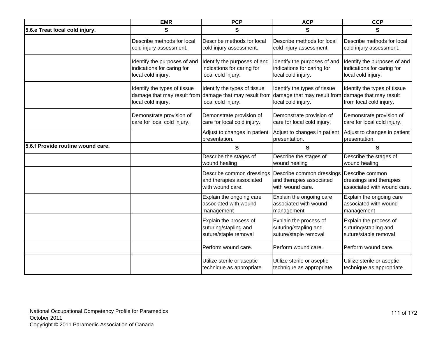|                                   | <b>EMR</b>                                                                                                    | <b>PCP</b>                                                                       | <b>ACP</b>                                                                                               | <b>CCP</b>                                                                       |
|-----------------------------------|---------------------------------------------------------------------------------------------------------------|----------------------------------------------------------------------------------|----------------------------------------------------------------------------------------------------------|----------------------------------------------------------------------------------|
| 5.6.e Treat local cold injury.    | S                                                                                                             | S                                                                                | S                                                                                                        | S                                                                                |
|                                   | Describe methods for local<br>cold injury assessment.                                                         | Describe methods for local<br>cold injury assessment.                            | Describe methods for local<br>cold injury assessment.                                                    | Describe methods for local<br>cold injury assessment.                            |
|                                   | Identify the purposes of and<br>indications for caring for<br>local cold injury.                              | Identify the purposes of and<br>indications for caring for<br>local cold injury. | Identify the purposes of and<br>indications for caring for<br>local cold injury.                         | Identify the purposes of and<br>indications for caring for<br>local cold injury. |
|                                   | Identify the types of tissue<br>damage that may result from damage that may result from<br>local cold injury. | Identify the types of tissue<br>local cold injury.                               | Identify the types of tissue<br>damage that may result from damage that may result<br>local cold injury. | Identify the types of tissue<br>from local cold injury.                          |
|                                   | Demonstrate provision of<br>care for local cold injury.                                                       | Demonstrate provision of<br>care for local cold injury.                          | Demonstrate provision of<br>care for local cold injury.                                                  | Demonstrate provision of<br>care for local cold injury.                          |
|                                   |                                                                                                               | Adjust to changes in patient<br>presentation.                                    | Adjust to changes in patient<br>presentation.                                                            | Adjust to changes in patient<br>presentation.                                    |
| 5.6.f Provide routine wound care. |                                                                                                               | $\mathbf{s}$                                                                     | $\mathbf{s}$                                                                                             | $\mathbf{s}$                                                                     |
|                                   |                                                                                                               | Describe the stages of<br>wound healing                                          | Describe the stages of<br>wound healing                                                                  | Describe the stages of<br>wound healing                                          |
|                                   |                                                                                                               | Describe common dressings<br>and therapies associated<br>with wound care.        | Describe common dressings<br>and therapies associated<br>with wound care.                                | Describe common<br>dressings and therapies<br>associated with wound care.        |
|                                   |                                                                                                               | Explain the ongoing care<br>associated with wound<br>management                  | Explain the ongoing care<br>associated with wound<br>management                                          | Explain the ongoing care<br>associated with wound<br>management                  |
|                                   |                                                                                                               | Explain the process of<br>suturing/stapling and<br>suture/staple removal         | Explain the process of<br>suturing/stapling and<br>suture/staple removal                                 | Explain the process of<br>suturing/stapling and<br>suture/staple removal         |
|                                   |                                                                                                               | Perform wound care.                                                              | Perform wound care.                                                                                      | Perform wound care.                                                              |
|                                   |                                                                                                               | Utilize sterile or aseptic<br>technique as appropriate.                          | Utilize sterile or aseptic<br>technique as appropriate.                                                  | Utilize sterile or aseptic<br>technique as appropriate.                          |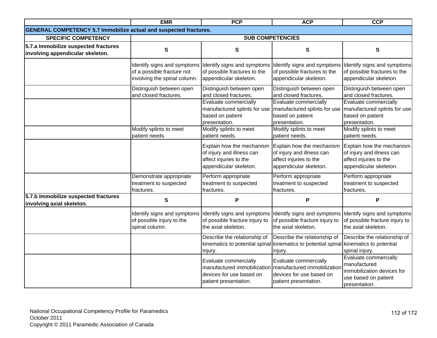|                                                                          | <b>EMR</b>                                                                                | <b>PCP</b>                                                                                                 | <b>ACP</b>                                                                                                                       | <b>CCP</b>                                                                                                   |
|--------------------------------------------------------------------------|-------------------------------------------------------------------------------------------|------------------------------------------------------------------------------------------------------------|----------------------------------------------------------------------------------------------------------------------------------|--------------------------------------------------------------------------------------------------------------|
| <b>GENERAL COMPETENCY 5.7 Immobilize actual and suspected fractures.</b> |                                                                                           |                                                                                                            |                                                                                                                                  |                                                                                                              |
| <b>SPECIFIC COMPETENCY</b>                                               |                                                                                           |                                                                                                            | <b>SUB COMPETENCIES</b>                                                                                                          |                                                                                                              |
| 5.7.a Immobilize suspected fractures<br>involving appendicular skeleton. | $\mathbf{s}$                                                                              | ${\bf S}$                                                                                                  | ${\bf S}$                                                                                                                        | ${\bf S}$                                                                                                    |
|                                                                          | Identify signs and symptoms<br>of a possible fracture not<br>involving the spinal column. | Identify signs and symptoms<br>of possible fractures to the<br>appendicular skeleton.                      | Identify signs and symptoms<br>of possible fractures to the<br>appendicular skeleton.                                            | Identify signs and symptoms<br>of possible fractures to the<br>appendicular skeleton.                        |
|                                                                          | Distinguish between open<br>and closed fractures.                                         | Distinguish between open<br>and closed fractures.                                                          | Distinguish between open<br>and closed fractures.                                                                                | Distinguish between open<br>and closed fractures.                                                            |
|                                                                          |                                                                                           | Evaluate commercially<br>manufactured splints for use<br>based on patient<br>presentation.                 | Evaluate commercially<br>manufactured splints for use<br>based on patient<br>presentation.                                       | Evaluate commercially<br>manufactured splints for use<br>based on patient<br>presentation.                   |
|                                                                          | Modify splints to meet<br>patient needs.                                                  | Modify splints to meet<br>patient needs.                                                                   | Modify splints to meet<br>patient needs.                                                                                         | Modify splints to meet<br>patient needs.                                                                     |
|                                                                          |                                                                                           | Explain how the mechanism<br>of injury and illness can<br>affect injuries to the<br>appendicular skeleton. | Explain how the mechanism<br>of injury and illness can<br>affect injuries to the<br>appendicular skeleton.                       | Explain how the mechanism<br>of injury and illness can<br>affect injuries to the<br>appendicular skeleton.   |
|                                                                          | Demonstrate appropriate<br>treatment to suspected<br>fractures.                           | Perform appropriate<br>treatment to suspected<br>fractures.                                                | Perform appropriate<br>treatment to suspected<br>fractures.                                                                      | Perform appropriate<br>treatment to suspected<br>fractures.                                                  |
| 5.7.b Immobilize suspected fractures<br>involving axial skeleton.        | $\mathbf{s}$                                                                              | P                                                                                                          | P                                                                                                                                | P                                                                                                            |
|                                                                          | Identify signs and symptoms<br>of possible injury to the<br>spinal column.                | Identify signs and symptoms<br>of possible fracture injury to<br>the axial skeleton.                       | Identify signs and symptoms<br>of possible fracture injury to<br>the axial skeleton.                                             | Identify signs and symptoms<br>of possible fracture injury to<br>the axial skeleton.                         |
|                                                                          |                                                                                           | Describe the relationship of<br>injury.                                                                    | Describe the relationship of<br>kinematics to potential spinal kinematics to potential spinal kinematics to potential<br>injury. | Describe the relationship of<br>spinal injury.                                                               |
|                                                                          |                                                                                           | Evaluate commercially<br>manufactured immobilization<br>devices for use based on<br>patient presentation.  | Evaluate commercially<br>manufactured immobilization<br>devices for use based on<br>patient presentation.                        | Evaluate commercially<br>manufactured<br>immobilization devices for<br>use based on patient<br>presentation. |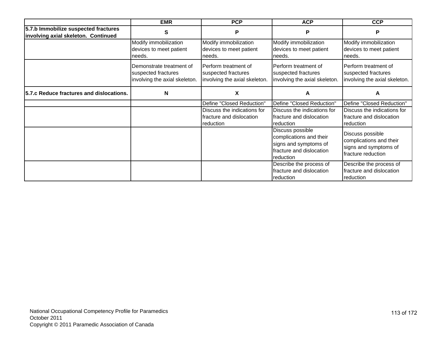|                                                                             | <b>EMR</b>                                                                       | <b>PCP</b>                                                                                        | <b>ACP</b>                                                                                                                                                                                            | <b>CCP</b>                                                                                                                                                                |
|-----------------------------------------------------------------------------|----------------------------------------------------------------------------------|---------------------------------------------------------------------------------------------------|-------------------------------------------------------------------------------------------------------------------------------------------------------------------------------------------------------|---------------------------------------------------------------------------------------------------------------------------------------------------------------------------|
| 5.7.b Immobilize suspected fractures<br>involving axial skeleton. Continued | S                                                                                | P                                                                                                 | P                                                                                                                                                                                                     | P                                                                                                                                                                         |
|                                                                             | Modify immobilization<br>devices to meet patient<br>needs.                       | Modify immobilization<br>devices to meet patient<br>needs.                                        | Modify immobilization<br>devices to meet patient<br>needs.                                                                                                                                            | Modify immobilization<br>devices to meet patient<br>needs.                                                                                                                |
|                                                                             | Demonstrate treatment of<br>suspected fractures<br>involving the axial skeleton. | Perform treatment of<br>suspected fractures<br>involving the axial skeleton.                      | Perform treatment of<br>suspected fractures<br>involving the axial skeleton.                                                                                                                          | Perform treatment of<br>suspected fractures<br>involving the axial skeleton.                                                                                              |
| 5.7.c Reduce fractures and dislocations.                                    | N                                                                                | X                                                                                                 | A                                                                                                                                                                                                     | A                                                                                                                                                                         |
|                                                                             |                                                                                  | Define "Closed Reduction"<br>Discuss the indications for<br>fracture and dislocation<br>reduction | Define "Closed Reduction"<br>Discuss the indications for<br>fracture and dislocation<br>reduction<br>Discuss possible<br>complications and their<br>signs and symptoms of<br>fracture and dislocation | Define "Closed Reduction"<br>Discuss the indications for<br>fracture and dislocation<br>reduction<br>Discuss possible<br>complications and their<br>signs and symptoms of |
|                                                                             |                                                                                  |                                                                                                   | reduction<br>Describe the process of<br>fracture and dislocation<br>reduction                                                                                                                         | fracture reduction<br>Describe the process of<br>fracture and dislocation<br>reduction                                                                                    |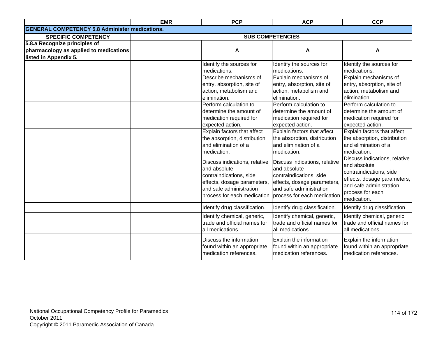|                                                       | <b>EMR</b> | <b>PCP</b>                    | <b>ACP</b>                                                | <b>CCP</b>                    |
|-------------------------------------------------------|------------|-------------------------------|-----------------------------------------------------------|-------------------------------|
| <b>GENERAL COMPETENCY 5.8 Administer medications.</b> |            |                               |                                                           |                               |
| <b>SPECIFIC COMPETENCY</b>                            |            |                               | <b>SUB COMPETENCIES</b>                                   |                               |
| 5.8.a Recognize principles of                         |            |                               |                                                           |                               |
| pharmacology as applied to medications                |            | A                             | A                                                         | A                             |
| listed in Appendix 5.                                 |            |                               |                                                           |                               |
|                                                       |            | Identify the sources for      | Identify the sources for                                  | Identify the sources for      |
|                                                       |            | medications.                  | medications.                                              | medications.                  |
|                                                       |            | Describe mechanisms of        | Explain mechanisms of                                     | Explain mechanisms of         |
|                                                       |            | entry, absorption, site of    | entry, absorption, site of                                | entry, absorption, site of    |
|                                                       |            | action, metabolism and        | action, metabolism and                                    | action, metabolism and        |
|                                                       |            | elimination.                  | elimination.                                              | elimination.                  |
|                                                       |            | Perform calculation to        | Perform calculation to                                    | Perform calculation to        |
|                                                       |            | determine the amount of       | determine the amount of                                   | determine the amount of       |
|                                                       |            | medication required for       | medication required for                                   | medication required for       |
|                                                       |            | expected action.              | expected action.                                          | expected action.              |
|                                                       |            | Explain factors that affect   | Explain factors that affect                               | Explain factors that affect   |
|                                                       |            | the absorption, distribution  | the absorption, distribution                              | the absorption, distribution  |
|                                                       |            | and elimination of a          | and elimination of a                                      | and elimination of a          |
|                                                       |            | medication.                   | medication.                                               | medication.                   |
|                                                       |            | Discuss indications, relative | Discuss indications, relative                             | Discuss indications, relative |
|                                                       |            | and absolute                  | and absolute                                              | and absolute                  |
|                                                       |            | contraindications, side       | contraindications, side                                   | contraindications, side       |
|                                                       |            | effects, dosage parameters,   | effects, dosage parameters,                               | effects, dosage parameters,   |
|                                                       |            | and safe administration       | and safe administration                                   | and safe administration       |
|                                                       |            |                               | process for each medication. process for each medication. | process for each              |
|                                                       |            |                               |                                                           | medication.                   |
|                                                       |            | Identify drug classification. | Identify drug classification.                             | Identify drug classification. |
|                                                       |            | Identify chemical, generic,   | Identify chemical, generic,                               | Identify chemical, generic,   |
|                                                       |            | trade and official names for  | trade and official names for                              | trade and official names for  |
|                                                       |            | all medications.              | all medications.                                          | all medications.              |
|                                                       |            | Discuss the information       | Explain the information                                   | Explain the information       |
|                                                       |            | found within an appropriate   | found within an appropriate                               | found within an appropriate   |
|                                                       |            | medication references.        | medication references.                                    | medication references.        |
|                                                       |            |                               |                                                           |                               |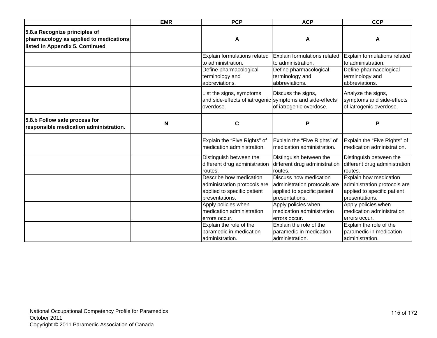|                                                                                                            | <b>EMR</b> | <b>PCP</b>                                                                                               | <b>ACP</b>                                                                                              | <b>CCP</b>                                                                                              |
|------------------------------------------------------------------------------------------------------------|------------|----------------------------------------------------------------------------------------------------------|---------------------------------------------------------------------------------------------------------|---------------------------------------------------------------------------------------------------------|
| 5.8.a Recognize principles of<br>pharmacology as applied to medications<br>listed in Appendix 5. Continued |            | A                                                                                                        | A                                                                                                       | A                                                                                                       |
|                                                                                                            |            | Explain formulations related<br>to administration.                                                       | Explain formulations related<br>to administration.                                                      | Explain formulations related<br>to administration.                                                      |
|                                                                                                            |            | Define pharmacological<br>terminology and<br>abbreviations.                                              | Define pharmacological<br>terminology and<br>abbreviations.                                             | Define pharmacological<br>terminology and<br>abbreviations.                                             |
|                                                                                                            |            | List the signs, symptoms<br>and side-effects of iatrogenic symptoms and side-effects<br>overdose.        | Discuss the signs,<br>of iatrogenic overdose.                                                           | Analyze the signs,<br>symptoms and side-effects<br>of iatrogenic overdose.                              |
| 5.8.b Follow safe process for<br>responsible medication administration.                                    | N          | C                                                                                                        | P                                                                                                       | P                                                                                                       |
|                                                                                                            |            | Explain the "Five Rights" of<br>medication administration.                                               | Explain the "Five Rights" of<br>medication administration.                                              | Explain the "Five Rights" of<br>medication administration.                                              |
|                                                                                                            |            | Distinguish between the<br>different drug administration<br>routes.                                      | Distinguish between the<br>different drug administration<br>routes.                                     | Distinguish between the<br>different drug administration<br>routes.                                     |
|                                                                                                            |            | Describe how medication<br>administration protocols are<br>applied to specific patient<br>presentations. | Discuss how medication<br>administration protocols are<br>applied to specific patient<br>presentations. | Explain how medication<br>administration protocols are<br>applied to specific patient<br>presentations. |
|                                                                                                            |            | Apply policies when<br>medication administration<br>errors occur.                                        | Apply policies when<br>medication administration<br>errors occur.                                       | Apply policies when<br>medication administration<br>errors occur.                                       |
|                                                                                                            |            | Explain the role of the<br>paramedic in medication<br>administration.                                    | Explain the role of the<br>paramedic in medication<br>administration.                                   | Explain the role of the<br>paramedic in medication<br>administration.                                   |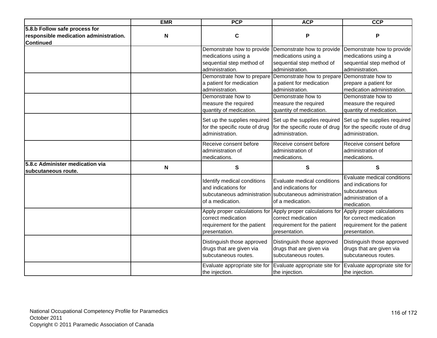|                                                                                             | <b>EMR</b> | <b>PCP</b>                                                                                                                      | <b>ACP</b>                                                                                                                                         | <b>CCP</b>                                                                                               |
|---------------------------------------------------------------------------------------------|------------|---------------------------------------------------------------------------------------------------------------------------------|----------------------------------------------------------------------------------------------------------------------------------------------------|----------------------------------------------------------------------------------------------------------|
| 5.8.b Follow safe process for<br>responsible medication administration.<br><b>Continued</b> | N          | C                                                                                                                               | P                                                                                                                                                  | P                                                                                                        |
|                                                                                             |            | Demonstrate how to provide<br>medications using a<br>sequential step method of<br>administration.<br>Demonstrate how to prepare | Demonstrate how to provide<br>medications using a<br>sequential step method of<br>administration.<br>Demonstrate how to prepare Demonstrate how to | Demonstrate how to provide<br>medications using a<br>sequential step method of<br>administration.        |
|                                                                                             |            | a patient for medication<br>administration.                                                                                     | a patient for medication<br>administration.                                                                                                        | prepare a patient for<br>medication administration.                                                      |
|                                                                                             |            | Demonstrate how to<br>measure the required<br>quantity of medication.                                                           | Demonstrate how to<br>measure the required<br>quantity of medication.                                                                              | Demonstrate how to<br>measure the required<br>quantity of medication.                                    |
|                                                                                             |            | Set up the supplies required<br>for the specific route of drug<br>administration.                                               | Set up the supplies required<br>for the specific route of drug<br>administration.                                                                  | Set up the supplies required<br>for the specific route of drug<br>administration.                        |
|                                                                                             |            | Receive consent before<br>administration of<br>medications.                                                                     | Receive consent before<br>administration of<br>medications.                                                                                        | Receive consent before<br>administration of<br>medications.                                              |
| 5.8.c Administer medication via<br>subcutaneous route.                                      | N          | S                                                                                                                               | S                                                                                                                                                  | S                                                                                                        |
|                                                                                             |            | Identify medical conditions<br>and indications for<br>of a medication.                                                          | Evaluate medical conditions<br>and indications for<br>subcutaneous administration subcutaneous administration<br>of a medication.                  | Evaluate medical conditions<br>and indications for<br>subcutaneous<br>administration of a<br>medication. |
|                                                                                             |            | Apply proper calculations for<br>correct medication<br>requirement for the patient<br>presentation.                             | Apply proper calculations for<br>correct medication<br>requirement for the patient<br>presentation.                                                | Apply proper calculations<br>for correct medication<br>requirement for the patient<br>presentation.      |
|                                                                                             |            | Distinguish those approved<br>drugs that are given via<br>subcutaneous routes.                                                  | Distinguish those approved<br>drugs that are given via<br>subcutaneous routes.                                                                     | Distinguish those approved<br>drugs that are given via<br>subcutaneous routes.                           |
|                                                                                             |            | Evaluate appropriate site for<br>the injection.                                                                                 | Evaluate appropriate site for<br>the injection.                                                                                                    | Evaluate appropriate site for<br>the injection.                                                          |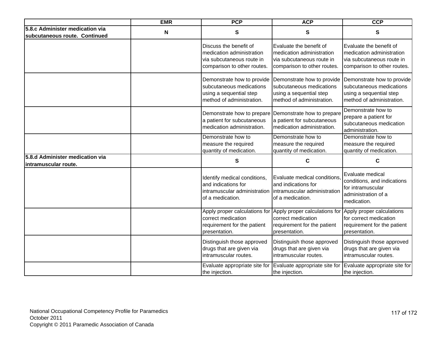|                                                                  | <b>EMR</b>                | <b>PCP</b>                                                                                                      | <b>ACP</b>                                                                                                       | <b>CCP</b>                                                                                                       |
|------------------------------------------------------------------|---------------------------|-----------------------------------------------------------------------------------------------------------------|------------------------------------------------------------------------------------------------------------------|------------------------------------------------------------------------------------------------------------------|
| 5.8.c Administer medication via<br>subcutaneous route. Continued | $\boldsymbol{\mathsf{N}}$ | S                                                                                                               | S                                                                                                                | S                                                                                                                |
|                                                                  |                           | Discuss the benefit of<br>medication administration<br>via subcutaneous route in<br>comparison to other routes. | Evaluate the benefit of<br>medication administration<br>via subcutaneous route in<br>comparison to other routes. | Evaluate the benefit of<br>medication administration<br>via subcutaneous route in<br>comparison to other routes. |
|                                                                  |                           | Demonstrate how to provide<br>subcutaneous medications<br>using a sequential step<br>method of administration.  | Demonstrate how to provide<br>subcutaneous medications<br>using a sequential step<br>method of administration.   | Demonstrate how to provide<br>subcutaneous medications<br>using a sequential step<br>method of administration.   |
|                                                                  |                           | Demonstrate how to prepare<br>a patient for subcutaneous<br>medication administration.                          | Demonstrate how to prepare<br>a patient for subcutaneous<br>medication administration.                           | Demonstrate how to<br>prepare a patient for<br>subcutaneous medication<br>administration.                        |
|                                                                  |                           | Demonstrate how to<br>measure the required<br>quantity of medication.                                           | Demonstrate how to<br>measure the required<br>quantity of medication.                                            | Demonstrate how to<br>measure the required<br>quantity of medication.                                            |
| 5.8.d Administer medication via<br>lintramuscular route.         |                           | S                                                                                                               | C                                                                                                                | C                                                                                                                |
|                                                                  |                           | Identify medical conditions,<br>and indications for<br>intramuscular administration<br>of a medication.         | Evaluate medical conditions,<br>and indications for<br>intramuscular administration<br>of a medication.          | Evaluate medical<br>conditions, and indications<br>for intramuscular<br>administration of a<br>medication.       |
|                                                                  |                           | Apply proper calculations for<br>correct medication<br>requirement for the patient<br>presentation.             | Apply proper calculations for<br>correct medication<br>requirement for the patient<br>presentation.              | Apply proper calculations<br>for correct medication<br>requirement for the patient<br>presentation.              |
|                                                                  |                           | Distinguish those approved<br>drugs that are given via<br>intramuscular routes.                                 | Distinguish those approved<br>drugs that are given via<br>intramuscular routes.                                  | Distinguish those approved<br>drugs that are given via<br>intramuscular routes.                                  |
|                                                                  |                           | Evaluate appropriate site for<br>the injection.                                                                 | Evaluate appropriate site for<br>the injection.                                                                  | Evaluate appropriate site for<br>the injection.                                                                  |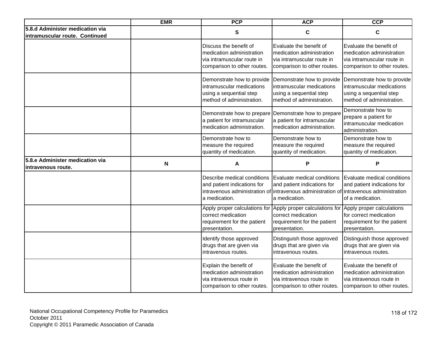|                                                                   | <b>EMR</b>                | <b>PCP</b>                                                                                                       | <b>ACP</b>                                                                                                                              | <b>CCP</b>                                                                                                        |
|-------------------------------------------------------------------|---------------------------|------------------------------------------------------------------------------------------------------------------|-----------------------------------------------------------------------------------------------------------------------------------------|-------------------------------------------------------------------------------------------------------------------|
| 5.8.d Administer medication via<br>intramuscular route. Continued |                           | S                                                                                                                | C                                                                                                                                       | $\mathbf c$                                                                                                       |
|                                                                   |                           | Discuss the benefit of<br>medication administration<br>via intramuscular route in<br>comparison to other routes. | Evaluate the benefit of<br>medication administration<br>via intramuscular route in<br>comparison to other routes.                       | Evaluate the benefit of<br>medication administration<br>via intramuscular route in<br>comparison to other routes. |
|                                                                   |                           | Demonstrate how to provide<br>intramuscular medications<br>using a sequential step<br>method of administration.  | Demonstrate how to provide<br>intramuscular medications<br>using a sequential step<br>method of administration.                         | Demonstrate how to provide<br>intramuscular medications<br>using a sequential step<br>method of administration.   |
|                                                                   |                           | Demonstrate how to prepare<br>a patient for intramuscular<br>medication administration.                          | Demonstrate how to prepare<br>a patient for intramuscular<br>medication administration.                                                 | Demonstrate how to<br>prepare a patient for<br>intramuscular medication<br>administration.                        |
|                                                                   |                           | Demonstrate how to<br>measure the required<br>quantity of medication.                                            | Demonstrate how to<br>measure the required<br>quantity of medication.                                                                   | Demonstrate how to<br>measure the required<br>quantity of medication.                                             |
| 5.8.e Administer medication via<br>intravenous route.             | $\boldsymbol{\mathsf{N}}$ | Α                                                                                                                | P                                                                                                                                       | P                                                                                                                 |
|                                                                   |                           | Describe medical conditions<br>and patient indications for<br>intravenous administration of<br>a medication.     | Evaluate medical conditions<br>and patient indications for<br>Intravenous administration of intravenous administration<br>a medication. | Evaluate medical conditions<br>and patient indications for<br>of a medication.                                    |
|                                                                   |                           | Apply proper calculations for<br>correct medication<br>requirement for the patient<br>presentation.              | Apply proper calculations for<br>correct medication<br>requirement for the patient<br>presentation.                                     | Apply proper calculations<br>for correct medication<br>requirement for the patient<br>presentation.               |
|                                                                   |                           | Identify those approved<br>drugs that are given via<br>intravenous routes.                                       | Distinguish those approved<br>drugs that are given via<br>intravenous routes.                                                           | Distinguish those approved<br>drugs that are given via<br>intravenous routes.                                     |
|                                                                   |                           | Explain the benefit of<br>medication administration<br>via intravenous route in<br>comparison to other routes.   | Evaluate the benefit of<br>medication administration<br>via intravenous route in<br>comparison to other routes.                         | Evaluate the benefit of<br>medication administration<br>via intravenous route in<br>comparison to other routes.   |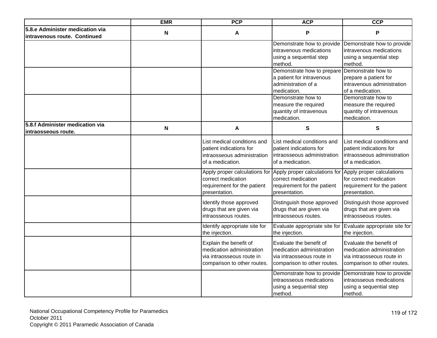|                                                                 | <b>EMR</b> | <b>PCP</b>                                                                                                                                                                                      | <b>ACP</b>                                                                                                                                                                                      | <b>CCP</b>                                                                                                                                                                                      |
|-----------------------------------------------------------------|------------|-------------------------------------------------------------------------------------------------------------------------------------------------------------------------------------------------|-------------------------------------------------------------------------------------------------------------------------------------------------------------------------------------------------|-------------------------------------------------------------------------------------------------------------------------------------------------------------------------------------------------|
| 5.8.e Administer medication via<br>intravenous route. Continued | N          | A                                                                                                                                                                                               | P                                                                                                                                                                                               | P                                                                                                                                                                                               |
|                                                                 |            |                                                                                                                                                                                                 | intravenous medications<br>using a sequential step<br>method.                                                                                                                                   | Demonstrate how to provide Demonstrate how to provide<br>intravenous medications<br>using a sequential step<br>method.                                                                          |
|                                                                 |            |                                                                                                                                                                                                 | Demonstrate how to prepare<br>a patient for intravenous<br>administration of a<br>medication.                                                                                                   | Demonstrate how to<br>prepare a patient for<br>intravenous administration<br>of a medication.                                                                                                   |
|                                                                 |            |                                                                                                                                                                                                 | Demonstrate how to<br>measure the required<br>quantity of intravenous<br>medication.                                                                                                            | Demonstrate how to<br>measure the required<br>quantity of intravenous<br>medication.                                                                                                            |
| 5.8.f Administer medication via<br>intraosseous route.          | N          | A                                                                                                                                                                                               | ${\bf S}$                                                                                                                                                                                       | S                                                                                                                                                                                               |
|                                                                 |            | List medical conditions and<br>patient indications for<br>intraosseous administration<br>of a medication.<br>Apply proper calculations for<br>correct medication<br>requirement for the patient | List medical conditions and<br>patient indications for<br>intraosseous administration<br>of a medication.<br>Apply proper calculations for<br>correct medication<br>requirement for the patient | List medical conditions and<br>patient indications for<br>intraosseous administration<br>of a medication.<br>Apply proper calculations<br>for correct medication<br>requirement for the patient |
|                                                                 |            | presentation.<br>Identify those approved<br>drugs that are given via<br>intraosseous routes.                                                                                                    | presentation.<br>Distinguish those approved<br>drugs that are given via<br>intraosseous routes.                                                                                                 | presentation.<br>Distinguish those approved<br>drugs that are given via<br>intraosseous routes.                                                                                                 |
|                                                                 |            | Identify appropriate site for<br>the injection.                                                                                                                                                 | Evaluate appropriate site for Evaluate appropriate site for<br>the injection.                                                                                                                   | the injection.                                                                                                                                                                                  |
|                                                                 |            | Explain the benefit of<br>medication administration<br>via intraosseous route in<br>comparison to other routes.                                                                                 | Evaluate the benefit of<br>medication administration<br>via intraosseous route in<br>comparison to other routes.                                                                                | Evaluate the benefit of<br>medication administration<br>via intraosseous route in<br>comparison to other routes.                                                                                |
|                                                                 |            |                                                                                                                                                                                                 | Demonstrate how to provide<br>intraosseous medications<br>using a sequential step<br>method.                                                                                                    | Demonstrate how to provide<br>intraosseous medications<br>using a sequential step<br>method.                                                                                                    |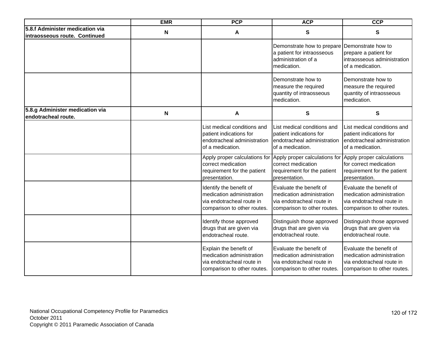|                                                                  | <b>EMR</b>                | <b>PCP</b>                                                                                                       | <b>ACP</b>                                                                                                       | <b>CCP</b>                                                                                                       |
|------------------------------------------------------------------|---------------------------|------------------------------------------------------------------------------------------------------------------|------------------------------------------------------------------------------------------------------------------|------------------------------------------------------------------------------------------------------------------|
| 5.8.f Administer medication via<br>intraosseous route. Continued | N                         | A                                                                                                                | $\mathbf{s}$                                                                                                     | S                                                                                                                |
|                                                                  |                           |                                                                                                                  | Demonstrate how to prepare<br>a patient for intraosseous<br>administration of a<br>medication.                   | Demonstrate how to<br>prepare a patient for<br>intraosseous administration<br>of a medication.                   |
|                                                                  |                           |                                                                                                                  | Demonstrate how to<br>measure the required<br>quantity of intraosseous<br>medication.                            | Demonstrate how to<br>measure the required<br>quantity of intraosseous<br>medication.                            |
| 5.8.g Administer medication via<br>endotracheal route.           | $\boldsymbol{\mathsf{N}}$ | A                                                                                                                | ${\sf S}$                                                                                                        | ${\bf S}$                                                                                                        |
|                                                                  |                           | List medical conditions and<br>patient indications for<br>endotracheal administration<br>of a medication.        | List medical conditions and<br>patient indications for<br>endotracheal administration<br>of a medication.        | List medical conditions and<br>patient indications for<br>endotracheal administration<br>of a medication.        |
|                                                                  |                           | Apply proper calculations for<br>correct medication<br>requirement for the patient<br>presentation.              | Apply proper calculations for<br>correct medication<br>requirement for the patient<br>presentation.              | Apply proper calculations<br>for correct medication<br>requirement for the patient<br>presentation.              |
|                                                                  |                           | Identify the benefit of<br>medication administration<br>via endotracheal route in<br>comparison to other routes. | Evaluate the benefit of<br>medication administration<br>via endotracheal route in<br>comparison to other routes. | Evaluate the benefit of<br>medication administration<br>via endotracheal route in<br>comparison to other routes. |
|                                                                  |                           | Identify those approved<br>drugs that are given via<br>endotracheal route.                                       | Distinguish those approved<br>drugs that are given via<br>endotracheal route.                                    | Distinguish those approved<br>drugs that are given via<br>endotracheal route.                                    |
|                                                                  |                           | Explain the benefit of<br>medication administration<br>via endotracheal route in<br>comparison to other routes.  | Evaluate the benefit of<br>medication administration<br>via endotracheal route in<br>comparison to other routes. | Evaluate the benefit of<br>medication administration<br>via endotracheal route in<br>comparison to other routes. |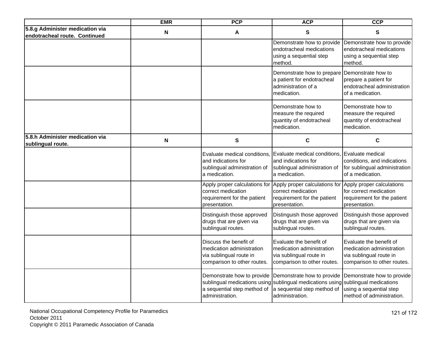|                                                                  | <b>EMR</b>                | <b>PCP</b>                                                                                                    | <b>ACP</b>                                                                                                                                                                                  | <b>CCP</b>                                                                                                     |
|------------------------------------------------------------------|---------------------------|---------------------------------------------------------------------------------------------------------------|---------------------------------------------------------------------------------------------------------------------------------------------------------------------------------------------|----------------------------------------------------------------------------------------------------------------|
| 5.8.g Administer medication via<br>endotracheal route. Continued | N                         | A                                                                                                             | S                                                                                                                                                                                           | $\mathbf{s}$                                                                                                   |
|                                                                  |                           |                                                                                                               | Demonstrate how to provide<br>endotracheal medications<br>using a sequential step<br>method.                                                                                                | Demonstrate how to provide<br>endotracheal medications<br>using a sequential step<br>method.                   |
|                                                                  |                           |                                                                                                               | Demonstrate how to prepare Demonstrate how to<br>a patient for endotracheal<br>administration of a<br>medication.                                                                           | prepare a patient for<br>endotracheal administration<br>of a medication.                                       |
|                                                                  |                           |                                                                                                               | Demonstrate how to<br>measure the required<br>quantity of endotracheal<br>medication.                                                                                                       | Demonstrate how to<br>measure the required<br>quantity of endotracheal<br>medication.                          |
| 5.8.h Administer medication via<br>sublingual route.             | $\boldsymbol{\mathsf{N}}$ | S                                                                                                             | $\mathbf c$                                                                                                                                                                                 | C                                                                                                              |
|                                                                  |                           | Evaluate medical conditions,<br>and indications for<br>sublingual administration of<br>a medication.          | Evaluate medical conditions, Evaluate medical<br>and indications for<br>sublingual administration of<br>a medication.                                                                       | conditions, and indications<br>for sublingual administration<br>of a medication.                               |
|                                                                  |                           | correct medication<br>requirement for the patient<br>presentation.                                            | Apply proper calculations for Apply proper calculations for Apply proper calculations<br>correct medication<br>requirement for the patient<br>presentation.                                 | for correct medication<br>requirement for the patient<br>presentation.                                         |
|                                                                  |                           | Distinguish those approved<br>drugs that are given via<br>sublingual routes.                                  | Distinguish those approved<br>drugs that are given via<br>sublingual routes.                                                                                                                | Distinguish those approved<br>drugs that are given via<br>sublingual routes.                                   |
|                                                                  |                           | Discuss the benefit of<br>medication administration<br>via sublingual route in<br>comparison to other routes. | Evaluate the benefit of<br>medication administration<br>via sublingual route in<br>comparison to other routes.                                                                              | Evaluate the benefit of<br>medication administration<br>via sublingual route in<br>comparison to other routes. |
|                                                                  |                           | a sequential step method of<br>administration.                                                                | Demonstrate how to provide Demonstrate how to provide<br>sublingual medications using sublingual medications using sublingual medications<br>a sequential step method of<br>administration. | Demonstrate how to provide<br>using a sequential step<br>method of administration.                             |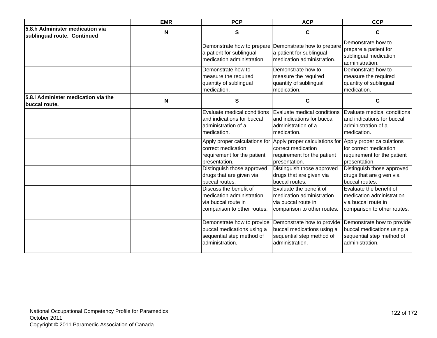|                                                                | <b>EMR</b> | <b>PCP</b>                                                                                                | <b>ACP</b>                                                                                                 | <b>CCP</b>                                                                                                 |
|----------------------------------------------------------------|------------|-----------------------------------------------------------------------------------------------------------|------------------------------------------------------------------------------------------------------------|------------------------------------------------------------------------------------------------------------|
| 5.8.h Administer medication via<br>sublingual route. Continued | N          | S                                                                                                         | C                                                                                                          | C                                                                                                          |
|                                                                |            | Demonstrate how to prepare<br>a patient for sublingual<br>medication administration.                      | Demonstrate how to prepare<br>a patient for sublingual<br>medication administration.                       | Demonstrate how to<br>prepare a patient for<br>sublingual medication<br>administration.                    |
|                                                                |            | Demonstrate how to<br>measure the required<br>quantity of sublingual<br>medication.                       | Demonstrate how to<br>measure the required<br>quantity of sublingual<br>medication.                        | Demonstrate how to<br>measure the required<br>quantity of sublingual<br>medication.                        |
| 5.8. Administer medication via the<br><b>Ibuccal route.</b>    | N          | S                                                                                                         | C                                                                                                          | C                                                                                                          |
|                                                                |            | Evaluate medical conditions<br>and indications for buccal<br>administration of a<br>medication.           | Evaluate medical conditions<br>and indications for buccal<br>administration of a<br>medication.            | Evaluate medical conditions<br>and indications for buccal<br>administration of a<br>medication.            |
|                                                                |            | Apply proper calculations for<br>correct medication<br>requirement for the patient<br>presentation.       | Apply proper calculations for<br>correct medication<br>requirement for the patient<br>presentation.        | Apply proper calculations<br>for correct medication<br>requirement for the patient<br>presentation.        |
|                                                                |            | Distinguish those approved<br>drugs that are given via<br>buccal routes.                                  | Distinguish those approved<br>drugs that are given via<br>buccal routes.                                   | Distinguish those approved<br>drugs that are given via<br>buccal routes.                                   |
|                                                                |            | Discuss the benefit of<br>medication administration<br>via buccal route in<br>comparison to other routes. | Evaluate the benefit of<br>medication administration<br>via buccal route in<br>comparison to other routes. | Evaluate the benefit of<br>medication administration<br>via buccal route in<br>comparison to other routes. |
|                                                                |            | Demonstrate how to provide<br>buccal medications using a<br>sequential step method of<br>administration.  | Demonstrate how to provide<br>buccal medications using a<br>sequential step method of<br>administration.   | Demonstrate how to provide<br>buccal medications using a<br>sequential step method of<br>administration.   |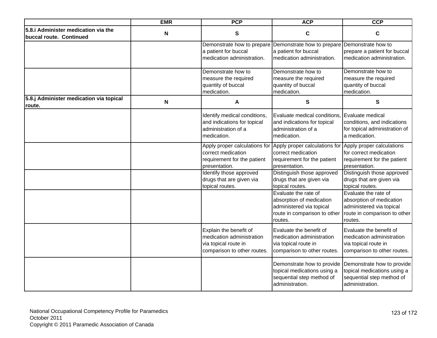|                                                                | <b>EMR</b>                | <b>PCP</b>                                                                                                 | <b>ACP</b>                                                                                                              | <b>CCP</b>                                                                                                              |
|----------------------------------------------------------------|---------------------------|------------------------------------------------------------------------------------------------------------|-------------------------------------------------------------------------------------------------------------------------|-------------------------------------------------------------------------------------------------------------------------|
| 5.8.i Administer medication via the<br>buccal route. Continued | N                         | S                                                                                                          | $\mathbf c$                                                                                                             | C                                                                                                                       |
|                                                                |                           | a patient for buccal<br>medication administration.                                                         | Demonstrate how to prepare Demonstrate how to prepare<br>a patient for buccal<br>medication administration.             | Demonstrate how to<br>prepare a patient for buccal<br>medication administration.                                        |
|                                                                |                           | Demonstrate how to<br>measure the required<br>quantity of buccal<br>medication.                            | Demonstrate how to<br>measure the required<br>quantity of buccal<br>medication.                                         | Demonstrate how to<br>measure the required<br>quantity of buccal<br>medication.                                         |
| 5.8.j Administer medication via topical<br>route.              | $\boldsymbol{\mathsf{N}}$ | A                                                                                                          | $\mathbf{s}$                                                                                                            | S                                                                                                                       |
|                                                                |                           | Identify medical conditions,<br>and indications for topical<br>administration of a<br>medication.          | Evaluate medical conditions, Evaluate medical<br>and indications for topical<br>administration of a<br>medication.      | conditions, and indications<br>for topical administration of<br>a medication.                                           |
|                                                                |                           | Apply proper calculations for<br>correct medication<br>requirement for the patient<br>presentation.        | Apply proper calculations for<br>correct medication<br>requirement for the patient<br>presentation.                     | Apply proper calculations<br>for correct medication<br>requirement for the patient<br>presentation.                     |
|                                                                |                           | Identify those approved<br>drugs that are given via<br>topical routes.                                     | Distinguish those approved<br>drugs that are given via<br>topical routes.                                               | Distinguish those approved<br>drugs that are given via<br>topical routes.                                               |
|                                                                |                           |                                                                                                            | Evaluate the rate of<br>absorption of medication<br>administered via topical<br>route in comparison to other<br>routes. | Evaluate the rate of<br>absorption of medication<br>administered via topical<br>route in comparison to other<br>routes. |
|                                                                |                           | Explain the benefit of<br>medication administration<br>via topical route in<br>comparison to other routes. | Evaluate the benefit of<br>medication administration<br>via topical route in<br>comparison to other routes.             | Evaluate the benefit of<br>medication administration<br>via topical route in<br>comparison to other routes.             |
|                                                                |                           |                                                                                                            | Demonstrate how to provide<br>topical medications using a<br>sequential step method of<br>administration.               | Demonstrate how to provide<br>topical medications using a<br>sequential step method of<br>administration.               |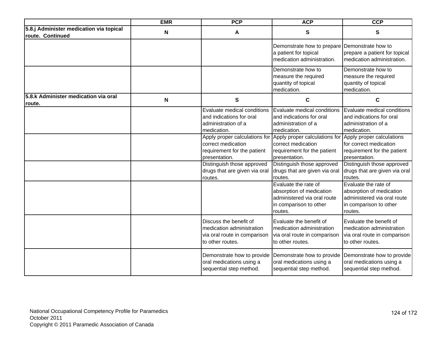|                                                             | <b>EMR</b> | <b>PCP</b>                                                                                              | <b>ACP</b>                                                                                                                    | <b>CCP</b>                                                                                                           |
|-------------------------------------------------------------|------------|---------------------------------------------------------------------------------------------------------|-------------------------------------------------------------------------------------------------------------------------------|----------------------------------------------------------------------------------------------------------------------|
| 5.8.j Administer medication via topical<br>route. Continued | N          | A                                                                                                       | S                                                                                                                             | S                                                                                                                    |
|                                                             |            |                                                                                                         | Demonstrate how to prepare<br>a patient for topical<br>medication administration.                                             | Demonstrate how to<br>prepare a patient for topical<br>medication administration.                                    |
|                                                             |            |                                                                                                         | Demonstrate how to<br>measure the required<br>quantity of topical<br>medication.                                              | Demonstrate how to<br>measure the required<br>quantity of topical<br>medication.                                     |
| 5.8.k Administer medication via oral<br>route.              | N          | ${\bf S}$                                                                                               | $\mathbf c$                                                                                                                   | $\mathbf C$                                                                                                          |
|                                                             |            | Evaluate medical conditions<br>and indications for oral<br>administration of a<br>medication.           | Evaluate medical conditions<br>and indications for oral<br>administration of a<br>medication.                                 | Evaluate medical conditions<br>and indications for oral<br>administration of a<br>medication.                        |
|                                                             |            | Apply proper calculations for<br>correct medication<br>requirement for the patient<br>presentation.     | Apply proper calculations for Apply proper calculations<br>correct medication<br>requirement for the patient<br>presentation. | for correct medication<br>requirement for the patient<br>presentation.                                               |
|                                                             |            | Distinguish those approved<br>drugs that are given via oral<br>routes.                                  | Distinguish those approved<br>drugs that are given via oral<br>routes.                                                        | Distinguish those approved<br>drugs that are given via oral<br>routes.                                               |
|                                                             |            |                                                                                                         | Evaluate the rate of<br>absorption of medication<br>administered via oral route<br>in comparison to other<br>routes.          | Evaluate the rate of<br>absorption of medication<br>administered via oral route<br>in comparison to other<br>routes. |
|                                                             |            | Discuss the benefit of<br>medication administration<br>via oral route in comparison<br>to other routes. | Evaluate the benefit of<br>medication administration<br>via oral route in comparison<br>to other routes.                      | Evaluate the benefit of<br>medication administration<br>via oral route in comparison<br>to other routes.             |
|                                                             |            | Demonstrate how to provide<br>oral medications using a<br>sequential step method.                       | Demonstrate how to provide<br>oral medications using a<br>sequential step method.                                             | Demonstrate how to provide<br>oral medications using a<br>sequential step method.                                    |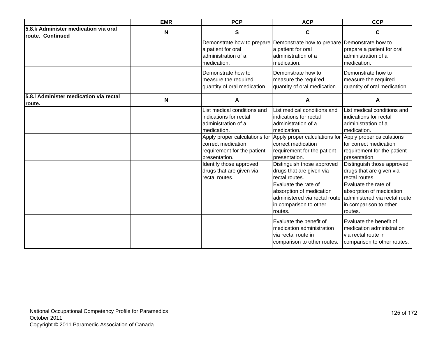|                                                          | <b>EMR</b> | <b>PCP</b>                                                                                                                                                                                                                                                                  | <b>ACP</b>                                                                                                                                                                                                                                                                                                                                                                                               | <b>CCP</b>                                                                                                                                                                                                                                                                                                                                                                                               |
|----------------------------------------------------------|------------|-----------------------------------------------------------------------------------------------------------------------------------------------------------------------------------------------------------------------------------------------------------------------------|----------------------------------------------------------------------------------------------------------------------------------------------------------------------------------------------------------------------------------------------------------------------------------------------------------------------------------------------------------------------------------------------------------|----------------------------------------------------------------------------------------------------------------------------------------------------------------------------------------------------------------------------------------------------------------------------------------------------------------------------------------------------------------------------------------------------------|
| 5.8.k Administer medication via oral<br>route. Continued | N          | S                                                                                                                                                                                                                                                                           | C                                                                                                                                                                                                                                                                                                                                                                                                        | C                                                                                                                                                                                                                                                                                                                                                                                                        |
|                                                          |            | Demonstrate how to prepare<br>a patient for oral<br>administration of a<br>medication.                                                                                                                                                                                      | Demonstrate how to prepare<br>a patient for oral<br>administration of a<br>medication.                                                                                                                                                                                                                                                                                                                   | Demonstrate how to<br>prepare a patient for oral<br>administration of a<br>medication.                                                                                                                                                                                                                                                                                                                   |
|                                                          |            | Demonstrate how to<br>measure the required<br>quantity of oral medication.                                                                                                                                                                                                  | Demonstrate how to<br>measure the required<br>quantity of oral medication.                                                                                                                                                                                                                                                                                                                               | Demonstrate how to<br>measure the required<br>quantity of oral medication.                                                                                                                                                                                                                                                                                                                               |
| 5.8.I Administer medication via rectal<br>route.         | N          | A                                                                                                                                                                                                                                                                           | A                                                                                                                                                                                                                                                                                                                                                                                                        | A                                                                                                                                                                                                                                                                                                                                                                                                        |
|                                                          |            | List medical conditions and<br>indications for rectal<br>administration of a<br>medication.<br>Apply proper calculations for<br>correct medication<br>requirement for the patient<br>presentation.<br>Identify those approved<br>drugs that are given via<br>rectal routes. | List medical conditions and<br>indications for rectal<br>administration of a<br>medication.<br>Apply proper calculations for<br>correct medication<br>requirement for the patient<br>presentation.<br>Distinguish those approved<br>drugs that are given via<br>rectal routes.<br>Evaluate the rate of<br>absorption of medication<br>administered via rectal route<br>in comparison to other<br>routes. | List medical conditions and<br>indications for rectal<br>administration of a<br>medication.<br>Apply proper calculations<br>for correct medication<br>requirement for the patient<br>presentation.<br>Distinguish those approved<br>drugs that are given via<br>rectal routes.<br>Evaluate the rate of<br>absorption of medication<br>administered via rectal route<br>in comparison to other<br>routes. |
|                                                          |            |                                                                                                                                                                                                                                                                             | Evaluate the benefit of<br>medication administration<br>via rectal route in<br>comparison to other routes.                                                                                                                                                                                                                                                                                               | Evaluate the benefit of<br>medication administration<br>via rectal route in<br>comparison to other routes.                                                                                                                                                                                                                                                                                               |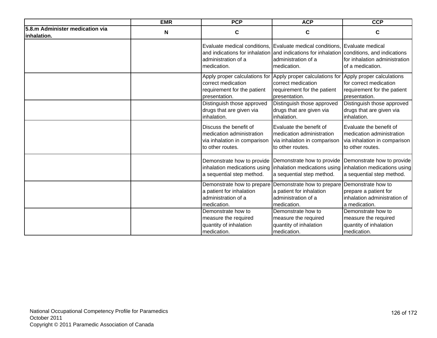|                                                | <b>EMR</b> | <b>PCP</b>                                                                                              | <b>ACP</b>                                                                                                                                                                                                    | <b>CCP</b>                                                                                               |
|------------------------------------------------|------------|---------------------------------------------------------------------------------------------------------|---------------------------------------------------------------------------------------------------------------------------------------------------------------------------------------------------------------|----------------------------------------------------------------------------------------------------------|
| 5.8.m Administer medication via<br>inhalation. | N          | $\mathbf c$                                                                                             | $\mathbf c$                                                                                                                                                                                                   | C                                                                                                        |
|                                                |            | administration of a<br>medication.                                                                      | Evaluate medical conditions, Evaluate medical conditions, Evaluate medical<br>and indications for inhalation and indications for inhalation conditions, and indications<br>administration of a<br>medication. | for inhalation administration<br>of a medication.                                                        |
|                                                |            | Apply proper calculations for<br>correct medication<br>requirement for the patient<br>presentation.     | Apply proper calculations for<br>correct medication<br>requirement for the patient<br>presentation.                                                                                                           | Apply proper calculations<br>for correct medication<br>requirement for the patient<br>presentation.      |
|                                                |            | Distinguish those approved<br>drugs that are given via<br>inhalation.                                   | Distinguish those approved<br>drugs that are given via<br>inhalation.                                                                                                                                         | Distinguish those approved<br>drugs that are given via<br>inhalation.                                    |
|                                                |            | Discuss the benefit of<br>medication administration<br>via inhalation in comparison<br>to other routes. | Evaluate the benefit of<br>medication administration<br>via inhalation in comparison<br>to other routes.                                                                                                      | Evaluate the benefit of<br>medication administration<br>via inhalation in comparison<br>to other routes. |
|                                                |            | Demonstrate how to provide<br>a sequential step method.                                                 | Demonstrate how to provide<br>inhalation medications using inhalation medications using<br>a sequential step method.                                                                                          | Demonstrate how to provide<br>inhalation medications using<br>a sequential step method.                  |
|                                                |            | Demonstrate how to prepare<br>a patient for inhalation<br>administration of a<br>medication.            | Demonstrate how to prepare<br>a patient for inhalation<br>administration of a<br>medication.                                                                                                                  | Demonstrate how to<br>prepare a patient for<br>inhalation administration of<br>a medication.             |
|                                                |            | Demonstrate how to<br>measure the required<br>quantity of inhalation<br>medication.                     | Demonstrate how to<br>measure the required<br>quantity of inhalation<br>medication.                                                                                                                           | Demonstrate how to<br>measure the required<br>quantity of inhalation<br>medication.                      |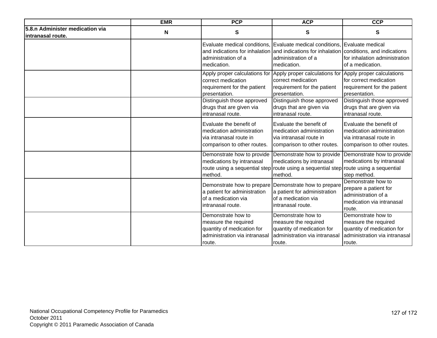|                                                      | <b>EMR</b>  | <b>PCP</b>                                                                                                          | <b>ACP</b>                                                                                                                                                                        | <b>CCP</b>                                                                                                          |
|------------------------------------------------------|-------------|---------------------------------------------------------------------------------------------------------------------|-----------------------------------------------------------------------------------------------------------------------------------------------------------------------------------|---------------------------------------------------------------------------------------------------------------------|
| 5.8.n Administer medication via<br>intranasal route. | $\mathbf N$ | $\mathbf{s}$                                                                                                        | $\mathbf{s}$                                                                                                                                                                      | $\mathbf{s}$                                                                                                        |
|                                                      |             | administration of a<br>medication.                                                                                  | Evaluate medical conditions, Evaluate medical conditions, Evaluate medical<br>and indications for inhalation and indications for inhalation<br>administration of a<br>medication. | conditions, and indications<br>for inhalation administration<br>of a medication.                                    |
|                                                      |             | Apply proper calculations for<br>correct medication<br>requirement for the patient<br>presentation.                 | Apply proper calculations for<br>correct medication<br>requirement for the patient<br>presentation.                                                                               | Apply proper calculations<br>for correct medication<br>requirement for the patient<br>presentation.                 |
|                                                      |             | Distinguish those approved<br>drugs that are given via<br>intranasal route.                                         | Distinguish those approved<br>drugs that are given via<br>intranasal route.                                                                                                       | Distinguish those approved<br>drugs that are given via<br>intranasal route.                                         |
|                                                      |             | Evaluate the benefit of<br>medication administration<br>via intranasal route in<br>comparison to other routes.      | Evaluate the benefit of<br>medication administration<br>via intranasal route in<br>comparison to other routes.                                                                    | Evaluate the benefit of<br>medication administration<br>via intranasal route in<br>comparison to other routes.      |
|                                                      |             | Demonstrate how to provide<br>medications by intranasal<br>method.                                                  | Demonstrate how to provide<br>medications by intranasal<br>route using a sequential step route using a sequential step route using a sequential<br>method.                        | Demonstrate how to provide<br>medications by intranasal<br>step method.                                             |
|                                                      |             | a patient for administration<br>of a medication via<br>intranasal route.                                            | Demonstrate how to prepare Demonstrate how to prepare<br>a patient for administration<br>of a medication via<br>intranasal route.                                                 | Demonstrate how to<br>prepare a patient for<br>administration of a<br>medication via intranasal<br>route.           |
|                                                      |             | Demonstrate how to<br>measure the required<br>quantity of medication for<br>administration via intranasal<br>route. | Demonstrate how to<br>measure the required<br>quantity of medication for<br>administration via intranasal<br>route.                                                               | Demonstrate how to<br>measure the required<br>quantity of medication for<br>administration via intranasal<br>route. |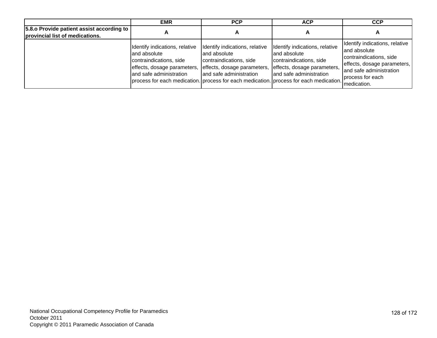|                                                                              | <b>EMR</b>                                                                                                                                                      | <b>PCP</b>                                                                                                                                                                                      | <b>ACP</b>                                                                                                                          | <b>CCP</b>                                                                                                                                                              |
|------------------------------------------------------------------------------|-----------------------------------------------------------------------------------------------------------------------------------------------------------------|-------------------------------------------------------------------------------------------------------------------------------------------------------------------------------------------------|-------------------------------------------------------------------------------------------------------------------------------------|-------------------------------------------------------------------------------------------------------------------------------------------------------------------------|
| 5.8. oProvide patient assist according to<br>provincial list of medications. |                                                                                                                                                                 |                                                                                                                                                                                                 | $\ddot{\phantom{1}}$                                                                                                                | A                                                                                                                                                                       |
|                                                                              | Identify indications, relative<br>and absolute<br>contraindications, side<br>effects, dosage parameters, effects, dosage parameters,<br>and safe administration | Identify indications, relative<br>land absolute<br>contraindications, side<br>and safe administration<br>process for each medication. process for each medication. process for each medication. | Identify indications, relative<br>and absolute<br>contraindications, side<br>effects, dosage parameters,<br>and safe administration | Identify indications, relative<br>land absolute<br>contraindications, side<br>effects, dosage parameters,<br>and safe administration<br>process for each<br>medication. |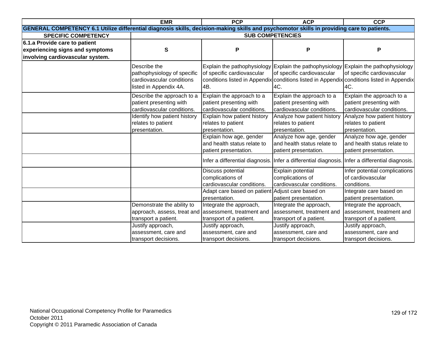|                                                                                                                                            | <b>EMR</b>                                                                                         | <b>PCP</b>                                                                                                                               | <b>ACP</b>                                                                                                               | <b>CCP</b>                                                                                                                     |
|--------------------------------------------------------------------------------------------------------------------------------------------|----------------------------------------------------------------------------------------------------|------------------------------------------------------------------------------------------------------------------------------------------|--------------------------------------------------------------------------------------------------------------------------|--------------------------------------------------------------------------------------------------------------------------------|
| GENERAL COMPETENCY 6.1 Utilize differential diagnosis skills, decision-making skills and psychomotor skills in providing care to patients. |                                                                                                    |                                                                                                                                          |                                                                                                                          |                                                                                                                                |
| <b>SPECIFIC COMPETENCY</b>                                                                                                                 |                                                                                                    |                                                                                                                                          | <b>SUB COMPETENCIES</b>                                                                                                  |                                                                                                                                |
| 6.1.a Provide care to patient                                                                                                              |                                                                                                    |                                                                                                                                          |                                                                                                                          |                                                                                                                                |
| experiencing signs and symptoms                                                                                                            | S                                                                                                  | P                                                                                                                                        | P                                                                                                                        | P                                                                                                                              |
| involving cardiovascular system.                                                                                                           |                                                                                                    |                                                                                                                                          |                                                                                                                          |                                                                                                                                |
|                                                                                                                                            | Describe the<br>pathophysiology of specific<br>cardiovascular conditions<br>listed in Appendix 4A. | of specific cardiovascular<br>4B.                                                                                                        | Explain the pathophysiology Explain the pathophysiology Explain the pathophysiology<br>of specific cardiovascular<br>4C. | of specific cardiovascular<br>conditions listed in Appendix conditions listed in Appendix conditions listed in Appendix<br>4C. |
|                                                                                                                                            | Describe the approach to a<br>patient presenting with<br>cardiovascular conditions.                | Explain the approach to a<br>patient presenting with<br>cardiovascular conditions.                                                       | Explain the approach to a<br>patient presenting with<br>cardiovascular conditions.                                       | Explain the approach to a<br>patient presenting with<br>cardiovascular conditions.                                             |
|                                                                                                                                            | Identify how patient history<br>relates to patient<br>presentation.                                | Explain how patient history<br>relates to patient<br>presentation.                                                                       | Analyze how patient history<br>relates to patient<br>presentation.                                                       | Analyze how patient history<br>relates to patient<br>presentation.                                                             |
|                                                                                                                                            |                                                                                                    | Explain how age, gender<br>and health status relate to<br>patient presentation.                                                          | Analyze how age, gender<br>and health status relate to<br>patient presentation.                                          | Analyze how age, gender<br>and health status relate to<br>patient presentation.                                                |
|                                                                                                                                            |                                                                                                    |                                                                                                                                          | Infer a differential diagnosis. Infer a differential diagnosis. Infer a differential diagnosis.                          |                                                                                                                                |
|                                                                                                                                            |                                                                                                    | Discuss potential<br>complications of<br>cardiovascular conditions.<br>Adapt care based on patient Adjust care based on<br>presentation. | Explain potential<br>complications of<br>cardiovascular conditions.<br>patient presentation.                             | Infer potential complications<br>of cardiovascular<br>conditions.<br>Integrate care based on<br>patient presentation.          |
|                                                                                                                                            | Demonstrate the ability to<br>approach, assess, treat and<br>transport a patient.                  | Integrate the approach,<br>assessment, treatment and<br>transport of a patient.                                                          | Integrate the approach,<br>assessment, treatment and<br>transport of a patient.                                          | Integrate the approach,<br>assessment, treatment and<br>transport of a patient.                                                |
|                                                                                                                                            | Justify approach,<br>assessment, care and<br>transport decisions.                                  | Justify approach,<br>assessment, care and<br>transport decisions.                                                                        | Justify approach,<br>assessment, care and<br>transport decisions.                                                        | Justify approach,<br>assessment, care and<br>transport decisions.                                                              |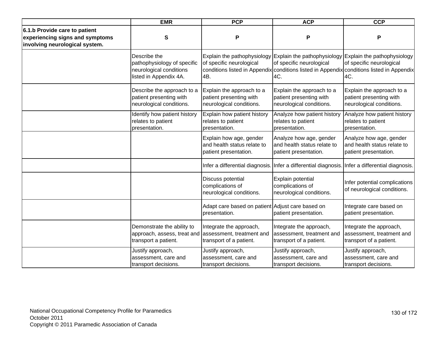|                                                                                                    | <b>EMR</b>                                                                                                  | <b>PCP</b>                                                                       | <b>ACP</b>                                                                                                             | <b>CCP</b>                                                                                                                   |
|----------------------------------------------------------------------------------------------------|-------------------------------------------------------------------------------------------------------------|----------------------------------------------------------------------------------|------------------------------------------------------------------------------------------------------------------------|------------------------------------------------------------------------------------------------------------------------------|
| 6.1.b Provide care to patient<br>experiencing signs and symptoms<br>involving neurological system. | S                                                                                                           | P                                                                                | P                                                                                                                      | P                                                                                                                            |
|                                                                                                    | Describe the<br>pathophysiology of specific<br>neurological conditions<br>listed in Appendix 4A.            | of specific neurological<br>4B.                                                  | Explain the pathophysiology Explain the pathophysiology Explain the pathophysiology<br>of specific neurological<br>4C. | of specific neurological<br>conditions listed in Appendix conditions listed in Appendix conditions listed in Appendix<br>4C. |
|                                                                                                    | Describe the approach to a<br>patient presenting with<br>neurological conditions.                           | Explain the approach to a<br>patient presenting with<br>neurological conditions. | Explain the approach to a<br>patient presenting with<br>neurological conditions.                                       | Explain the approach to a<br>patient presenting with<br>neurological conditions.                                             |
|                                                                                                    | Identify how patient history<br>relates to patient<br>presentation.                                         | Explain how patient history<br>relates to patient<br>presentation.               | Analyze how patient history<br>relates to patient<br>presentation.                                                     | Analyze how patient history<br>relates to patient<br>presentation.                                                           |
|                                                                                                    |                                                                                                             | Explain how age, gender<br>and health status relate to<br>patient presentation.  | Analyze how age, gender<br>and health status relate to<br>patient presentation.                                        | Analyze how age, gender<br>and health status relate to<br>patient presentation.                                              |
|                                                                                                    |                                                                                                             |                                                                                  | Infer a differential diagnosis. Infer a differential diagnosis. Infer a differential diagnosis.                        |                                                                                                                              |
|                                                                                                    |                                                                                                             | Discuss potential<br>complications of<br>neurological conditions.                | Explain potential<br>complications of<br>neurological conditions.                                                      | Infer potential complications<br>of neurological conditions.                                                                 |
|                                                                                                    |                                                                                                             | Adapt care based on patient Adjust care based on<br>presentation.                | patient presentation.                                                                                                  | Integrate care based on<br>patient presentation.                                                                             |
|                                                                                                    | Demonstrate the ability to<br>approach, assess, treat and assessment, treatment and<br>transport a patient. | Integrate the approach,<br>transport of a patient.                               | Integrate the approach,<br>assessment, treatment and<br>transport of a patient.                                        | Integrate the approach,<br>assessment, treatment and<br>transport of a patient.                                              |
|                                                                                                    | Justify approach,<br>assessment, care and<br>transport decisions.                                           | Justify approach,<br>assessment, care and<br>transport decisions.                | Justify approach,<br>assessment, care and<br>transport decisions.                                                      | Justify approach,<br>assessment, care and<br>transport decisions.                                                            |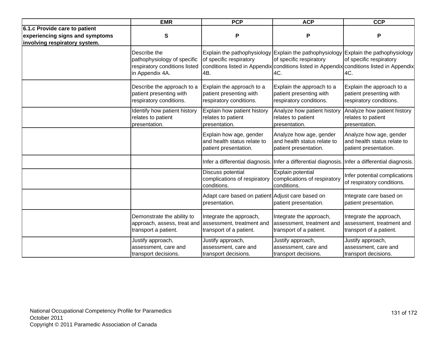|                                                                                                   | <b>EMR</b>                                                                                      | <b>PCP</b>                                                                      | <b>ACP</b>                                                                                      | <b>CCP</b>                                                                                                                                                                                                         |
|---------------------------------------------------------------------------------------------------|-------------------------------------------------------------------------------------------------|---------------------------------------------------------------------------------|-------------------------------------------------------------------------------------------------|--------------------------------------------------------------------------------------------------------------------------------------------------------------------------------------------------------------------|
| 6.1.c Provide care to patient<br>experiencing signs and symptoms<br>involving respiratory system. | S                                                                                               | P                                                                               | P                                                                                               | Ρ                                                                                                                                                                                                                  |
|                                                                                                   | Describe the<br>pathophysiology of specific<br>respiratory conditions listed<br>in Appendix 4A. | of specific respiratory<br>4B.                                                  | of specific respiratory<br>4C.                                                                  | Explain the pathophysiology Explain the pathophysiology Explain the pathophysiology<br>of specific respiratory<br>conditions listed in Appendix conditions listed in Appendix conditions listed in Appendix<br>4C. |
|                                                                                                   | Describe the approach to a<br>patient presenting with<br>respiratory conditions.                | Explain the approach to a<br>patient presenting with<br>respiratory conditions. | Explain the approach to a<br>patient presenting with<br>respiratory conditions.                 | Explain the approach to a<br>patient presenting with<br>respiratory conditions.                                                                                                                                    |
|                                                                                                   | Identify how patient history<br>relates to patient<br>presentation.                             | Explain how patient history<br>relates to patient<br>presentation.              | Analyze how patient history<br>relates to patient<br>presentation.                              | Analyze how patient history<br>relates to patient<br>presentation.                                                                                                                                                 |
|                                                                                                   |                                                                                                 | Explain how age, gender<br>and health status relate to<br>patient presentation. | Analyze how age, gender<br>and health status relate to<br>patient presentation.                 | Analyze how age, gender<br>and health status relate to<br>patient presentation.                                                                                                                                    |
|                                                                                                   |                                                                                                 |                                                                                 | Infer a differential diagnosis. Infer a differential diagnosis. Infer a differential diagnosis. |                                                                                                                                                                                                                    |
|                                                                                                   |                                                                                                 | Discuss potential<br>complications of respiratory<br>conditions.                | Explain potential<br>complications of respiratory<br>conditions.                                | Infer potential complications<br>of respiratory conditions.                                                                                                                                                        |
|                                                                                                   |                                                                                                 | Adapt care based on patient Adjust care based on<br>presentation.               | patient presentation.                                                                           | Integrate care based on<br>patient presentation.                                                                                                                                                                   |
|                                                                                                   | Demonstrate the ability to<br>approach, assess, treat and<br>transport a patient.               | Integrate the approach,<br>assessment, treatment and<br>transport of a patient. | Integrate the approach,<br>assessment, treatment and<br>transport of a patient.                 | Integrate the approach,<br>assessment, treatment and<br>transport of a patient.                                                                                                                                    |
|                                                                                                   | Justify approach,<br>assessment, care and<br>transport decisions.                               | Justify approach,<br>assessment, care and<br>transport decisions.               | Justify approach,<br>assessment, care and<br>transport decisions.                               | Justify approach,<br>assessment, care and<br>transport decisions.                                                                                                                                                  |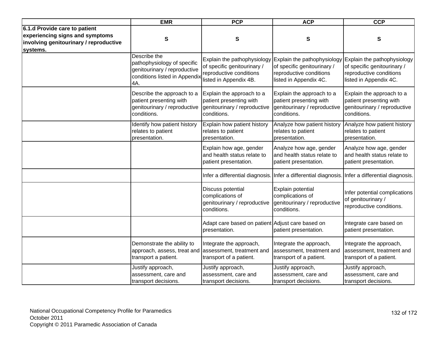|                                                                                                                        | <b>EMR</b>                                                                                                          | <b>PCP</b>                                                                                                      | <b>ACP</b>                                                                                          | <b>CCP</b>                                                                                                                                  |
|------------------------------------------------------------------------------------------------------------------------|---------------------------------------------------------------------------------------------------------------------|-----------------------------------------------------------------------------------------------------------------|-----------------------------------------------------------------------------------------------------|---------------------------------------------------------------------------------------------------------------------------------------------|
| 6.1.d Provide care to patient<br>experiencing signs and symptoms<br>involving genitourinary / reproductive<br>systems. | ${\bf S}$                                                                                                           | S                                                                                                               | S                                                                                                   | S                                                                                                                                           |
|                                                                                                                        | Describe the<br>pathophysiology of specific<br>genitourinary / reproductive<br>conditions listed in Appendix<br>4A. | Explain the pathophysiology<br>of specific genitourinary /<br>reproductive conditions<br>listed in Appendix 4B. | of specific genitourinary /<br>reproductive conditions<br>listed in Appendix 4C.                    | Explain the pathophysiology Explain the pathophysiology<br>of specific genitourinary /<br>reproductive conditions<br>listed in Appendix 4C. |
|                                                                                                                        | Describe the approach to a<br>patient presenting with<br>genitourinary / reproductive<br>conditions.                | Explain the approach to a<br>patient presenting with<br>genitourinary / reproductive<br>conditions.             | Explain the approach to a<br>patient presenting with<br>genitourinary / reproductive<br>conditions. | Explain the approach to a<br>patient presenting with<br>genitourinary / reproductive<br>conditions.                                         |
|                                                                                                                        | Identify how patient history<br>relates to patient<br>presentation.                                                 | Explain how patient history<br>relates to patient<br>presentation.                                              | Analyze how patient history<br>relates to patient<br>presentation.                                  | Analyze how patient history<br>relates to patient<br>presentation.                                                                          |
|                                                                                                                        |                                                                                                                     | Explain how age, gender<br>and health status relate to<br>patient presentation.                                 | Analyze how age, gender<br>and health status relate to<br>patient presentation.                     | Analyze how age, gender<br>and health status relate to<br>patient presentation.                                                             |
|                                                                                                                        |                                                                                                                     |                                                                                                                 | Infer a differential diagnosis. Infer a differential diagnosis. Infer a differential diagnosis.     |                                                                                                                                             |
|                                                                                                                        |                                                                                                                     | Discuss potential<br>complications of<br>genitourinary / reproductive<br>conditions.                            | Explain potential<br>complications of<br>genitourinary / reproductive<br>conditions.                | Infer potential complications<br>of genitourinary /<br>reproductive conditions.                                                             |
|                                                                                                                        |                                                                                                                     | Adapt care based on patient Adjust care based on<br>presentation.                                               | patient presentation.                                                                               | Integrate care based on<br>patient presentation.                                                                                            |
|                                                                                                                        | Demonstrate the ability to<br>approach, assess, treat and<br>transport a patient.                                   | Integrate the approach,<br>assessment, treatment and<br>transport of a patient.                                 | Integrate the approach,<br>assessment, treatment and<br>transport of a patient.                     | Integrate the approach,<br>assessment, treatment and<br>transport of a patient.                                                             |
|                                                                                                                        | Justify approach,<br>assessment, care and<br>transport decisions.                                                   | Justify approach,<br>assessment, care and<br>transport decisions.                                               | Justify approach,<br>assessment, care and<br>transport decisions.                                   | Justify approach,<br>assessment, care and<br>transport decisions.                                                                           |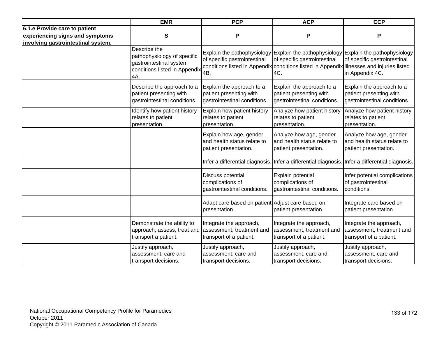|                                                                                                        | <b>EMR</b>                                                                                                     | <b>PCP</b>                                                                           | <b>ACP</b>                                                                                                                       | <b>CCP</b>                                                                                                                             |
|--------------------------------------------------------------------------------------------------------|----------------------------------------------------------------------------------------------------------------|--------------------------------------------------------------------------------------|----------------------------------------------------------------------------------------------------------------------------------|----------------------------------------------------------------------------------------------------------------------------------------|
| 6.1.e Provide care to patient<br>experiencing signs and symptoms<br>involving gastrointestinal system. | S                                                                                                              | P                                                                                    | P                                                                                                                                | Ρ                                                                                                                                      |
|                                                                                                        | Describe the<br>pathophysiology of specific<br>gastrointestinal system<br>conditions listed in Appendix<br>4A. | of specific gastrointestinal<br>4B.                                                  | of specific gastrointestinal<br>conditions listed in Appendix conditions listed in Appendix illnesses and injuries listed<br>4C. | Explain the pathophysiology Explain the pathophysiology Explain the pathophysiology<br>of specific gastrointestinal<br>in Appendix 4C. |
|                                                                                                        | Describe the approach to a<br>patient presenting with<br>gastrointestinal conditions.                          | Explain the approach to a<br>patient presenting with<br>gastrointestinal conditions. | Explain the approach to a<br>patient presenting with<br>gastrointestinal conditions.                                             | Explain the approach to a<br>patient presenting with<br>gastrointestinal conditions.                                                   |
|                                                                                                        | Identify how patient history<br>relates to patient<br>presentation.                                            | Explain how patient history<br>relates to patient<br>presentation.                   | Analyze how patient history<br>relates to patient<br>presentation.                                                               | Analyze how patient history<br>relates to patient<br>presentation.                                                                     |
|                                                                                                        |                                                                                                                | Explain how age, gender<br>and health status relate to<br>patient presentation.      | Analyze how age, gender<br>and health status relate to<br>patient presentation.                                                  | Analyze how age, gender<br>and health status relate to<br>patient presentation.                                                        |
|                                                                                                        |                                                                                                                |                                                                                      | Infer a differential diagnosis. Infer a differential diagnosis. Infer a differential diagnosis.                                  |                                                                                                                                        |
|                                                                                                        |                                                                                                                | Discuss potential<br>complications of<br>gastrointestinal conditions.                | Explain potential<br>complications of<br>gastrointestinal conditions.                                                            | Infer potential complications<br>of gastrointestinal<br>conditions.                                                                    |
|                                                                                                        |                                                                                                                | Adapt care based on patient Adjust care based on<br>presentation.                    | patient presentation.                                                                                                            | Integrate care based on<br>patient presentation.                                                                                       |
|                                                                                                        | Demonstrate the ability to<br>approach, assess, treat and<br>transport a patient.                              | Integrate the approach,<br>assessment, treatment and<br>transport of a patient.      | Integrate the approach,<br>assessment, treatment and<br>transport of a patient.                                                  | Integrate the approach,<br>assessment, treatment and<br>transport of a patient.                                                        |
|                                                                                                        | Justify approach,<br>assessment, care and<br>transport decisions.                                              | Justify approach,<br>assessment, care and<br>transport decisions.                    | Justify approach,<br>assessment, care and<br>transport decisions.                                                                | Justify approach,<br>assessment, care and<br>transport decisions.                                                                      |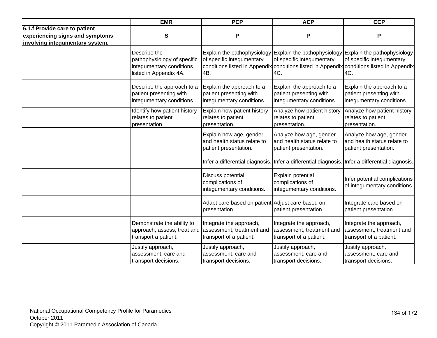|                                                                                                     | <b>EMR</b>                                                                                        | <b>PCP</b>                                                                        | <b>ACP</b>                                                                                      | <b>CCP</b>                                                                                                                                                                                                           |
|-----------------------------------------------------------------------------------------------------|---------------------------------------------------------------------------------------------------|-----------------------------------------------------------------------------------|-------------------------------------------------------------------------------------------------|----------------------------------------------------------------------------------------------------------------------------------------------------------------------------------------------------------------------|
| 6.1.f Provide care to patient<br>experiencing signs and symptoms<br>involving integumentary system. | S                                                                                                 | P                                                                                 | P                                                                                               | P                                                                                                                                                                                                                    |
|                                                                                                     | Describe the<br>pathophysiology of specific<br>integumentary conditions<br>listed in Appendix 4A. | of specific integumentary<br>4B.                                                  | of specific integumentary<br>4C.                                                                | Explain the pathophysiology Explain the pathophysiology Explain the pathophysiology<br>of specific integumentary<br>conditions listed in Appendix conditions listed in Appendix conditions listed in Appendix<br>4C. |
|                                                                                                     | Describe the approach to a<br>patient presenting with<br>integumentary conditions.                | Explain the approach to a<br>patient presenting with<br>integumentary conditions. | Explain the approach to a<br>patient presenting with<br>integumentary conditions.               | Explain the approach to a<br>patient presenting with<br>integumentary conditions.                                                                                                                                    |
|                                                                                                     | Identify how patient history<br>relates to patient<br>presentation.                               | Explain how patient history<br>relates to patient<br>presentation.                | Analyze how patient history<br>relates to patient<br>presentation.                              | Analyze how patient history<br>relates to patient<br>presentation.                                                                                                                                                   |
|                                                                                                     |                                                                                                   | Explain how age, gender<br>and health status relate to<br>patient presentation.   | Analyze how age, gender<br>and health status relate to<br>patient presentation.                 | Analyze how age, gender<br>and health status relate to<br>patient presentation.                                                                                                                                      |
|                                                                                                     |                                                                                                   |                                                                                   | Infer a differential diagnosis. Infer a differential diagnosis. Infer a differential diagnosis. |                                                                                                                                                                                                                      |
|                                                                                                     |                                                                                                   | Discuss potential<br>complications of<br>integumentary conditions.                | Explain potential<br>complications of<br>integumentary conditions.                              | Infer potential complications<br>of integumentary conditions.                                                                                                                                                        |
|                                                                                                     |                                                                                                   | Adapt care based on patient Adjust care based on<br>presentation.                 | patient presentation.                                                                           | Integrate care based on<br>patient presentation.                                                                                                                                                                     |
|                                                                                                     | Demonstrate the ability to<br>approach, assess, treat and<br>transport a patient.                 | Integrate the approach,<br>assessment, treatment and<br>transport of a patient.   | Integrate the approach,<br>assessment, treatment and<br>transport of a patient.                 | Integrate the approach,<br>assessment, treatment and<br>transport of a patient.                                                                                                                                      |
|                                                                                                     | Justify approach,<br>assessment, care and<br>transport decisions.                                 | Justify approach,<br>assessment, care and<br>transport decisions.                 | Justify approach,<br>assessment, care and<br>transport decisions.                               | Justify approach,<br>assessment, care and<br>transport decisions.                                                                                                                                                    |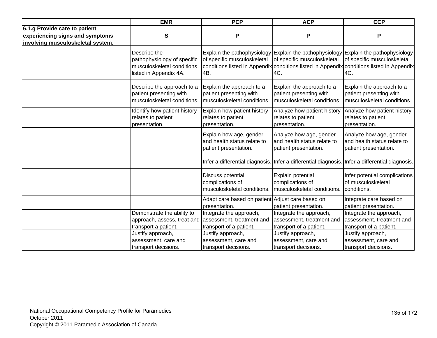|                                                                                                       | <b>EMR</b>                                                                                          | <b>PCP</b>                                                                          | <b>ACP</b>                                                                                      | <b>CCP</b>                                                                                                                                                                                                             |
|-------------------------------------------------------------------------------------------------------|-----------------------------------------------------------------------------------------------------|-------------------------------------------------------------------------------------|-------------------------------------------------------------------------------------------------|------------------------------------------------------------------------------------------------------------------------------------------------------------------------------------------------------------------------|
| 6.1.g Provide care to patient<br>experiencing signs and symptoms<br>involving musculoskeletal system. | $\mathbf{s}$                                                                                        | P                                                                                   | P                                                                                               | P                                                                                                                                                                                                                      |
|                                                                                                       | Describe the<br>pathophysiology of specific<br>musculoskeletal conditions<br>listed in Appendix 4A. | of specific musculoskeletal<br>4B.                                                  | of specific musculoskeletal<br>4C.                                                              | Explain the pathophysiology Explain the pathophysiology Explain the pathophysiology<br>of specific musculoskeletal<br>conditions listed in Appendix conditions listed in Appendix conditions listed in Appendix<br>4C. |
|                                                                                                       | Describe the approach to a<br>patient presenting with<br>musculoskeletal conditions.                | Explain the approach to a<br>patient presenting with<br>musculoskeletal conditions. | Explain the approach to a<br>patient presenting with<br>musculoskeletal conditions.             | Explain the approach to a<br>patient presenting with<br>musculoskeletal conditions.                                                                                                                                    |
|                                                                                                       | Identify how patient history<br>relates to patient<br>presentation.                                 | Explain how patient history<br>relates to patient<br>presentation.                  | Analyze how patient history<br>relates to patient<br>presentation.                              | Analyze how patient history<br>relates to patient<br>presentation.                                                                                                                                                     |
|                                                                                                       |                                                                                                     | Explain how age, gender<br>and health status relate to<br>patient presentation.     | Analyze how age, gender<br>and health status relate to<br>patient presentation.                 | Analyze how age, gender<br>and health status relate to<br>patient presentation.                                                                                                                                        |
|                                                                                                       |                                                                                                     |                                                                                     | Infer a differential diagnosis. Infer a differential diagnosis. Infer a differential diagnosis. |                                                                                                                                                                                                                        |
|                                                                                                       |                                                                                                     | Discuss potential<br>complications of<br>musculoskeletal conditions.                | Explain potential<br>complications of<br>musculoskeletal conditions.                            | Infer potential complications<br>of musculoskeletal<br>conditions.                                                                                                                                                     |
|                                                                                                       |                                                                                                     | Adapt care based on patient Adjust care based on<br>presentation.                   | patient presentation.                                                                           | Integrate care based on<br>patient presentation.                                                                                                                                                                       |
|                                                                                                       | Demonstrate the ability to<br>approach, assess, treat and<br>transport a patient.                   | Integrate the approach,<br>assessment, treatment and<br>transport of a patient.     | Integrate the approach,<br>assessment, treatment and<br>transport of a patient.                 | Integrate the approach,<br>assessment, treatment and<br>transport of a patient.                                                                                                                                        |
|                                                                                                       | Justify approach,<br>assessment, care and<br>transport decisions.                                   | Justify approach,<br>assessment, care and<br>transport decisions.                   | Justify approach,<br>assessment, care and<br>transport decisions.                               | Justify approach,<br>assessment, care and<br>transport decisions.                                                                                                                                                      |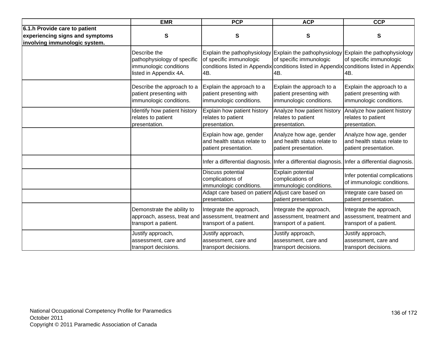|                                                                                                   | <b>EMR</b>                                                                                      | <b>PCP</b>                                                                      | <b>ACP</b>                                                                      | <b>CCP</b>                                                                                                                                                                                                         |
|---------------------------------------------------------------------------------------------------|-------------------------------------------------------------------------------------------------|---------------------------------------------------------------------------------|---------------------------------------------------------------------------------|--------------------------------------------------------------------------------------------------------------------------------------------------------------------------------------------------------------------|
| 6.1.h Provide care to patient<br>experiencing signs and symptoms<br>involving immunologic system. | S                                                                                               | ${\bf S}$                                                                       | S                                                                               | S                                                                                                                                                                                                                  |
|                                                                                                   | Describe the<br>pathophysiology of specific<br>immunologic conditions<br>listed in Appendix 4A. | of specific immunologic<br>4B.                                                  | of specific immunologic<br>4B.                                                  | Explain the pathophysiology Explain the pathophysiology Explain the pathophysiology<br>of specific immunologic<br>conditions listed in Appendix conditions listed in Appendix conditions listed in Appendix<br>4B. |
|                                                                                                   | Describe the approach to a<br>patient presenting with<br>immunologic conditions.                | Explain the approach to a<br>patient presenting with<br>immunologic conditions. | Explain the approach to a<br>patient presenting with<br>immunologic conditions. | Explain the approach to a<br>patient presenting with<br>immunologic conditions.                                                                                                                                    |
|                                                                                                   | Identify how patient history<br>relates to patient<br>presentation.                             | Explain how patient history<br>relates to patient<br>presentation.              | Analyze how patient history<br>relates to patient<br>presentation.              | Analyze how patient history<br>relates to patient<br>presentation.                                                                                                                                                 |
|                                                                                                   |                                                                                                 | Explain how age, gender<br>and health status relate to<br>patient presentation. | Analyze how age, gender<br>and health status relate to<br>patient presentation. | Analyze how age, gender<br>and health status relate to<br>patient presentation.                                                                                                                                    |
|                                                                                                   |                                                                                                 |                                                                                 |                                                                                 | Infer a differential diagnosis. Infer a differential diagnosis. Infer a differential diagnosis.                                                                                                                    |
|                                                                                                   |                                                                                                 | Discuss potential<br>complications of<br>immunologic conditions.                | Explain potential<br>complications of<br>immunologic conditions.                | Infer potential complications<br>of immunologic conditions.                                                                                                                                                        |
|                                                                                                   |                                                                                                 | Adapt care based on patient<br>presentation.                                    | Adjust care based on<br>patient presentation.                                   | Integrate care based on<br>patient presentation.                                                                                                                                                                   |
|                                                                                                   | Demonstrate the ability to<br>approach, assess, treat and<br>transport a patient.               | Integrate the approach,<br>assessment, treatment and<br>transport of a patient. | Integrate the approach,<br>assessment, treatment and<br>transport of a patient. | Integrate the approach,<br>assessment, treatment and<br>transport of a patient.                                                                                                                                    |
|                                                                                                   | Justify approach,<br>assessment, care and<br>transport decisions.                               | Justify approach,<br>assessment, care and<br>transport decisions.               | Justify approach,<br>assessment, care and<br>transport decisions.               | Justify approach,<br>assessment, care and<br>transport decisions.                                                                                                                                                  |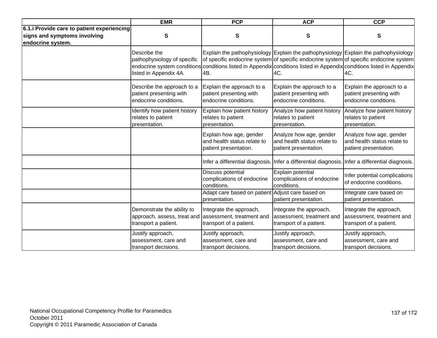|                                                                                                | <b>EMR</b>                                                                        | <b>PCP</b>                                                                      | <b>ACP</b>                                                                                      | <b>CCP</b>                                                                                                                                                                                                                                                                                                    |
|------------------------------------------------------------------------------------------------|-----------------------------------------------------------------------------------|---------------------------------------------------------------------------------|-------------------------------------------------------------------------------------------------|---------------------------------------------------------------------------------------------------------------------------------------------------------------------------------------------------------------------------------------------------------------------------------------------------------------|
| 6.1. Provide care to patient experiencing<br>signs and symptoms involving<br>endocrine system. | $\mathbf s$                                                                       | ${\bf S}$                                                                       | S                                                                                               | S                                                                                                                                                                                                                                                                                                             |
|                                                                                                | Describe the<br>pathophysiology of specific<br>listed in Appendix 4A.             | 4B.                                                                             | 4C.                                                                                             | Explain the pathophysiology Explain the pathophysiology Explain the pathophysiology<br>of specific endocrine system of specific endocrine system of specific endocrine system<br>endocrine system conditions conditions listed in Appendix conditions listed in Appendix conditions listed in Appendix<br>4C. |
|                                                                                                | Describe the approach to a<br>patient presenting with<br>endocrine conditions.    | Explain the approach to a<br>patient presenting with<br>endocrine conditions.   | Explain the approach to a<br>patient presenting with<br>endocrine conditions.                   | Explain the approach to a<br>patient presenting with<br>endocrine conditions.                                                                                                                                                                                                                                 |
|                                                                                                | Identify how patient history<br>relates to patient<br>presentation.               | Explain how patient history<br>relates to patient<br>presentation.              | Analyze how patient history<br>relates to patient<br>presentation.                              | Analyze how patient history<br>relates to patient<br>presentation.                                                                                                                                                                                                                                            |
|                                                                                                |                                                                                   | Explain how age, gender<br>and health status relate to<br>patient presentation. | Analyze how age, gender<br>and health status relate to<br>patient presentation.                 | Analyze how age, gender<br>and health status relate to<br>patient presentation.                                                                                                                                                                                                                               |
|                                                                                                |                                                                                   |                                                                                 | Infer a differential diagnosis. Infer a differential diagnosis. Infer a differential diagnosis. |                                                                                                                                                                                                                                                                                                               |
|                                                                                                |                                                                                   | Discuss potential<br>complications of endocrine<br>conditions.                  | Explain potential<br>complications of endocrine<br>conditions.                                  | Infer potential complications<br>of endocrine conditions.                                                                                                                                                                                                                                                     |
|                                                                                                |                                                                                   | Adapt care based on patient Adjust care based on<br>presentation.               | patient presentation.                                                                           | Integrate care based on<br>patient presentation.                                                                                                                                                                                                                                                              |
|                                                                                                | Demonstrate the ability to<br>approach, assess, treat and<br>transport a patient. | Integrate the approach,<br>assessment, treatment and<br>transport of a patient. | Integrate the approach,<br>assessment, treatment and<br>transport of a patient.                 | Integrate the approach,<br>assessment, treatment and<br>transport of a patient.                                                                                                                                                                                                                               |
|                                                                                                | Justify approach,<br>assessment, care and<br>transport decisions.                 | Justify approach,<br>assessment, care and<br>transport decisions.               | Justify approach,<br>assessment, care and<br>transport decisions.                               | Justify approach,<br>assessment, care and<br>transport decisions.                                                                                                                                                                                                                                             |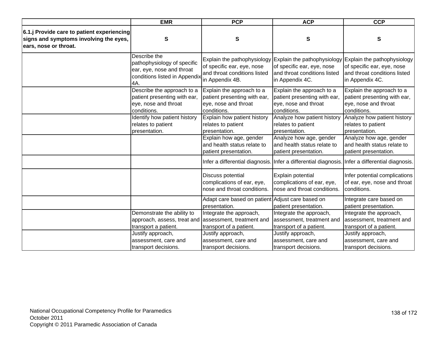|                                                                                                               | <b>EMR</b>                                                                                                       | <b>PCP</b>                                                                                       | <b>ACP</b>                                                                                       | <b>CCP</b>                                                                                                                                                           |
|---------------------------------------------------------------------------------------------------------------|------------------------------------------------------------------------------------------------------------------|--------------------------------------------------------------------------------------------------|--------------------------------------------------------------------------------------------------|----------------------------------------------------------------------------------------------------------------------------------------------------------------------|
| 6.1.j Provide care to patient experiencing<br>signs and symptoms involving the eyes,<br>ears, nose or throat. | S                                                                                                                | $\mathbf s$                                                                                      | S                                                                                                | S                                                                                                                                                                    |
|                                                                                                               | Describe the<br>pathophysiology of specific<br>ear, eye, nose and throat<br>conditions listed in Appendix<br>4A. | of specific ear, eye, nose<br>and throat conditions listed<br>in Appendix 4B.                    | of specific ear, eye, nose<br>and throat conditions listed<br>in Appendix 4C.                    | Explain the pathophysiology Explain the pathophysiology Explain the pathophysiology<br>of specific ear, eye, nose<br>and throat conditions listed<br>in Appendix 4C. |
|                                                                                                               | Describe the approach to a<br>patient presenting with ear,<br>eye, nose and throat<br>conditions.                | Explain the approach to a<br>patient presenting with ear,<br>eye, nose and throat<br>conditions. | Explain the approach to a<br>patient presenting with ear,<br>eye, nose and throat<br>conditions. | Explain the approach to a<br>patient presenting with ear,<br>eye, nose and throat<br>conditions.                                                                     |
|                                                                                                               | Identify how patient history<br>relates to patient<br>presentation.                                              | Explain how patient history<br>relates to patient<br>presentation.                               | Analyze how patient history<br>relates to patient<br>presentation.                               | Analyze how patient history<br>relates to patient<br>presentation.                                                                                                   |
|                                                                                                               |                                                                                                                  | Explain how age, gender<br>and health status relate to<br>patient presentation.                  | Analyze how age, gender<br>and health status relate to<br>patient presentation.                  | Analyze how age, gender<br>and health status relate to<br>patient presentation.                                                                                      |
|                                                                                                               |                                                                                                                  |                                                                                                  |                                                                                                  | Infer a differential diagnosis. Infer a differential diagnosis. Infer a differential diagnosis.                                                                      |
|                                                                                                               |                                                                                                                  | Discuss potential<br>complications of ear, eye,<br>nose and throat conditions.                   | Explain potential<br>complications of ear, eye,<br>nose and throat conditions.                   | Infer potential complications<br>of ear, eye, nose and throat<br>conditions.                                                                                         |
|                                                                                                               |                                                                                                                  | Adapt care based on patient Adjust care based on<br>presentation.                                | patient presentation.                                                                            | Integrate care based on<br>patient presentation.                                                                                                                     |
|                                                                                                               | Demonstrate the ability to<br>approach, assess, treat and<br>transport a patient.                                | Integrate the approach,<br>assessment, treatment and<br>transport of a patient.                  | Integrate the approach,<br>assessment, treatment and<br>transport of a patient.                  | Integrate the approach,<br>assessment, treatment and<br>transport of a patient.                                                                                      |
|                                                                                                               | Justify approach,<br>assessment, care and<br>transport decisions.                                                | Justify approach,<br>assessment, care and<br>transport decisions.                                | Justify approach,<br>assessment, care and<br>transport decisions.                                | Justify approach,<br>assessment, care and<br>transport decisions.                                                                                                    |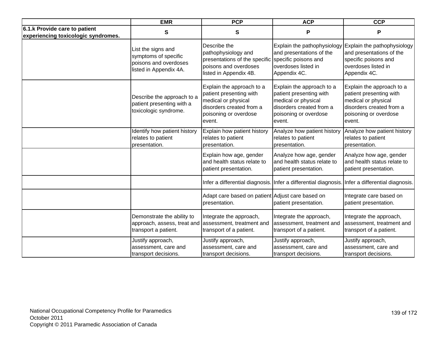|                                                                      | <b>EMR</b>                                                                                    | <b>PCP</b>                                                                                                                                 | <b>ACP</b>                                                                                                                                 | <b>CCP</b>                                                                                                                                 |
|----------------------------------------------------------------------|-----------------------------------------------------------------------------------------------|--------------------------------------------------------------------------------------------------------------------------------------------|--------------------------------------------------------------------------------------------------------------------------------------------|--------------------------------------------------------------------------------------------------------------------------------------------|
| 6.1.k Provide care to patient<br>experiencing toxicologic syndromes. | $\mathbf{s}$                                                                                  | ${\bf S}$                                                                                                                                  | P                                                                                                                                          | P                                                                                                                                          |
|                                                                      | List the signs and<br>symptoms of specific<br>poisons and overdoses<br>listed in Appendix 4A. | Describe the<br>pathophysiology and<br>presentations of the specific<br>poisons and overdoses<br>listed in Appendix 4B.                    | Explain the pathophysiology<br>and presentations of the<br>specific poisons and<br>overdoses listed in<br>Appendix 4C.                     | Explain the pathophysiology<br>and presentations of the<br>specific poisons and<br>overdoses listed in<br>Appendix 4C.                     |
|                                                                      | Describe the approach to a<br>patient presenting with a<br>toxicologic syndrome.              | Explain the approach to a<br>patient presenting with<br>medical or physical<br>disorders created from a<br>poisoning or overdose<br>event. | Explain the approach to a<br>patient presenting with<br>medical or physical<br>disorders created from a<br>poisoning or overdose<br>event. | Explain the approach to a<br>patient presenting with<br>medical or physical<br>disorders created from a<br>poisoning or overdose<br>event. |
|                                                                      | Identify how patient history<br>relates to patient<br>presentation.                           | Explain how patient history<br>relates to patient<br>presentation.                                                                         | Analyze how patient history<br>relates to patient<br>presentation.                                                                         | Analyze how patient history<br>relates to patient<br>presentation.                                                                         |
|                                                                      |                                                                                               | Explain how age, gender<br>and health status relate to<br>patient presentation.                                                            | Analyze how age, gender<br>and health status relate to<br>patient presentation.                                                            | Analyze how age, gender<br>and health status relate to<br>patient presentation.                                                            |
|                                                                      |                                                                                               |                                                                                                                                            |                                                                                                                                            | Infer a differential diagnosis. Infer a differential diagnosis. Infer a differential diagnosis.                                            |
|                                                                      |                                                                                               | Adapt care based on patient Adjust care based on<br>presentation.                                                                          | patient presentation.                                                                                                                      | Integrate care based on<br>patient presentation.                                                                                           |
|                                                                      | Demonstrate the ability to<br>approach, assess, treat and<br>transport a patient.             | Integrate the approach,<br>assessment, treatment and<br>transport of a patient.                                                            | Integrate the approach,<br>assessment, treatment and<br>transport of a patient.                                                            | Integrate the approach,<br>assessment, treatment and<br>transport of a patient.                                                            |
|                                                                      | Justify approach,<br>assessment, care and<br>transport decisions.                             | Justify approach,<br>assessment, care and<br>transport decisions.                                                                          | Justify approach,<br>assessment, care and<br>transport decisions.                                                                          | Justify approach,<br>assessment, care and<br>transport decisions.                                                                          |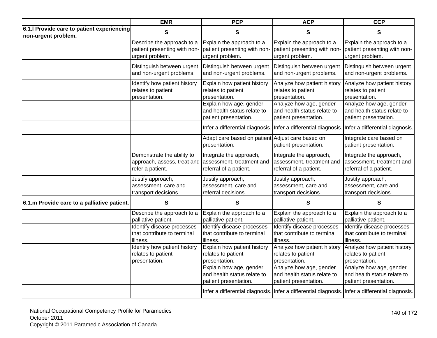|                                                                   | <b>EMR</b>                   | <b>PCP</b>                                                                      | <b>ACP</b>                                                                                      | <b>CCP</b>                                                                                      |
|-------------------------------------------------------------------|------------------------------|---------------------------------------------------------------------------------|-------------------------------------------------------------------------------------------------|-------------------------------------------------------------------------------------------------|
| 6.1.I Provide care to patient experiencing<br>non-urgent problem. | S                            | S                                                                               | S                                                                                               | S                                                                                               |
|                                                                   | Describe the approach to a   | Explain the approach to a                                                       | Explain the approach to a                                                                       | Explain the approach to a                                                                       |
|                                                                   | patient presenting with non- | patient presenting with non-                                                    | patient presenting with non-                                                                    | patient presenting with non-                                                                    |
|                                                                   | urgent problem.              | urgent problem.                                                                 | urgent problem.                                                                                 | urgent problem.                                                                                 |
|                                                                   | Distinguish between urgent   | Distinguish between urgent                                                      | Distinguish between urgent                                                                      | Distinguish between urgent                                                                      |
|                                                                   | and non-urgent problems.     | and non-urgent problems.                                                        | and non-urgent problems.                                                                        | and non-urgent problems.                                                                        |
|                                                                   | Identify how patient history | Explain how patient history                                                     | Analyze how patient history                                                                     | Analyze how patient history                                                                     |
|                                                                   | relates to patient           | relates to patient                                                              | relates to patient                                                                              | relates to patient                                                                              |
|                                                                   | presentation.                | presentation.                                                                   | presentation.                                                                                   | presentation.                                                                                   |
|                                                                   |                              | Explain how age, gender<br>and health status relate to<br>patient presentation. | Analyze how age, gender<br>and health status relate to<br>patient presentation.                 | Analyze how age, gender<br>and health status relate to<br>patient presentation.                 |
|                                                                   |                              |                                                                                 | Infer a differential diagnosis. Infer a differential diagnosis. Infer a differential diagnosis. |                                                                                                 |
|                                                                   |                              | Adapt care based on patient Adjust care based on<br>presentation.               | patient presentation.                                                                           | Integrate care based on<br>patient presentation.                                                |
|                                                                   | Demonstrate the ability to   | Integrate the approach,                                                         | Integrate the approach,                                                                         | Integrate the approach,                                                                         |
|                                                                   | approach, assess, treat and  | assessment, treatment and                                                       | assessment, treatment and                                                                       | assessment, treatment and                                                                       |
|                                                                   | refer a patient.             | referral of a patient.                                                          | referral of a patient.                                                                          | referral of a patient.                                                                          |
|                                                                   | Justify approach,            | Justify approach,                                                               | Justify approach,                                                                               | Justify approach,                                                                               |
|                                                                   | assessment, care and         | assessment, care and                                                            | assessment, care and                                                                            | assessment, care and                                                                            |
|                                                                   | transport decisions.         | referral decisions.                                                             | transport decisions.                                                                            | transport decisions.                                                                            |
| 6.1.m Provide care to a palliative patient.                       | S                            | S                                                                               | S                                                                                               | S                                                                                               |
|                                                                   | Describe the approach to a   | Explain the approach to a                                                       | Explain the approach to a                                                                       | Explain the approach to a                                                                       |
|                                                                   | palliative patient.          | palliative patient.                                                             | palliative patient.                                                                             | palliative patient.                                                                             |
|                                                                   | Identify disease processes   | Identify disease processes                                                      | Identify disease processes                                                                      | Identify disease processes                                                                      |
|                                                                   | that contribute to terminal  | that contribute to terminal                                                     | that contribute to terminal                                                                     | that contribute to terminal                                                                     |
|                                                                   | illness.                     | illness.                                                                        | illness.                                                                                        | illness.                                                                                        |
|                                                                   | Identify how patient history | Explain how patient history                                                     | Analyze how patient history                                                                     | Analyze how patient history                                                                     |
|                                                                   | relates to patient           | relates to patient                                                              | relates to patient                                                                              | relates to patient                                                                              |
|                                                                   | presentation.                | presentation.                                                                   | presentation.                                                                                   | presentation.                                                                                   |
|                                                                   |                              | Explain how age, gender<br>and health status relate to<br>patient presentation. | Analyze how age, gender<br>and health status relate to<br>patient presentation.                 | Analyze how age, gender<br>and health status relate to<br>patient presentation.                 |
|                                                                   |                              |                                                                                 |                                                                                                 | Infer a differential diagnosis. Infer a differential diagnosis. Infer a differential diagnosis. |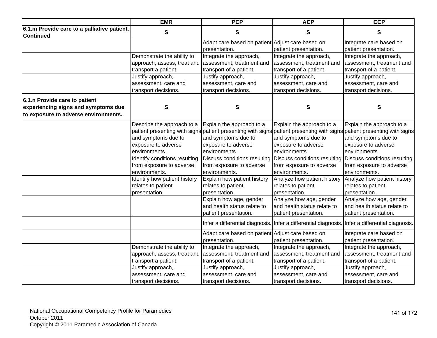|                                             | <b>EMR</b>                                            | <b>PCP</b>                                       | <b>ACP</b>                                                                                      | <b>CCP</b>                                                                                                              |
|---------------------------------------------|-------------------------------------------------------|--------------------------------------------------|-------------------------------------------------------------------------------------------------|-------------------------------------------------------------------------------------------------------------------------|
| 6.1.m Provide care to a palliative patient. | ${\bf S}$                                             | ${\bf S}$                                        | ${\bf S}$                                                                                       | S                                                                                                                       |
| <b>Continued</b>                            |                                                       |                                                  |                                                                                                 |                                                                                                                         |
|                                             |                                                       | Adapt care based on patient Adjust care based on |                                                                                                 | Integrate care based on                                                                                                 |
|                                             |                                                       | presentation.                                    | patient presentation.                                                                           | patient presentation.                                                                                                   |
|                                             | Demonstrate the ability to                            | Integrate the approach,                          | Integrate the approach,                                                                         | Integrate the approach,                                                                                                 |
|                                             | approach, assess, treat and assessment, treatment and |                                                  | assessment, treatment and                                                                       | assessment, treatment and                                                                                               |
|                                             | transport a patient.                                  | transport of a patient.                          | transport of a patient.                                                                         | transport of a patient.                                                                                                 |
|                                             | Justify approach,                                     | Justify approach,                                | Justify approach,                                                                               | Justify approach,                                                                                                       |
|                                             | assessment, care and                                  | assessment, care and                             | assessment, care and                                                                            | assessment, care and                                                                                                    |
|                                             | transport decisions.                                  | transport decisions.                             | transport decisions.                                                                            | transport decisions.                                                                                                    |
| 6.1.n Provide care to patient               |                                                       |                                                  |                                                                                                 |                                                                                                                         |
| experiencing signs and symptoms due         | $\mathbf{s}$                                          | ${\bf S}$                                        | ${\bf S}$                                                                                       | S                                                                                                                       |
| to exposure to adverse environments.        |                                                       |                                                  |                                                                                                 |                                                                                                                         |
|                                             |                                                       |                                                  |                                                                                                 |                                                                                                                         |
|                                             | Describe the approach to a                            | Explain the approach to a                        | Explain the approach to a                                                                       | Explain the approach to a                                                                                               |
|                                             |                                                       |                                                  |                                                                                                 | patient presenting with signs patient presenting with signs patient presenting with signs patient presenting with signs |
|                                             | and symptoms due to                                   | and symptoms due to                              | and symptoms due to                                                                             | and symptoms due to                                                                                                     |
|                                             | exposure to adverse                                   | exposure to adverse                              | exposure to adverse                                                                             | exposure to adverse                                                                                                     |
|                                             | environments.                                         | environments.                                    | environments.                                                                                   | environments.                                                                                                           |
|                                             | Identify conditions resulting                         | Discuss conditions resulting                     | Discuss conditions resulting                                                                    | Discuss conditions resulting                                                                                            |
|                                             | from exposure to adverse                              | from exposure to adverse                         | from exposure to adverse                                                                        | from exposure to adverse                                                                                                |
|                                             | environments.                                         | environments.                                    | environments.                                                                                   | environments.                                                                                                           |
|                                             | Identify how patient history                          | Explain how patient history                      | Analyze how patient history                                                                     | Analyze how patient history                                                                                             |
|                                             | relates to patient                                    | relates to patient                               | relates to patient                                                                              | relates to patient                                                                                                      |
|                                             | presentation.                                         | presentation.                                    | presentation.                                                                                   | presentation.                                                                                                           |
|                                             |                                                       | Explain how age, gender                          | Analyze how age, gender                                                                         | Analyze how age, gender                                                                                                 |
|                                             |                                                       | and health status relate to                      | and health status relate to                                                                     | and health status relate to                                                                                             |
|                                             |                                                       | patient presentation.                            | patient presentation.                                                                           | patient presentation.                                                                                                   |
|                                             |                                                       |                                                  | Infer a differential diagnosis. Infer a differential diagnosis. Infer a differential diagnosis. |                                                                                                                         |
|                                             |                                                       | Adapt care based on patient Adjust care based on |                                                                                                 | Integrate care based on                                                                                                 |
|                                             |                                                       | presentation.                                    | patient presentation.                                                                           | patient presentation.                                                                                                   |
|                                             | Demonstrate the ability to                            | Integrate the approach,                          | Integrate the approach,                                                                         | Integrate the approach,                                                                                                 |
|                                             | approach, assess, treat and                           | assessment, treatment and                        | assessment, treatment and                                                                       | assessment, treatment and                                                                                               |
|                                             | transport a patient.                                  | transport of a patient.                          | transport of a patient.                                                                         | transport of a patient.                                                                                                 |
|                                             | Justify approach,                                     | Justify approach,                                | Justify approach,                                                                               | Justify approach,                                                                                                       |
|                                             | assessment, care and                                  | assessment, care and                             | assessment, care and                                                                            | assessment, care and                                                                                                    |
|                                             | transport decisions.                                  | transport decisions.                             | transport decisions.                                                                            | transport decisions.                                                                                                    |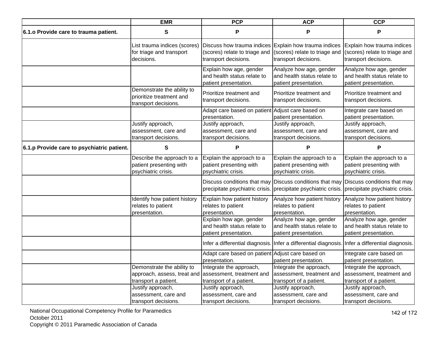|                                            | <b>EMR</b>                                                                        | <b>PCP</b>                                                                                                     | <b>ACP</b>                                                                      | <b>CCP</b>                                                                                      |
|--------------------------------------------|-----------------------------------------------------------------------------------|----------------------------------------------------------------------------------------------------------------|---------------------------------------------------------------------------------|-------------------------------------------------------------------------------------------------|
| 6.1. o Provide care to trauma patient.     | S                                                                                 | P                                                                                                              | P                                                                               | P                                                                                               |
|                                            | List trauma indices (scores)<br>for triage and transport<br>decisions.            | Discuss how trauma indices Explain how trauma indices<br>(scores) relate to triage and<br>transport decisions. | (scores) relate to triage and<br>transport decisions.                           | Explain how trauma indices<br>(scores) relate to triage and<br>transport decisions.             |
|                                            |                                                                                   | Explain how age, gender<br>and health status relate to<br>patient presentation.                                | Analyze how age, gender<br>and health status relate to<br>patient presentation. | Analyze how age, gender<br>and health status relate to<br>patient presentation.                 |
|                                            | Demonstrate the ability to<br>prioritize treatment and<br>transport decisions.    | Prioritize treatment and<br>transport decisions.                                                               | Prioritize treatment and<br>transport decisions.                                | Prioritize treatment and<br>transport decisions.                                                |
|                                            |                                                                                   | Adapt care based on patient Adjust care based on<br>presentation.                                              | patient presentation.                                                           | Integrate care based on<br>patient presentation.                                                |
|                                            | Justify approach,<br>assessment, care and<br>transport decisions.                 | Justify approach,<br>assessment, care and<br>transport decisions.                                              | Justify approach,<br>assessment, care and<br>transport decisions.               | Justify approach,<br>assessment, care and<br>transport decisions.                               |
| 6.1.p Provide care to psychiatric patient. | S                                                                                 | P                                                                                                              | P                                                                               | P                                                                                               |
|                                            | Describe the approach to a<br>patient presenting with<br>psychiatric crisis.      | Explain the approach to a<br>patient presenting with<br>psychiatric crisis.                                    | Explain the approach to a<br>patient presenting with<br>psychiatric crisis.     | Explain the approach to a<br>patient presenting with<br>psychiatric crisis.                     |
|                                            |                                                                                   | precipitate psychiatric crisis.                                                                                | precipitate psychiatric crisis. precipitate psychiatric crisis.                 | Discuss conditions that may Discuss conditions that may Discuss conditions that may             |
|                                            | Identify how patient history<br>relates to patient<br>presentation.               | Explain how patient history<br>relates to patient<br>presentation.                                             | Analyze how patient history<br>relates to patient<br>presentation.              | Analyze how patient history<br>relates to patient<br>presentation.                              |
|                                            |                                                                                   | Explain how age, gender<br>and health status relate to<br>patient presentation.                                | Analyze how age, gender<br>and health status relate to<br>patient presentation. | Analyze how age, gender<br>and health status relate to<br>patient presentation.                 |
|                                            |                                                                                   |                                                                                                                |                                                                                 | Infer a differential diagnosis. Infer a differential diagnosis. Infer a differential diagnosis. |
|                                            |                                                                                   | Adapt care based on patient Adjust care based on<br>presentation.                                              | patient presentation.                                                           | Integrate care based on<br>patient presentation.                                                |
|                                            | Demonstrate the ability to<br>approach, assess, treat and<br>transport a patient. | Integrate the approach,<br>assessment, treatment and<br>transport of a patient.                                | Integrate the approach,<br>assessment, treatment and<br>transport of a patient. | Integrate the approach,<br>assessment, treatment and<br>transport of a patient.                 |
|                                            | Justify approach,<br>assessment, care and<br>transport decisions.                 | Justify approach,<br>assessment, care and<br>transport decisions.                                              | Justify approach,<br>assessment, care and<br>transport decisions.               | Justify approach,<br>assessment, care and<br>transport decisions.                               |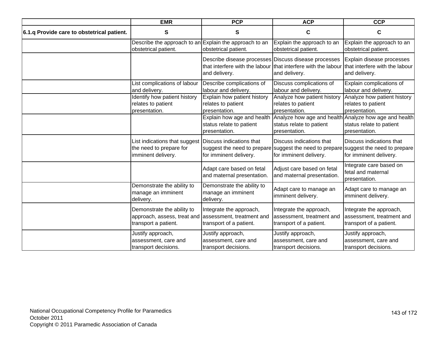|                                            | <b>EMR</b>                                                                                                  | <b>PCP</b>                                                              | <b>ACP</b>                                                                                                    | <b>CCP</b>                                                                                                    |
|--------------------------------------------|-------------------------------------------------------------------------------------------------------------|-------------------------------------------------------------------------|---------------------------------------------------------------------------------------------------------------|---------------------------------------------------------------------------------------------------------------|
| 6.1.q Provide care to obstetrical patient. | S                                                                                                           | S                                                                       | $\mathbf C$                                                                                                   | $\mathbf c$                                                                                                   |
|                                            | Describe the approach to an Explain the approach to an<br>obstetrical patient.                              | obstetrical patient.                                                    | Explain the approach to an<br>obstetrical patient.                                                            | Explain the approach to an<br>obstetrical patient.                                                            |
|                                            |                                                                                                             | Describe disease processes Discuss disease processes<br>and delivery.   | that interfere with the labour that interfere with the labour that interfere with the labour<br>and delivery. | Explain disease processes<br>and delivery.                                                                    |
|                                            | List complications of labour<br>and delivery.                                                               | Describe complications of<br>labour and delivery.                       | Discuss complications of<br>labour and delivery.                                                              | Explain complications of<br>labour and delivery.                                                              |
|                                            | Identify how patient history<br>relates to patient<br>presentation.                                         | Explain how patient history<br>relates to patient<br>presentation.      | Analyze how patient history<br>relates to patient<br>presentation.                                            | Analyze how patient history<br>relates to patient<br>presentation.                                            |
|                                            |                                                                                                             | Explain how age and health<br>status relate to patient<br>presentation. | Analyze how age and health Analyze how age and health<br>status relate to patient<br>presentation.            | status relate to patient<br>presentation.                                                                     |
|                                            | List indications that suggest Discuss indications that<br>the need to prepare for<br>imminent delivery.     | suggest the need to prepare<br>for imminent delivery.                   | Discuss indications that<br>for imminent delivery.                                                            | Discuss indications that<br>suggest the need to prepare suggest the need to prepare<br>for imminent delivery. |
|                                            |                                                                                                             | Adapt care based on fetal<br>and maternal presentation.                 | Adjust care based on fetal<br>and maternal presentation.                                                      | Integrate care based on<br>fetal and maternal<br>presentation.                                                |
|                                            | Demonstrate the ability to<br>manage an imminent<br>delivery.                                               | Demonstrate the ability to<br>manage an imminent<br>delivery.           | Adapt care to manage an<br>imminent delivery.                                                                 | Adapt care to manage an<br>imminent delivery.                                                                 |
|                                            | Demonstrate the ability to<br>approach, assess, treat and assessment, treatment and<br>transport a patient. | Integrate the approach,<br>transport of a patient.                      | Integrate the approach,<br>assessment, treatment and<br>transport of a patient.                               | Integrate the approach,<br>assessment, treatment and<br>transport of a patient.                               |
|                                            | Justify approach,<br>assessment, care and<br>transport decisions.                                           | Justify approach,<br>assessment, care and<br>transport decisions.       | Justify approach,<br>assessment, care and<br>transport decisions.                                             | Justify approach,<br>assessment, care and<br>transport decisions.                                             |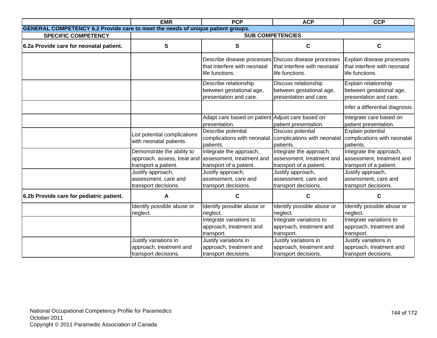|                                                                                        | <b>EMR</b>                                                                                                  | <b>PCP</b>                                                                                              | <b>ACP</b>                                                                      | <b>CCP</b>                                                                      |
|----------------------------------------------------------------------------------------|-------------------------------------------------------------------------------------------------------------|---------------------------------------------------------------------------------------------------------|---------------------------------------------------------------------------------|---------------------------------------------------------------------------------|
| <b>GENERAL COMPETENCY 6.2 Provide care to meet the needs of unique patient groups.</b> |                                                                                                             |                                                                                                         |                                                                                 |                                                                                 |
| <b>SPECIFIC COMPETENCY</b>                                                             |                                                                                                             |                                                                                                         | <b>SUB COMPETENCIES</b>                                                         |                                                                                 |
| 6.2a Provide care for neonatal patient.                                                | S                                                                                                           | S                                                                                                       | C                                                                               | $\mathbf c$                                                                     |
|                                                                                        |                                                                                                             | Describe disease processes Discuss disease processes<br>that interfere with neonatal<br>life functions. | that interfere with neonatal<br>life functions.                                 | Explain disease processes<br>that interfere with neonatal<br>life functions.    |
|                                                                                        |                                                                                                             | Describe relationship<br>between gestational age,<br>presentation and care.                             | Discuss relationship<br>between gestational age,<br>presentation and care.      | Explain relationship<br>between gestational age,<br>presentation and care.      |
|                                                                                        |                                                                                                             |                                                                                                         |                                                                                 | Infer a differential diagnosis.                                                 |
|                                                                                        |                                                                                                             | Adapt care based on patient Adjust care based on<br>presentation.                                       | patient presentation.                                                           | Integrate care based on<br>patient presentation.                                |
|                                                                                        | List potential complications<br>with neonatal patients.                                                     | Describe potential<br>complications with neonatal<br>patients.                                          | Discuss potential<br>complications with neonatal<br>patients.                   | Explain potential<br>complications with neonatal<br>patients.                   |
|                                                                                        | Demonstrate the ability to<br>approach, assess, treat and assessment, treatment and<br>transport a patient. | Integrate the approach,<br>transport of a patient.                                                      | Integrate the approach,<br>assessment, treatment and<br>transport of a patient. | Integrate the approach,<br>assessment, treatment and<br>transport of a patient. |
|                                                                                        | Justify approach,<br>assessment, care and<br>transport decisions.                                           | Justify approach,<br>assessment, care and<br>transport decisions.                                       | Justify approach,<br>assessment, care and<br>transport decisions.               | Justify approach,<br>assessment, care and<br>transport decisions.               |
| 6.2b Provide care for pediatric patient.                                               | A                                                                                                           | C                                                                                                       | C                                                                               | С                                                                               |
|                                                                                        | Identify possible abuse or<br>neglect.                                                                      | Identify possible abuse or<br>neglect.                                                                  | Identify possible abuse or<br>neglect.                                          | Identify possible abuse or<br>neglect.                                          |
|                                                                                        |                                                                                                             | Integrate variations to<br>approach, treatment and<br>transport.                                        | Integrate variations to<br>approach, treatment and<br>transport.                | Integrate variations to<br>approach, treatment and<br>transport.                |
|                                                                                        | Justify variations in<br>approach, treatment and<br>transport decisions.                                    | Justify variations in<br>approach, treatment and<br>transport decisions.                                | Justify variations in<br>approach, treatment and<br>transport decisions.        | Justify variations in<br>approach, treatment and<br>transport decisions.        |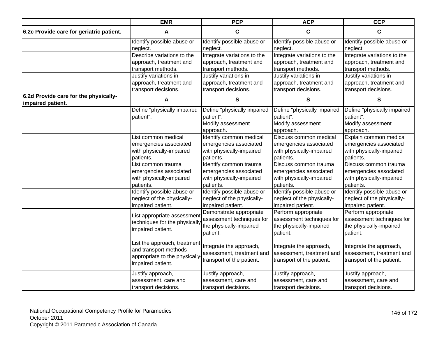| <b>PCP</b><br><b>EMR</b>                                   |                                                                                                             | <b>ACP</b>                                                                        | <b>CCP</b>                                                                        |                                                                                   |
|------------------------------------------------------------|-------------------------------------------------------------------------------------------------------------|-----------------------------------------------------------------------------------|-----------------------------------------------------------------------------------|-----------------------------------------------------------------------------------|
| 6.2c Provide care for geriatric patient.                   | $\mathbf{A}$                                                                                                | $\mathbf c$                                                                       | $\mathbf c$                                                                       | $\mathbf c$                                                                       |
|                                                            | Identify possible abuse or                                                                                  | Identify possible abuse or                                                        | Identify possible abuse or                                                        | Identify possible abuse or                                                        |
|                                                            | neglect.                                                                                                    | neglect.                                                                          | neglect.                                                                          | neglect.                                                                          |
|                                                            | Describe variations to the                                                                                  | Integrate variations to the                                                       | Integrate variations to the                                                       | Integrate variations to the                                                       |
|                                                            | approach, treatment and                                                                                     | approach, treatment and                                                           | approach, treatment and                                                           | approach, treatment and                                                           |
|                                                            | transport methods.                                                                                          | transport methods.                                                                | transport methods.                                                                | transport methods.                                                                |
|                                                            | Justify variations in                                                                                       | Justify variations in                                                             | Justify variations in                                                             | Justify variations in                                                             |
|                                                            | approach, treatment and                                                                                     | approach, treatment and                                                           | approach, treatment and                                                           | approach, treatment and                                                           |
|                                                            | transport decisions.                                                                                        | transport decisions.                                                              | transport decisions.                                                              | transport decisions.                                                              |
| 6.2d Provide care for the physically-<br>impaired patient. | A                                                                                                           | S                                                                                 | S                                                                                 | S                                                                                 |
|                                                            | Define "physically impaired<br>patient".                                                                    | Define "physically impaired<br>patient".                                          | Define "physically impaired<br>patient".                                          | Define "physically impaired<br>patient".                                          |
|                                                            |                                                                                                             | Modify assessment                                                                 | Modify assessment                                                                 | Modify assessment                                                                 |
|                                                            |                                                                                                             | approach.                                                                         | approach.                                                                         | approach.                                                                         |
|                                                            | List common medical                                                                                         | Identify common medical                                                           | Discuss common medical                                                            | Explain common medical                                                            |
|                                                            | emergencies associated                                                                                      | emergencies associated                                                            | emergencies associated                                                            | emergencies associated                                                            |
|                                                            | with physically-impaired                                                                                    | with physically-impaired                                                          | with physically-impaired                                                          | with physically-impaired                                                          |
|                                                            | patients.                                                                                                   | patients.                                                                         | patients.                                                                         | patients.                                                                         |
|                                                            | List common trauma                                                                                          | Identify common trauma                                                            | Discuss common trauma                                                             | Discuss common trauma                                                             |
|                                                            | emergencies associated                                                                                      | emergencies associated                                                            | emergencies associated                                                            | emergencies associated                                                            |
|                                                            | with physically-impaired                                                                                    | with physically-impaired                                                          | with physically-impaired                                                          | with physically-impaired                                                          |
|                                                            | patients.                                                                                                   | patients.                                                                         | patients.                                                                         | patients.                                                                         |
|                                                            | Identify possible abuse or                                                                                  | Identify possible abuse or                                                        | Identify possible abuse or                                                        | Identify possible abuse or                                                        |
|                                                            | neglect of the physically-                                                                                  | neglect of the physically-                                                        | neglect of the physically-                                                        | neglect of the physically-                                                        |
|                                                            | impaired patient.                                                                                           | impaired patient.                                                                 | impaired patient.                                                                 | impaired patient.                                                                 |
|                                                            | List appropriate assessment                                                                                 | Demonstrate appropriate                                                           | Perform appropriate                                                               | Perform appropriate                                                               |
|                                                            | techniques for the physically                                                                               | assessment techniques for                                                         | assessment techniques for                                                         | assessment techniques for                                                         |
|                                                            | impaired patient.                                                                                           | the physically-impaired                                                           | the physically-impaired                                                           | the physically-impaired                                                           |
|                                                            |                                                                                                             | patient.                                                                          | patient.                                                                          | patient.                                                                          |
|                                                            | List the approach, treatment<br>and transport methods<br>appropriate to the physically<br>impaired patient. | Integrate the approach,<br>assessment, treatment and<br>transport of the patient. | Integrate the approach,<br>assessment, treatment and<br>transport of the patient. | Integrate the approach,<br>assessment, treatment and<br>transport of the patient. |
|                                                            | Justify approach,<br>assessment, care and<br>transport decisions.                                           | Justify approach,<br>assessment, care and<br>transport decisions.                 | Justify approach,<br>assessment, care and<br>transport decisions.                 | Justify approach,<br>assessment, care and<br>transport decisions.                 |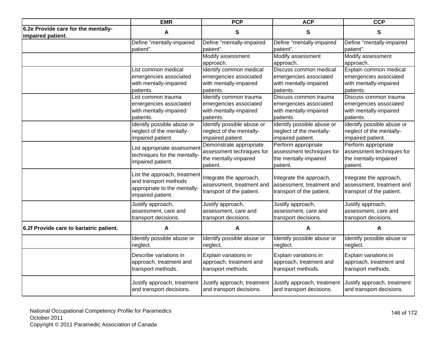| <b>EMR</b><br><b>PCP</b>                                 |                                                                                                            | <b>ACP</b>                                                                                | <b>CCP</b>                                                                            |                                                                                       |
|----------------------------------------------------------|------------------------------------------------------------------------------------------------------------|-------------------------------------------------------------------------------------------|---------------------------------------------------------------------------------------|---------------------------------------------------------------------------------------|
| 6.2e Provide care for the mentally-<br>impaired patient. | A                                                                                                          | $\mathbf{s}$                                                                              | S                                                                                     | $\mathbf{s}$                                                                          |
|                                                          | Define "mentally-impaired                                                                                  | Define "mentally-impaired                                                                 | Define "mentally-impaired                                                             | Define "mentally-impaired                                                             |
|                                                          | patient".                                                                                                  | patient".                                                                                 | patient".                                                                             | patient".                                                                             |
|                                                          |                                                                                                            | Modify assessment<br>approach.                                                            | Modify assessment<br>approach.                                                        | Modify assessment<br>approach.                                                        |
|                                                          | List common medical                                                                                        | Identify common medical                                                                   | Discuss common medical                                                                | Explain common medical                                                                |
|                                                          | emergencies associated                                                                                     | emergencies associated                                                                    | emergencies associated                                                                | emergencies associated                                                                |
|                                                          | with mentally-impaired                                                                                     | with mentally-impaired                                                                    | with mentally-impaired                                                                | with mentally-impaired                                                                |
|                                                          | patients.                                                                                                  | patients.                                                                                 | patients.                                                                             | patients.                                                                             |
|                                                          | List common trauma                                                                                         | Identify common trauma                                                                    | Discuss common trauma                                                                 | Discuss common trauma                                                                 |
|                                                          | emergencies associated                                                                                     | emergencies associated                                                                    | emergencies associated                                                                | emergencies associated                                                                |
|                                                          | with mentally-impaired                                                                                     | with mentally-impaired                                                                    | with mentally-impaired                                                                | with mentally-impaired                                                                |
|                                                          | patients.                                                                                                  | patients.                                                                                 | patients.                                                                             | patients.                                                                             |
|                                                          | Identify possible abuse or<br>neglect of the mentally-<br>impaired patient.                                | Identify possible abuse or<br>neglect of the mentally-<br>impaired patient.               | Identify possible abuse or<br>neglect of the mentally-<br>impaired patient.           | Identify possible abuse or<br>neglect of the mentally-<br>impaired patient.           |
|                                                          | List appropriate assessment<br>techniques for the mentally-<br>impaired patient.                           | Demonstrate appropriate<br>assessment techniques for<br>the mentally-impaired<br>patient. | Perform appropriate<br>assessment techniques for<br>the mentally-impaired<br>patient. | Perform appropriate<br>assessment techniques for<br>the mentally-impaired<br>patient. |
|                                                          | List the approach, treatment<br>and transport methods<br>appropriate to the mentally-<br>impaired patient. | Integrate the approach,<br>assessment, treatment and<br>transport of the patient.         | Integrate the approach,<br>assessment, treatment and<br>transport of the patient.     | Integrate the approach,<br>assessment, treatment and<br>transport of the patient.     |
|                                                          | Justify approach,                                                                                          | Justify approach,                                                                         | Justify approach,                                                                     | Justify approach,                                                                     |
|                                                          | assessment, care and                                                                                       | assessment, care and                                                                      | assessment, care and                                                                  | assessment, care and                                                                  |
|                                                          | transport decisions.                                                                                       | transport decisions.                                                                      | transport decisions.                                                                  | transport decisions.                                                                  |
| 6.2f Provide care to bariatric patient.                  | A                                                                                                          | A                                                                                         | A                                                                                     | A                                                                                     |
|                                                          | Identify possible abuse or                                                                                 | Identify possible abuse or                                                                | Identify possible abuse or                                                            | Identify possible abuse or                                                            |
|                                                          | neglect.                                                                                                   | neglect.                                                                                  | neglect.                                                                              | neglect.                                                                              |
|                                                          | Describe variations in                                                                                     | Explain variations in                                                                     | Explain variations in                                                                 | Explain variations in                                                                 |
|                                                          | approach, treatment and                                                                                    | approach, treatment and                                                                   | approach, treatment and                                                               | approach, treatment and                                                               |
|                                                          | transport methods.                                                                                         | transport methods.                                                                        | transport methods.                                                                    | transport methods.                                                                    |
|                                                          | Justify approach, treatment                                                                                | Justify approach, treatment                                                               | Justify approach, treatment                                                           | Justify approach, treatment                                                           |
|                                                          | and transport decisions.                                                                                   | and transport decisions.                                                                  | and transport decisions.                                                              | and transport decisions.                                                              |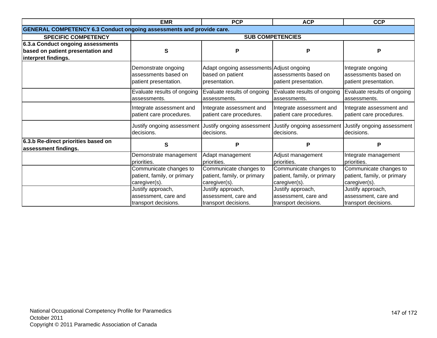|                                     | <b>EMR</b>                                                                  | <b>PCP</b>                                                                    | <b>ACP</b>                                                             | <b>CCP</b>                                                             |  |  |
|-------------------------------------|-----------------------------------------------------------------------------|-------------------------------------------------------------------------------|------------------------------------------------------------------------|------------------------------------------------------------------------|--|--|
|                                     | <b>GENERAL COMPETENCY 6.3 Conduct ongoing assessments and provide care.</b> |                                                                               |                                                                        |                                                                        |  |  |
| <b>SPECIFIC COMPETENCY</b>          |                                                                             |                                                                               | <b>SUB COMPETENCIES</b>                                                |                                                                        |  |  |
| 6.3.a Conduct ongoing assessments   |                                                                             |                                                                               |                                                                        |                                                                        |  |  |
| based on patient presentation and   | S                                                                           | P                                                                             | P                                                                      | P                                                                      |  |  |
| interpret findings.                 |                                                                             |                                                                               |                                                                        |                                                                        |  |  |
|                                     | Demonstrate ongoing<br>assessments based on<br>patient presentation.        | Adapt ongoing assessments Adjust ongoing<br>based on patient<br>presentation. | assessments based on<br>patient presentation.                          | Integrate ongoing<br>assessments based on<br>patient presentation.     |  |  |
|                                     | Evaluate results of ongoing<br>assessments.                                 | Evaluate results of ongoing<br>assessments.                                   | Evaluate results of ongoing<br>assessments.                            | Evaluate results of ongoing<br>assessments.                            |  |  |
|                                     | Integrate assessment and<br>patient care procedures.                        | Integrate assessment and<br>patient care procedures.                          | Integrate assessment and<br>patient care procedures.                   | Integrate assessment and<br>patient care procedures.                   |  |  |
|                                     | Justify ongoing assessment<br>decisions.                                    | decisions.                                                                    | Justify ongoing assessment Justify ongoing assessment<br>decisions.    | Justify ongoing assessment<br>decisions.                               |  |  |
| 6.3.b Re-direct priorities based on | S                                                                           | P                                                                             | P                                                                      | P                                                                      |  |  |
| assessment findings.                |                                                                             |                                                                               |                                                                        |                                                                        |  |  |
|                                     | Demonstrate management<br>priorities.                                       | Adapt management<br>priorities.                                               | Adjust management<br>priorities.                                       | Integrate management<br>priorities.                                    |  |  |
|                                     | Communicate changes to<br>patient, family, or primary<br>caregiver(s).      | Communicate changes to<br>patient, family, or primary<br>caregiver(s).        | Communicate changes to<br>patient, family, or primary<br>caregiver(s). | Communicate changes to<br>patient, family, or primary<br>caregiver(s). |  |  |
|                                     | Justify approach,<br>assessment, care and<br>transport decisions.           | Justify approach,<br>assessment, care and<br>transport decisions.             | Justify approach,<br>assessment, care and<br>transport decisions.      | Justify approach,<br>assessment, care and<br>transport decisions.      |  |  |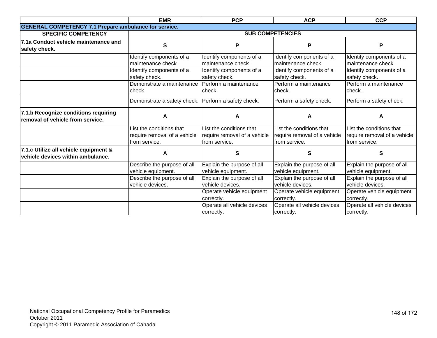|                                                                            | <b>EMR</b><br><b>PCP</b>                                                  |                                                                           | <b>ACP</b>                                                                | <b>CCP</b>                                                               |
|----------------------------------------------------------------------------|---------------------------------------------------------------------------|---------------------------------------------------------------------------|---------------------------------------------------------------------------|--------------------------------------------------------------------------|
| <b>GENERAL COMPETENCY 7.1 Prepare ambulance for service.</b>               |                                                                           |                                                                           |                                                                           |                                                                          |
| <b>SPECIFIC COMPETENCY</b>                                                 |                                                                           |                                                                           | <b>SUB COMPETENCIES</b>                                                   |                                                                          |
| 7.1a Conduct vehicle maintenance and<br>safety check.                      | $\mathbf{s}$                                                              | P                                                                         | P                                                                         | P                                                                        |
|                                                                            | Identify components of a<br>maintenance check.                            | Identify components of a<br>maintenance check.                            | Identify components of a<br>maintenance check.                            | Identify components of a<br>maintenance check.                           |
|                                                                            | Identify components of a<br>safety check.                                 | Identify components of a<br>safety check.                                 | Identify components of a<br>safety check.                                 | Identify components of a<br>safety check.                                |
|                                                                            | Demonstrate a maintenance<br>check.                                       | Perform a maintenance<br>check.                                           | Perform a maintenance<br>check.                                           | Perform a maintenance<br>check.                                          |
|                                                                            | Demonstrate a safety check. Perform a safety check.                       |                                                                           | Perform a safety check.                                                   | Perform a safety check.                                                  |
| 7.1.b Recognize conditions requiring<br>removal of vehicle from service.   | A                                                                         | A                                                                         | A                                                                         | А                                                                        |
|                                                                            | List the conditions that<br>require removal of a vehicle<br>from service. | List the conditions that<br>require removal of a vehicle<br>from service. | List the conditions that<br>require removal of a vehicle<br>from service. | ist the conditions that<br>require removal of a vehicle<br>from service. |
| 7.1.c Utilize all vehicle equipment &<br>vehicle devices within ambulance. | A                                                                         | S                                                                         | S                                                                         | S                                                                        |
|                                                                            | Describe the purpose of all<br>vehicle equipment.                         | Explain the purpose of all<br>vehicle equipment.                          | Explain the purpose of all<br>vehicle equipment.                          | Explain the purpose of all<br>vehicle equipment.                         |
|                                                                            | Describe the purpose of all<br>vehicle devices.                           | Explain the purpose of all<br>vehicle devices.                            | Explain the purpose of all<br>vehicle devices.                            | Explain the purpose of all<br>vehicle devices.                           |
|                                                                            |                                                                           | Operate vehicle equipment<br>correctly.                                   | Operate vehicle equipment<br>correctly.                                   | Operate vehicle equipment<br>correctly.                                  |
|                                                                            |                                                                           | Operate all vehicle devices<br>correctly.                                 | Operate all vehicle devices<br>correctly.                                 | Operate all vehicle devices<br>correctly.                                |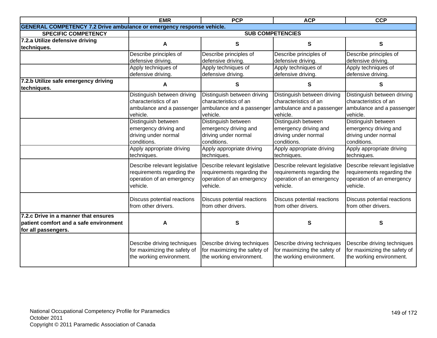| <b>EMR</b><br><b>PCP</b>                                                     |                               | <b>ACP</b>                    | <b>CCP</b>                                                     |                              |
|------------------------------------------------------------------------------|-------------------------------|-------------------------------|----------------------------------------------------------------|------------------------------|
| <b>GENERAL COMPETENCY 7.2 Drive ambulance or emergency response vehicle.</b> |                               |                               |                                                                |                              |
| <b>SPECIFIC COMPETENCY</b>                                                   |                               |                               | <b>SUB COMPETENCIES</b>                                        |                              |
| 7.2.a Utilize defensive driving                                              | A                             | S                             | $\mathbf{s}$                                                   | S                            |
| techniques.                                                                  |                               |                               |                                                                |                              |
|                                                                              | Describe principles of        | Describe principles of        | Describe principles of                                         | Describe principles of       |
|                                                                              | defensive driving.            | defensive driving.            | defensive driving.                                             | defensive driving.           |
|                                                                              | Apply techniques of           | Apply techniques of           | Apply techniques of                                            | Apply techniques of          |
|                                                                              | defensive driving.            | defensive driving.            | defensive driving.                                             | defensive driving.           |
| 7.2.b Utilize safe emergency driving                                         | A                             | S                             | S                                                              | S                            |
| techniques.                                                                  |                               |                               |                                                                |                              |
|                                                                              | Distinguish between driving   | Distinguish between driving   | Distinguish between driving                                    | Distinguish between driving  |
|                                                                              | characteristics of an         | characteristics of an         | characteristics of an                                          | characteristics of an        |
|                                                                              | ambulance and a passenger     | ambulance and a passenger     | ambulance and a passenger                                      | ambulance and a passenger    |
|                                                                              | vehicle.                      | vehicle.                      | vehicle.                                                       | vehicle.                     |
|                                                                              | Distinguish between           | Distinguish between           | Distinguish between                                            | Distinguish between          |
|                                                                              | emergency driving and         | emergency driving and         | emergency driving and                                          | emergency driving and        |
|                                                                              | driving under normal          | driving under normal          | driving under normal                                           | driving under normal         |
|                                                                              | conditions.                   | conditions.                   | conditions.                                                    | conditions.                  |
|                                                                              | Apply appropriate driving     | Apply appropriate driving     | Apply appropriate driving                                      | Apply appropriate driving    |
|                                                                              | techniques.                   | techniques.<br>techniques.    |                                                                | techniques.                  |
|                                                                              | Describe relevant legislative | Describe relevant legislative | Describe relevant legislative<br>Describe relevant legislative |                              |
|                                                                              | requirements regarding the    | requirements regarding the    | requirements regarding the                                     | requirements regarding the   |
|                                                                              | operation of an emergency     | operation of an emergency     | operation of an emergency                                      | operation of an emergency    |
|                                                                              | vehicle.                      | vehicle.                      | vehicle.                                                       | vehicle.                     |
|                                                                              |                               |                               |                                                                |                              |
|                                                                              | Discuss potential reactions   | Discuss potential reactions   | Discuss potential reactions                                    | Discuss potential reactions  |
|                                                                              | from other drivers.           | from other drivers.           | from other drivers.<br>from other drivers.                     |                              |
| 7.2.c Drive in a manner that ensures                                         |                               |                               |                                                                |                              |
| patient comfort and a safe environment                                       | A                             | S                             | S                                                              | S                            |
| for all passengers.                                                          |                               |                               |                                                                |                              |
|                                                                              |                               |                               |                                                                |                              |
|                                                                              | Describe driving techniques   | Describe driving techniques   | Describe driving techniques                                    | Describe driving techniques  |
|                                                                              | for maximizing the safety of  | for maximizing the safety of  | for maximizing the safety of                                   | for maximizing the safety of |
|                                                                              | the working environment.      | the working environment.      | the working environment.<br>the working environment.           |                              |
|                                                                              |                               |                               |                                                                |                              |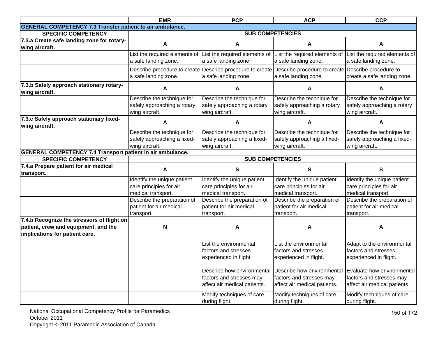|                                                                                                                      | <b>EMR</b>                                                                   | <b>PCP</b>                                                                                                                           | <b>ACP</b>                                                                             | <b>CCP</b>                                                                             |
|----------------------------------------------------------------------------------------------------------------------|------------------------------------------------------------------------------|--------------------------------------------------------------------------------------------------------------------------------------|----------------------------------------------------------------------------------------|----------------------------------------------------------------------------------------|
| <b>GENERAL COMPETENCY 7.3 Transfer patient to air ambulance.</b>                                                     |                                                                              |                                                                                                                                      |                                                                                        |                                                                                        |
| <b>SPECIFIC COMPETENCY</b>                                                                                           |                                                                              |                                                                                                                                      | <b>SUB COMPETENCIES</b>                                                                |                                                                                        |
| 7.3.a Create safe landing zone for rotary-<br>wing aircraft.                                                         | A                                                                            | A                                                                                                                                    | A                                                                                      | A                                                                                      |
|                                                                                                                      | List the required elements of<br>a safe landing zone.                        | List the required elements of List the required elements of<br>a safe landing zone.                                                  | a safe landing zone.                                                                   | List the required elements of<br>a safe landing zone.                                  |
|                                                                                                                      | a safe landing zone.                                                         | Describe procedure to create Describe procedure to create Describe procedure to create Describe procedure to<br>a safe landing zone. | a safe landing zone.                                                                   | create a safe landing zone.                                                            |
| 7.3.b Safely approach stationary rotary-<br>wing aircraft.                                                           | A                                                                            | A                                                                                                                                    | A                                                                                      | A                                                                                      |
|                                                                                                                      | Describe the technique for<br>safely approaching a rotary<br>wing aircraft.  | Describe the technique for<br>safely approaching a rotary<br>wing aircraft.                                                          | Describe the technique for<br>safely approaching a rotary<br>wing aircraft.            | Describe the technique for<br>safely approaching a rotary<br>wing aircraft.            |
| 7.3.c Safely approach stationary fixed-<br>wing aircraft.                                                            | A                                                                            | А                                                                                                                                    | A                                                                                      | A                                                                                      |
|                                                                                                                      | Describe the technique for<br>safely approaching a fixed-<br>wing aircraft.  | Describe the technique for<br>safely approaching a fixed-<br>wing aircraft.                                                          | Describe the technique for<br>safely approaching a fixed-<br>wing aircraft.            | Describe the technique for<br>safely approaching a fixed-<br>wing aircraft.            |
| <b>GENERAL COMPETENCY 7.4 Transport patient in air ambulance.</b>                                                    |                                                                              |                                                                                                                                      |                                                                                        |                                                                                        |
| <b>SPECIFIC COMPETENCY</b>                                                                                           |                                                                              |                                                                                                                                      | <b>SUB COMPETENCIES</b>                                                                |                                                                                        |
| 7.4.a Prepare patient for air medical<br>transport.                                                                  | A                                                                            | $\mathbf{s}$                                                                                                                         | $\mathbf{s}$                                                                           | S                                                                                      |
|                                                                                                                      | Identify the unique patient<br>care principles for air<br>medical transport. | Identify the unique patient<br>care principles for air<br>medical transport.                                                         | Identify the unique patient<br>care principles for air<br>medical transport.           | Identify the unique patient<br>care principles for air<br>medical transport.           |
|                                                                                                                      | Describe the preparation of<br>patient for air medical<br>transport.         | Describe the preparation of<br>patient for air medical<br>transport.                                                                 | Describe the preparation of<br>patient for air medical<br>transport.                   | Describe the preparation of<br>patient for air medical<br>transport.                   |
| 7.4.b Recognize the stressors of flight on<br>patient, crew and equipment, and the<br>implications for patient care. | N                                                                            | A                                                                                                                                    | A                                                                                      | A                                                                                      |
|                                                                                                                      |                                                                              | List the environmental<br>factors and stresses<br>experienced in flight.                                                             | List the environmental<br>factors and stresses<br>experienced in flight.               | Adapt to the environmental<br>factors and stresses<br>experienced in flight.           |
|                                                                                                                      |                                                                              | Describe how environmental<br>factors and stresses may<br>affect air medical patients.                                               | Describe how environmental<br>factors and stresses may<br>affect air medical patients. | Evaluate how environmental<br>factors and stresses may<br>affect air medical patients. |
|                                                                                                                      |                                                                              | Modify techniques of care<br>during flight.                                                                                          | Modify techniques of care<br>during flight.                                            | Modify techniques of care<br>during flight.                                            |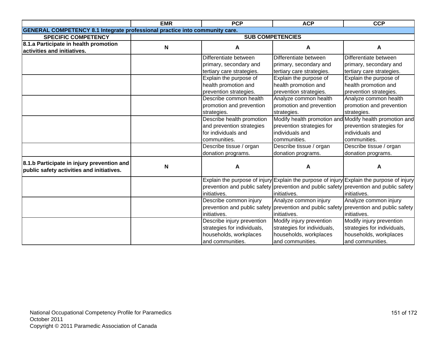|                                                                                         | <b>EMR</b>                | <b>PCP</b>                  | <b>ACP</b>                                                                             | <b>CCP</b>                                                                                |
|-----------------------------------------------------------------------------------------|---------------------------|-----------------------------|----------------------------------------------------------------------------------------|-------------------------------------------------------------------------------------------|
| <b>GENERAL COMPETENCY 8.1 Integrate professional practice into community care.</b>      |                           |                             |                                                                                        |                                                                                           |
| <b>SPECIFIC COMPETENCY</b>                                                              |                           |                             | <b>SUB COMPETENCIES</b>                                                                |                                                                                           |
| 8.1.a Participate in health promotion                                                   | $\boldsymbol{\mathsf{N}}$ | A                           | A                                                                                      | А                                                                                         |
| activities and initiatives.                                                             |                           |                             |                                                                                        |                                                                                           |
|                                                                                         |                           | Differentiate between       | Differentiate between                                                                  | Differentiate between                                                                     |
|                                                                                         |                           | primary, secondary and      | primary, secondary and                                                                 | primary, secondary and                                                                    |
|                                                                                         |                           | tertiary care strategies.   | tertiary care strategies.                                                              | tertiary care strategies.                                                                 |
|                                                                                         |                           | Explain the purpose of      | Explain the purpose of                                                                 | Explain the purpose of                                                                    |
|                                                                                         |                           | health promotion and        | health promotion and                                                                   | health promotion and                                                                      |
|                                                                                         |                           | prevention strategies.      | prevention strategies.                                                                 | prevention strategies.                                                                    |
|                                                                                         |                           | Describe common health      | Analyze common health                                                                  | Analyze common health                                                                     |
|                                                                                         |                           | promotion and prevention    | promotion and prevention                                                               | promotion and prevention                                                                  |
|                                                                                         |                           | strategies.                 | strategies.                                                                            | strategies.                                                                               |
|                                                                                         |                           | Describe health promotion   |                                                                                        | Modify health promotion and Modify health promotion and                                   |
|                                                                                         |                           | and prevention strategies   | prevention strategies for                                                              | prevention strategies for                                                                 |
|                                                                                         |                           | for individuals and         | individuals and                                                                        | individuals and                                                                           |
|                                                                                         |                           | communities.                | communities.                                                                           | communities.                                                                              |
|                                                                                         |                           | Describe tissue / organ     | Describe tissue / organ                                                                | Describe tissue / organ                                                                   |
|                                                                                         |                           | donation programs.          | donation programs.                                                                     | donation programs.                                                                        |
| 8.1.b Participate in injury prevention and<br>public safety activities and initiatives. | N                         | A                           | A                                                                                      | A                                                                                         |
|                                                                                         |                           |                             |                                                                                        | Explain the purpose of injury Explain the purpose of injury Explain the purpose of injury |
|                                                                                         |                           |                             |                                                                                        | prevention and public safety prevention and public safety prevention and public safety    |
|                                                                                         |                           | initiatives.                | initiatives.                                                                           | initiatives.                                                                              |
|                                                                                         |                           | Describe common injury      | Analyze common injury                                                                  | Analyze common injury                                                                     |
|                                                                                         |                           |                             | prevention and public safety prevention and public safety prevention and public safety |                                                                                           |
|                                                                                         |                           | initiatives.                | initiatives.                                                                           | initiatives.                                                                              |
|                                                                                         |                           | Describe injury prevention  | Modify injury prevention                                                               | Modify injury prevention                                                                  |
|                                                                                         |                           | strategies for individuals, | strategies for individuals,                                                            | strategies for individuals,                                                               |
|                                                                                         |                           | households, workplaces      | households, workplaces                                                                 | households, workplaces                                                                    |
|                                                                                         |                           | and communities.            | and communities.                                                                       | and communities.                                                                          |
|                                                                                         |                           |                             |                                                                                        |                                                                                           |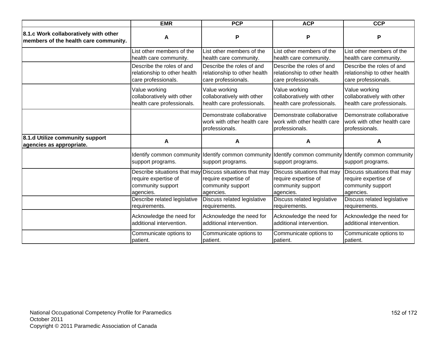| <b>EMR</b>                                                                     |                                                | <b>PCP</b>                                                                 | <b>ACP</b>                                                                 | <b>CCP</b>                                                                                         |
|--------------------------------------------------------------------------------|------------------------------------------------|----------------------------------------------------------------------------|----------------------------------------------------------------------------|----------------------------------------------------------------------------------------------------|
| 8.1.c Work collaboratively with other<br>members of the health care community. | A                                              | P                                                                          | P                                                                          | P                                                                                                  |
|                                                                                | List other members of the                      | List other members of the                                                  | List other members of the                                                  | List other members of the                                                                          |
|                                                                                | health care community.                         | health care community.                                                     | health care community.                                                     | health care community.                                                                             |
|                                                                                | Describe the roles of and                      | Describe the roles of and                                                  | Describe the roles of and                                                  | Describe the roles of and                                                                          |
|                                                                                | relationship to other health                   | relationship to other health                                               | relationship to other health                                               | relationship to other health                                                                       |
|                                                                                | care professionals.                            | care professionals.                                                        | care professionals.                                                        | care professionals.                                                                                |
|                                                                                | Value working                                  | Value working                                                              | Value working                                                              | Value working                                                                                      |
|                                                                                | collaboratively with other                     | collaboratively with other                                                 | collaboratively with other                                                 | collaboratively with other                                                                         |
|                                                                                | health care professionals.                     | health care professionals.                                                 | health care professionals.                                                 | health care professionals.                                                                         |
|                                                                                |                                                | Demonstrate collaborative<br>work with other health care<br>professionals. | Demonstrate collaborative<br>work with other health care<br>professionals. | Demonstrate collaborative<br>work with other health care<br>professionals.                         |
| 8.1.d Utilize community support<br>agencies as appropriate.                    | A                                              | A                                                                          | A                                                                          | A                                                                                                  |
|                                                                                | Identify common community<br>support programs. | support programs.                                                          | support programs.                                                          | Identify common community Identify common community Identify common community<br>support programs. |
|                                                                                | Describe situations that may                   | Discuss situations that may                                                | Discuss situations that may                                                | Discuss situations that may                                                                        |
|                                                                                | require expertise of                           | require expertise of                                                       | require expertise of                                                       | require expertise of                                                                               |
|                                                                                | community support                              | community support                                                          | community support                                                          | community support                                                                                  |
|                                                                                | agencies.                                      | agencies.                                                                  | agencies.                                                                  | agencies.                                                                                          |
|                                                                                | Describe related legislative                   | Discuss related legislative                                                | Discuss related legislative                                                | Discuss related legislative                                                                        |
|                                                                                | requirements.                                  | requirements.                                                              | requirements.                                                              | requirements.                                                                                      |
|                                                                                | Acknowledge the need for                       | Acknowledge the need for                                                   | Acknowledge the need for                                                   | Acknowledge the need for                                                                           |
|                                                                                | additional intervention.                       | additional intervention.                                                   | additional intervention.                                                   | additional intervention.                                                                           |
|                                                                                | Communicate options to                         | Communicate options to                                                     | Communicate options to                                                     | Communicate options to                                                                             |
|                                                                                | patient.                                       | patient.                                                                   | patient.                                                                   | patient.                                                                                           |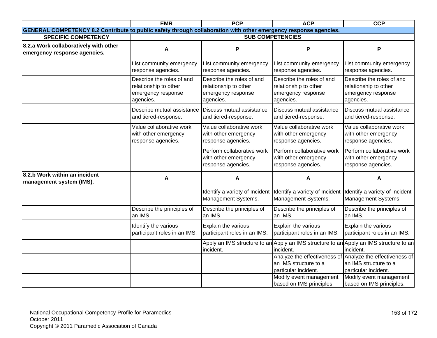|                                                                                                                  | <b>EMR</b>                                                                            | <b>PCP</b>                                                                            | <b>ACP</b>                                                                            | <b>CCP</b>                                                                                          |
|------------------------------------------------------------------------------------------------------------------|---------------------------------------------------------------------------------------|---------------------------------------------------------------------------------------|---------------------------------------------------------------------------------------|-----------------------------------------------------------------------------------------------------|
| GENERAL COMPETENCY 8.2 Contribute to public safety through collaboration with other emergency response agencies. |                                                                                       |                                                                                       |                                                                                       |                                                                                                     |
| <b>SPECIFIC COMPETENCY</b>                                                                                       |                                                                                       |                                                                                       | <b>SUB COMPETENCIES</b>                                                               |                                                                                                     |
| 8.2.a Work collaboratively with other<br>emergency response agencies.                                            | Α                                                                                     | P                                                                                     | P                                                                                     | P                                                                                                   |
|                                                                                                                  | List community emergency<br>response agencies.                                        | List community emergency<br>response agencies.                                        | List community emergency<br>response agencies.                                        | List community emergency<br>response agencies.                                                      |
|                                                                                                                  | Describe the roles of and<br>relationship to other<br>emergency response<br>agencies. | Describe the roles of and<br>relationship to other<br>emergency response<br>agencies. | Describe the roles of and<br>relationship to other<br>emergency response<br>agencies. | Describe the roles of and<br>relationship to other<br>emergency response<br>agencies.               |
|                                                                                                                  | Describe mutual assistance<br>and tiered-response.                                    | Discuss mutual assistance<br>and tiered-response.                                     | Discuss mutual assistance<br>and tiered-response.                                     | Discuss mutual assistance<br>and tiered-response.                                                   |
|                                                                                                                  | Value collaborative work<br>with other emergency<br>response agencies.                | Value collaborative work<br>with other emergency<br>response agencies.                | Value collaborative work<br>with other emergency<br>response agencies.                | Value collaborative work<br>with other emergency<br>response agencies.                              |
|                                                                                                                  |                                                                                       | Perform collaborative work<br>with other emergency<br>response agencies.              | Perform collaborative work<br>with other emergency<br>response agencies.              | Perform collaborative work<br>with other emergency<br>response agencies.                            |
| 8.2.b Work within an incident<br>management system (IMS).                                                        | A                                                                                     | A                                                                                     | A                                                                                     | A                                                                                                   |
|                                                                                                                  |                                                                                       | Identify a variety of Incident<br>Management Systems.                                 | Identify a variety of Incident<br>Management Systems.                                 | Identify a variety of Incident<br>Management Systems.                                               |
|                                                                                                                  | Describe the principles of<br>an IMS.                                                 | Describe the principles of<br>an IMS.                                                 | Describe the principles of<br>an IMS.                                                 | Describe the principles of<br>an IMS.                                                               |
|                                                                                                                  | Identify the various<br>participant roles in an IMS.                                  | Explain the various<br>participant roles in an IMS.                                   | Explain the various<br>participant roles in an IMS.                                   | Explain the various<br>participant roles in an IMS.                                                 |
|                                                                                                                  |                                                                                       | incident.                                                                             | incident.                                                                             | Apply an IMS structure to an Apply an IMS structure to an Apply an IMS structure to an<br>incident. |
|                                                                                                                  |                                                                                       |                                                                                       | Analyze the effectiveness of<br>an IMS structure to a<br>particular incident.         | Analyze the effectiveness of<br>an IMS structure to a<br>particular incident.                       |
|                                                                                                                  |                                                                                       |                                                                                       | Modify event management<br>based on IMS principles.                                   | Modify event management<br>based on IMS principles.                                                 |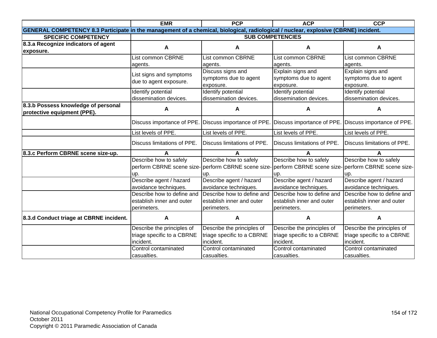| <b>EMR</b>                                                                                                                          |                                                       | <b>PCP</b>                                                                  | <b>ACP</b>                  | <b>CCP</b>                  |  |
|-------------------------------------------------------------------------------------------------------------------------------------|-------------------------------------------------------|-----------------------------------------------------------------------------|-----------------------------|-----------------------------|--|
| GENERAL COMPETENCY 8.3 Participate in the management of a chemical, biological, radiological / nuclear, explosive (CBRNE) incident. |                                                       |                                                                             |                             |                             |  |
| <b>SPECIFIC COMPETENCY</b>                                                                                                          |                                                       |                                                                             | <b>SUB COMPETENCIES</b>     |                             |  |
| 8.3.a Recognize indicators of agent                                                                                                 | A                                                     | Α                                                                           | A                           | A                           |  |
| exposure.                                                                                                                           |                                                       |                                                                             |                             |                             |  |
|                                                                                                                                     | <b>List common CBRNE</b>                              | List common CBRNE                                                           | <b>List common CBRNE</b>    | List common CBRNE           |  |
|                                                                                                                                     | agents.                                               | agents.                                                                     | agents.                     | agents.                     |  |
|                                                                                                                                     | List signs and symptoms                               | Discuss signs and                                                           | Explain signs and           | Explain signs and           |  |
|                                                                                                                                     | due to agent exposure.                                | symptoms due to agent                                                       | symptoms due to agent       | symptoms due to agent       |  |
|                                                                                                                                     |                                                       | exposure.                                                                   | exposure.                   | exposure.                   |  |
|                                                                                                                                     | Identify potential                                    | Identify potential                                                          | Identify potential          | Identify potential          |  |
|                                                                                                                                     | dissemination devices.                                | dissemination devices.                                                      | dissemination devices.      | dissemination devices.      |  |
| 8.3.b Possess knowledge of personal                                                                                                 | A                                                     | А                                                                           | А                           | А                           |  |
| protective equipment (PPE).                                                                                                         |                                                       |                                                                             |                             |                             |  |
|                                                                                                                                     | Discuss importance of PPE. Discuss importance of PPE. |                                                                             | Discuss importance of PPE.  | Discuss importance of PPE.  |  |
|                                                                                                                                     | List levels of PPE.                                   | List levels of PPE.                                                         | List levels of PPE.         | List levels of PPE.         |  |
|                                                                                                                                     | Discuss limitations of PPE.                           | Discuss limitations of PPE.                                                 | Discuss limitations of PPE. | Discuss limitations of PPE. |  |
| 8.3.c Perform CBRNE scene size-up.                                                                                                  | A                                                     |                                                                             | А                           |                             |  |
|                                                                                                                                     | Describe how to safely                                | Describe how to safely                                                      | Describe how to safely      | Describe how to safely      |  |
|                                                                                                                                     |                                                       | perform CBRNE scene size-perform CBRNE scene size-perform CBRNE scene size- |                             | perform CBRNE scene size-   |  |
|                                                                                                                                     | up.                                                   | up.                                                                         | up.                         | up.                         |  |
|                                                                                                                                     | Describe agent / hazard                               | Describe agent / hazard                                                     | Describe agent / hazard     | Describe agent / hazard     |  |
|                                                                                                                                     | avoidance techniques.                                 | avoidance techniques.                                                       | avoidance techniques.       | avoidance techniques.       |  |
|                                                                                                                                     | Describe how to define and                            | Describe how to define and                                                  | Describe how to define and  | Describe how to define and  |  |
|                                                                                                                                     | establish inner and outer                             | establish inner and outer                                                   | establish inner and outer   | establish inner and outer   |  |
|                                                                                                                                     | perimeters.                                           | perimeters.                                                                 | perimeters.                 | perimeters.                 |  |
| 8.3.d Conduct triage at CBRNE incident.                                                                                             | A                                                     | A                                                                           | A                           | A                           |  |
|                                                                                                                                     | Describe the principles of                            | Describe the principles of                                                  | Describe the principles of  | Describe the principles of  |  |
|                                                                                                                                     | triage specific to a CBRNE                            | triage specific to a CBRNE                                                  | triage specific to a CBRNE  | triage specific to a CBRNE  |  |
|                                                                                                                                     | incident.                                             | incident.                                                                   | incident.                   | incident.                   |  |
|                                                                                                                                     | Control contaminated                                  | Control contaminated                                                        | Control contaminated        | Control contaminated        |  |
|                                                                                                                                     | casualties.                                           | casualties.                                                                 | casualties.                 | casualties.                 |  |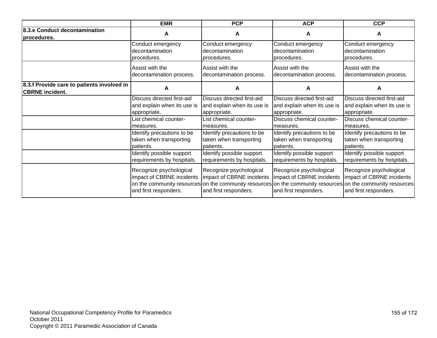| <b>EMR</b><br><b>PCP</b>                                             |                                                                               |                                                                                                                                                                                              | <b>ACP</b>                                                                    | <b>CCP</b>                                                                    |
|----------------------------------------------------------------------|-------------------------------------------------------------------------------|----------------------------------------------------------------------------------------------------------------------------------------------------------------------------------------------|-------------------------------------------------------------------------------|-------------------------------------------------------------------------------|
| 8.3.e Conduct decontamination<br>A<br>procedures.                    |                                                                               | A                                                                                                                                                                                            | A                                                                             | A                                                                             |
|                                                                      | Conduct emergency                                                             | Conduct emergency                                                                                                                                                                            | Conduct emergency                                                             | Conduct emergency                                                             |
|                                                                      | decontamination                                                               | decontamination                                                                                                                                                                              | decontamination                                                               | decontamination                                                               |
|                                                                      | procedures.                                                                   | procedures.                                                                                                                                                                                  | procedures.                                                                   | procedures.                                                                   |
|                                                                      | Assist with the                                                               | Assist with the                                                                                                                                                                              | Assist with the                                                               | Assist with the                                                               |
|                                                                      | decontamination process.                                                      | decontamination process.                                                                                                                                                                     | decontamination process.                                                      | decontamination process.                                                      |
| 8.3.f Provide care to patients involved in<br><b>CBRNE</b> incident. | А                                                                             | A                                                                                                                                                                                            | A                                                                             | А                                                                             |
|                                                                      | Discuss directed first-aid                                                    | Discuss directed first-aid                                                                                                                                                                   | Discuss directed first-aid                                                    | Discuss directed first-aid                                                    |
|                                                                      | and explain when its use is                                                   | and explain when its use is                                                                                                                                                                  | and explain when its use is                                                   | and explain when its use is                                                   |
|                                                                      | appropriate.                                                                  | appropriate.                                                                                                                                                                                 | appropriate.                                                                  | appropriate.                                                                  |
|                                                                      | List chemical counter-                                                        | List chemical counter-                                                                                                                                                                       | Discuss chemical counter-                                                     | Discuss chemical counter-                                                     |
|                                                                      | measures.                                                                     | measures.                                                                                                                                                                                    | measures.                                                                     | measures.                                                                     |
|                                                                      | Identify precautions to be                                                    | Identify precautions to be                                                                                                                                                                   | Identify precautions to be                                                    | Identify precautions to be                                                    |
|                                                                      | taken when transporting                                                       | taken when transporting                                                                                                                                                                      | taken when transporting                                                       | taken when transporting                                                       |
|                                                                      | patients.                                                                     | patients.                                                                                                                                                                                    | patients.                                                                     | patients.                                                                     |
|                                                                      | Identify possible support                                                     | Identify possible support                                                                                                                                                                    | Identify possible support                                                     | Identify possible support                                                     |
|                                                                      | requirements by hospitals.                                                    | requirements by hospitals.                                                                                                                                                                   | requirements by hospitals.                                                    | requirements by hospitals.                                                    |
|                                                                      | Recognize psychological<br>impact of CBRNE incidents<br>and first responders. | Recognize psychological<br>impact of CBRNE incidents<br>on the community resources on the community resources on the community resources on the community resources<br>and first responders. | Recognize psychological<br>impact of CBRNE incidents<br>and first responders. | Recognize psychological<br>impact of CBRNE incidents<br>and first responders. |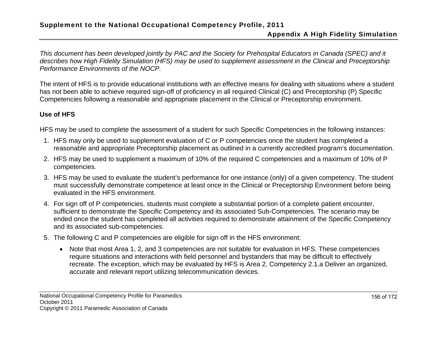# Appendix A High Fidelity Simulation

*This document has been developed jointly by PAC and the Society for Prehospital Educators in Canada (SPEC) and it describes how High Fidelity Simulation (HFS) may be used to supplement assessment in the Clinical and Preceptorship Performance Environments of the NOCP.* 

The intent of HFS is to provide educational institutions with an effective means for dealing with situations where a student has not been able to achieve required sign-off of proficiency in all required Clinical (C) and Preceptorship (P) Specific Competencies following a reasonable and appropriate placement in the Clinical or Preceptorship environment.

# **Use of HFS**

HFS may be used to complete the assessment of a student for such Specific Competencies in the following instances:

- 1. HFS may only be used to supplement evaluation of C or P competencies once the student has completed a reasonable and appropriate Preceptorship placement as outlined in a currently accredited program's documentation.
- 2. HFS may be used to supplement a maximum of 10% of the required C competencies and a maximum of 10% of P competencies.
- 3. HFS may be used to evaluate the student's performance for one instance (only) of a given competency. The student must successfully demonstrate competence at least once in the Clinical or Preceptorship Environment before being evaluated in the HFS environment.
- 4. For sign off of P competencies, students must complete a substantial portion of a complete patient encounter, sufficient to demonstrate the Specific Competency and its associated Sub-Competencies. The scenario may be ended once the student has completed all activities required to demonstrate attainment of the Specific Competency and its associated sub-competencies.
- 5. The following C and P competencies are eligible for sign off in the HFS environment:
	- Note that most Area 1, 2, and 3 competencies are not suitable for evaluation in HFS. These competencies require situations and interactions with field personnel and bystanders that may be difficult to effectively recreate. The exception, which may be evaluated by HFS is Area 2, Competency 2.1.a Deliver an organized, accurate and relevant report utilizing telecommunication devices.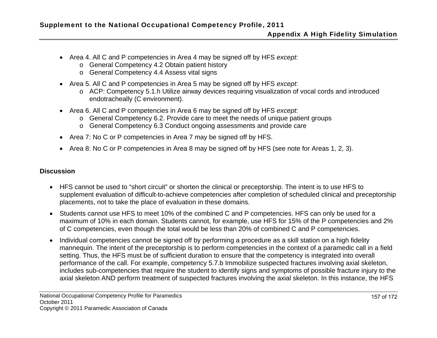- Area 4. All C and P competencies in Area 4 may be signed off by HFS *except*:
	- <sup>o</sup> General Competency 4.2 Obtain patient history
	- <sup>o</sup> General Competency 4.4 Assess vital signs
- Area 5. All C and P competencies in Area 5 may be signed off by HFS *except*:
	- <sup>o</sup> ACP: Competency 5.1.h Utilize airway devices requiring visualization of vocal cords and introduced endotracheally (C environment).
- Area 6. All C and P competencies in Area 6 may be signed off by HFS *except*:
	- <sup>o</sup> General Competency 6.2. Provide care to meet the needs of unique patient groups
	- <sup>o</sup> General Competency 6.3 Conduct ongoing assessments and provide care
- Area 7: No C or P competencies in Area 7 may be signed off by HFS.
- Area 8: No C or P competencies in Area 8 may be signed off by HFS (see note for Areas 1, 2, 3).

### **Discussion**

- HFS cannot be used to "short circuit" or shorten the clinical or preceptorship. The intent is to use HFS to supplement evaluation of difficult-to-achieve competencies after completion of scheduled clinical and preceptorship placements, not to take the place of evaluation in these domains.
- Students cannot use HFS to meet 10% of the combined C and P competencies. HFS can only be used for a maximum of 10% in each domain. Students cannot, for example, use HFS for 15% of the P competencies and 2% of C competencies, even though the total would be less than 20% of combined C and P competencies.
- Individual competencies cannot be signed off by performing a procedure as a skill station on a high fidelity mannequin. The intent of the preceptorship is to perform competencies in the context of a paramedic call in a field setting. Thus, the HFS must be of sufficient duration to ensure that the competency is integrated into overall performance of the call. For example, competency 5.7.b Immobilize suspected fractures involving axial skeleton, includes sub-competencies that require the student to identify signs and symptoms of possible fracture injury to the axial skeleton AND perform treatment of suspected fractures involving the axial skeleton. In this instance, the HFS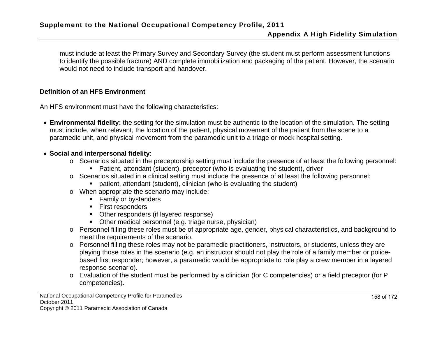must include at least the Primary Survey and Secondary Survey (the student must perform assessment functions to identify the possible fracture) AND complete immobilization and packaging of the patient. However, the scenario would not need to include transport and handover.

## **Definition of an HFS Environment**

An HFS environment must have the following characteristics:

 **Environmental fidelity:** the setting for the simulation must be authentic to the location of the simulation. The setting must include, when relevant, the location of the patient, physical movement of the patient from the scene to a paramedic unit, and physical movement from the paramedic unit to a triage or mock hospital setting.

## **Social and interpersonal fidelity**:

- <sup>o</sup> Scenarios situated in the preceptorship setting must include the presence of at least the following personnel:
	- Patient, attendant (student), preceptor (who is evaluating the student), driver
- <sup>o</sup> Scenarios situated in a clinical setting must include the presence of at least the following personnel:
	- patient, attendant (student), clinician (who is evaluating the student)
- <sup>o</sup> When appropriate the scenario may include:
	- **Family or bystanders**
	- **First responders**
	- Other responders (if layered response)
	- Other medical personnel (e.g. triage nurse, physician)
- <sup>o</sup> Personnel filling these roles must be of appropriate age, gender, physical characteristics, and background to meet the requirements of the scenario.
- <sup>o</sup> Personnel filling these roles may not be paramedic practitioners, instructors, or students, unless they are playing those roles in the scenario (e.g. an instructor should not play the role of a family member or policebased first responder; however, a paramedic would be appropriate to role play a crew member in a layered response scenario).
- <sup>o</sup> Evaluation of the student must be performed by a clinician (for C competencies) or a field preceptor (for P competencies).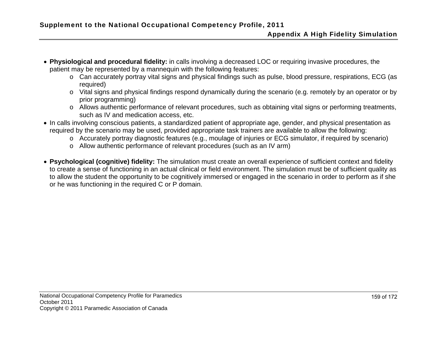- **Physiological and procedural fidelity:** in calls involving a decreased LOC or requiring invasive procedures, the patient may be represented by a mannequin with the following features:
	- <sup>o</sup> Can accurately portray vital signs and physical findings such as pulse, blood pressure, respirations, ECG (as required)
	- <sup>o</sup> Vital signs and physical findings respond dynamically during the scenario (e.g. remotely by an operator or by prior programming)
	- <sup>o</sup> Allows authentic performance of relevant procedures, such as obtaining vital signs or performing treatments, such as IV and medication access, etc.
- In calls involving conscious patients, a standardized patient of appropriate age, gender, and physical presentation as required by the scenario may be used, provided appropriate task trainers are available to allow the following:
	- <sup>o</sup> Accurately portray diagnostic features (e.g., moulage of injuries or ECG simulator, if required by scenario)
	- <sup>o</sup> Allow authentic performance of relevant procedures (such as an IV arm)
- **Psychological (cognitive) fidelity:** The simulation must create an overall experience of sufficient context and fidelity to create a sense of functioning in an actual clinical or field environment. The simulation must be of sufficient quality as to allow the student the opportunity to be cognitively immersed or engaged in the scenario in order to perform as if she or he was functioning in the required C or P domain.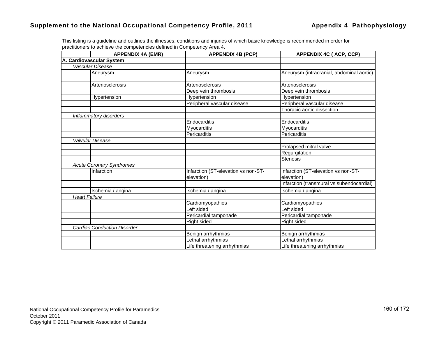|                  | <b>APPENDIX 4A (EMR)</b>           | <b>APPENDIX 4B (PCP)</b>                          | <b>APPENDIX 4C (ACP, CCP)</b>                     |
|------------------|------------------------------------|---------------------------------------------------|---------------------------------------------------|
|                  | A. Cardiovascular System           |                                                   |                                                   |
|                  | Vascular Disease                   |                                                   |                                                   |
|                  | Aneurysm                           | Aneurysm                                          | Aneurysm (intracranial, abdominal aortic)         |
|                  | Arteriosclerosis                   | Arteriosclerosis                                  | Arteriosclerosis                                  |
|                  |                                    | Deep vein thrombosis                              | Deep vein thrombosis                              |
|                  | Hypertension                       | Hypertension                                      | Hypertension                                      |
|                  |                                    | Peripheral vascular disease                       | Peripheral vascular disease                       |
|                  |                                    |                                                   | Thoracic aortic dissection                        |
|                  | Inflammatory disorders             |                                                   |                                                   |
|                  |                                    | Endocarditis                                      | Endocarditis                                      |
|                  |                                    | Myocarditis                                       | Myocarditis                                       |
|                  |                                    | Pericarditis                                      | Pericarditis                                      |
| Valvular Disease |                                    |                                                   |                                                   |
|                  |                                    |                                                   | Prolapsed mitral valve                            |
|                  |                                    |                                                   | Regurgitation                                     |
|                  |                                    |                                                   | <b>Stenosis</b>                                   |
|                  | <b>Acute Coronary Syndromes</b>    |                                                   |                                                   |
|                  | Infarction                         | Infarction (ST-elevation vs non-ST-<br>elevation) | Infarction (ST-elevation vs non-ST-<br>elevation) |
|                  |                                    |                                                   | Infarction (transmural vs subendocardial)         |
|                  | Ischemia / angina                  | Ischemia / angina                                 | Ischemia / angina                                 |
| Heart Failure    |                                    |                                                   |                                                   |
|                  |                                    | Cardiomyopathies                                  | Cardiomyopathies                                  |
|                  |                                    | Left sided                                        | Left sided                                        |
|                  |                                    | Pericardial tamponade                             | Pericardial tamponade                             |
|                  |                                    | Right sided                                       | Right sided                                       |
|                  | <b>Cardiac Conduction Disorder</b> |                                                   |                                                   |
|                  |                                    | Benign arrhythmias                                | Benign arrhythmias                                |
|                  |                                    | Lethal arrhythmias                                | Lethal arrhythmias                                |
|                  |                                    | Life threatening arrhythmias                      | Life threatening arrhythmias                      |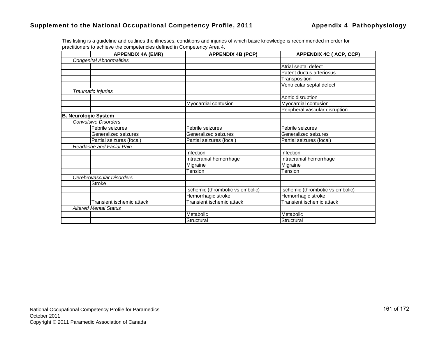| <b>APPENDIX 4A (EMR)</b>        | <b>APPENDIX 4B (PCP)</b>         | <b>APPENDIX 4C (ACP, CCP)</b>    |
|---------------------------------|----------------------------------|----------------------------------|
| <b>Congenital Abnormalities</b> |                                  |                                  |
|                                 |                                  | Atrial septal defect             |
|                                 |                                  | Patent ductus arteriosus         |
|                                 |                                  | Transposition                    |
|                                 |                                  | Ventricular septal defect        |
| Traumatic Injuries              |                                  |                                  |
|                                 |                                  | Aortic disruption                |
|                                 | Myocardial contusion             | Myocardial contusion             |
|                                 |                                  | Peripheral vascular disruption   |
| <b>B. Neurologic System</b>     |                                  |                                  |
| <b>Convulsive Disorders</b>     |                                  |                                  |
| Febrile seizures                | Febrile seizures                 | Febrile seizures                 |
| Generalized seizures            | Generalized seizures             | Generalized seizures             |
| Partial seizures (focal)        | Partial seizures (focal)         | Partial seizures (focal)         |
| <b>Headache and Facial Pain</b> |                                  |                                  |
|                                 | Infection                        | Infection                        |
|                                 | Intracranial hemorrhage          | Intracranial hemorrhage          |
|                                 | Migraine                         | Migraine                         |
|                                 | Tension                          | Tension                          |
| Cerebrovascular Disorders       |                                  |                                  |
| <b>Stroke</b>                   |                                  |                                  |
|                                 | Ischemic (thrombotic vs embolic) | Ischemic (thrombotic vs embolic) |
|                                 | Hemorrhagic stroke               | Hemorrhagic stroke               |
| Transient ischemic attack       | Transient ischemic attack        | Transient ischemic attack        |
| <b>Altered Mental Status</b>    |                                  |                                  |
|                                 | Metabolic                        | Metabolic                        |
|                                 | Structural                       | Structural                       |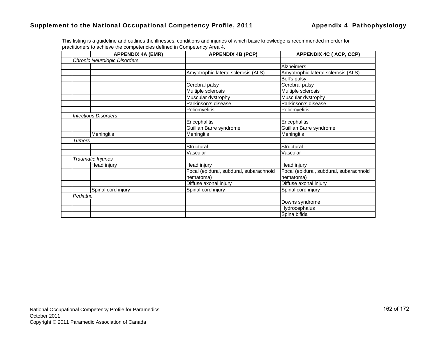|           | <b>APPENDIX 4A (EMR)</b>     | <b>APPENDIX 4B (PCP)</b>                | <b>APPENDIX 4C (ACP, CCP)</b>           |
|-----------|------------------------------|-----------------------------------------|-----------------------------------------|
|           | Chronic Neurologic Disorders |                                         |                                         |
|           |                              |                                         | Alzheimers                              |
|           |                              | Amyotrophic lateral sclerosis (ALS)     | Amyotrophic lateral sclerosis (ALS)     |
|           |                              |                                         | Bell's palsy                            |
|           |                              | Cerebral palsy                          | Cerebral palsy                          |
|           |                              | Multiple sclerosis                      | Multiple sclerosis                      |
|           |                              | Muscular dystrophy                      | Muscular dystrophy                      |
|           |                              | Parkinson's disease                     | Parkinson's disease                     |
|           |                              | Poliomyelitis                           | Poliomyelitis                           |
|           | <b>Infectious Disorders</b>  |                                         |                                         |
|           |                              | Encephalitis                            | Encephalitis                            |
|           |                              | Guillian Barre syndrome                 | Guillian Barre syndrome                 |
|           | <b>Meningitis</b>            | Meningitis                              | Meningitis                              |
| Tumors    |                              |                                         |                                         |
|           |                              | Structural                              | Structural                              |
|           |                              | Vascular                                | Vascular                                |
|           | Traumatic Injuries           |                                         |                                         |
|           | Head injury                  | Head injury                             | Head injury                             |
|           |                              | Focal (epidural, subdural, subarachnoid | Focal (epidural, subdural, subarachnoid |
|           |                              | hematoma)                               | hematoma)                               |
|           |                              | Diffuse axonal injury                   | Diffuse axonal injury                   |
|           | Spinal cord injury           | Spinal cord injury                      | Spinal cord injury                      |
| Pediatric |                              |                                         |                                         |
|           |                              |                                         | Downs syndrome                          |
|           |                              |                                         | Hydrocephalus                           |
|           |                              |                                         | Spina bifida                            |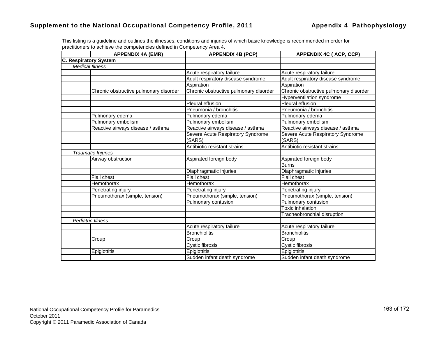|                        | <b>APPENDIX 4A (EMR)</b>               | <b>APPENDIX 4B (PCP)</b>               | <b>APPENDIX 4C (ACP, CCP)</b>          |
|------------------------|----------------------------------------|----------------------------------------|----------------------------------------|
|                        | <b>C. Respiratory System</b>           |                                        |                                        |
| <b>Medical Illness</b> |                                        |                                        |                                        |
|                        |                                        | Acute respiratory failure              | Acute respiratory failure              |
|                        |                                        | Adult respiratory disease syndrome     | Adult respiratory disease syndrome     |
|                        |                                        | Aspiration                             | Aspiration                             |
|                        | Chronic obstructive pulmonary disorder | Chronic obstructive pulmonary disorder | Chronic obstructive pulmonary disorder |
|                        |                                        |                                        | <b>Hyperventilation syndrome</b>       |
|                        |                                        | Pleural effusion                       | Pleural effusion                       |
|                        |                                        | Pneumonia / bronchitis                 | Pneumonia / bronchitis                 |
|                        | Pulmonary edema                        | Pulmonary edema                        | Pulmonary edema                        |
|                        | Pulmonary embolism                     | Pulmonary embolism                     | Pulmonary embolism                     |
|                        | Reactive airways disease / asthma      | Reactive airways disease / asthma      | Reactive airways disease / asthma      |
|                        |                                        | Severe Acute Respiratory Syndrome      | Severe Acute Respiratory Syndrome      |
|                        |                                        | (SARS)                                 | (SARS)                                 |
|                        |                                        | Antibiotic resistant strains           | Antibiotic resistant strains           |
|                        | <b>Traumatic Injuries</b>              |                                        |                                        |
|                        | Airway obstruction                     | Aspirated foreign body                 | Aspirated foreign body                 |
|                        |                                        |                                        | <b>Burns</b>                           |
|                        |                                        | Diaphragmatic injuries                 | Diaphragmatic injuries                 |
|                        | Flail chest                            | <b>Flail chest</b>                     | Flail chest                            |
|                        | Hemothorax                             | Hemothorax                             | Hemothorax                             |
|                        | Penetrating injury                     | Penetrating injury                     | Penetrating injury                     |
|                        | Pneumothorax (simple, tension)         | Pneumothorax (simple, tension)         | Pneumothorax (simple, tension)         |
|                        |                                        | Pulmonary contusion                    | Pulmonary contusion                    |
|                        |                                        |                                        | Toxic inhalation                       |
|                        |                                        |                                        | Tracheobronchial disruption            |
|                        | <b>Pediatric Illness</b>               |                                        |                                        |
|                        |                                        | Acute respiratory failure              | Acute respiratory failure              |
|                        |                                        | <b>Bronchiolitis</b>                   | <b>Bronchiolitis</b>                   |
|                        | Croup                                  | Croup                                  | Croup                                  |
|                        |                                        | <b>Cystic fibrosis</b>                 | Cystic fibrosis                        |
|                        | Epiglottitis                           | Epiglottitis                           | Epiglottitis                           |
|                        |                                        | Sudden infant death syndrome           | Sudden infant death syndrome           |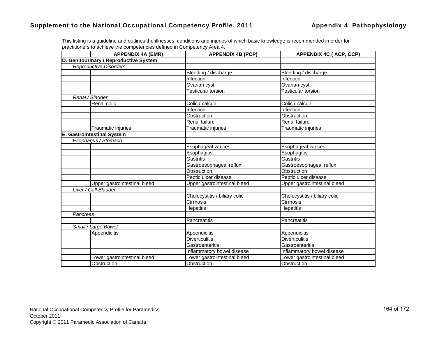|          | <b>APPENDIX 4A (EMR)</b>               | <b>APPENDIX 4B (PCP)</b>      | <b>APPENDIX 4C (ACP, CCP)</b> |
|----------|----------------------------------------|-------------------------------|-------------------------------|
|          | D. Genitourinary / Reproductive System |                               |                               |
|          | <b>Reproductive Disorders</b>          |                               |                               |
|          |                                        | Bleeding / discharge          | Bleeding / discharge          |
|          |                                        | <b>Infection</b>              | Infection                     |
|          |                                        | Ovarian cyst                  | Ovarian cyst                  |
|          |                                        | <b>Testicular torsion</b>     | Testicular torsion            |
|          | Renal / Bladder                        |                               |                               |
|          | Renal colic                            | Colic / calculi               | Colic / calculi               |
|          |                                        | Infection                     | Infection                     |
|          |                                        | Obstruction                   | Obstruction                   |
|          |                                        | <b>Renal failure</b>          | <b>Renal failure</b>          |
|          | Traumatic injuries                     | <b>Traumatic injuries</b>     | Traumatic injuries            |
|          | <b>E. Gastrointestinal System</b>      |                               |                               |
|          | Esophagus / Stomach                    |                               |                               |
|          |                                        | Esophageal varices            | Esophageal varices            |
|          |                                        | Esophagitis                   | Esophagitis                   |
|          |                                        | Gastritis                     | Gastritis                     |
|          |                                        | Gastroesophageal reflux       | Gastroesophageal reflux       |
|          |                                        | Obstruction                   | Obstruction                   |
|          |                                        | Peptic ulcer disease          | Peptic ulcer disease          |
|          | Upper gastrointestinal bleed           | Upper gastrointestinal bleed  | Upper gastrointestinal bleed  |
|          | Liver / Gall Bladder                   |                               |                               |
|          |                                        | Cholecystitis / biliary colic | Cholecystitis / biliary colic |
|          |                                        | Cirrhosis                     | Cirrhosis                     |
|          |                                        | <b>Hepatitis</b>              | <b>Hepatitis</b>              |
| Pancreas |                                        |                               |                               |
|          |                                        | Pancreatitis                  | Pancreatitis                  |
|          | Small / Large Bowel                    |                               |                               |
|          | Appendicitis                           | Appendicitis                  | Appendicitis                  |
|          |                                        | <b>Diverticulitis</b>         | <b>Diverticulitis</b>         |
|          |                                        | Gastroenteritis               | Gastroenteritis               |
|          |                                        | Inflammatory bowel disease    | Inflammatory bowel disease    |
|          | Lower gastrointestinal bleed           | Lower gastrointestinal bleed  | Lower gastrointestinal bleed  |
|          | Obstruction                            | Obstruction                   | Obstruction                   |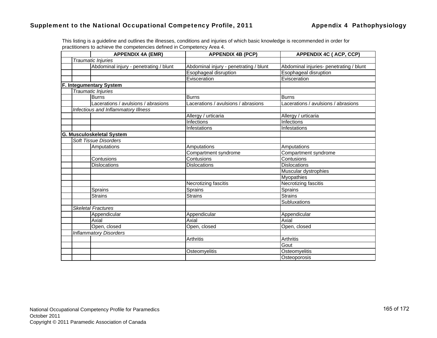|  | <b>APPENDIX 4A (EMR)</b>               | <b>APPENDIX 4B (PCP)</b>               | <b>APPENDIX 4C (ACP, CCP)</b>           |
|--|----------------------------------------|----------------------------------------|-----------------------------------------|
|  | Traumatic Injuries                     |                                        |                                         |
|  | Abdominal injury - penetrating / blunt | Abdominal injury - penetrating / blunt | Abdominal injuries- penetrating / blunt |
|  |                                        | Esophageal disruption                  | Esophageal disruption                   |
|  |                                        | Evisceration                           | Evisceration                            |
|  | F. Integumentary System                |                                        |                                         |
|  | Traumatic Injuries                     |                                        |                                         |
|  | <b>Burns</b>                           | <b>Burns</b>                           | <b>Burns</b>                            |
|  | Lacerations / avulsions / abrasions    | Lacerations / avulsions / abrasions    | Lacerations / avulsions / abrasions     |
|  | Infectious and Inflammatory Illness    |                                        |                                         |
|  |                                        | Allergy / urticaria                    | Allergy / urticaria                     |
|  |                                        | Infections                             | Infections                              |
|  |                                        | Infestations                           | <b>Infestations</b>                     |
|  | <b>G. Musculoskeletal System</b>       |                                        |                                         |
|  | <b>Soft Tissue Disorders</b>           |                                        |                                         |
|  | Amputations                            | Amputations                            | Amputations                             |
|  |                                        | Compartment syndrome                   | Compartment syndrome                    |
|  | Contusions                             | Contusions                             | Contusions                              |
|  | <b>Dislocations</b>                    | <b>Dislocations</b>                    | <b>Dislocations</b>                     |
|  |                                        |                                        | Muscular dystrophies                    |
|  |                                        |                                        | Myopathies                              |
|  |                                        | Necrotizing fascitis                   | <b>Necrotizing fascitis</b>             |
|  | Sprains                                | Sprains                                | Sprains                                 |
|  | <b>Strains</b>                         | <b>Strains</b>                         | <b>Strains</b>                          |
|  |                                        |                                        | Subluxations                            |
|  | <b>Skeletal Fractures</b>              |                                        |                                         |
|  | Appendicular                           | Appendicular                           | Appendicular                            |
|  | Axial                                  | Axial                                  | Axial                                   |
|  | Open, closed                           | Open, closed                           | Open, closed                            |
|  | <b>Inflammatory Disorders</b>          |                                        |                                         |
|  |                                        | Arthritis                              | Arthritis                               |
|  |                                        |                                        | Gout                                    |
|  |                                        | Osteomyelitis                          | Osteomyelitis                           |
|  |                                        |                                        | Osteoporosis                            |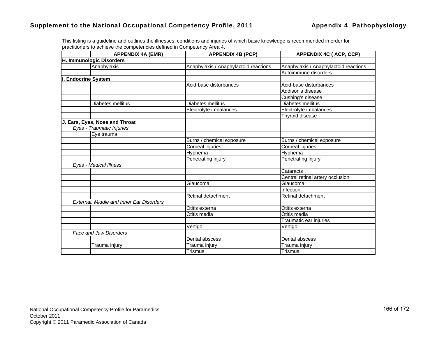|  | <b>APPENDIX 4A (EMR)</b>                 | <b>APPENDIX 4B (PCP)</b>              | <b>APPENDIX 4C (ACP, CCP)</b>         |
|--|------------------------------------------|---------------------------------------|---------------------------------------|
|  | H. Immunologic Disorders                 |                                       |                                       |
|  | Anaphylaxis                              | Anaphylaxis / Anaphylactoid reactions | Anaphylaxis / Anaphylactoid reactions |
|  |                                          |                                       | Autoimmune disorders                  |
|  | I. Endocrine System                      |                                       |                                       |
|  |                                          | Acid-base disturbances                | Acid-base disturbances                |
|  |                                          |                                       | Addison's disease                     |
|  |                                          |                                       | Cushing's disease                     |
|  | Diabetes mellitus                        | Diabetes mellitus                     | Diabetes mellitus                     |
|  |                                          | Electrolyte imbalances                | Electrolyte imbalances                |
|  |                                          |                                       | Thyroid disease                       |
|  | J. Ears, Eyes, Nose and Throat           |                                       |                                       |
|  | Eyes - Traumatic Injuries                |                                       |                                       |
|  | Eye trauma                               |                                       |                                       |
|  |                                          | Burns / chemical exposure             | Burns / chemical exposure             |
|  |                                          | Corneal injuries                      | Corneal injuries                      |
|  |                                          | Hyphema                               | Hyphema                               |
|  |                                          | Penetrating injury                    | Penetrating injury                    |
|  | Eyes - Medical Illness                   |                                       |                                       |
|  |                                          |                                       | Cataracts                             |
|  |                                          |                                       | Central retinal artery occlusion      |
|  |                                          | Glaucoma                              | Glaucoma                              |
|  |                                          |                                       | Infection                             |
|  |                                          | Retinal detachment                    | Retinal detachment                    |
|  | External, Middle and Inner Ear Disorders |                                       |                                       |
|  |                                          | Otitis externa                        | Otitis externa                        |
|  |                                          | Otitis media                          | Otitis media                          |
|  |                                          |                                       | Traumatic ear injuries                |
|  |                                          | Vertigo                               | Vertigo                               |
|  | Face and Jaw Disorders                   |                                       |                                       |
|  |                                          | Dental abscess                        | Dental abscess                        |
|  | Trauma injury                            | Trauma injury                         | Trauma injury                         |
|  |                                          | <b>Trismus</b>                        | Trismus                               |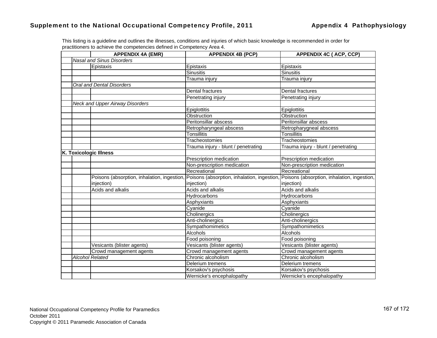|  | <b>APPENDIX 4A (EMR)</b>                    | <b>APPENDIX 4B (PCP)</b>                                                                | <b>APPENDIX 4C (ACP, CCP)</b>       |
|--|---------------------------------------------|-----------------------------------------------------------------------------------------|-------------------------------------|
|  | <b>Nasal and Sinus Disorders</b>            |                                                                                         |                                     |
|  | Epistaxis                                   | Epistaxis                                                                               | Epistaxis                           |
|  |                                             | <b>Sinusitis</b>                                                                        | <b>Sinusitis</b>                    |
|  |                                             | Trauma injury                                                                           | Trauma injury                       |
|  | Oral and Dental Disorders                   |                                                                                         |                                     |
|  |                                             | Dental fractures                                                                        | Dental fractures                    |
|  |                                             | Penetrating injury                                                                      | Penetrating injury                  |
|  | <b>Neck and Upper Airway Disorders</b>      |                                                                                         |                                     |
|  |                                             | Epiglottitis                                                                            | Epiglottitis                        |
|  |                                             | Obstruction                                                                             | Obstruction                         |
|  |                                             | Peritonsillar abscess                                                                   | Peritonsillar abscess               |
|  |                                             | Retropharyngeal abscess                                                                 | Retropharygneal abscess             |
|  |                                             | <b>Tonsillitis</b>                                                                      | Tonsillitis                         |
|  |                                             | Tracheostomies                                                                          | Tracheostomies                      |
|  |                                             | Trauma injury - blunt / penetrating                                                     | Trauma injury - blunt / penetrating |
|  | <b>K. Toxicologic Illness</b>               |                                                                                         |                                     |
|  |                                             | Prescription medication                                                                 | Prescription medication             |
|  |                                             | Non-prescription medication                                                             | Non-prescription medication         |
|  |                                             | Recreational                                                                            | Recreational                        |
|  | Poisons (absorption, inhalation, ingestion, | Poisons (absorption, inhalation, ingestion, Poisons (absorption, inhalation, ingestion, |                                     |
|  | injection)                                  | injection)                                                                              | injection)                          |
|  | Acids and alkalis                           | Acids and alkalis                                                                       | Acids and alkalis                   |
|  |                                             | Hydrocarbons                                                                            | Hydrocarbons                        |
|  |                                             | Asphyxiants                                                                             | Asphyxiants                         |
|  |                                             | Cyanide                                                                                 | Cyanide                             |
|  |                                             | Cholinergics                                                                            | Cholinergics                        |
|  |                                             | Anti-cholinergics                                                                       | Anti-cholinergics                   |
|  |                                             | Sympathomimetics                                                                        | Sympathomimetics                    |
|  |                                             | Alcohols                                                                                | Alcohols                            |
|  |                                             | Food poisoning                                                                          | Food poisoning                      |
|  | Vesicants (blister agents)                  | Vesicants (blister agents)                                                              | Vesicants (blister agents)          |
|  | Crowd management agents                     | Crowd management agents                                                                 | Crowd management agents             |
|  | <b>Alcohol Related</b>                      | Chronic alcoholism                                                                      | Chronic alcoholism                  |
|  |                                             | Delerium tremens                                                                        | Delerium tremens                    |
|  |                                             | Korsakov's psychosis                                                                    | Korsakov's psychosis                |
|  |                                             | Wernicke's encephalopathy                                                               | Wernicke's encephalopathy           |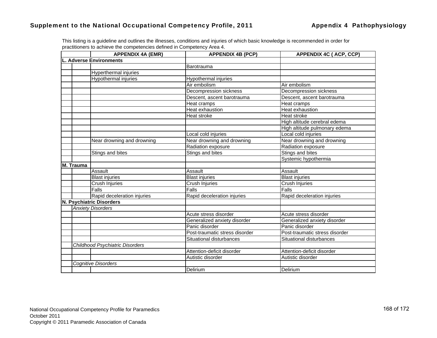|                                |           | <b>APPENDIX 4A (EMR)</b>               | <b>APPENDIX 4B (PCP)</b>       | <b>APPENDIX 4C (ACP, CCP)</b>  |
|--------------------------------|-----------|----------------------------------------|--------------------------------|--------------------------------|
| <b>L. Adverse Environments</b> |           |                                        |                                |                                |
|                                |           |                                        | Barotrauma                     |                                |
|                                |           | Hyperthermal injuries                  |                                |                                |
|                                |           | Hypothermal injuries                   | Hypothermal injuries           |                                |
|                                |           |                                        | Air embolism                   | Air embolism                   |
|                                |           |                                        | Decompression sickness         | Decompression sickness         |
|                                |           |                                        | Descent, ascent barotrauma     | Descent, ascent barotrauma     |
|                                |           |                                        | Heat cramps                    | <b>Heat cramps</b>             |
|                                |           |                                        | Heat exhaustion                | <b>Heat exhaustion</b>         |
|                                |           |                                        | Heat stroke                    | Heat stroke                    |
|                                |           |                                        |                                | High altitude cerebral edema   |
|                                |           |                                        |                                | High altitude pulmonary edema  |
|                                |           |                                        | Local cold injuries            | Local cold injuries            |
|                                |           | Near drowning and drowning             | Near drowning and drowning     | Near drowning and drowning     |
|                                |           |                                        | Radiation exposure             | Radiation exposure             |
|                                |           | Stings and bites                       | Stings and bites               | Stings and bites               |
|                                |           |                                        |                                | Systemic hypothermia           |
|                                | M. Trauma |                                        |                                |                                |
|                                |           | Assault                                | Assault                        | Assault                        |
|                                |           | <b>Blast injuries</b>                  | <b>Blast injuries</b>          | <b>Blast injuries</b>          |
|                                |           | Crush Injuries                         | Crush Injuries                 | Crush Injuries                 |
|                                |           | $\overline{Falls}$                     | Falls                          | Falls                          |
|                                |           | Rapid deceleration injuries            | Rapid deceleration injuries    | Rapid deceleration injuries    |
|                                |           | N. Psychiatric Disorders               |                                |                                |
|                                |           | <b>Anxiety Disorders</b>               |                                |                                |
|                                |           |                                        | Acute stress disorder          | Acute stress disorder          |
|                                |           |                                        | Generalized anxiety disorder   | Generalized anxiety disorder   |
|                                |           |                                        | Panic disorder                 | Panic disorder                 |
|                                |           |                                        | Post-traumatic stress disorder | Post-traumatic stress disorder |
|                                |           |                                        | Situational disturbances       | Situational disturbances       |
|                                |           | <b>Childhood Psychiatric Disorders</b> |                                |                                |
|                                |           |                                        | Attention-deficit disorder     | Attention-deficit disorder     |
|                                |           |                                        | Autistic disorder              | Autistic disorder              |
|                                |           | Cognitive Disorders                    |                                |                                |
|                                |           |                                        | Delirium                       | Delirium                       |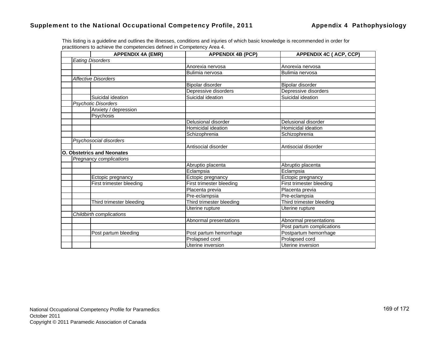|  | <b>APPENDIX 4A (EMR)</b>          | <b>APPENDIX 4B (PCP)</b> | <b>APPENDIX 4C (ACP, CCP)</b> |
|--|-----------------------------------|--------------------------|-------------------------------|
|  | <b>Eating Disorders</b>           |                          |                               |
|  |                                   | Anorexia nervosa         | Anorexia nervosa              |
|  |                                   | Bulimia nervosa          | Bulimia nervosa               |
|  | <b>Affective Disorders</b>        |                          |                               |
|  |                                   | Bipolar disorder         | Bipolar disorder              |
|  |                                   | Depressive disorders     | Depressive disorders          |
|  | Suicidal ideation                 | Suicidal ideation        | Suicidal ideation             |
|  | <b>Psychotic Disorders</b>        |                          |                               |
|  | Anxiety / depression              |                          |                               |
|  | Psychosis                         |                          |                               |
|  |                                   | Delusional disorder      | Delusional disorder           |
|  |                                   | Homicidal ideation       | <b>Homicidal ideation</b>     |
|  |                                   | Schizophrenia            | Schizophrenia                 |
|  | Psychosocial disorders            |                          |                               |
|  |                                   | Antisocial disorder      | Antisocial disorder           |
|  | <b>O. Obstetrics and Neonates</b> |                          |                               |
|  | Pregnancy complications           |                          |                               |
|  |                                   | Abruptio placenta        | Abruptio placenta             |
|  |                                   | Eclampsia                | Eclampsia                     |
|  | Ectopic pregnancy                 | Ectopic pregnancy        | Ectopic pregnancy             |
|  | <b>First trimester bleeding</b>   | First trimester bleeding | First trimester bleeding      |
|  |                                   | Placenta previa          | Placenta previa               |
|  |                                   | Pre-eclampsia            | Pre-eclampsia                 |
|  | Third trimester bleeding          | Third trimester bleeding | Third trimester bleeding      |
|  |                                   | Uterine rupture          | Uterine rupture               |
|  | Childbirth complications          |                          |                               |
|  |                                   | Abnormal presentations   | Abnormal presentations        |
|  |                                   |                          | Post partum complications     |
|  | Post partum bleeding              | Post partum hemorrhage   | Postpartum hemorrhage         |
|  |                                   | Prolapsed cord           | Prolapsed cord                |
|  |                                   | Uterine inversion        | Uterine inversion             |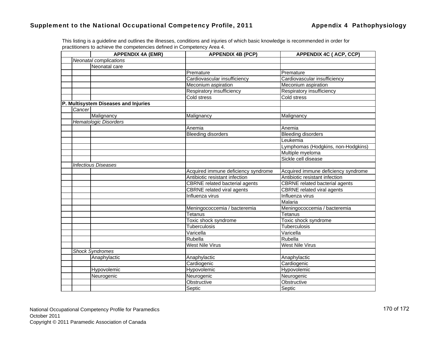|        | <b>APPENDIX 4A (EMR)</b>             | <b>APPENDIX 4B (PCP)</b>              | <b>APPENDIX 4C (ACP, CCP)</b>         |
|--------|--------------------------------------|---------------------------------------|---------------------------------------|
|        | Neonatal complications               |                                       |                                       |
|        | Neonatal care                        |                                       |                                       |
|        |                                      | Premature                             | Premature                             |
|        |                                      | Cardiovascular insufficiency          | Cardiovascular insufficiency          |
|        |                                      | Meconium aspiration                   | Meconium aspiration                   |
|        |                                      | Respiratory insufficiency             | Respiratory insufficiency             |
|        |                                      | Cold stress                           | Cold stress                           |
|        | P. Multisystem Diseases and Injuries |                                       |                                       |
| Cancer |                                      |                                       |                                       |
|        | Malignancy                           | Malignancy                            | Malignancy                            |
|        | <b>Hematologic Disorders</b>         |                                       |                                       |
|        |                                      | Anemia                                | Anemia                                |
|        |                                      | <b>Bleeding disorders</b>             | <b>Bleeding disorders</b>             |
|        |                                      |                                       | Leukemia                              |
|        |                                      |                                       | Lymphomas (Hodgkins, non-Hodgkins)    |
|        |                                      |                                       | Multiple myeloma                      |
|        |                                      |                                       | Sickle cell disease                   |
|        | <b>Infectious Diseases</b>           |                                       |                                       |
|        |                                      | Acquired immune deficiency syndrome   | Acquired immune deficiency syndrome   |
|        |                                      | Antibiotic resistant infection        | Antibiotic resistant infection        |
|        |                                      | <b>CBRNE</b> related bacterial agents | <b>CBRNE</b> related bacterial agents |
|        |                                      | <b>CBRNE</b> related viral agents     | <b>CBRNE</b> related viral agents     |
|        |                                      | Influenza virus                       | Influenza virus                       |
|        |                                      |                                       | Malaria                               |
|        |                                      | Meningococcemia / bacteremia          | Meningococcemia / bacteremia          |
|        |                                      | Tetanus                               | Tetanus                               |
|        |                                      | Toxic shock syndrome                  | Toxic shock syndrome                  |
|        |                                      | Tuberculosis                          | Tuberculosis                          |
|        |                                      | Varicella                             | Varicella                             |
|        |                                      | Rubella                               | Rubella                               |
|        |                                      | <b>West Nile Virus</b>                | <b>West Nile Virus</b>                |
|        | <b>Shock Syndromes</b>               |                                       |                                       |
|        | Anaphylactic                         | Anaphylactic                          | Anaphylactic                          |
|        |                                      | Cardiogenic                           | Cardiogenic                           |
|        | Hypovolemic                          | Hypovolemic                           | Hypovolemic                           |
|        | Neurogenic                           | Neurogenic                            | Neurogenic                            |
|        |                                      | Obstructive                           | Obstructive                           |
|        |                                      | Septic                                | Septic                                |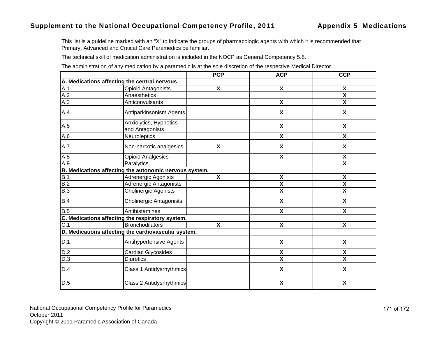### Supplement to the National Occupational Competency Profile, 2011 **Appendix 5 Medications**

This list is a guideline marked with an "X" to indicate the groups of pharmacologic agents with which it is recommended that Primary, Advanced and Critical Care Paramedics be familiar.

The technical skill of medication administration is included in the NOCP as General Competency 5.8.

The administration of any medication by a paramedic is at the sole discretion of the respective Medical Director.

|                  |                                                        | <b>PCP</b>                | <b>ACP</b>                | <b>CCP</b>                |
|------------------|--------------------------------------------------------|---------------------------|---------------------------|---------------------------|
|                  | A. Medications affecting the central nervous           |                           |                           |                           |
| A.1              | <b>Opioid Antagonists</b>                              | $\boldsymbol{\mathsf{x}}$ | $\pmb{\chi}$              | X                         |
| A.2              | Anaesthetics                                           |                           |                           | $\overline{\mathbf{x}}$   |
| A.3              | Anticonvulsants                                        |                           | $\boldsymbol{\mathsf{X}}$ | $\boldsymbol{\mathsf{X}}$ |
| A.4              | Antiparkinsonism Agents                                |                           | $\boldsymbol{\mathsf{X}}$ | $\boldsymbol{\mathsf{X}}$ |
| A.5              | Anxiolytics, Hypnotics<br>and Antagonists              |                           | X                         | X                         |
| A.6              | Neuroleptics                                           |                           | X                         | $\boldsymbol{\mathsf{X}}$ |
| A.7              | Non-narcotic analgesics                                | X                         | $\boldsymbol{\mathsf{X}}$ | X                         |
| A8               | <b>Opioid Analgesics</b>                               |                           | X                         | X                         |
| A 9              | Paralytics                                             |                           |                           | $\overline{\mathbf{X}}$   |
|                  | B. Medications affecting the autonomic nervous system. |                           |                           |                           |
| B.1              | Adrenergic Agonists                                    | $\pmb{\chi}$              | $\pmb{\mathsf{X}}$        | X                         |
| B.2              | Adrenergic Antagonists                                 |                           | $\overline{\mathbf{x}}$   | $\overline{\mathbf{x}}$   |
| B.3              | <b>Cholinergic Agonists</b>                            |                           | $\pmb{\mathsf{X}}$        | $\boldsymbol{\mathsf{X}}$ |
| B.4              | <b>Cholinergic Antagonists</b>                         |                           | $\boldsymbol{\mathsf{X}}$ | $\boldsymbol{\mathsf{X}}$ |
| B.5              | Antihistamines                                         |                           | $\overline{\mathbf{x}}$   | X                         |
|                  | C. Medications affecting the respiratory system.       |                           |                           |                           |
| $\overline{C.1}$ | <b>Bronchodilators</b>                                 | $\overline{\mathbf{x}}$   | $\overline{\mathbf{x}}$   | $\overline{\mathbf{x}}$   |
|                  | D. Medications affecting the cardiovascular system.    |                           |                           |                           |
| D.1              | Antihypertensive Agents                                |                           | X                         | $\boldsymbol{\mathsf{X}}$ |
| D.2              | Cardiac Glycosides                                     |                           | $\boldsymbol{\mathsf{X}}$ | X                         |
| D.3              | <b>Diuretics</b>                                       |                           | $\pmb{\mathsf{X}}$        | $\overline{\mathbf{X}}$   |
| D.4              | Class 1 Antidysrhythmics                               |                           | $\boldsymbol{\mathsf{X}}$ | X                         |
| D.5              | Class 2 Antidysrhythmics                               |                           | X                         | X                         |